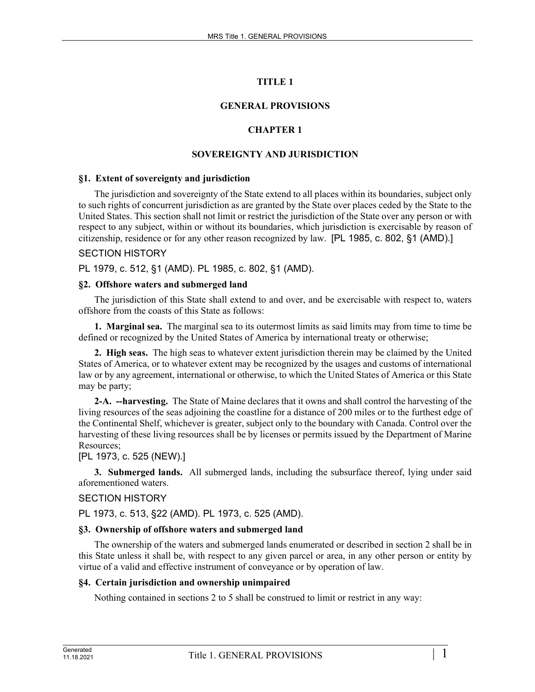# **TITLE 1**

# **GENERAL PROVISIONS**

# **CHAPTER 1**

# **SOVEREIGNTY AND JURISDICTION**

### **§1. Extent of sovereignty and jurisdiction**

The jurisdiction and sovereignty of the State extend to all places within its boundaries, subject only to such rights of concurrent jurisdiction as are granted by the State over places ceded by the State to the United States. This section shall not limit or restrict the jurisdiction of the State over any person or with respect to any subject, within or without its boundaries, which jurisdiction is exercisable by reason of citizenship, residence or for any other reason recognized by law. [PL 1985, c. 802, §1 (AMD).]

### SECTION HISTORY

PL 1979, c. 512, §1 (AMD). PL 1985, c. 802, §1 (AMD).

### **§2. Offshore waters and submerged land**

The jurisdiction of this State shall extend to and over, and be exercisable with respect to, waters offshore from the coasts of this State as follows:

**1. Marginal sea.** The marginal sea to its outermost limits as said limits may from time to time be defined or recognized by the United States of America by international treaty or otherwise;

**2. High seas.** The high seas to whatever extent jurisdiction therein may be claimed by the United States of America, or to whatever extent may be recognized by the usages and customs of international law or by any agreement, international or otherwise, to which the United States of America or this State may be party;

**2-A. --harvesting.** The State of Maine declares that it owns and shall control the harvesting of the living resources of the seas adjoining the coastline for a distance of 200 miles or to the furthest edge of the Continental Shelf, whichever is greater, subject only to the boundary with Canada. Control over the harvesting of these living resources shall be by licenses or permits issued by the Department of Marine Resources;

# [PL 1973, c. 525 (NEW).]

**3. Submerged lands.** All submerged lands, including the subsurface thereof, lying under said aforementioned waters.

# SECTION HISTORY

PL 1973, c. 513, §22 (AMD). PL 1973, c. 525 (AMD).

#### **§3. Ownership of offshore waters and submerged land**

The ownership of the waters and submerged lands enumerated or described in section 2 shall be in this State unless it shall be, with respect to any given parcel or area, in any other person or entity by virtue of a valid and effective instrument of conveyance or by operation of law.

#### **§4. Certain jurisdiction and ownership unimpaired**

Nothing contained in sections 2 to 5 shall be construed to limit or restrict in any way: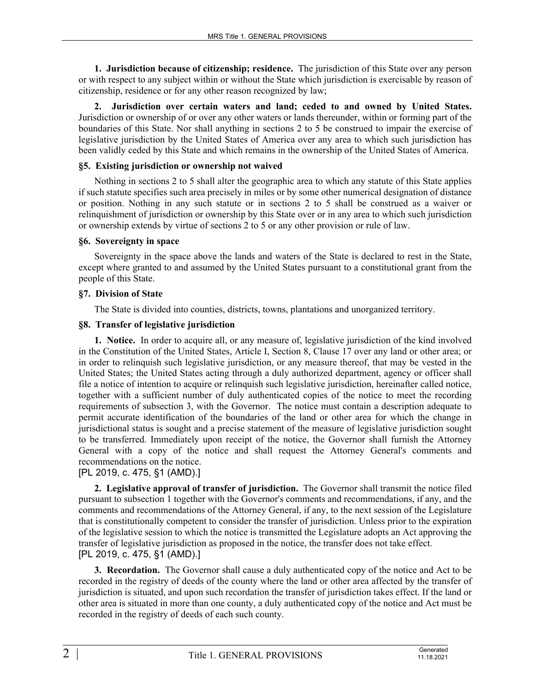**1. Jurisdiction because of citizenship; residence.** The jurisdiction of this State over any person or with respect to any subject within or without the State which jurisdiction is exercisable by reason of citizenship, residence or for any other reason recognized by law;

**2. Jurisdiction over certain waters and land; ceded to and owned by United States.**  Jurisdiction or ownership of or over any other waters or lands thereunder, within or forming part of the boundaries of this State. Nor shall anything in sections 2 to 5 be construed to impair the exercise of legislative jurisdiction by the United States of America over any area to which such jurisdiction has been validly ceded by this State and which remains in the ownership of the United States of America.

### **§5. Existing jurisdiction or ownership not waived**

Nothing in sections 2 to 5 shall alter the geographic area to which any statute of this State applies if such statute specifies such area precisely in miles or by some other numerical designation of distance or position. Nothing in any such statute or in sections 2 to 5 shall be construed as a waiver or relinquishment of jurisdiction or ownership by this State over or in any area to which such jurisdiction or ownership extends by virtue of sections 2 to 5 or any other provision or rule of law.

### **§6. Sovereignty in space**

Sovereignty in the space above the lands and waters of the State is declared to rest in the State, except where granted to and assumed by the United States pursuant to a constitutional grant from the people of this State.

### **§7. Division of State**

The State is divided into counties, districts, towns, plantations and unorganized territory.

### **§8. Transfer of legislative jurisdiction**

**1. Notice.** In order to acquire all, or any measure of, legislative jurisdiction of the kind involved in the Constitution of the United States, Article I, Section 8, Clause 17 over any land or other area; or in order to relinquish such legislative jurisdiction, or any measure thereof, that may be vested in the United States; the United States acting through a duly authorized department, agency or officer shall file a notice of intention to acquire or relinquish such legislative jurisdiction, hereinafter called notice, together with a sufficient number of duly authenticated copies of the notice to meet the recording requirements of subsection 3, with the Governor. The notice must contain a description adequate to permit accurate identification of the boundaries of the land or other area for which the change in jurisdictional status is sought and a precise statement of the measure of legislative jurisdiction sought to be transferred. Immediately upon receipt of the notice, the Governor shall furnish the Attorney General with a copy of the notice and shall request the Attorney General's comments and recommendations on the notice.

# [PL 2019, c. 475, §1 (AMD).]

**2. Legislative approval of transfer of jurisdiction.** The Governor shall transmit the notice filed pursuant to subsection 1 together with the Governor's comments and recommendations, if any, and the comments and recommendations of the Attorney General, if any, to the next session of the Legislature that is constitutionally competent to consider the transfer of jurisdiction. Unless prior to the expiration of the legislative session to which the notice is transmitted the Legislature adopts an Act approving the transfer of legislative jurisdiction as proposed in the notice, the transfer does not take effect. [PL 2019, c. 475, §1 (AMD).]

**3. Recordation.** The Governor shall cause a duly authenticated copy of the notice and Act to be recorded in the registry of deeds of the county where the land or other area affected by the transfer of jurisdiction is situated, and upon such recordation the transfer of jurisdiction takes effect. If the land or other area is situated in more than one county, a duly authenticated copy of the notice and Act must be recorded in the registry of deeds of each such county.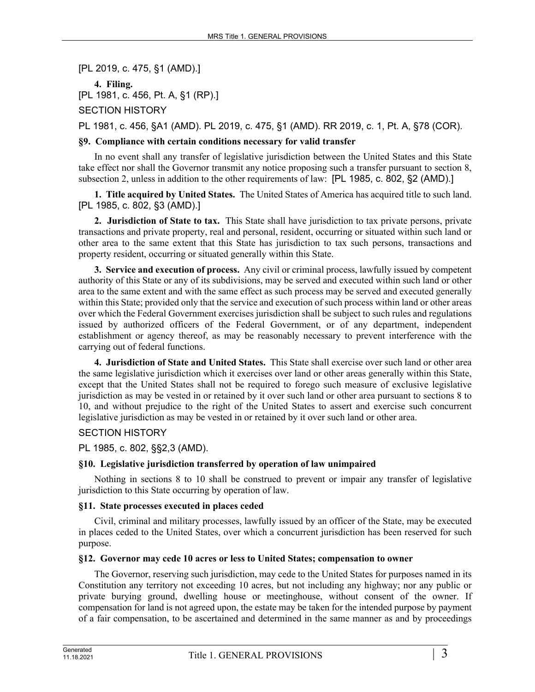[PL 2019, c. 475, §1 (AMD).]

**4. Filing.**  [PL 1981, c. 456, Pt. A, §1 (RP).]

SECTION HISTORY

PL 1981, c. 456, §A1 (AMD). PL 2019, c. 475, §1 (AMD). RR 2019, c. 1, Pt. A, §78 (COR).

# **§9. Compliance with certain conditions necessary for valid transfer**

In no event shall any transfer of legislative jurisdiction between the United States and this State take effect nor shall the Governor transmit any notice proposing such a transfer pursuant to section 8, subsection 2, unless in addition to the other requirements of law: [PL 1985, c. 802, §2 (AMD).]

**1. Title acquired by United States.** The United States of America has acquired title to such land. [PL 1985, c. 802, §3 (AMD).]

**2. Jurisdiction of State to tax.** This State shall have jurisdiction to tax private persons, private transactions and private property, real and personal, resident, occurring or situated within such land or other area to the same extent that this State has jurisdiction to tax such persons, transactions and property resident, occurring or situated generally within this State.

**3. Service and execution of process.** Any civil or criminal process, lawfully issued by competent authority of this State or any of its subdivisions, may be served and executed within such land or other area to the same extent and with the same effect as such process may be served and executed generally within this State; provided only that the service and execution of such process within land or other areas over which the Federal Government exercises jurisdiction shall be subject to such rules and regulations issued by authorized officers of the Federal Government, or of any department, independent establishment or agency thereof, as may be reasonably necessary to prevent interference with the carrying out of federal functions.

**4. Jurisdiction of State and United States.** This State shall exercise over such land or other area the same legislative jurisdiction which it exercises over land or other areas generally within this State, except that the United States shall not be required to forego such measure of exclusive legislative jurisdiction as may be vested in or retained by it over such land or other area pursuant to sections 8 to 10, and without prejudice to the right of the United States to assert and exercise such concurrent legislative jurisdiction as may be vested in or retained by it over such land or other area.

# SECTION HISTORY

PL 1985, c. 802, §§2,3 (AMD).

# **§10. Legislative jurisdiction transferred by operation of law unimpaired**

Nothing in sections 8 to 10 shall be construed to prevent or impair any transfer of legislative jurisdiction to this State occurring by operation of law.

# **§11. State processes executed in places ceded**

Civil, criminal and military processes, lawfully issued by an officer of the State, may be executed in places ceded to the United States, over which a concurrent jurisdiction has been reserved for such purpose.

# **§12. Governor may cede 10 acres or less to United States; compensation to owner**

The Governor, reserving such jurisdiction, may cede to the United States for purposes named in its Constitution any territory not exceeding 10 acres, but not including any highway; nor any public or private burying ground, dwelling house or meetinghouse, without consent of the owner. If compensation for land is not agreed upon, the estate may be taken for the intended purpose by payment of a fair compensation, to be ascertained and determined in the same manner as and by proceedings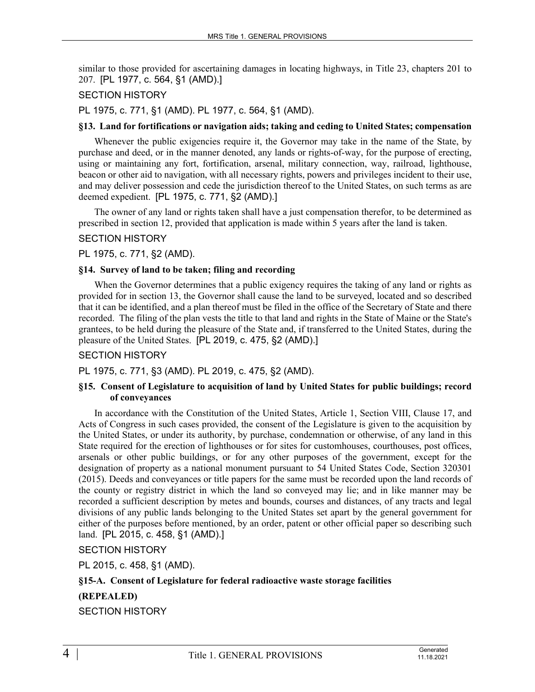similar to those provided for ascertaining damages in locating highways, in Title 23, chapters 201 to 207. [PL 1977, c. 564, §1 (AMD).]

### SECTION HISTORY

PL 1975, c. 771, §1 (AMD). PL 1977, c. 564, §1 (AMD).

#### **§13. Land for fortifications or navigation aids; taking and ceding to United States; compensation**

Whenever the public exigencies require it, the Governor may take in the name of the State, by purchase and deed, or in the manner denoted, any lands or rights-of-way, for the purpose of erecting, using or maintaining any fort, fortification, arsenal, military connection, way, railroad, lighthouse, beacon or other aid to navigation, with all necessary rights, powers and privileges incident to their use, and may deliver possession and cede the jurisdiction thereof to the United States, on such terms as are deemed expedient. [PL 1975, c. 771, §2 (AMD).]

The owner of any land or rights taken shall have a just compensation therefor, to be determined as prescribed in section 12, provided that application is made within 5 years after the land is taken.

### SECTION HISTORY

PL 1975, c. 771, §2 (AMD).

### **§14. Survey of land to be taken; filing and recording**

When the Governor determines that a public exigency requires the taking of any land or rights as provided for in section 13, the Governor shall cause the land to be surveyed, located and so described that it can be identified, and a plan thereof must be filed in the office of the Secretary of State and there recorded. The filing of the plan vests the title to that land and rights in the State of Maine or the State's grantees, to be held during the pleasure of the State and, if transferred to the United States, during the pleasure of the United States. [PL 2019, c. 475, §2 (AMD).]

# SECTION HISTORY

PL 1975, c. 771, §3 (AMD). PL 2019, c. 475, §2 (AMD).

#### **§15. Consent of Legislature to acquisition of land by United States for public buildings; record of conveyances**

In accordance with the Constitution of the United States, Article 1, Section VIII, Clause 17, and Acts of Congress in such cases provided, the consent of the Legislature is given to the acquisition by the United States, or under its authority, by purchase, condemnation or otherwise, of any land in this State required for the erection of lighthouses or for sites for customhouses, courthouses, post offices, arsenals or other public buildings, or for any other purposes of the government, except for the designation of property as a national monument pursuant to 54 United States Code, Section 320301 (2015). Deeds and conveyances or title papers for the same must be recorded upon the land records of the county or registry district in which the land so conveyed may lie; and in like manner may be recorded a sufficient description by metes and bounds, courses and distances, of any tracts and legal divisions of any public lands belonging to the United States set apart by the general government for either of the purposes before mentioned, by an order, patent or other official paper so describing such land. [PL 2015, c. 458, §1 (AMD).]

SECTION HISTORY

PL 2015, c. 458, §1 (AMD).

# **§15-A. Consent of Legislature for federal radioactive waste storage facilities (REPEALED)**

SECTION HISTORY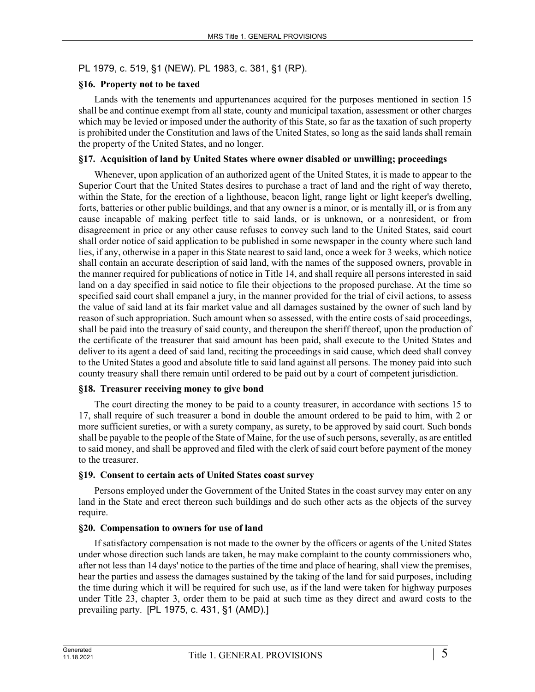# PL 1979, c. 519, §1 (NEW). PL 1983, c. 381, §1 (RP).

### **§16. Property not to be taxed**

Lands with the tenements and appurtenances acquired for the purposes mentioned in section 15 shall be and continue exempt from all state, county and municipal taxation, assessment or other charges which may be levied or imposed under the authority of this State, so far as the taxation of such property is prohibited under the Constitution and laws of the United States, so long as the said lands shall remain the property of the United States, and no longer.

### **§17. Acquisition of land by United States where owner disabled or unwilling; proceedings**

Whenever, upon application of an authorized agent of the United States, it is made to appear to the Superior Court that the United States desires to purchase a tract of land and the right of way thereto, within the State, for the erection of a lighthouse, beacon light, range light or light keeper's dwelling, forts, batteries or other public buildings, and that any owner is a minor, or is mentally ill, or is from any cause incapable of making perfect title to said lands, or is unknown, or a nonresident, or from disagreement in price or any other cause refuses to convey such land to the United States, said court shall order notice of said application to be published in some newspaper in the county where such land lies, if any, otherwise in a paper in this State nearest to said land, once a week for 3 weeks, which notice shall contain an accurate description of said land, with the names of the supposed owners, provable in the manner required for publications of notice in Title 14, and shall require all persons interested in said land on a day specified in said notice to file their objections to the proposed purchase. At the time so specified said court shall empanel a jury, in the manner provided for the trial of civil actions, to assess the value of said land at its fair market value and all damages sustained by the owner of such land by reason of such appropriation. Such amount when so assessed, with the entire costs of said proceedings, shall be paid into the treasury of said county, and thereupon the sheriff thereof, upon the production of the certificate of the treasurer that said amount has been paid, shall execute to the United States and deliver to its agent a deed of said land, reciting the proceedings in said cause, which deed shall convey to the United States a good and absolute title to said land against all persons. The money paid into such county treasury shall there remain until ordered to be paid out by a court of competent jurisdiction.

# **§18. Treasurer receiving money to give bond**

The court directing the money to be paid to a county treasurer, in accordance with sections 15 to 17, shall require of such treasurer a bond in double the amount ordered to be paid to him, with 2 or more sufficient sureties, or with a surety company, as surety, to be approved by said court. Such bonds shall be payable to the people of the State of Maine, for the use of such persons, severally, as are entitled to said money, and shall be approved and filed with the clerk of said court before payment of the money to the treasurer.

#### **§19. Consent to certain acts of United States coast survey**

Persons employed under the Government of the United States in the coast survey may enter on any land in the State and erect thereon such buildings and do such other acts as the objects of the survey require.

# **§20. Compensation to owners for use of land**

If satisfactory compensation is not made to the owner by the officers or agents of the United States under whose direction such lands are taken, he may make complaint to the county commissioners who, after not less than 14 days' notice to the parties of the time and place of hearing, shall view the premises, hear the parties and assess the damages sustained by the taking of the land for said purposes, including the time during which it will be required for such use, as if the land were taken for highway purposes under Title 23, chapter 3, order them to be paid at such time as they direct and award costs to the prevailing party. [PL 1975, c. 431, §1 (AMD).]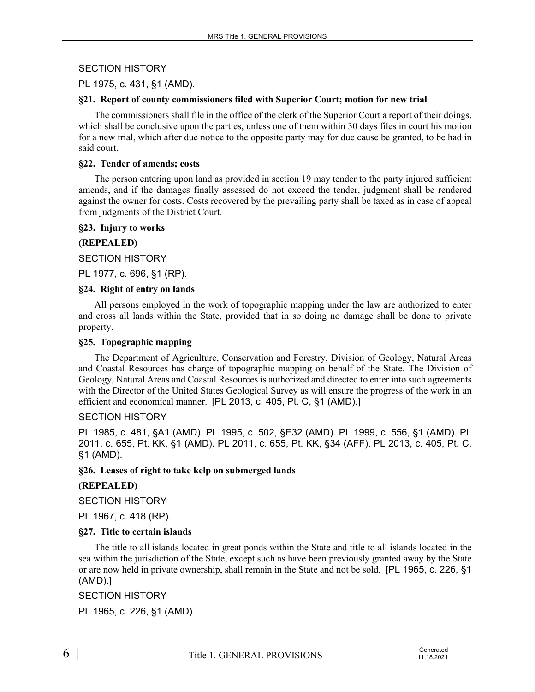# SECTION HISTORY

### PL 1975, c. 431, §1 (AMD).

#### **§21. Report of county commissioners filed with Superior Court; motion for new trial**

The commissioners shall file in the office of the clerk of the Superior Court a report of their doings, which shall be conclusive upon the parties, unless one of them within 30 days files in court his motion for a new trial, which after due notice to the opposite party may for due cause be granted, to be had in said court.

#### **§22. Tender of amends; costs**

The person entering upon land as provided in section 19 may tender to the party injured sufficient amends, and if the damages finally assessed do not exceed the tender, judgment shall be rendered against the owner for costs. Costs recovered by the prevailing party shall be taxed as in case of appeal from judgments of the District Court.

#### **§23. Injury to works**

### **(REPEALED)**

SECTION HISTORY

PL 1977, c. 696, §1 (RP).

#### **§24. Right of entry on lands**

All persons employed in the work of topographic mapping under the law are authorized to enter and cross all lands within the State, provided that in so doing no damage shall be done to private property.

#### **§25. Topographic mapping**

The Department of Agriculture, Conservation and Forestry, Division of Geology, Natural Areas and Coastal Resources has charge of topographic mapping on behalf of the State. The Division of Geology, Natural Areas and Coastal Resources is authorized and directed to enter into such agreements with the Director of the United States Geological Survey as will ensure the progress of the work in an efficient and economical manner. [PL 2013, c. 405, Pt. C, §1 (AMD).]

#### SECTION HISTORY

PL 1985, c. 481, §A1 (AMD). PL 1995, c. 502, §E32 (AMD). PL 1999, c. 556, §1 (AMD). PL 2011, c. 655, Pt. KK, §1 (AMD). PL 2011, c. 655, Pt. KK, §34 (AFF). PL 2013, c. 405, Pt. C, §1 (AMD).

#### **§26. Leases of right to take kelp on submerged lands**

#### **(REPEALED)**

SECTION HISTORY

PL 1967, c. 418 (RP).

#### **§27. Title to certain islands**

The title to all islands located in great ponds within the State and title to all islands located in the sea within the jurisdiction of the State, except such as have been previously granted away by the State or are now held in private ownership, shall remain in the State and not be sold. [PL 1965, c. 226, §1 (AMD).]

#### SECTION HISTORY

PL 1965, c. 226, §1 (AMD).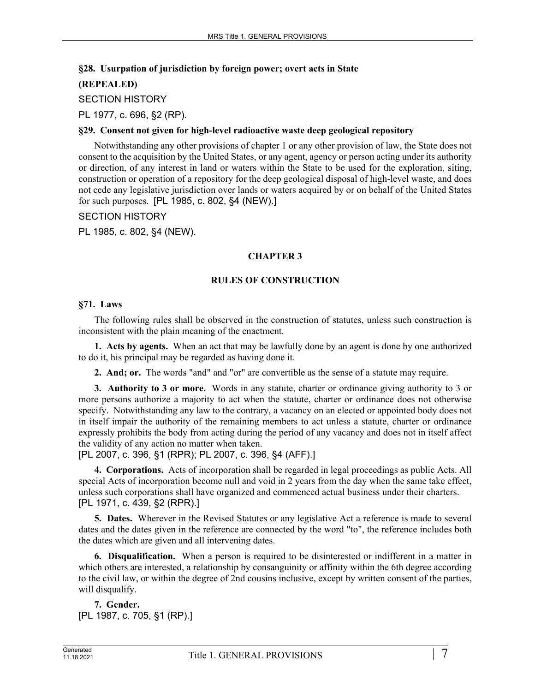### **§28. Usurpation of jurisdiction by foreign power; overt acts in State**

# **(REPEALED)**

SECTION HISTORY

PL 1977, c. 696, §2 (RP).

### **§29. Consent not given for high-level radioactive waste deep geological repository**

Notwithstanding any other provisions of chapter 1 or any other provision of law, the State does not consent to the acquisition by the United States, or any agent, agency or person acting under its authority or direction, of any interest in land or waters within the State to be used for the exploration, siting, construction or operation of a repository for the deep geological disposal of high-level waste, and does not cede any legislative jurisdiction over lands or waters acquired by or on behalf of the United States for such purposes. [PL 1985, c. 802, §4 (NEW).]

### SECTION HISTORY

PL 1985, c. 802, §4 (NEW).

# **CHAPTER 3**

### **RULES OF CONSTRUCTION**

### **§71. Laws**

The following rules shall be observed in the construction of statutes, unless such construction is inconsistent with the plain meaning of the enactment.

**1. Acts by agents.** When an act that may be lawfully done by an agent is done by one authorized to do it, his principal may be regarded as having done it.

**2. And; or.** The words "and" and "or" are convertible as the sense of a statute may require.

**3. Authority to 3 or more.** Words in any statute, charter or ordinance giving authority to 3 or more persons authorize a majority to act when the statute, charter or ordinance does not otherwise specify. Notwithstanding any law to the contrary, a vacancy on an elected or appointed body does not in itself impair the authority of the remaining members to act unless a statute, charter or ordinance expressly prohibits the body from acting during the period of any vacancy and does not in itself affect the validity of any action no matter when taken.

[PL 2007, c. 396, §1 (RPR); PL 2007, c. 396, §4 (AFF).]

**4. Corporations.** Acts of incorporation shall be regarded in legal proceedings as public Acts. All special Acts of incorporation become null and void in 2 years from the day when the same take effect, unless such corporations shall have organized and commenced actual business under their charters. [PL 1971, c. 439, §2 (RPR).]

**5. Dates.** Wherever in the Revised Statutes or any legislative Act a reference is made to several dates and the dates given in the reference are connected by the word "to", the reference includes both the dates which are given and all intervening dates.

**6. Disqualification.** When a person is required to be disinterested or indifferent in a matter in which others are interested, a relationship by consanguinity or affinity within the 6th degree according to the civil law, or within the degree of 2nd cousins inclusive, except by written consent of the parties, will disqualify.

```
7. Gender. 
[PL 1987, c. 705, §1 (RP).]
```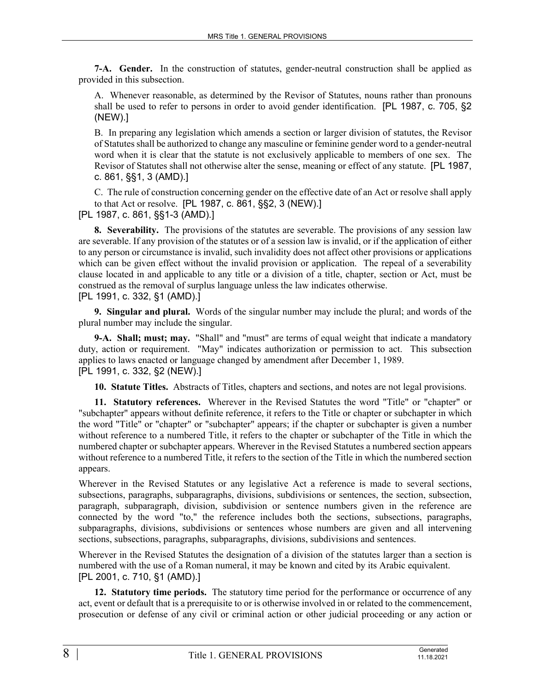**7-A. Gender.** In the construction of statutes, gender-neutral construction shall be applied as provided in this subsection.

A. Whenever reasonable, as determined by the Revisor of Statutes, nouns rather than pronouns shall be used to refer to persons in order to avoid gender identification. [PL 1987, c. 705, §2 (NEW).]

B. In preparing any legislation which amends a section or larger division of statutes, the Revisor of Statutes shall be authorized to change any masculine or feminine gender word to a gender-neutral word when it is clear that the statute is not exclusively applicable to members of one sex. The Revisor of Statutes shall not otherwise alter the sense, meaning or effect of any statute. [PL 1987, c. 861, §§1, 3 (AMD).]

C. The rule of construction concerning gender on the effective date of an Act or resolve shall apply to that Act or resolve. [PL 1987, c. 861, §§2, 3 (NEW).]

[PL 1987, c. 861, §§1-3 (AMD).]

**8. Severability.** The provisions of the statutes are severable. The provisions of any session law are severable. If any provision of the statutes or of a session law is invalid, or if the application of either to any person or circumstance is invalid, such invalidity does not affect other provisions or applications which can be given effect without the invalid provision or application. The repeal of a severability clause located in and applicable to any title or a division of a title, chapter, section or Act, must be construed as the removal of surplus language unless the law indicates otherwise. [PL 1991, c. 332, §1 (AMD).]

**9. Singular and plural.** Words of the singular number may include the plural; and words of the plural number may include the singular.

**9-A. Shall; must; may.** "Shall" and "must" are terms of equal weight that indicate a mandatory duty, action or requirement. "May" indicates authorization or permission to act. This subsection applies to laws enacted or language changed by amendment after December 1, 1989. [PL 1991, c. 332, §2 (NEW).]

**10. Statute Titles.** Abstracts of Titles, chapters and sections, and notes are not legal provisions.

**11. Statutory references.** Wherever in the Revised Statutes the word "Title" or "chapter" or "subchapter" appears without definite reference, it refers to the Title or chapter or subchapter in which the word "Title" or "chapter" or "subchapter" appears; if the chapter or subchapter is given a number without reference to a numbered Title, it refers to the chapter or subchapter of the Title in which the numbered chapter or subchapter appears. Wherever in the Revised Statutes a numbered section appears without reference to a numbered Title, it refers to the section of the Title in which the numbered section appears.

Wherever in the Revised Statutes or any legislative Act a reference is made to several sections, subsections, paragraphs, subparagraphs, divisions, subdivisions or sentences, the section, subsection, paragraph, subparagraph, division, subdivision or sentence numbers given in the reference are connected by the word "to," the reference includes both the sections, subsections, paragraphs, subparagraphs, divisions, subdivisions or sentences whose numbers are given and all intervening sections, subsections, paragraphs, subparagraphs, divisions, subdivisions and sentences.

Wherever in the Revised Statutes the designation of a division of the statutes larger than a section is numbered with the use of a Roman numeral, it may be known and cited by its Arabic equivalent. [PL 2001, c. 710, §1 (AMD).]

**12. Statutory time periods.** The statutory time period for the performance or occurrence of any act, event or default that is a prerequisite to or is otherwise involved in or related to the commencement, prosecution or defense of any civil or criminal action or other judicial proceeding or any action or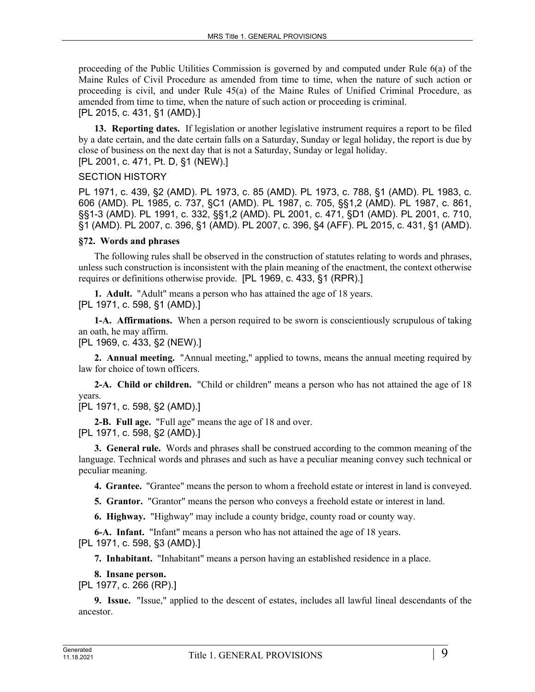proceeding of the Public Utilities Commission is governed by and computed under Rule 6(a) of the Maine Rules of Civil Procedure as amended from time to time, when the nature of such action or proceeding is civil, and under Rule 45(a) of the Maine Rules of Unified Criminal Procedure, as amended from time to time, when the nature of such action or proceeding is criminal. [PL 2015, c. 431, §1 (AMD).]

**13. Reporting dates.** If legislation or another legislative instrument requires a report to be filed by a date certain, and the date certain falls on a Saturday, Sunday or legal holiday, the report is due by close of business on the next day that is not a Saturday, Sunday or legal holiday. [PL 2001, c. 471, Pt. D, §1 (NEW).]

### SECTION HISTORY

PL 1971, c. 439, §2 (AMD). PL 1973, c. 85 (AMD). PL 1973, c. 788, §1 (AMD). PL 1983, c. 606 (AMD). PL 1985, c. 737, §C1 (AMD). PL 1987, c. 705, §§1,2 (AMD). PL 1987, c. 861, §§1-3 (AMD). PL 1991, c. 332, §§1,2 (AMD). PL 2001, c. 471, §D1 (AMD). PL 2001, c. 710, §1 (AMD). PL 2007, c. 396, §1 (AMD). PL 2007, c. 396, §4 (AFF). PL 2015, c. 431, §1 (AMD).

### **§72. Words and phrases**

The following rules shall be observed in the construction of statutes relating to words and phrases, unless such construction is inconsistent with the plain meaning of the enactment, the context otherwise requires or definitions otherwise provide. [PL 1969, c. 433, §1 (RPR).]

**1. Adult.** "Adult" means a person who has attained the age of 18 years. [PL 1971, c. 598, §1 (AMD).]

**1-A. Affirmations.** When a person required to be sworn is conscientiously scrupulous of taking an oath, he may affirm.

[PL 1969, c. 433, §2 (NEW).]

**2. Annual meeting.** "Annual meeting," applied to towns, means the annual meeting required by law for choice of town officers.

**2-A. Child or children.** "Child or children" means a person who has not attained the age of 18 years.

[PL 1971, c. 598, §2 (AMD).]

**2-B. Full age.** "Full age" means the age of 18 and over. [PL 1971, c. 598, §2 (AMD).]

**3. General rule.** Words and phrases shall be construed according to the common meaning of the language. Technical words and phrases and such as have a peculiar meaning convey such technical or peculiar meaning.

**4. Grantee.** "Grantee" means the person to whom a freehold estate or interest in land is conveyed.

**5. Grantor.** "Grantor" means the person who conveys a freehold estate or interest in land.

**6. Highway.** "Highway" may include a county bridge, county road or county way.

**6-A. Infant.** "Infant" means a person who has not attained the age of 18 years.

[PL 1971, c. 598, §3 (AMD).]

**7. Inhabitant.** "Inhabitant" means a person having an established residence in a place.

#### **8. Insane person.**

[PL 1977, c. 266 (RP).]

**9. Issue.** "Issue," applied to the descent of estates, includes all lawful lineal descendants of the ancestor.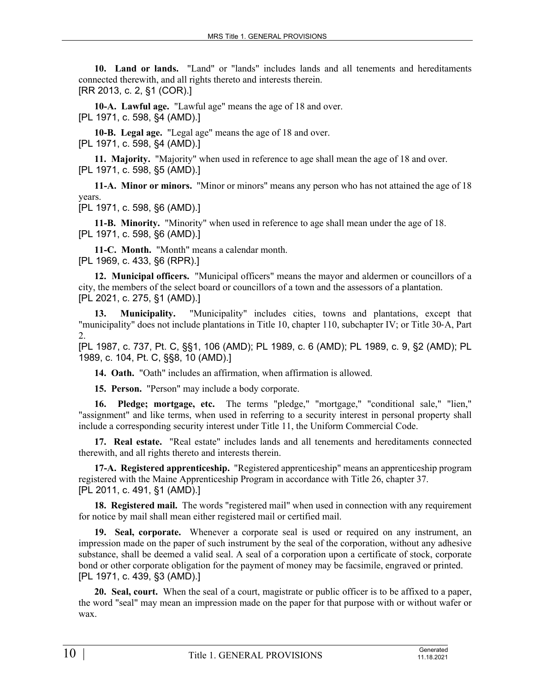**10. Land or lands.** "Land" or "lands" includes lands and all tenements and hereditaments connected therewith, and all rights thereto and interests therein. [RR 2013, c. 2, §1 (COR).]

**10-A. Lawful age.** "Lawful age" means the age of 18 and over. [PL 1971, c. 598, §4 (AMD).]

**10-B. Legal age.** "Legal age" means the age of 18 and over. [PL 1971, c. 598, §4 (AMD).]

**11. Majority.** "Majority" when used in reference to age shall mean the age of 18 and over. [PL 1971, c. 598, §5 (AMD).]

**11-A. Minor or minors.** "Minor or minors" means any person who has not attained the age of 18 years.

[PL 1971, c. 598, §6 (AMD).]

**11-B. Minority.** "Minority" when used in reference to age shall mean under the age of 18. [PL 1971, c. 598, §6 (AMD).]

**11-C. Month.** "Month" means a calendar month. [PL 1969, c. 433, §6 (RPR).]

**12. Municipal officers.** "Municipal officers" means the mayor and aldermen or councillors of a city, the members of the select board or councillors of a town and the assessors of a plantation. [PL 2021, c. 275, §1 (AMD).]

**13. Municipality.** "Municipality" includes cities, towns and plantations, except that "municipality" does not include plantations in Title 10, chapter 110, subchapter IV; or Title 30‑A, Part  $\mathcal{D}$ 

[PL 1987, c. 737, Pt. C, §§1, 106 (AMD); PL 1989, c. 6 (AMD); PL 1989, c. 9, §2 (AMD); PL 1989, c. 104, Pt. C, §§8, 10 (AMD).]

**14. Oath.** "Oath" includes an affirmation, when affirmation is allowed.

**15. Person.** "Person" may include a body corporate.

**16. Pledge; mortgage, etc.** The terms "pledge," "mortgage," "conditional sale," "lien," "assignment" and like terms, when used in referring to a security interest in personal property shall include a corresponding security interest under Title 11, the Uniform Commercial Code.

**17. Real estate.** "Real estate" includes lands and all tenements and hereditaments connected therewith, and all rights thereto and interests therein.

**17-A. Registered apprenticeship.** "Registered apprenticeship" means an apprenticeship program registered with the Maine Apprenticeship Program in accordance with Title 26, chapter 37. [PL 2011, c. 491, §1 (AMD).]

**18. Registered mail.** The words "registered mail" when used in connection with any requirement for notice by mail shall mean either registered mail or certified mail.

**19. Seal, corporate.** Whenever a corporate seal is used or required on any instrument, an impression made on the paper of such instrument by the seal of the corporation, without any adhesive substance, shall be deemed a valid seal. A seal of a corporation upon a certificate of stock, corporate bond or other corporate obligation for the payment of money may be facsimile, engraved or printed. [PL 1971, c. 439, §3 (AMD).]

**20. Seal, court.** When the seal of a court, magistrate or public officer is to be affixed to a paper, the word "seal" may mean an impression made on the paper for that purpose with or without wafer or wax.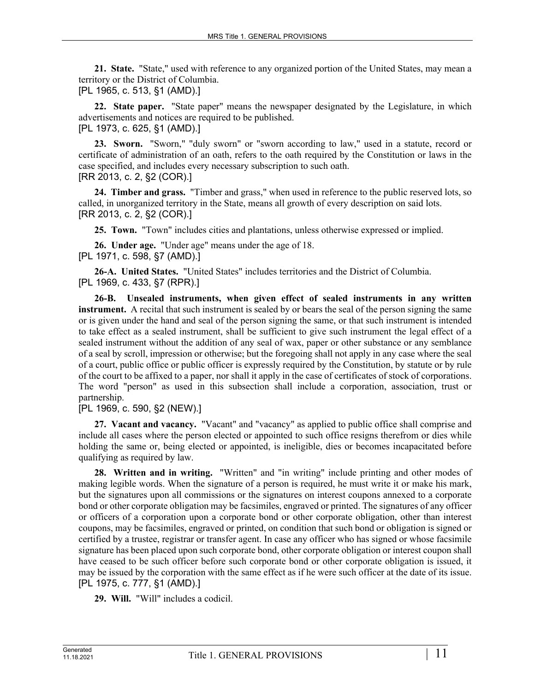**21. State.** "State," used with reference to any organized portion of the United States, may mean a territory or the District of Columbia.

[PL 1965, c. 513, §1 (AMD).]

**22. State paper.** "State paper" means the newspaper designated by the Legislature, in which advertisements and notices are required to be published.

[PL 1973, c. 625, §1 (AMD).]

**23. Sworn.** "Sworn," "duly sworn" or "sworn according to law," used in a statute, record or certificate of administration of an oath, refers to the oath required by the Constitution or laws in the case specified, and includes every necessary subscription to such oath. [RR 2013, c. 2, §2 (COR).]

**24. Timber and grass.** "Timber and grass," when used in reference to the public reserved lots, so called, in unorganized territory in the State, means all growth of every description on said lots. [RR 2013, c. 2, §2 (COR).]

**25. Town.** "Town" includes cities and plantations, unless otherwise expressed or implied.

**26. Under age.** "Under age" means under the age of 18. [PL 1971, c. 598, §7 (AMD).]

**26-A. United States.** "United States" includes territories and the District of Columbia. [PL 1969, c. 433, §7 (RPR).]

**26-B. Unsealed instruments, when given effect of sealed instruments in any written instrument.** A recital that such instrument is sealed by or bears the seal of the person signing the same or is given under the hand and seal of the person signing the same, or that such instrument is intended to take effect as a sealed instrument, shall be sufficient to give such instrument the legal effect of a sealed instrument without the addition of any seal of wax, paper or other substance or any semblance of a seal by scroll, impression or otherwise; but the foregoing shall not apply in any case where the seal of a court, public office or public officer is expressly required by the Constitution, by statute or by rule of the court to be affixed to a paper, nor shall it apply in the case of certificates of stock of corporations. The word "person" as used in this subsection shall include a corporation, association, trust or partnership.

[PL 1969, c. 590, §2 (NEW).]

**27. Vacant and vacancy.** "Vacant" and "vacancy" as applied to public office shall comprise and include all cases where the person elected or appointed to such office resigns therefrom or dies while holding the same or, being elected or appointed, is ineligible, dies or becomes incapacitated before qualifying as required by law.

**28. Written and in writing.** "Written" and "in writing" include printing and other modes of making legible words. When the signature of a person is required, he must write it or make his mark, but the signatures upon all commissions or the signatures on interest coupons annexed to a corporate bond or other corporate obligation may be facsimiles, engraved or printed. The signatures of any officer or officers of a corporation upon a corporate bond or other corporate obligation, other than interest coupons, may be facsimiles, engraved or printed, on condition that such bond or obligation is signed or certified by a trustee, registrar or transfer agent. In case any officer who has signed or whose facsimile signature has been placed upon such corporate bond, other corporate obligation or interest coupon shall have ceased to be such officer before such corporate bond or other corporate obligation is issued, it may be issued by the corporation with the same effect as if he were such officer at the date of its issue. [PL 1975, c. 777, §1 (AMD).]

**29. Will.** "Will" includes a codicil.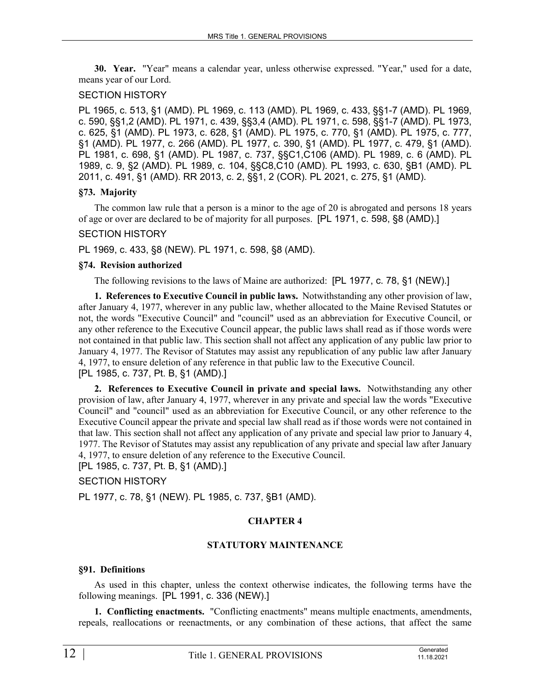**30. Year.** "Year" means a calendar year, unless otherwise expressed. "Year," used for a date, means year of our Lord.

### SECTION HISTORY

PL 1965, c. 513, §1 (AMD). PL 1969, c. 113 (AMD). PL 1969, c. 433, §§1-7 (AMD). PL 1969, c. 590, §§1,2 (AMD). PL 1971, c. 439, §§3,4 (AMD). PL 1971, c. 598, §§1-7 (AMD). PL 1973, c. 625, §1 (AMD). PL 1973, c. 628, §1 (AMD). PL 1975, c. 770, §1 (AMD). PL 1975, c. 777, §1 (AMD). PL 1977, c. 266 (AMD). PL 1977, c. 390, §1 (AMD). PL 1977, c. 479, §1 (AMD). PL 1981, c. 698, §1 (AMD). PL 1987, c. 737, §§C1,C106 (AMD). PL 1989, c. 6 (AMD). PL 1989, c. 9, §2 (AMD). PL 1989, c. 104, §§C8,C10 (AMD). PL 1993, c. 630, §B1 (AMD). PL 2011, c. 491, §1 (AMD). RR 2013, c. 2, §§1, 2 (COR). PL 2021, c. 275, §1 (AMD).

### **§73. Majority**

The common law rule that a person is a minor to the age of 20 is abrogated and persons 18 years of age or over are declared to be of majority for all purposes. [PL 1971, c. 598, §8 (AMD).]

### SECTION HISTORY

PL 1969, c. 433, §8 (NEW). PL 1971, c. 598, §8 (AMD).

#### **§74. Revision authorized**

The following revisions to the laws of Maine are authorized: [PL 1977, c. 78, §1 (NEW).]

**1. References to Executive Council in public laws.** Notwithstanding any other provision of law, after January 4, 1977, wherever in any public law, whether allocated to the Maine Revised Statutes or not, the words "Executive Council" and "council" used as an abbreviation for Executive Council, or any other reference to the Executive Council appear, the public laws shall read as if those words were not contained in that public law. This section shall not affect any application of any public law prior to January 4, 1977. The Revisor of Statutes may assist any republication of any public law after January 4, 1977, to ensure deletion of any reference in that public law to the Executive Council. [PL 1985, c. 737, Pt. B, §1 (AMD).]

**2. References to Executive Council in private and special laws.** Notwithstanding any other provision of law, after January 4, 1977, wherever in any private and special law the words "Executive Council" and "council" used as an abbreviation for Executive Council, or any other reference to the Executive Council appear the private and special law shall read as if those words were not contained in that law. This section shall not affect any application of any private and special law prior to January 4, 1977. The Revisor of Statutes may assist any republication of any private and special law after January 4, 1977, to ensure deletion of any reference to the Executive Council.

[PL 1985, c. 737, Pt. B, §1 (AMD).]

#### SECTION HISTORY

PL 1977, c. 78, §1 (NEW). PL 1985, c. 737, §B1 (AMD).

# **CHAPTER 4**

# **STATUTORY MAINTENANCE**

#### **§91. Definitions**

As used in this chapter, unless the context otherwise indicates, the following terms have the following meanings. [PL 1991, c. 336 (NEW).]

**1. Conflicting enactments.** "Conflicting enactments" means multiple enactments, amendments, repeals, reallocations or reenactments, or any combination of these actions, that affect the same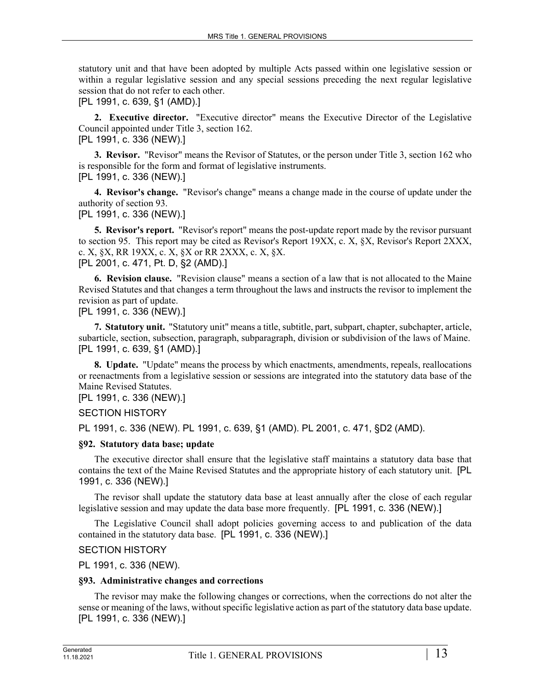statutory unit and that have been adopted by multiple Acts passed within one legislative session or within a regular legislative session and any special sessions preceding the next regular legislative session that do not refer to each other.

[PL 1991, c. 639, §1 (AMD).]

**2. Executive director.** "Executive director" means the Executive Director of the Legislative Council appointed under Title 3, section 162. [PL 1991, c. 336 (NEW).]

**3. Revisor.** "Revisor" means the Revisor of Statutes, or the person under Title 3, section 162 who is responsible for the form and format of legislative instruments.

[PL 1991, c. 336 (NEW).]

**4. Revisor's change.** "Revisor's change" means a change made in the course of update under the authority of section 93.

[PL 1991, c. 336 (NEW).]

**5. Revisor's report.** "Revisor's report" means the post-update report made by the revisor pursuant to section 95. This report may be cited as Revisor's Report 19XX, c. X, §X, Revisor's Report 2XXX, c. X, §X, RR 19XX, c. X, §X or RR 2XXX, c. X, §X. [PL 2001, c. 471, Pt. D, §2 (AMD).]

**6. Revision clause.** "Revision clause" means a section of a law that is not allocated to the Maine Revised Statutes and that changes a term throughout the laws and instructs the revisor to implement the revision as part of update.

[PL 1991, c. 336 (NEW).]

**7. Statutory unit.** "Statutory unit" means a title, subtitle, part, subpart, chapter, subchapter, article, subarticle, section, subsection, paragraph, subparagraph, division or subdivision of the laws of Maine. [PL 1991, c. 639, §1 (AMD).]

**8. Update.** "Update" means the process by which enactments, amendments, repeals, reallocations or reenactments from a legislative session or sessions are integrated into the statutory data base of the Maine Revised Statutes.

[PL 1991, c. 336 (NEW).]

SECTION HISTORY

PL 1991, c. 336 (NEW). PL 1991, c. 639, §1 (AMD). PL 2001, c. 471, §D2 (AMD).

# **§92. Statutory data base; update**

The executive director shall ensure that the legislative staff maintains a statutory data base that contains the text of the Maine Revised Statutes and the appropriate history of each statutory unit. [PL 1991, c. 336 (NEW).]

The revisor shall update the statutory data base at least annually after the close of each regular legislative session and may update the data base more frequently. [PL 1991, c. 336 (NEW).]

The Legislative Council shall adopt policies governing access to and publication of the data contained in the statutory data base. [PL 1991, c. 336 (NEW).]

SECTION HISTORY

PL 1991, c. 336 (NEW).

# **§93. Administrative changes and corrections**

The revisor may make the following changes or corrections, when the corrections do not alter the sense or meaning of the laws, without specific legislative action as part of the statutory data base update. [PL 1991, c. 336 (NEW).]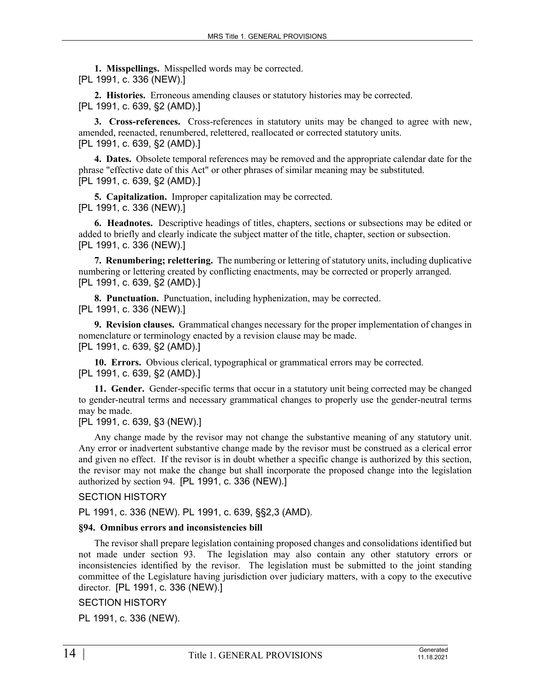**1. Misspellings.** Misspelled words may be corrected. [PL 1991, c. 336 (NEW).]

**2. Histories.** Erroneous amending clauses or statutory histories may be corrected. [PL 1991, c. 639, §2 (AMD).]

**3. Cross-references.** Cross-references in statutory units may be changed to agree with new, amended, reenacted, renumbered, relettered, reallocated or corrected statutory units. [PL 1991, c. 639, §2 (AMD).]

**4. Dates.** Obsolete temporal references may be removed and the appropriate calendar date for the phrase "effective date of this Act" or other phrases of similar meaning may be substituted. [PL 1991, c. 639, §2 (AMD).]

**5. Capitalization.** Improper capitalization may be corrected. [PL 1991, c. 336 (NEW).]

**6. Headnotes.** Descriptive headings of titles, chapters, sections or subsections may be edited or added to briefly and clearly indicate the subject matter of the title, chapter, section or subsection. [PL 1991, c. 336 (NEW).]

**7. Renumbering; relettering.** The numbering or lettering of statutory units, including duplicative numbering or lettering created by conflicting enactments, may be corrected or properly arranged. [PL 1991, c. 639, §2 (AMD).]

**8. Punctuation.** Punctuation, including hyphenization, may be corrected. [PL 1991, c. 336 (NEW).]

**9. Revision clauses.** Grammatical changes necessary for the proper implementation of changes in nomenclature or terminology enacted by a revision clause may be made. [PL 1991, c. 639, §2 (AMD).]

**10. Errors.** Obvious clerical, typographical or grammatical errors may be corrected. [PL 1991, c. 639, §2 (AMD).]

**11. Gender.** Gender-specific terms that occur in a statutory unit being corrected may be changed to gender-neutral terms and necessary grammatical changes to properly use the gender-neutral terms may be made.

[PL 1991, c. 639, §3 (NEW).]

Any change made by the revisor may not change the substantive meaning of any statutory unit. Any error or inadvertent substantive change made by the revisor must be construed as a clerical error and given no effect. If the revisor is in doubt whether a specific change is authorized by this section, the revisor may not make the change but shall incorporate the proposed change into the legislation authorized by section 94. [PL 1991, c. 336 (NEW).]

# SECTION HISTORY

PL 1991, c. 336 (NEW). PL 1991, c. 639, §§2,3 (AMD).

#### **§94. Omnibus errors and inconsistencies bill**

The revisor shall prepare legislation containing proposed changes and consolidations identified but not made under section 93. The legislation may also contain any other statutory errors or inconsistencies identified by the revisor. The legislation must be submitted to the joint standing committee of the Legislature having jurisdiction over judiciary matters, with a copy to the executive director. [PL 1991, c. 336 (NEW).]

# SECTION HISTORY

PL 1991, c. 336 (NEW).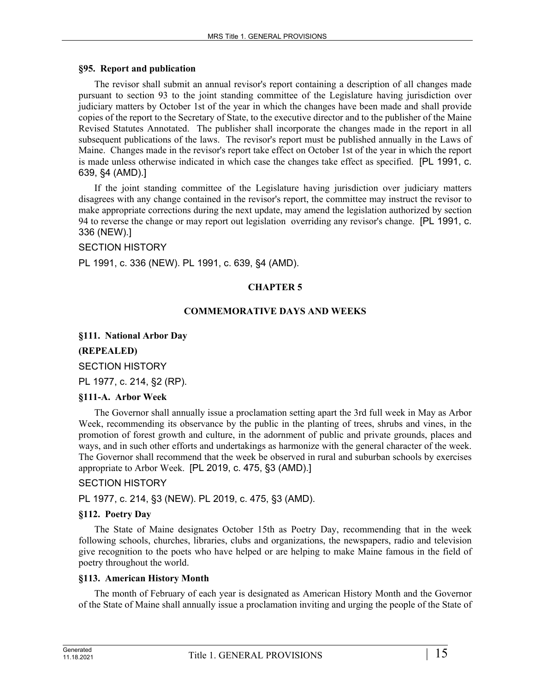#### **§95. Report and publication**

The revisor shall submit an annual revisor's report containing a description of all changes made pursuant to section 93 to the joint standing committee of the Legislature having jurisdiction over judiciary matters by October 1st of the year in which the changes have been made and shall provide copies of the report to the Secretary of State, to the executive director and to the publisher of the Maine Revised Statutes Annotated. The publisher shall incorporate the changes made in the report in all subsequent publications of the laws. The revisor's report must be published annually in the Laws of Maine. Changes made in the revisor's report take effect on October 1st of the year in which the report is made unless otherwise indicated in which case the changes take effect as specified. [PL 1991, c. 639, §4 (AMD).]

If the joint standing committee of the Legislature having jurisdiction over judiciary matters disagrees with any change contained in the revisor's report, the committee may instruct the revisor to make appropriate corrections during the next update, may amend the legislation authorized by section 94 to reverse the change or may report out legislation overriding any revisor's change. [PL 1991, c. 336 (NEW).]

#### SECTION HISTORY

PL 1991, c. 336 (NEW). PL 1991, c. 639, §4 (AMD).

### **CHAPTER 5**

#### **COMMEMORATIVE DAYS AND WEEKS**

#### **§111. National Arbor Day**

#### **(REPEALED)**

SECTION HISTORY

PL 1977, c. 214, §2 (RP).

#### **§111-A. Arbor Week**

The Governor shall annually issue a proclamation setting apart the 3rd full week in May as Arbor Week, recommending its observance by the public in the planting of trees, shrubs and vines, in the promotion of forest growth and culture, in the adornment of public and private grounds, places and ways, and in such other efforts and undertakings as harmonize with the general character of the week. The Governor shall recommend that the week be observed in rural and suburban schools by exercises appropriate to Arbor Week. [PL 2019, c. 475, §3 (AMD).]

#### SECTION HISTORY

PL 1977, c. 214, §3 (NEW). PL 2019, c. 475, §3 (AMD).

#### **§112. Poetry Day**

The State of Maine designates October 15th as Poetry Day, recommending that in the week following schools, churches, libraries, clubs and organizations, the newspapers, radio and television give recognition to the poets who have helped or are helping to make Maine famous in the field of poetry throughout the world.

#### **§113. American History Month**

The month of February of each year is designated as American History Month and the Governor of the State of Maine shall annually issue a proclamation inviting and urging the people of the State of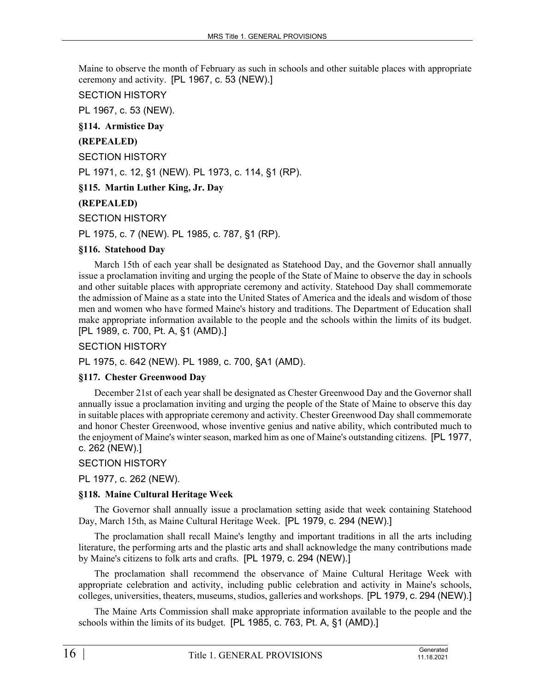Maine to observe the month of February as such in schools and other suitable places with appropriate ceremony and activity. [PL 1967, c. 53 (NEW).]

### SECTION HISTORY

PL 1967, c. 53 (NEW).

**§114. Armistice Day**

# **(REPEALED)**

SECTION HISTORY

PL 1971, c. 12, §1 (NEW). PL 1973, c. 114, §1 (RP).

# **§115. Martin Luther King, Jr. Day**

# **(REPEALED)**

### SECTION HISTORY

PL 1975, c. 7 (NEW). PL 1985, c. 787, §1 (RP).

### **§116. Statehood Day**

March 15th of each year shall be designated as Statehood Day, and the Governor shall annually issue a proclamation inviting and urging the people of the State of Maine to observe the day in schools and other suitable places with appropriate ceremony and activity. Statehood Day shall commemorate the admission of Maine as a state into the United States of America and the ideals and wisdom of those men and women who have formed Maine's history and traditions. The Department of Education shall make appropriate information available to the people and the schools within the limits of its budget. [PL 1989, c. 700, Pt. A, §1 (AMD).]

SECTION HISTORY

PL 1975, c. 642 (NEW). PL 1989, c. 700, §A1 (AMD).

# **§117. Chester Greenwood Day**

December 21st of each year shall be designated as Chester Greenwood Day and the Governor shall annually issue a proclamation inviting and urging the people of the State of Maine to observe this day in suitable places with appropriate ceremony and activity. Chester Greenwood Day shall commemorate and honor Chester Greenwood, whose inventive genius and native ability, which contributed much to the enjoyment of Maine's winter season, marked him as one of Maine's outstanding citizens. [PL 1977, c. 262 (NEW).]

# SECTION HISTORY

PL 1977, c. 262 (NEW).

# **§118. Maine Cultural Heritage Week**

The Governor shall annually issue a proclamation setting aside that week containing Statehood Day, March 15th, as Maine Cultural Heritage Week. [PL 1979, c. 294 (NEW).]

The proclamation shall recall Maine's lengthy and important traditions in all the arts including literature, the performing arts and the plastic arts and shall acknowledge the many contributions made by Maine's citizens to folk arts and crafts. [PL 1979, c. 294 (NEW).]

The proclamation shall recommend the observance of Maine Cultural Heritage Week with appropriate celebration and activity, including public celebration and activity in Maine's schools, colleges, universities, theaters, museums, studios, galleries and workshops. [PL 1979, c. 294 (NEW).]

The Maine Arts Commission shall make appropriate information available to the people and the schools within the limits of its budget. [PL 1985, c. 763, Pt. A, §1 (AMD).]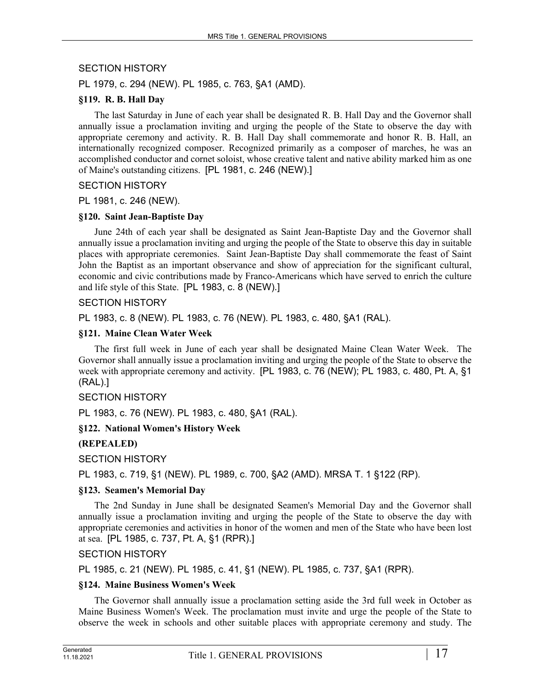# SECTION HISTORY

PL 1979, c. 294 (NEW). PL 1985, c. 763, §A1 (AMD).

### **§119. R. B. Hall Day**

The last Saturday in June of each year shall be designated R. B. Hall Day and the Governor shall annually issue a proclamation inviting and urging the people of the State to observe the day with appropriate ceremony and activity. R. B. Hall Day shall commemorate and honor R. B. Hall, an internationally recognized composer. Recognized primarily as a composer of marches, he was an accomplished conductor and cornet soloist, whose creative talent and native ability marked him as one of Maine's outstanding citizens. [PL 1981, c. 246 (NEW).]

### SECTION HISTORY

PL 1981, c. 246 (NEW).

### **§120. Saint Jean-Baptiste Day**

June 24th of each year shall be designated as Saint Jean-Baptiste Day and the Governor shall annually issue a proclamation inviting and urging the people of the State to observe this day in suitable places with appropriate ceremonies. Saint Jean-Baptiste Day shall commemorate the feast of Saint John the Baptist as an important observance and show of appreciation for the significant cultural, economic and civic contributions made by Franco-Americans which have served to enrich the culture and life style of this State. [PL 1983, c. 8 (NEW).]

# SECTION HISTORY

PL 1983, c. 8 (NEW). PL 1983, c. 76 (NEW). PL 1983, c. 480, §A1 (RAL).

### **§121. Maine Clean Water Week**

The first full week in June of each year shall be designated Maine Clean Water Week. The Governor shall annually issue a proclamation inviting and urging the people of the State to observe the week with appropriate ceremony and activity. [PL 1983, c. 76 (NEW); PL 1983, c. 480, Pt. A, §1 (RAL).]

#### SECTION HISTORY

PL 1983, c. 76 (NEW). PL 1983, c. 480, §A1 (RAL).

# **§122. National Women's History Week**

# **(REPEALED)**

SECTION HISTORY

PL 1983, c. 719, §1 (NEW). PL 1989, c. 700, §A2 (AMD). MRSA T. 1 §122 (RP).

#### **§123. Seamen's Memorial Day**

The 2nd Sunday in June shall be designated Seamen's Memorial Day and the Governor shall annually issue a proclamation inviting and urging the people of the State to observe the day with appropriate ceremonies and activities in honor of the women and men of the State who have been lost at sea. [PL 1985, c. 737, Pt. A, §1 (RPR).]

SECTION HISTORY

PL 1985, c. 21 (NEW). PL 1985, c. 41, §1 (NEW). PL 1985, c. 737, §A1 (RPR).

#### **§124. Maine Business Women's Week**

The Governor shall annually issue a proclamation setting aside the 3rd full week in October as Maine Business Women's Week. The proclamation must invite and urge the people of the State to observe the week in schools and other suitable places with appropriate ceremony and study. The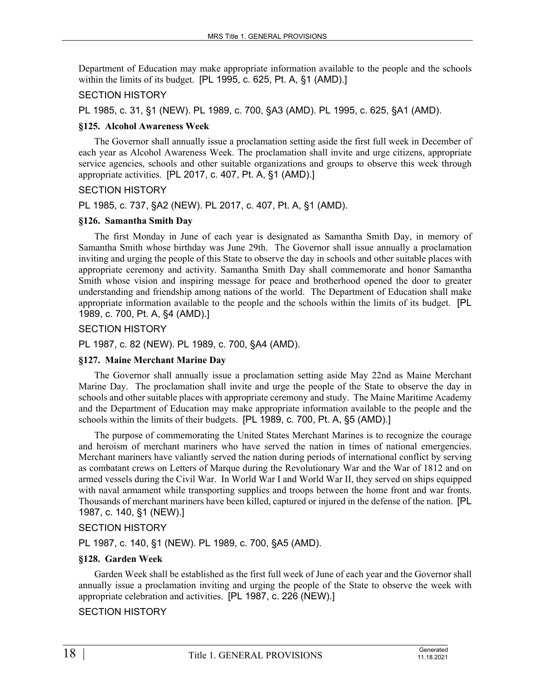Department of Education may make appropriate information available to the people and the schools within the limits of its budget. [PL 1995, c. 625, Pt. A, §1 (AMD).]

#### SECTION HISTORY

PL 1985, c. 31, §1 (NEW). PL 1989, c. 700, §A3 (AMD). PL 1995, c. 625, §A1 (AMD).

#### **§125. Alcohol Awareness Week**

The Governor shall annually issue a proclamation setting aside the first full week in December of each year as Alcohol Awareness Week. The proclamation shall invite and urge citizens, appropriate service agencies, schools and other suitable organizations and groups to observe this week through appropriate activities. [PL 2017, c. 407, Pt. A, §1 (AMD).]

#### SECTION HISTORY

PL 1985, c. 737, §A2 (NEW). PL 2017, c. 407, Pt. A, §1 (AMD).

#### **§126. Samantha Smith Day**

The first Monday in June of each year is designated as Samantha Smith Day, in memory of Samantha Smith whose birthday was June 29th. The Governor shall issue annually a proclamation inviting and urging the people of this State to observe the day in schools and other suitable places with appropriate ceremony and activity. Samantha Smith Day shall commemorate and honor Samantha Smith whose vision and inspiring message for peace and brotherhood opened the door to greater understanding and friendship among nations of the world. The Department of Education shall make appropriate information available to the people and the schools within the limits of its budget. [PL 1989, c. 700, Pt. A, §4 (AMD).]

SECTION HISTORY

PL 1987, c. 82 (NEW). PL 1989, c. 700, §A4 (AMD).

#### **§127. Maine Merchant Marine Day**

The Governor shall annually issue a proclamation setting aside May 22nd as Maine Merchant Marine Day. The proclamation shall invite and urge the people of the State to observe the day in schools and other suitable places with appropriate ceremony and study. The Maine Maritime Academy and the Department of Education may make appropriate information available to the people and the schools within the limits of their budgets. [PL 1989, c. 700, Pt. A, §5 (AMD).]

The purpose of commemorating the United States Merchant Marines is to recognize the courage and heroism of merchant mariners who have served the nation in times of national emergencies. Merchant mariners have valiantly served the nation during periods of international conflict by serving as combatant crews on Letters of Marque during the Revolutionary War and the War of 1812 and on armed vessels during the Civil War. In World War I and World War II, they served on ships equipped with naval armament while transporting supplies and troops between the home front and war fronts. Thousands of merchant mariners have been killed, captured or injured in the defense of the nation. [PL 1987, c. 140, §1 (NEW).]

#### SECTION HISTORY

PL 1987, c. 140, §1 (NEW). PL 1989, c. 700, §A5 (AMD).

#### **§128. Garden Week**

Garden Week shall be established as the first full week of June of each year and the Governor shall annually issue a proclamation inviting and urging the people of the State to observe the week with appropriate celebration and activities. [PL 1987, c. 226 (NEW).]

#### SECTION HISTORY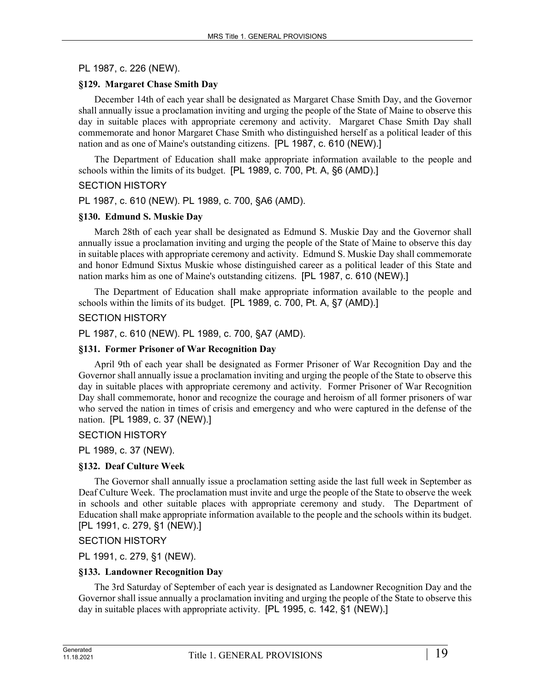### PL 1987, c. 226 (NEW).

### **§129. Margaret Chase Smith Day**

December 14th of each year shall be designated as Margaret Chase Smith Day, and the Governor shall annually issue a proclamation inviting and urging the people of the State of Maine to observe this day in suitable places with appropriate ceremony and activity. Margaret Chase Smith Day shall commemorate and honor Margaret Chase Smith who distinguished herself as a political leader of this nation and as one of Maine's outstanding citizens. [PL 1987, c. 610 (NEW).]

The Department of Education shall make appropriate information available to the people and schools within the limits of its budget. [PL 1989, c. 700, Pt. A, §6 (AMD).]

#### SECTION HISTORY

PL 1987, c. 610 (NEW). PL 1989, c. 700, §A6 (AMD).

#### **§130. Edmund S. Muskie Day**

March 28th of each year shall be designated as Edmund S. Muskie Day and the Governor shall annually issue a proclamation inviting and urging the people of the State of Maine to observe this day in suitable places with appropriate ceremony and activity. Edmund S. Muskie Day shall commemorate and honor Edmund Sixtus Muskie whose distinguished career as a political leader of this State and nation marks him as one of Maine's outstanding citizens. [PL 1987, c. 610 (NEW).]

The Department of Education shall make appropriate information available to the people and schools within the limits of its budget. [PL 1989, c. 700, Pt. A, §7 (AMD).]

### SECTION HISTORY

PL 1987, c. 610 (NEW). PL 1989, c. 700, §A7 (AMD).

### **§131. Former Prisoner of War Recognition Day**

April 9th of each year shall be designated as Former Prisoner of War Recognition Day and the Governor shall annually issue a proclamation inviting and urging the people of the State to observe this day in suitable places with appropriate ceremony and activity. Former Prisoner of War Recognition Day shall commemorate, honor and recognize the courage and heroism of all former prisoners of war who served the nation in times of crisis and emergency and who were captured in the defense of the nation. [PL 1989, c. 37 (NEW).]

#### SECTION HISTORY

PL 1989, c. 37 (NEW).

# **§132. Deaf Culture Week**

The Governor shall annually issue a proclamation setting aside the last full week in September as Deaf Culture Week. The proclamation must invite and urge the people of the State to observe the week in schools and other suitable places with appropriate ceremony and study. The Department of Education shall make appropriate information available to the people and the schools within its budget. [PL 1991, c. 279, §1 (NEW).]

# SECTION HISTORY

PL 1991, c. 279, §1 (NEW).

# **§133. Landowner Recognition Day**

The 3rd Saturday of September of each year is designated as Landowner Recognition Day and the Governor shall issue annually a proclamation inviting and urging the people of the State to observe this day in suitable places with appropriate activity. [PL 1995, c. 142, §1 (NEW).]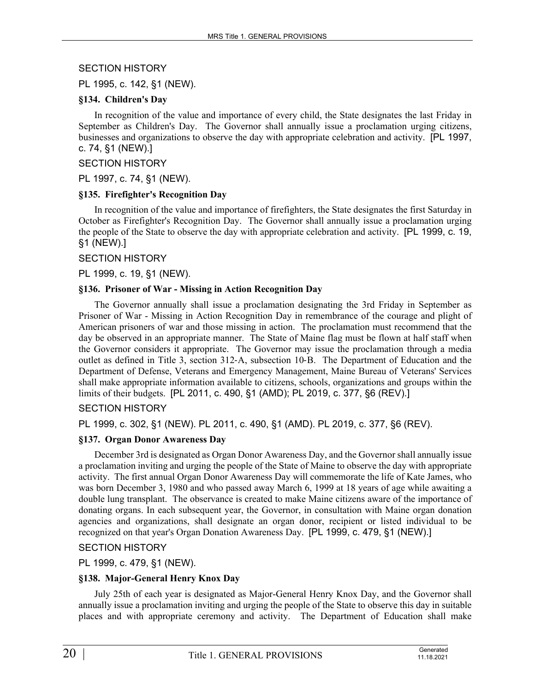# SECTION HISTORY

PL 1995, c. 142, §1 (NEW).

### **§134. Children's Day**

In recognition of the value and importance of every child, the State designates the last Friday in September as Children's Day. The Governor shall annually issue a proclamation urging citizens, businesses and organizations to observe the day with appropriate celebration and activity. [PL 1997, c. 74, §1 (NEW).]

#### SECTION HISTORY

PL 1997, c. 74, §1 (NEW).

### **§135. Firefighter's Recognition Day**

In recognition of the value and importance of firefighters, the State designates the first Saturday in October as Firefighter's Recognition Day. The Governor shall annually issue a proclamation urging the people of the State to observe the day with appropriate celebration and activity. [PL 1999, c. 19, §1 (NEW).]

SECTION HISTORY

PL 1999, c. 19, §1 (NEW).

### **§136. Prisoner of War - Missing in Action Recognition Day**

The Governor annually shall issue a proclamation designating the 3rd Friday in September as Prisoner of War - Missing in Action Recognition Day in remembrance of the courage and plight of American prisoners of war and those missing in action. The proclamation must recommend that the day be observed in an appropriate manner. The State of Maine flag must be flown at half staff when the Governor considers it appropriate. The Governor may issue the proclamation through a media outlet as defined in Title 3, section 312‑A, subsection 10‑B. The Department of Education and the Department of Defense, Veterans and Emergency Management, Maine Bureau of Veterans' Services shall make appropriate information available to citizens, schools, organizations and groups within the limits of their budgets. [PL 2011, c. 490, §1 (AMD); PL 2019, c. 377, §6 (REV).]

# SECTION HISTORY

PL 1999, c. 302, §1 (NEW). PL 2011, c. 490, §1 (AMD). PL 2019, c. 377, §6 (REV).

# **§137. Organ Donor Awareness Day**

December 3rd is designated as Organ Donor Awareness Day, and the Governor shall annually issue a proclamation inviting and urging the people of the State of Maine to observe the day with appropriate activity. The first annual Organ Donor Awareness Day will commemorate the life of Kate James, who was born December 3, 1980 and who passed away March 6, 1999 at 18 years of age while awaiting a double lung transplant. The observance is created to make Maine citizens aware of the importance of donating organs. In each subsequent year, the Governor, in consultation with Maine organ donation agencies and organizations, shall designate an organ donor, recipient or listed individual to be recognized on that year's Organ Donation Awareness Day. [PL 1999, c. 479, §1 (NEW).]

# SECTION HISTORY

PL 1999, c. 479, §1 (NEW).

# **§138. Major-General Henry Knox Day**

July 25th of each year is designated as Major-General Henry Knox Day, and the Governor shall annually issue a proclamation inviting and urging the people of the State to observe this day in suitable places and with appropriate ceremony and activity. The Department of Education shall make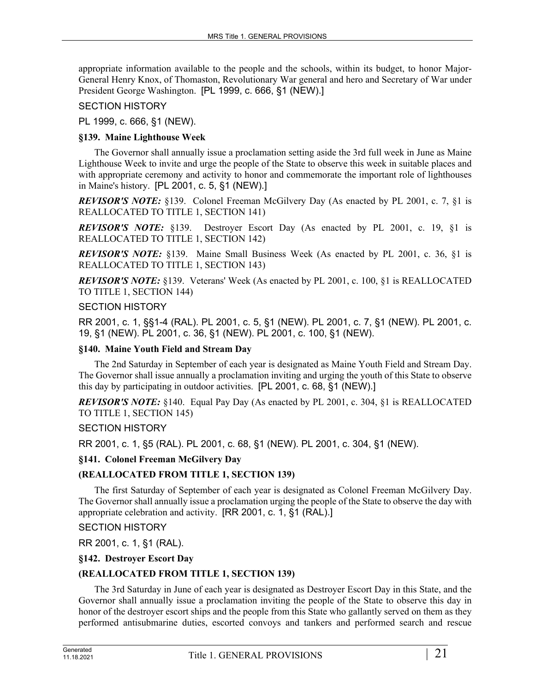appropriate information available to the people and the schools, within its budget, to honor Major-General Henry Knox, of Thomaston, Revolutionary War general and hero and Secretary of War under President George Washington. [PL 1999, c. 666, §1 (NEW).]

# SECTION HISTORY

PL 1999, c. 666, §1 (NEW).

### **§139. Maine Lighthouse Week**

The Governor shall annually issue a proclamation setting aside the 3rd full week in June as Maine Lighthouse Week to invite and urge the people of the State to observe this week in suitable places and with appropriate ceremony and activity to honor and commemorate the important role of lighthouses in Maine's history. [PL 2001, c. 5, §1 (NEW).]

*REVISOR'S NOTE:* §139. Colonel Freeman McGilvery Day (As enacted by PL 2001, c. 7, §1 is REALLOCATED TO TITLE 1, SECTION 141)

*REVISOR'S NOTE:* §139. Destroyer Escort Day (As enacted by PL 2001, c. 19, §1 is REALLOCATED TO TITLE 1, SECTION 142)

*REVISOR'S NOTE:* §139. Maine Small Business Week (As enacted by PL 2001, c. 36, §1 is REALLOCATED TO TITLE 1, SECTION 143)

*REVISOR'S NOTE:* §139. Veterans' Week (As enacted by PL 2001, c. 100, §1 is REALLOCATED TO TITLE 1, SECTION 144)

### SECTION HISTORY

RR 2001, c. 1, §§1-4 (RAL). PL 2001, c. 5, §1 (NEW). PL 2001, c. 7, §1 (NEW). PL 2001, c. 19, §1 (NEW). PL 2001, c. 36, §1 (NEW). PL 2001, c. 100, §1 (NEW).

### **§140. Maine Youth Field and Stream Day**

The 2nd Saturday in September of each year is designated as Maine Youth Field and Stream Day. The Governor shall issue annually a proclamation inviting and urging the youth of this State to observe this day by participating in outdoor activities. [PL 2001, c. 68, §1 (NEW).]

*REVISOR'S NOTE:* §140. Equal Pay Day (As enacted by PL 2001, c. 304, §1 is REALLOCATED TO TITLE 1, SECTION 145)

# SECTION HISTORY

RR 2001, c. 1, §5 (RAL). PL 2001, c. 68, §1 (NEW). PL 2001, c. 304, §1 (NEW).

# **§141. Colonel Freeman McGilvery Day**

# **(REALLOCATED FROM TITLE 1, SECTION 139)**

The first Saturday of September of each year is designated as Colonel Freeman McGilvery Day. The Governor shall annually issue a proclamation urging the people of the State to observe the day with appropriate celebration and activity. [RR 2001, c. 1, §1 (RAL).]

#### SECTION HISTORY

RR 2001, c. 1, §1 (RAL).

# **§142. Destroyer Escort Day**

# **(REALLOCATED FROM TITLE 1, SECTION 139)**

The 3rd Saturday in June of each year is designated as Destroyer Escort Day in this State, and the Governor shall annually issue a proclamation inviting the people of the State to observe this day in honor of the destroyer escort ships and the people from this State who gallantly served on them as they performed antisubmarine duties, escorted convoys and tankers and performed search and rescue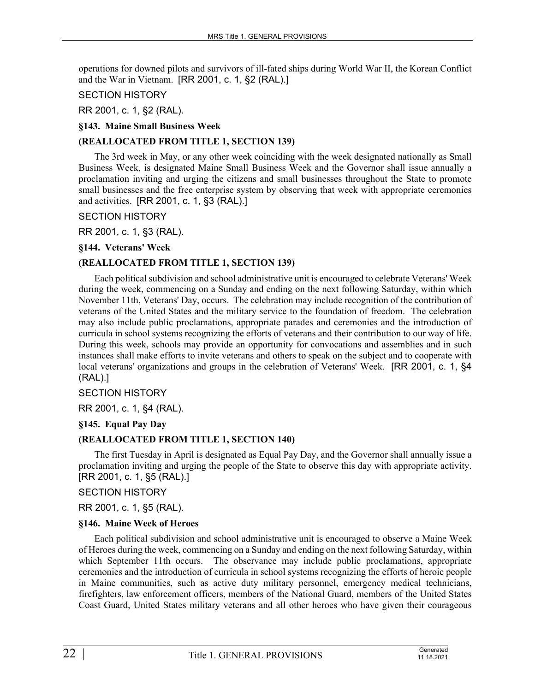operations for downed pilots and survivors of ill-fated ships during World War II, the Korean Conflict and the War in Vietnam. [RR 2001, c. 1, §2 (RAL).]

### SECTION HISTORY

RR 2001, c. 1, §2 (RAL).

### **§143. Maine Small Business Week**

### **(REALLOCATED FROM TITLE 1, SECTION 139)**

The 3rd week in May, or any other week coinciding with the week designated nationally as Small Business Week, is designated Maine Small Business Week and the Governor shall issue annually a proclamation inviting and urging the citizens and small businesses throughout the State to promote small businesses and the free enterprise system by observing that week with appropriate ceremonies and activities. [RR 2001, c. 1, §3 (RAL).]

### SECTION HISTORY

RR 2001, c. 1, §3 (RAL).

### **§144. Veterans' Week**

# **(REALLOCATED FROM TITLE 1, SECTION 139)**

Each political subdivision and school administrative unit is encouraged to celebrate Veterans' Week during the week, commencing on a Sunday and ending on the next following Saturday, within which November 11th, Veterans' Day, occurs. The celebration may include recognition of the contribution of veterans of the United States and the military service to the foundation of freedom. The celebration may also include public proclamations, appropriate parades and ceremonies and the introduction of curricula in school systems recognizing the efforts of veterans and their contribution to our way of life. During this week, schools may provide an opportunity for convocations and assemblies and in such instances shall make efforts to invite veterans and others to speak on the subject and to cooperate with local veterans' organizations and groups in the celebration of Veterans' Week. [RR 2001, c. 1, §4 (RAL).]

#### SECTION HISTORY

RR 2001, c. 1, §4 (RAL).

# **§145. Equal Pay Day**

# **(REALLOCATED FROM TITLE 1, SECTION 140)**

The first Tuesday in April is designated as Equal Pay Day, and the Governor shall annually issue a proclamation inviting and urging the people of the State to observe this day with appropriate activity. [RR 2001, c. 1, §5 (RAL).]

### SECTION HISTORY

RR 2001, c. 1, §5 (RAL).

#### **§146. Maine Week of Heroes**

Each political subdivision and school administrative unit is encouraged to observe a Maine Week of Heroes during the week, commencing on a Sunday and ending on the next following Saturday, within which September 11th occurs. The observance may include public proclamations, appropriate ceremonies and the introduction of curricula in school systems recognizing the efforts of heroic people in Maine communities, such as active duty military personnel, emergency medical technicians, firefighters, law enforcement officers, members of the National Guard, members of the United States Coast Guard, United States military veterans and all other heroes who have given their courageous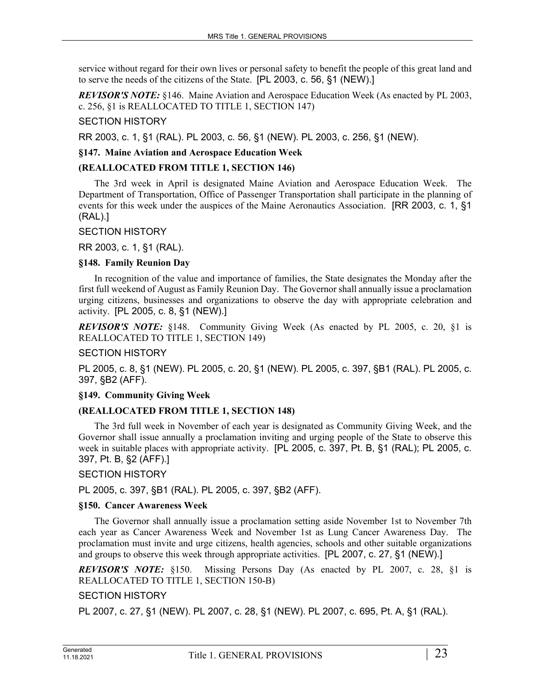service without regard for their own lives or personal safety to benefit the people of this great land and to serve the needs of the citizens of the State. [PL 2003, c. 56, §1 (NEW).]

*REVISOR'S NOTE:* §146. Maine Aviation and Aerospace Education Week (As enacted by PL 2003, c. 256, §1 is REALLOCATED TO TITLE 1, SECTION 147)

### SECTION HISTORY

RR 2003, c. 1, §1 (RAL). PL 2003, c. 56, §1 (NEW). PL 2003, c. 256, §1 (NEW).

### **§147. Maine Aviation and Aerospace Education Week**

### **(REALLOCATED FROM TITLE 1, SECTION 146)**

The 3rd week in April is designated Maine Aviation and Aerospace Education Week. The Department of Transportation, Office of Passenger Transportation shall participate in the planning of events for this week under the auspices of the Maine Aeronautics Association. [RR 2003, c. 1, §1 (RAL).]

#### SECTION HISTORY

RR 2003, c. 1, §1 (RAL).

### **§148. Family Reunion Day**

In recognition of the value and importance of families, the State designates the Monday after the first full weekend of August as Family Reunion Day. The Governor shall annually issue a proclamation urging citizens, businesses and organizations to observe the day with appropriate celebration and activity. [PL 2005, c. 8, §1 (NEW).]

*REVISOR'S NOTE:* §148. Community Giving Week (As enacted by PL 2005, c. 20, §1 is REALLOCATED TO TITLE 1, SECTION 149)

#### SECTION HISTORY

PL 2005, c. 8, §1 (NEW). PL 2005, c. 20, §1 (NEW). PL 2005, c. 397, §B1 (RAL). PL 2005, c. 397, §B2 (AFF).

### **§149. Community Giving Week**

# **(REALLOCATED FROM TITLE 1, SECTION 148)**

The 3rd full week in November of each year is designated as Community Giving Week, and the Governor shall issue annually a proclamation inviting and urging people of the State to observe this week in suitable places with appropriate activity. [PL 2005, c. 397, Pt. B, §1 (RAL); PL 2005, c. 397, Pt. B, §2 (AFF).]

SECTION HISTORY

PL 2005, c. 397, §B1 (RAL). PL 2005, c. 397, §B2 (AFF).

#### **§150. Cancer Awareness Week**

The Governor shall annually issue a proclamation setting aside November 1st to November 7th each year as Cancer Awareness Week and November 1st as Lung Cancer Awareness Day. The proclamation must invite and urge citizens, health agencies, schools and other suitable organizations and groups to observe this week through appropriate activities. [PL 2007, c. 27, §1 (NEW).]

*REVISOR'S NOTE:* §150. Missing Persons Day (As enacted by PL 2007, c. 28, §1 is REALLOCATED TO TITLE 1, SECTION 150-B)

# SECTION HISTORY

PL 2007, c. 27, §1 (NEW). PL 2007, c. 28, §1 (NEW). PL 2007, c. 695, Pt. A, §1 (RAL).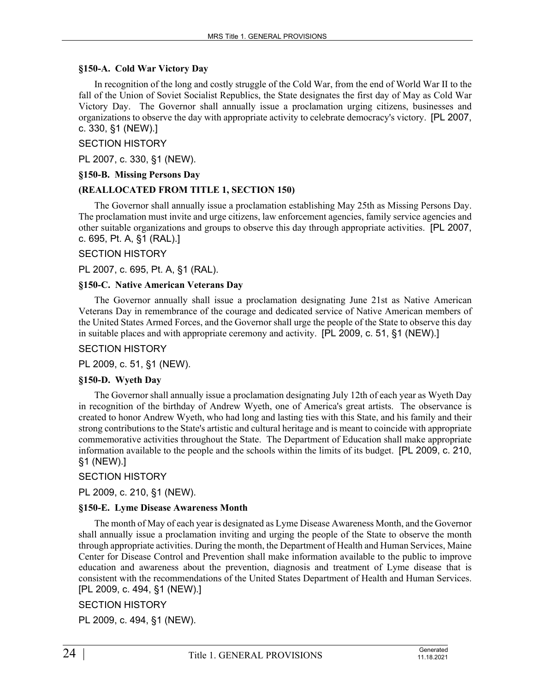### **§150-A. Cold War Victory Day**

In recognition of the long and costly struggle of the Cold War, from the end of World War II to the fall of the Union of Soviet Socialist Republics, the State designates the first day of May as Cold War Victory Day. The Governor shall annually issue a proclamation urging citizens, businesses and organizations to observe the day with appropriate activity to celebrate democracy's victory. [PL 2007, c. 330, §1 (NEW).]

SECTION HISTORY

PL 2007, c. 330, §1 (NEW).

### **§150-B. Missing Persons Day**

### **(REALLOCATED FROM TITLE 1, SECTION 150)**

The Governor shall annually issue a proclamation establishing May 25th as Missing Persons Day. The proclamation must invite and urge citizens, law enforcement agencies, family service agencies and other suitable organizations and groups to observe this day through appropriate activities. [PL 2007, c. 695, Pt. A, §1 (RAL).]

#### SECTION HISTORY

PL 2007, c. 695, Pt. A, §1 (RAL).

### **§150-C. Native American Veterans Day**

The Governor annually shall issue a proclamation designating June 21st as Native American Veterans Day in remembrance of the courage and dedicated service of Native American members of the United States Armed Forces, and the Governor shall urge the people of the State to observe this day in suitable places and with appropriate ceremony and activity. [PL 2009, c. 51, §1 (NEW).]

SECTION HISTORY

PL 2009, c. 51, §1 (NEW).

#### **§150-D. Wyeth Day**

The Governor shall annually issue a proclamation designating July 12th of each year as Wyeth Day in recognition of the birthday of Andrew Wyeth, one of America's great artists. The observance is created to honor Andrew Wyeth, who had long and lasting ties with this State, and his family and their strong contributions to the State's artistic and cultural heritage and is meant to coincide with appropriate commemorative activities throughout the State. The Department of Education shall make appropriate information available to the people and the schools within the limits of its budget. [PL 2009, c. 210, §1 (NEW).]

SECTION HISTORY

PL 2009, c. 210, §1 (NEW).

#### **§150-E. Lyme Disease Awareness Month**

The month of May of each year is designated as Lyme Disease Awareness Month, and the Governor shall annually issue a proclamation inviting and urging the people of the State to observe the month through appropriate activities. During the month, the Department of Health and Human Services, Maine Center for Disease Control and Prevention shall make information available to the public to improve education and awareness about the prevention, diagnosis and treatment of Lyme disease that is consistent with the recommendations of the United States Department of Health and Human Services. [PL 2009, c. 494, §1 (NEW).]

SECTION HISTORY

PL 2009, c. 494, §1 (NEW).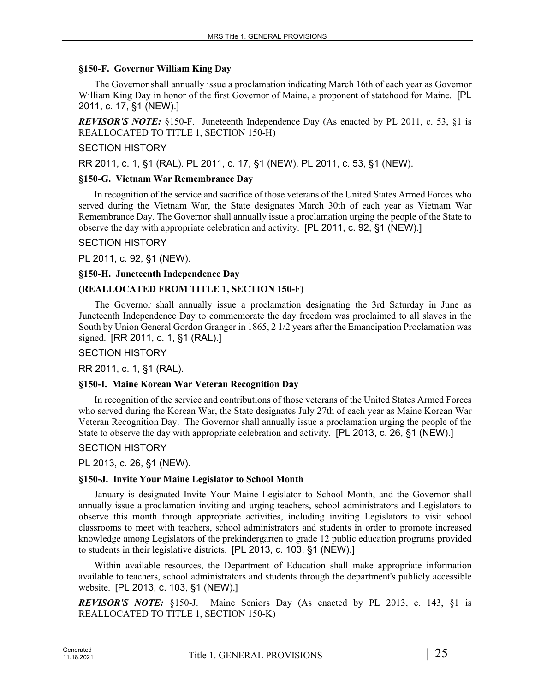### **§150-F. Governor William King Day**

The Governor shall annually issue a proclamation indicating March 16th of each year as Governor William King Day in honor of the first Governor of Maine, a proponent of statehood for Maine. [PL 2011, c. 17, §1 (NEW).]

*REVISOR'S NOTE:* §150-F. Juneteenth Independence Day (As enacted by PL 2011, c. 53, §1 is REALLOCATED TO TITLE 1, SECTION 150-H)

### SECTION HISTORY

RR 2011, c. 1, §1 (RAL). PL 2011, c. 17, §1 (NEW). PL 2011, c. 53, §1 (NEW).

### **§150-G. Vietnam War Remembrance Day**

In recognition of the service and sacrifice of those veterans of the United States Armed Forces who served during the Vietnam War, the State designates March 30th of each year as Vietnam War Remembrance Day. The Governor shall annually issue a proclamation urging the people of the State to observe the day with appropriate celebration and activity. [PL 2011, c. 92, §1 (NEW).]

#### SECTION HISTORY

PL 2011, c. 92, §1 (NEW).

### **§150-H. Juneteenth Independence Day**

# **(REALLOCATED FROM TITLE 1, SECTION 150-F)**

The Governor shall annually issue a proclamation designating the 3rd Saturday in June as Juneteenth Independence Day to commemorate the day freedom was proclaimed to all slaves in the South by Union General Gordon Granger in 1865, 2 1/2 years after the Emancipation Proclamation was signed. [RR 2011, c. 1, §1 (RAL).]

#### SECTION HISTORY

RR 2011, c. 1, §1 (RAL).

# **§150-I. Maine Korean War Veteran Recognition Day**

In recognition of the service and contributions of those veterans of the United States Armed Forces who served during the Korean War, the State designates July 27th of each year as Maine Korean War Veteran Recognition Day. The Governor shall annually issue a proclamation urging the people of the State to observe the day with appropriate celebration and activity. [PL 2013, c. 26, §1 (NEW).]

#### SECTION HISTORY

PL 2013, c. 26, §1 (NEW).

# **§150-J. Invite Your Maine Legislator to School Month**

January is designated Invite Your Maine Legislator to School Month, and the Governor shall annually issue a proclamation inviting and urging teachers, school administrators and Legislators to observe this month through appropriate activities, including inviting Legislators to visit school classrooms to meet with teachers, school administrators and students in order to promote increased knowledge among Legislators of the prekindergarten to grade 12 public education programs provided to students in their legislative districts. [PL 2013, c. 103, §1 (NEW).]

Within available resources, the Department of Education shall make appropriate information available to teachers, school administrators and students through the department's publicly accessible website. [PL 2013, c. 103, §1 (NEW).]

*REVISOR'S NOTE:* §150-J. Maine Seniors Day (As enacted by PL 2013, c. 143, §1 is REALLOCATED TO TITLE 1, SECTION 150-K)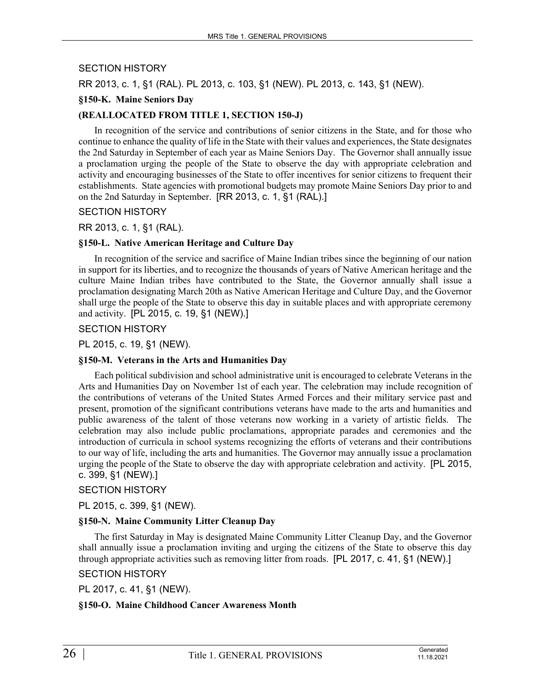### SECTION HISTORY

RR 2013, c. 1, §1 (RAL). PL 2013, c. 103, §1 (NEW). PL 2013, c. 143, §1 (NEW).

### **§150-K. Maine Seniors Day**

### **(REALLOCATED FROM TITLE 1, SECTION 150-J)**

In recognition of the service and contributions of senior citizens in the State, and for those who continue to enhance the quality of life in the State with their values and experiences, the State designates the 2nd Saturday in September of each year as Maine Seniors Day. The Governor shall annually issue a proclamation urging the people of the State to observe the day with appropriate celebration and activity and encouraging businesses of the State to offer incentives for senior citizens to frequent their establishments. State agencies with promotional budgets may promote Maine Seniors Day prior to and on the 2nd Saturday in September. [RR 2013, c. 1, §1 (RAL).]

#### SECTION HISTORY

RR 2013, c. 1, §1 (RAL).

#### **§150-L. Native American Heritage and Culture Day**

In recognition of the service and sacrifice of Maine Indian tribes since the beginning of our nation in support for its liberties, and to recognize the thousands of years of Native American heritage and the culture Maine Indian tribes have contributed to the State, the Governor annually shall issue a proclamation designating March 20th as Native American Heritage and Culture Day, and the Governor shall urge the people of the State to observe this day in suitable places and with appropriate ceremony and activity. [PL 2015, c. 19, §1 (NEW).]

#### SECTION HISTORY

#### PL 2015, c. 19, §1 (NEW).

#### **§150-M. Veterans in the Arts and Humanities Day**

Each political subdivision and school administrative unit is encouraged to celebrate Veterans in the Arts and Humanities Day on November 1st of each year. The celebration may include recognition of the contributions of veterans of the United States Armed Forces and their military service past and present, promotion of the significant contributions veterans have made to the arts and humanities and public awareness of the talent of those veterans now working in a variety of artistic fields. The celebration may also include public proclamations, appropriate parades and ceremonies and the introduction of curricula in school systems recognizing the efforts of veterans and their contributions to our way of life, including the arts and humanities. The Governor may annually issue a proclamation urging the people of the State to observe the day with appropriate celebration and activity. [PL 2015, c. 399, §1 (NEW).]

# SECTION HISTORY

PL 2015, c. 399, §1 (NEW).

#### **§150-N. Maine Community Litter Cleanup Day**

The first Saturday in May is designated Maine Community Litter Cleanup Day, and the Governor shall annually issue a proclamation inviting and urging the citizens of the State to observe this day through appropriate activities such as removing litter from roads. [PL 2017, c. 41, §1 (NEW).]

#### SECTION HISTORY

PL 2017, c. 41, §1 (NEW).

#### **§150-O. Maine Childhood Cancer Awareness Month**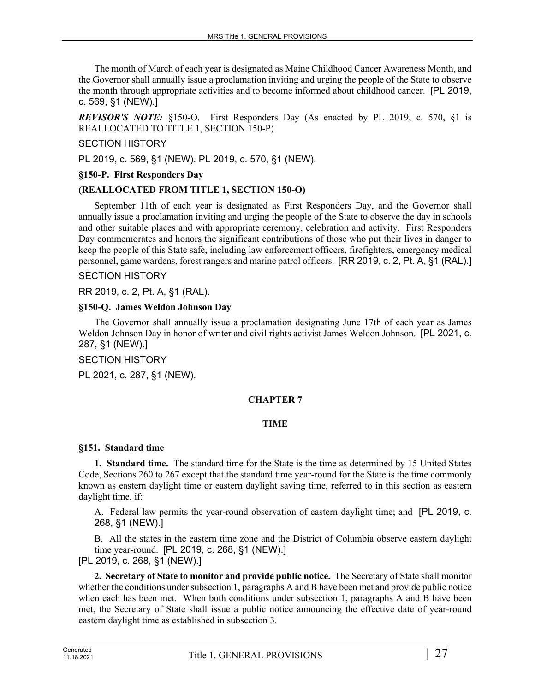The month of March of each year is designated as Maine Childhood Cancer Awareness Month, and the Governor shall annually issue a proclamation inviting and urging the people of the State to observe the month through appropriate activities and to become informed about childhood cancer. [PL 2019, c. 569, §1 (NEW).]

*REVISOR'S NOTE:* §150-O. First Responders Day (As enacted by PL 2019, c. 570, §1 is REALLOCATED TO TITLE 1, SECTION 150-P)

# SECTION HISTORY

PL 2019, c. 569, §1 (NEW). PL 2019, c. 570, §1 (NEW).

### **§150-P. First Responders Day**

### **(REALLOCATED FROM TITLE 1, SECTION 150-O)**

September 11th of each year is designated as First Responders Day, and the Governor shall annually issue a proclamation inviting and urging the people of the State to observe the day in schools and other suitable places and with appropriate ceremony, celebration and activity. First Responders Day commemorates and honors the significant contributions of those who put their lives in danger to keep the people of this State safe, including law enforcement officers, firefighters, emergency medical personnel, game wardens, forest rangers and marine patrol officers. [RR 2019, c. 2, Pt. A, §1 (RAL).]

### SECTION HISTORY

RR 2019, c. 2, Pt. A, §1 (RAL).

### **§150-Q. James Weldon Johnson Day**

The Governor shall annually issue a proclamation designating June 17th of each year as James Weldon Johnson Day in honor of writer and civil rights activist James Weldon Johnson. [PL 2021, c. 287, §1 (NEW).]

#### SECTION HISTORY

PL 2021, c. 287, §1 (NEW).

# **CHAPTER 7**

# **TIME**

#### **§151. Standard time**

**1. Standard time.** The standard time for the State is the time as determined by 15 United States Code, Sections 260 to 267 except that the standard time year-round for the State is the time commonly known as eastern daylight time or eastern daylight saving time, referred to in this section as eastern daylight time, if:

A. Federal law permits the year-round observation of eastern daylight time; and [PL 2019, c. 268, §1 (NEW).]

B. All the states in the eastern time zone and the District of Columbia observe eastern daylight time year-round. [PL 2019, c. 268, §1 (NEW).]

[PL 2019, c. 268, §1 (NEW).]

**2. Secretary of State to monitor and provide public notice.** The Secretary of State shall monitor whether the conditions under subsection 1, paragraphs A and B have been met and provide public notice when each has been met. When both conditions under subsection 1, paragraphs A and B have been met, the Secretary of State shall issue a public notice announcing the effective date of year-round eastern daylight time as established in subsection 3.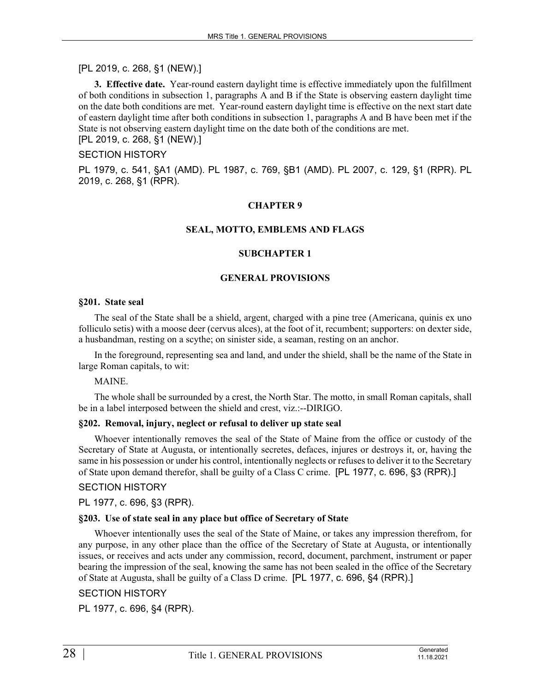# [PL 2019, c. 268, §1 (NEW).]

**3. Effective date.** Year-round eastern daylight time is effective immediately upon the fulfillment of both conditions in subsection 1, paragraphs A and B if the State is observing eastern daylight time on the date both conditions are met. Year-round eastern daylight time is effective on the next start date of eastern daylight time after both conditions in subsection 1, paragraphs A and B have been met if the State is not observing eastern daylight time on the date both of the conditions are met. [PL 2019, c. 268, §1 (NEW).]

### SECTION HISTORY

PL 1979, c. 541, §A1 (AMD). PL 1987, c. 769, §B1 (AMD). PL 2007, c. 129, §1 (RPR). PL 2019, c. 268, §1 (RPR).

#### **CHAPTER 9**

#### **SEAL, MOTTO, EMBLEMS AND FLAGS**

#### **SUBCHAPTER 1**

#### **GENERAL PROVISIONS**

#### **§201. State seal**

The seal of the State shall be a shield, argent, charged with a pine tree (Americana, quinis ex uno folliculo setis) with a moose deer (cervus alces), at the foot of it, recumbent; supporters: on dexter side, a husbandman, resting on a scythe; on sinister side, a seaman, resting on an anchor.

In the foreground, representing sea and land, and under the shield, shall be the name of the State in large Roman capitals, to wit:

MAINE.

The whole shall be surrounded by a crest, the North Star. The motto, in small Roman capitals, shall be in a label interposed between the shield and crest, viz.:--DIRIGO.

#### **§202. Removal, injury, neglect or refusal to deliver up state seal**

Whoever intentionally removes the seal of the State of Maine from the office or custody of the Secretary of State at Augusta, or intentionally secretes, defaces, injures or destroys it, or, having the same in his possession or under his control, intentionally neglects or refuses to deliver it to the Secretary of State upon demand therefor, shall be guilty of a Class C crime. [PL 1977, c. 696, §3 (RPR).]

# SECTION HISTORY

PL 1977, c. 696, §3 (RPR).

#### **§203. Use of state seal in any place but office of Secretary of State**

Whoever intentionally uses the seal of the State of Maine, or takes any impression therefrom, for any purpose, in any other place than the office of the Secretary of State at Augusta, or intentionally issues, or receives and acts under any commission, record, document, parchment, instrument or paper bearing the impression of the seal, knowing the same has not been sealed in the office of the Secretary of State at Augusta, shall be guilty of a Class D crime. [PL 1977, c. 696, §4 (RPR).]

# SECTION HISTORY

PL 1977, c. 696, §4 (RPR).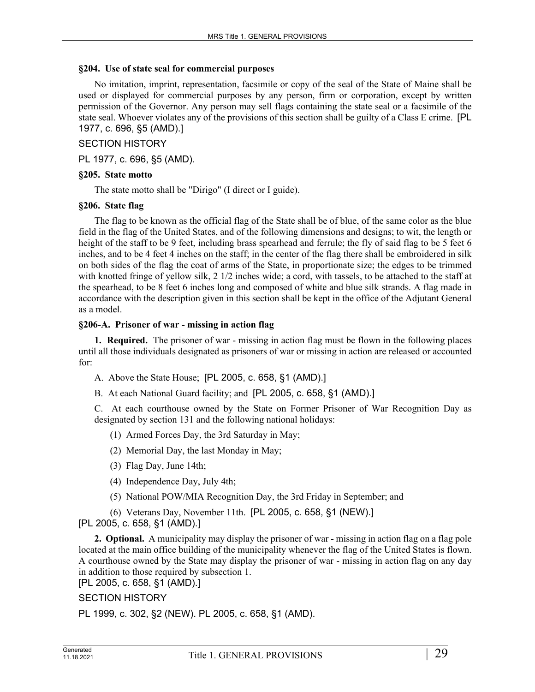### **§204. Use of state seal for commercial purposes**

No imitation, imprint, representation, facsimile or copy of the seal of the State of Maine shall be used or displayed for commercial purposes by any person, firm or corporation, except by written permission of the Governor. Any person may sell flags containing the state seal or a facsimile of the state seal. Whoever violates any of the provisions of this section shall be guilty of a Class E crime. [PL 1977, c. 696, §5 (AMD).]

# SECTION HISTORY

PL 1977, c. 696, §5 (AMD).

### **§205. State motto**

The state motto shall be "Dirigo" (I direct or I guide).

### **§206. State flag**

The flag to be known as the official flag of the State shall be of blue, of the same color as the blue field in the flag of the United States, and of the following dimensions and designs; to wit, the length or height of the staff to be 9 feet, including brass spearhead and ferrule; the fly of said flag to be 5 feet 6 inches, and to be 4 feet 4 inches on the staff; in the center of the flag there shall be embroidered in silk on both sides of the flag the coat of arms of the State, in proportionate size; the edges to be trimmed with knotted fringe of yellow silk, 2  $1/2$  inches wide; a cord, with tassels, to be attached to the staff at the spearhead, to be 8 feet 6 inches long and composed of white and blue silk strands. A flag made in accordance with the description given in this section shall be kept in the office of the Adjutant General as a model.

### **§206-A. Prisoner of war - missing in action flag**

**1. Required.** The prisoner of war - missing in action flag must be flown in the following places until all those individuals designated as prisoners of war or missing in action are released or accounted for:

- A. Above the State House; [PL 2005, c. 658, §1 (AMD).]
- B. At each National Guard facility; and [PL 2005, c. 658, §1 (AMD).]

C. At each courthouse owned by the State on Former Prisoner of War Recognition Day as designated by section 131 and the following national holidays:

- (1) Armed Forces Day, the 3rd Saturday in May;
- (2) Memorial Day, the last Monday in May;
- (3) Flag Day, June 14th;
- (4) Independence Day, July 4th;
- (5) National POW/MIA Recognition Day, the 3rd Friday in September; and
- (6) Veterans Day, November 11th. [PL 2005, c. 658, §1 (NEW).]
- [PL 2005, c. 658, §1 (AMD).]

**2. Optional.** A municipality may display the prisoner of war - missing in action flag on a flag pole located at the main office building of the municipality whenever the flag of the United States is flown. A courthouse owned by the State may display the prisoner of war - missing in action flag on any day in addition to those required by subsection 1.

# [PL 2005, c. 658, §1 (AMD).]

# SECTION HISTORY

PL 1999, c. 302, §2 (NEW). PL 2005, c. 658, §1 (AMD).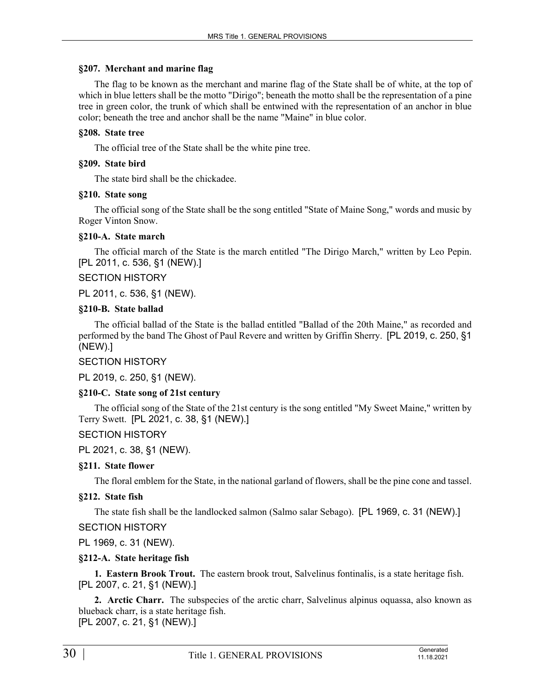#### **§207. Merchant and marine flag**

The flag to be known as the merchant and marine flag of the State shall be of white, at the top of which in blue letters shall be the motto "Dirigo"; beneath the motto shall be the representation of a pine tree in green color, the trunk of which shall be entwined with the representation of an anchor in blue color; beneath the tree and anchor shall be the name "Maine" in blue color.

### **§208. State tree**

The official tree of the State shall be the white pine tree.

### **§209. State bird**

The state bird shall be the chickadee.

### **§210. State song**

The official song of the State shall be the song entitled "State of Maine Song," words and music by Roger Vinton Snow.

### **§210-A. State march**

The official march of the State is the march entitled "The Dirigo March," written by Leo Pepin. [PL 2011, c. 536, §1 (NEW).]

### SECTION HISTORY

PL 2011, c. 536, §1 (NEW).

### **§210-B. State ballad**

The official ballad of the State is the ballad entitled "Ballad of the 20th Maine," as recorded and performed by the band The Ghost of Paul Revere and written by Griffin Sherry. [PL 2019, c. 250, §1 (NEW).]

#### SECTION HISTORY

PL 2019, c. 250, §1 (NEW).

# **§210-C. State song of 21st century**

The official song of the State of the 21st century is the song entitled "My Sweet Maine," written by Terry Swett. [PL 2021, c. 38, §1 (NEW).]

# SECTION HISTORY

PL 2021, c. 38, §1 (NEW).

# **§211. State flower**

The floral emblem for the State, in the national garland of flowers, shall be the pine cone and tassel.

# **§212. State fish**

The state fish shall be the landlocked salmon (Salmo salar Sebago). [PL 1969, c. 31 (NEW).]

# SECTION HISTORY

PL 1969, c. 31 (NEW).

# **§212-A. State heritage fish**

**1. Eastern Brook Trout.** The eastern brook trout, Salvelinus fontinalis, is a state heritage fish. [PL 2007, c. 21, §1 (NEW).]

**2. Arctic Charr.** The subspecies of the arctic charr, Salvelinus alpinus oquassa, also known as blueback charr, is a state heritage fish. [PL 2007, c. 21, §1 (NEW).]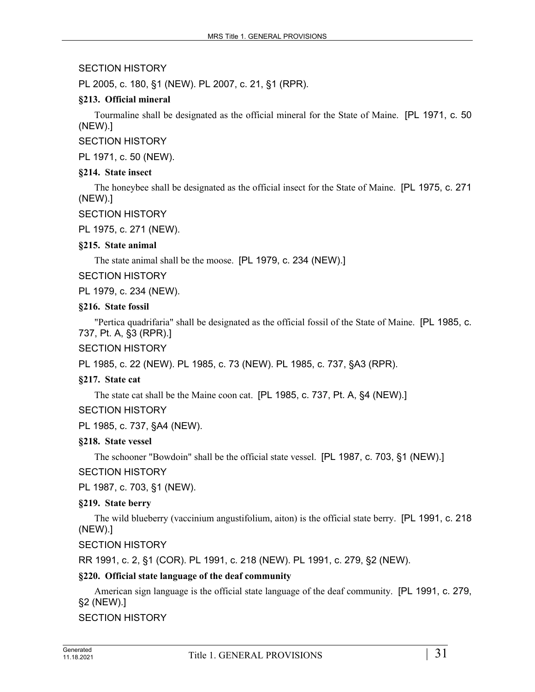# SECTION HISTORY

PL 2005, c. 180, §1 (NEW). PL 2007, c. 21, §1 (RPR).

# **§213. Official mineral**

Tourmaline shall be designated as the official mineral for the State of Maine. [PL 1971, c. 50 (NEW).]

SECTION HISTORY

PL 1971, c. 50 (NEW).

### **§214. State insect**

The honeybee shall be designated as the official insect for the State of Maine. [PL 1975, c. 271 (NEW).]

### SECTION HISTORY

PL 1975, c. 271 (NEW).

### **§215. State animal**

The state animal shall be the moose. [PL 1979, c. 234 (NEW).]

SECTION HISTORY

PL 1979, c. 234 (NEW).

### **§216. State fossil**

"Pertica quadrifaria" shall be designated as the official fossil of the State of Maine. [PL 1985, c. 737, Pt. A, §3 (RPR).]

SECTION HISTORY

PL 1985, c. 22 (NEW). PL 1985, c. 73 (NEW). PL 1985, c. 737, §A3 (RPR).

# **§217. State cat**

The state cat shall be the Maine coon cat. [PL 1985, c. 737, Pt. A, §4 (NEW).]

# SECTION HISTORY

PL 1985, c. 737, §A4 (NEW).

#### **§218. State vessel**

The schooner "Bowdoin" shall be the official state vessel. [PL 1987, c. 703, §1 (NEW).]

# SECTION HISTORY

PL 1987, c. 703, §1 (NEW).

# **§219. State berry**

The wild blueberry (vaccinium angustifolium, aiton) is the official state berry. [PL 1991, c. 218 (NEW).]

SECTION HISTORY

RR 1991, c. 2, §1 (COR). PL 1991, c. 218 (NEW). PL 1991, c. 279, §2 (NEW).

# **§220. Official state language of the deaf community**

American sign language is the official state language of the deaf community. [PL 1991, c. 279, §2 (NEW).]

# SECTION HISTORY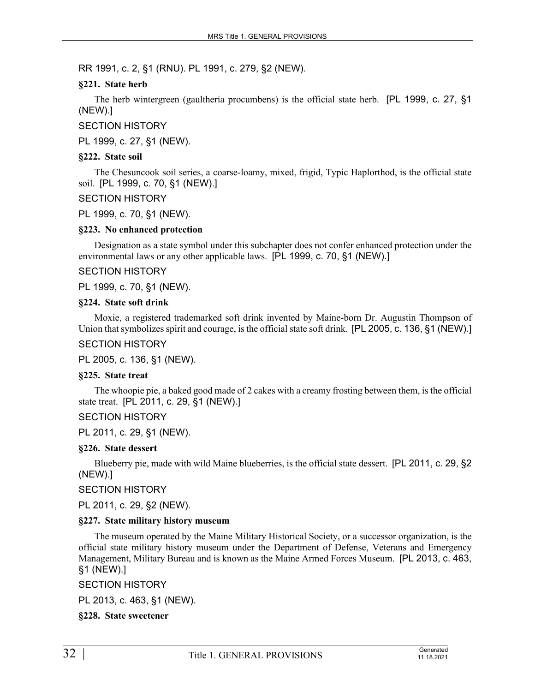RR 1991, c. 2, §1 (RNU). PL 1991, c. 279, §2 (NEW).

# **§221. State herb**

The herb wintergreen (gaultheria procumbens) is the official state herb. [PL 1999, c. 27, §1 (NEW).]

SECTION HISTORY

PL 1999, c. 27, §1 (NEW).

### **§222. State soil**

The Chesuncook soil series, a coarse-loamy, mixed, frigid, Typic Haplorthod, is the official state soil. [PL 1999, c. 70, §1 (NEW).]

SECTION HISTORY

PL 1999, c. 70, §1 (NEW).

#### **§223. No enhanced protection**

Designation as a state symbol under this subchapter does not confer enhanced protection under the environmental laws or any other applicable laws. [PL 1999, c. 70, §1 (NEW).]

### SECTION HISTORY

PL 1999, c. 70, §1 (NEW).

### **§224. State soft drink**

Moxie, a registered trademarked soft drink invented by Maine-born Dr. Augustin Thompson of Union that symbolizes spirit and courage, is the official state soft drink. [PL 2005, c. 136, §1 (NEW).]

SECTION HISTORY

PL 2005, c. 136, §1 (NEW).

#### **§225. State treat**

The whoopie pie, a baked good made of 2 cakes with a creamy frosting between them, is the official state treat. [PL 2011, c. 29, §1 (NEW).]

SECTION HISTORY

PL 2011, c. 29, §1 (NEW).

#### **§226. State dessert**

Blueberry pie, made with wild Maine blueberries, is the official state dessert. [PL 2011, c. 29, §2 (NEW).]

SECTION HISTORY

PL 2011, c. 29, §2 (NEW).

# **§227. State military history museum**

The museum operated by the Maine Military Historical Society, or a successor organization, is the official state military history museum under the Department of Defense, Veterans and Emergency Management, Military Bureau and is known as the Maine Armed Forces Museum. [PL 2013, c. 463, §1 (NEW).]

SECTION HISTORY

PL 2013, c. 463, §1 (NEW).

**§228. State sweetener**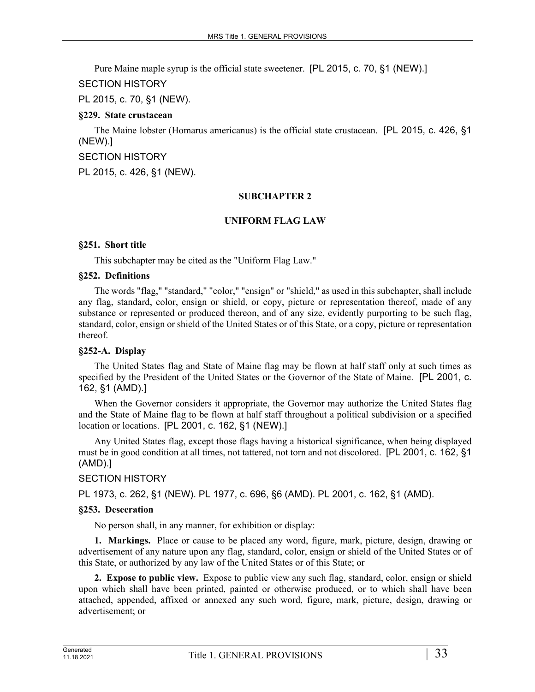Pure Maine maple syrup is the official state sweetener. [PL 2015, c. 70, §1 (NEW).]

SECTION HISTORY

PL 2015, c. 70, §1 (NEW).

# **§229. State crustacean**

The Maine lobster (Homarus americanus) is the official state crustacean. [PL 2015, c. 426, §1 (NEW).]

SECTION HISTORY

PL 2015, c. 426, §1 (NEW).

# **SUBCHAPTER 2**

# **UNIFORM FLAG LAW**

# **§251. Short title**

This subchapter may be cited as the "Uniform Flag Law."

# **§252. Definitions**

The words "flag," "standard," "color," "ensign" or "shield," as used in this subchapter, shall include any flag, standard, color, ensign or shield, or copy, picture or representation thereof, made of any substance or represented or produced thereon, and of any size, evidently purporting to be such flag, standard, color, ensign or shield of the United States or of this State, or a copy, picture or representation thereof.

# **§252-A. Display**

The United States flag and State of Maine flag may be flown at half staff only at such times as specified by the President of the United States or the Governor of the State of Maine. [PL 2001, c. 162, §1 (AMD).]

When the Governor considers it appropriate, the Governor may authorize the United States flag and the State of Maine flag to be flown at half staff throughout a political subdivision or a specified location or locations. [PL 2001, c. 162, §1 (NEW).]

Any United States flag, except those flags having a historical significance, when being displayed must be in good condition at all times, not tattered, not torn and not discolored. [PL 2001, c. 162, §1 (AMD).]

# SECTION HISTORY

PL 1973, c. 262, §1 (NEW). PL 1977, c. 696, §6 (AMD). PL 2001, c. 162, §1 (AMD).

# **§253. Desecration**

No person shall, in any manner, for exhibition or display:

**1. Markings.** Place or cause to be placed any word, figure, mark, picture, design, drawing or advertisement of any nature upon any flag, standard, color, ensign or shield of the United States or of this State, or authorized by any law of the United States or of this State; or

**2. Expose to public view.** Expose to public view any such flag, standard, color, ensign or shield upon which shall have been printed, painted or otherwise produced, or to which shall have been attached, appended, affixed or annexed any such word, figure, mark, picture, design, drawing or advertisement; or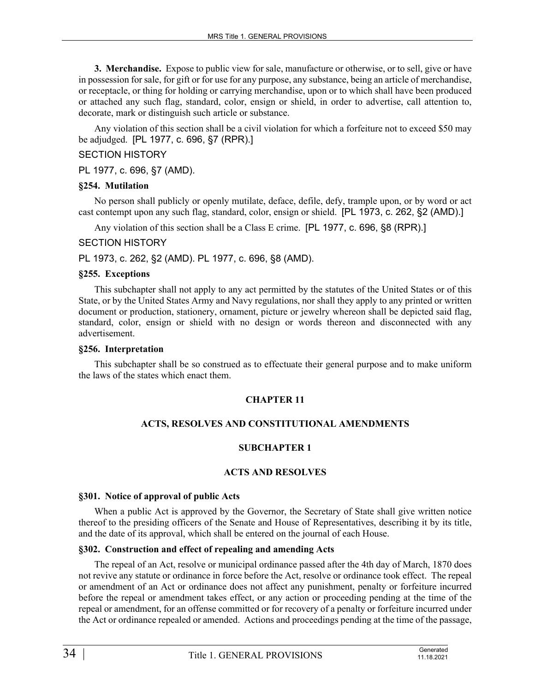**3. Merchandise.** Expose to public view for sale, manufacture or otherwise, or to sell, give or have in possession for sale, for gift or for use for any purpose, any substance, being an article of merchandise, or receptacle, or thing for holding or carrying merchandise, upon or to which shall have been produced or attached any such flag, standard, color, ensign or shield, in order to advertise, call attention to, decorate, mark or distinguish such article or substance.

Any violation of this section shall be a civil violation for which a forfeiture not to exceed \$50 may be adjudged. [PL 1977, c. 696, §7 (RPR).]

### SECTION HISTORY

PL 1977, c. 696, §7 (AMD).

### **§254. Mutilation**

No person shall publicly or openly mutilate, deface, defile, defy, trample upon, or by word or act cast contempt upon any such flag, standard, color, ensign or shield. [PL 1973, c. 262, §2 (AMD).]

Any violation of this section shall be a Class E crime. [PL 1977, c. 696, §8 (RPR).]

### SECTION HISTORY

PL 1973, c. 262, §2 (AMD). PL 1977, c. 696, §8 (AMD).

# **§255. Exceptions**

This subchapter shall not apply to any act permitted by the statutes of the United States or of this State, or by the United States Army and Navy regulations, nor shall they apply to any printed or written document or production, stationery, ornament, picture or jewelry whereon shall be depicted said flag, standard, color, ensign or shield with no design or words thereon and disconnected with any advertisement.

### **§256. Interpretation**

This subchapter shall be so construed as to effectuate their general purpose and to make uniform the laws of the states which enact them.

# **CHAPTER 11**

# **ACTS, RESOLVES AND CONSTITUTIONAL AMENDMENTS**

# **SUBCHAPTER 1**

# **ACTS AND RESOLVES**

#### **§301. Notice of approval of public Acts**

When a public Act is approved by the Governor, the Secretary of State shall give written notice thereof to the presiding officers of the Senate and House of Representatives, describing it by its title, and the date of its approval, which shall be entered on the journal of each House.

### **§302. Construction and effect of repealing and amending Acts**

The repeal of an Act, resolve or municipal ordinance passed after the 4th day of March, 1870 does not revive any statute or ordinance in force before the Act, resolve or ordinance took effect. The repeal or amendment of an Act or ordinance does not affect any punishment, penalty or forfeiture incurred before the repeal or amendment takes effect, or any action or proceeding pending at the time of the repeal or amendment, for an offense committed or for recovery of a penalty or forfeiture incurred under the Act or ordinance repealed or amended. Actions and proceedings pending at the time of the passage,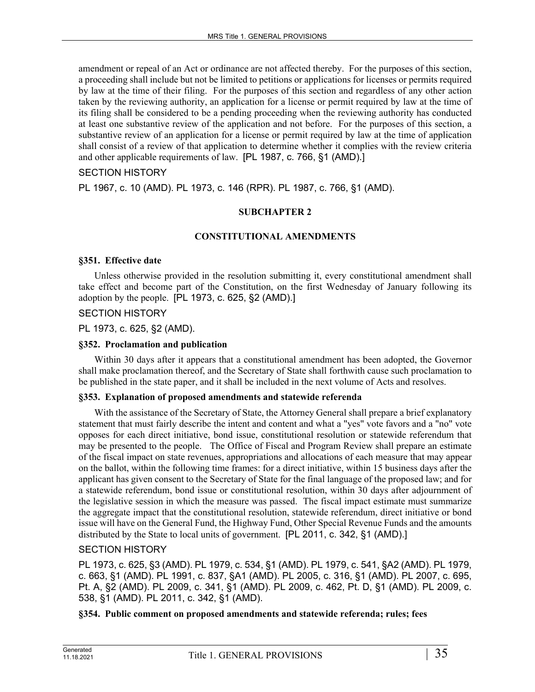amendment or repeal of an Act or ordinance are not affected thereby. For the purposes of this section, a proceeding shall include but not be limited to petitions or applications for licenses or permits required by law at the time of their filing. For the purposes of this section and regardless of any other action taken by the reviewing authority, an application for a license or permit required by law at the time of its filing shall be considered to be a pending proceeding when the reviewing authority has conducted at least one substantive review of the application and not before. For the purposes of this section, a substantive review of an application for a license or permit required by law at the time of application shall consist of a review of that application to determine whether it complies with the review criteria and other applicable requirements of law. [PL 1987, c. 766, §1 (AMD).]

# SECTION HISTORY

PL 1967, c. 10 (AMD). PL 1973, c. 146 (RPR). PL 1987, c. 766, §1 (AMD).

### **SUBCHAPTER 2**

### **CONSTITUTIONAL AMENDMENTS**

#### **§351. Effective date**

Unless otherwise provided in the resolution submitting it, every constitutional amendment shall take effect and become part of the Constitution, on the first Wednesday of January following its adoption by the people. [PL 1973, c. 625, §2 (AMD).]

#### SECTION HISTORY

PL 1973, c. 625, §2 (AMD).

### **§352. Proclamation and publication**

Within 30 days after it appears that a constitutional amendment has been adopted, the Governor shall make proclamation thereof, and the Secretary of State shall forthwith cause such proclamation to be published in the state paper, and it shall be included in the next volume of Acts and resolves.

#### **§353. Explanation of proposed amendments and statewide referenda**

With the assistance of the Secretary of State, the Attorney General shall prepare a brief explanatory statement that must fairly describe the intent and content and what a "yes" vote favors and a "no" vote opposes for each direct initiative, bond issue, constitutional resolution or statewide referendum that may be presented to the people. The Office of Fiscal and Program Review shall prepare an estimate of the fiscal impact on state revenues, appropriations and allocations of each measure that may appear on the ballot, within the following time frames: for a direct initiative, within 15 business days after the applicant has given consent to the Secretary of State for the final language of the proposed law; and for a statewide referendum, bond issue or constitutional resolution, within 30 days after adjournment of the legislative session in which the measure was passed. The fiscal impact estimate must summarize the aggregate impact that the constitutional resolution, statewide referendum, direct initiative or bond issue will have on the General Fund, the Highway Fund, Other Special Revenue Funds and the amounts distributed by the State to local units of government. [PL 2011, c. 342, §1 (AMD).]

# SECTION HISTORY

PL 1973, c. 625, §3 (AMD). PL 1979, c. 534, §1 (AMD). PL 1979, c. 541, §A2 (AMD). PL 1979, c. 663, §1 (AMD). PL 1991, c. 837, §A1 (AMD). PL 2005, c. 316, §1 (AMD). PL 2007, c. 695, Pt. A, §2 (AMD). PL 2009, c. 341, §1 (AMD). PL 2009, c. 462, Pt. D, §1 (AMD). PL 2009, c. 538, §1 (AMD). PL 2011, c. 342, §1 (AMD).

# **§354. Public comment on proposed amendments and statewide referenda; rules; fees**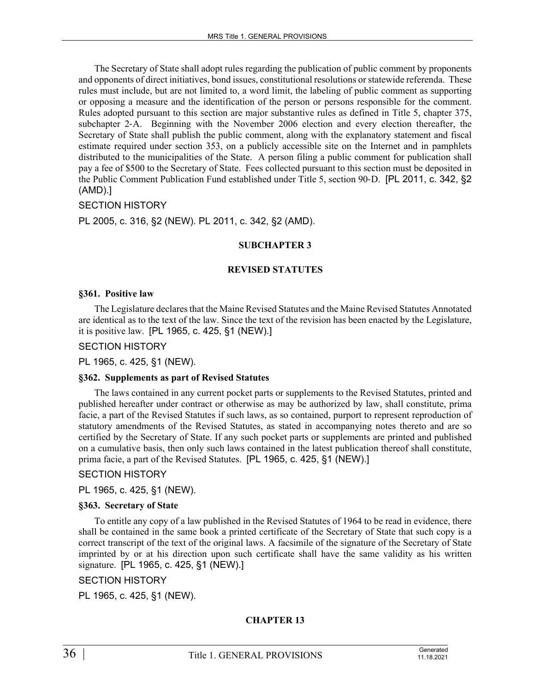The Secretary of State shall adopt rules regarding the publication of public comment by proponents and opponents of direct initiatives, bond issues, constitutional resolutions or statewide referenda. These rules must include, but are not limited to, a word limit, the labeling of public comment as supporting or opposing a measure and the identification of the person or persons responsible for the comment. Rules adopted pursuant to this section are major substantive rules as defined in Title 5, chapter 375, subchapter 2‑A. Beginning with the November 2006 election and every election thereafter, the Secretary of State shall publish the public comment, along with the explanatory statement and fiscal estimate required under section 353, on a publicly accessible site on the Internet and in pamphlets distributed to the municipalities of the State. A person filing a public comment for publication shall pay a fee of \$500 to the Secretary of State. Fees collected pursuant to this section must be deposited in the Public Comment Publication Fund established under Title 5, section 90‑D. [PL 2011, c. 342, §2 (AMD).]

#### SECTION HISTORY

PL 2005, c. 316, §2 (NEW). PL 2011, c. 342, §2 (AMD).

### **SUBCHAPTER 3**

### **REVISED STATUTES**

#### **§361. Positive law**

The Legislature declares that the Maine Revised Statutes and the Maine Revised Statutes Annotated are identical as to the text of the law. Since the text of the revision has been enacted by the Legislature, it is positive law. [PL 1965, c. 425, §1 (NEW).]

SECTION HISTORY

PL 1965, c. 425, §1 (NEW).

#### **§362. Supplements as part of Revised Statutes**

The laws contained in any current pocket parts or supplements to the Revised Statutes, printed and published hereafter under contract or otherwise as may be authorized by law, shall constitute, prima facie, a part of the Revised Statutes if such laws, as so contained, purport to represent reproduction of statutory amendments of the Revised Statutes, as stated in accompanying notes thereto and are so certified by the Secretary of State. If any such pocket parts or supplements are printed and published on a cumulative basis, then only such laws contained in the latest publication thereof shall constitute, prima facie, a part of the Revised Statutes. [PL 1965, c. 425, §1 (NEW).]

# SECTION HISTORY

PL 1965, c. 425, §1 (NEW).

#### **§363. Secretary of State**

To entitle any copy of a law published in the Revised Statutes of 1964 to be read in evidence, there shall be contained in the same book a printed certificate of the Secretary of State that such copy is a correct transcript of the text of the original laws. A facsimile of the signature of the Secretary of State imprinted by or at his direction upon such certificate shall have the same validity as his written signature. [PL 1965, c. 425, §1 (NEW).]

### SECTION HISTORY

PL 1965, c. 425, §1 (NEW).

# **CHAPTER 13**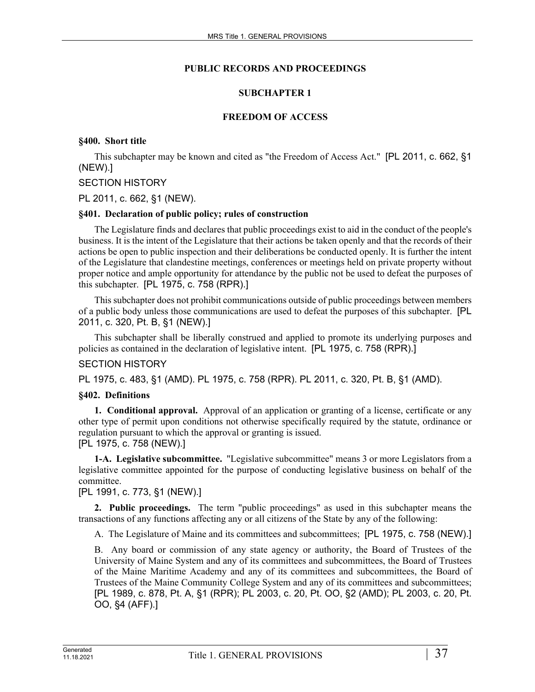## **PUBLIC RECORDS AND PROCEEDINGS**

## **SUBCHAPTER 1**

## **FREEDOM OF ACCESS**

## **§400. Short title**

This subchapter may be known and cited as "the Freedom of Access Act." [PL 2011, c. 662, §1 (NEW).]

## SECTION HISTORY

PL 2011, c. 662, §1 (NEW).

## **§401. Declaration of public policy; rules of construction**

The Legislature finds and declares that public proceedings exist to aid in the conduct of the people's business. It is the intent of the Legislature that their actions be taken openly and that the records of their actions be open to public inspection and their deliberations be conducted openly. It is further the intent of the Legislature that clandestine meetings, conferences or meetings held on private property without proper notice and ample opportunity for attendance by the public not be used to defeat the purposes of this subchapter. [PL 1975, c. 758 (RPR).]

This subchapter does not prohibit communications outside of public proceedings between members of a public body unless those communications are used to defeat the purposes of this subchapter. [PL 2011, c. 320, Pt. B, §1 (NEW).]

This subchapter shall be liberally construed and applied to promote its underlying purposes and policies as contained in the declaration of legislative intent. [PL 1975, c. 758 (RPR).]

## SECTION HISTORY

PL 1975, c. 483, §1 (AMD). PL 1975, c. 758 (RPR). PL 2011, c. 320, Pt. B, §1 (AMD).

#### **§402. Definitions**

**1. Conditional approval.** Approval of an application or granting of a license, certificate or any other type of permit upon conditions not otherwise specifically required by the statute, ordinance or regulation pursuant to which the approval or granting is issued.

[PL 1975, c. 758 (NEW).]

**1-A. Legislative subcommittee.** "Legislative subcommittee" means 3 or more Legislators from a legislative committee appointed for the purpose of conducting legislative business on behalf of the committee.

## [PL 1991, c. 773, §1 (NEW).]

**2. Public proceedings.** The term "public proceedings" as used in this subchapter means the transactions of any functions affecting any or all citizens of the State by any of the following:

A. The Legislature of Maine and its committees and subcommittees; [PL 1975, c. 758 (NEW).]

B. Any board or commission of any state agency or authority, the Board of Trustees of the University of Maine System and any of its committees and subcommittees, the Board of Trustees of the Maine Maritime Academy and any of its committees and subcommittees, the Board of Trustees of the Maine Community College System and any of its committees and subcommittees; [PL 1989, c. 878, Pt. A, §1 (RPR); PL 2003, c. 20, Pt. OO, §2 (AMD); PL 2003, c. 20, Pt. OO, §4 (AFF).]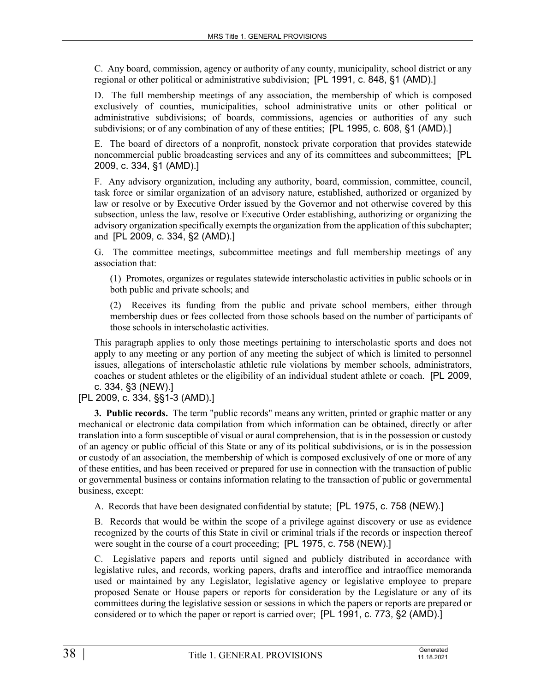C. Any board, commission, agency or authority of any county, municipality, school district or any regional or other political or administrative subdivision; [PL 1991, c. 848, §1 (AMD).]

D. The full membership meetings of any association, the membership of which is composed exclusively of counties, municipalities, school administrative units or other political or administrative subdivisions; of boards, commissions, agencies or authorities of any such subdivisions; or of any combination of any of these entities; [PL 1995, c. 608, §1 (AMD).]

E. The board of directors of a nonprofit, nonstock private corporation that provides statewide noncommercial public broadcasting services and any of its committees and subcommittees; [PL 2009, c. 334, §1 (AMD).]

F. Any advisory organization, including any authority, board, commission, committee, council, task force or similar organization of an advisory nature, established, authorized or organized by law or resolve or by Executive Order issued by the Governor and not otherwise covered by this subsection, unless the law, resolve or Executive Order establishing, authorizing or organizing the advisory organization specifically exempts the organization from the application of this subchapter; and [PL 2009, c. 334, §2 (AMD).]

G. The committee meetings, subcommittee meetings and full membership meetings of any association that:

(1) Promotes, organizes or regulates statewide interscholastic activities in public schools or in both public and private schools; and

(2) Receives its funding from the public and private school members, either through membership dues or fees collected from those schools based on the number of participants of those schools in interscholastic activities.

This paragraph applies to only those meetings pertaining to interscholastic sports and does not apply to any meeting or any portion of any meeting the subject of which is limited to personnel issues, allegations of interscholastic athletic rule violations by member schools, administrators, coaches or student athletes or the eligibility of an individual student athlete or coach. [PL 2009, c. 334, §3 (NEW).]

## [PL 2009, c. 334, §§1-3 (AMD).]

**3. Public records.** The term "public records" means any written, printed or graphic matter or any mechanical or electronic data compilation from which information can be obtained, directly or after translation into a form susceptible of visual or aural comprehension, that is in the possession or custody of an agency or public official of this State or any of its political subdivisions, or is in the possession or custody of an association, the membership of which is composed exclusively of one or more of any of these entities, and has been received or prepared for use in connection with the transaction of public or governmental business or contains information relating to the transaction of public or governmental business, except:

A. Records that have been designated confidential by statute; [PL 1975, c. 758 (NEW).]

B. Records that would be within the scope of a privilege against discovery or use as evidence recognized by the courts of this State in civil or criminal trials if the records or inspection thereof were sought in the course of a court proceeding; [PL 1975, c. 758 (NEW).]

C. Legislative papers and reports until signed and publicly distributed in accordance with legislative rules, and records, working papers, drafts and interoffice and intraoffice memoranda used or maintained by any Legislator, legislative agency or legislative employee to prepare proposed Senate or House papers or reports for consideration by the Legislature or any of its committees during the legislative session or sessions in which the papers or reports are prepared or considered or to which the paper or report is carried over; [PL 1991, c. 773, §2 (AMD).]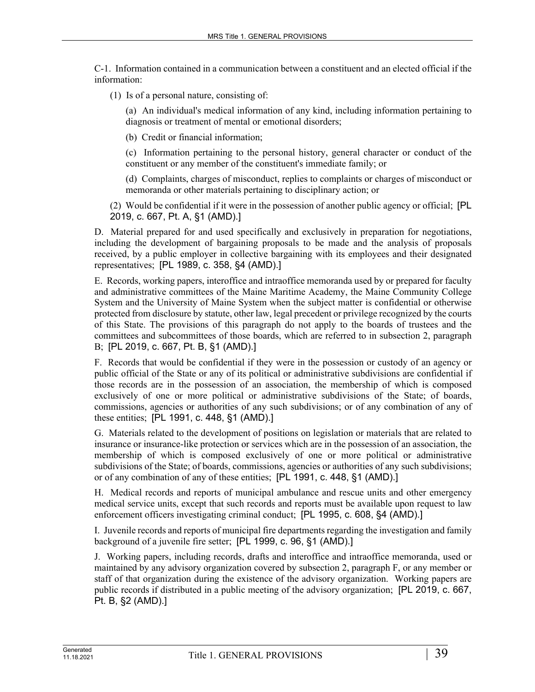C-1. Information contained in a communication between a constituent and an elected official if the information:

(1) Is of a personal nature, consisting of:

(a) An individual's medical information of any kind, including information pertaining to diagnosis or treatment of mental or emotional disorders;

(b) Credit or financial information;

(c) Information pertaining to the personal history, general character or conduct of the constituent or any member of the constituent's immediate family; or

(d) Complaints, charges of misconduct, replies to complaints or charges of misconduct or memoranda or other materials pertaining to disciplinary action; or

(2) Would be confidential if it were in the possession of another public agency or official; [PL 2019, c. 667, Pt. A, §1 (AMD).]

D. Material prepared for and used specifically and exclusively in preparation for negotiations, including the development of bargaining proposals to be made and the analysis of proposals received, by a public employer in collective bargaining with its employees and their designated representatives; [PL 1989, c. 358, §4 (AMD).]

E. Records, working papers, interoffice and intraoffice memoranda used by or prepared for faculty and administrative committees of the Maine Maritime Academy, the Maine Community College System and the University of Maine System when the subject matter is confidential or otherwise protected from disclosure by statute, other law, legal precedent or privilege recognized by the courts of this State. The provisions of this paragraph do not apply to the boards of trustees and the committees and subcommittees of those boards, which are referred to in subsection 2, paragraph B; [PL 2019, c. 667, Pt. B, §1 (AMD).]

F. Records that would be confidential if they were in the possession or custody of an agency or public official of the State or any of its political or administrative subdivisions are confidential if those records are in the possession of an association, the membership of which is composed exclusively of one or more political or administrative subdivisions of the State; of boards, commissions, agencies or authorities of any such subdivisions; or of any combination of any of these entities; [PL 1991, c. 448, §1 (AMD).]

G. Materials related to the development of positions on legislation or materials that are related to insurance or insurance-like protection or services which are in the possession of an association, the membership of which is composed exclusively of one or more political or administrative subdivisions of the State; of boards, commissions, agencies or authorities of any such subdivisions; or of any combination of any of these entities; [PL 1991, c. 448, §1 (AMD).]

H. Medical records and reports of municipal ambulance and rescue units and other emergency medical service units, except that such records and reports must be available upon request to law enforcement officers investigating criminal conduct; [PL 1995, c. 608, §4 (AMD).]

I. Juvenile records and reports of municipal fire departments regarding the investigation and family background of a juvenile fire setter; [PL 1999, c. 96, §1 (AMD).]

J. Working papers, including records, drafts and interoffice and intraoffice memoranda, used or maintained by any advisory organization covered by subsection 2, paragraph F, or any member or staff of that organization during the existence of the advisory organization. Working papers are public records if distributed in a public meeting of the advisory organization; [PL 2019, c. 667, Pt. B, §2 (AMD).]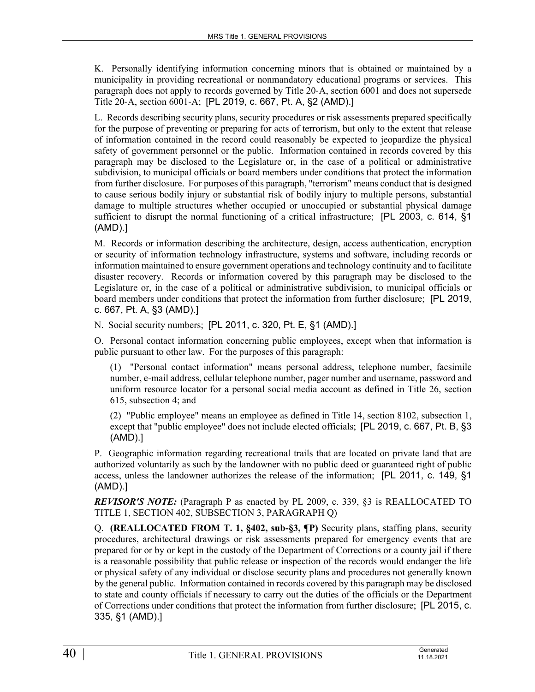K. Personally identifying information concerning minors that is obtained or maintained by a municipality in providing recreational or nonmandatory educational programs or services. This paragraph does not apply to records governed by Title 20‑A, section 6001 and does not supersede Title 20‑A, section 6001‑A; [PL 2019, c. 667, Pt. A, §2 (AMD).]

L. Records describing security plans, security procedures or risk assessments prepared specifically for the purpose of preventing or preparing for acts of terrorism, but only to the extent that release of information contained in the record could reasonably be expected to jeopardize the physical safety of government personnel or the public. Information contained in records covered by this paragraph may be disclosed to the Legislature or, in the case of a political or administrative subdivision, to municipal officials or board members under conditions that protect the information from further disclosure. For purposes of this paragraph, "terrorism" means conduct that is designed to cause serious bodily injury or substantial risk of bodily injury to multiple persons, substantial damage to multiple structures whether occupied or unoccupied or substantial physical damage sufficient to disrupt the normal functioning of a critical infrastructure; [PL 2003, c. 614, §1 (AMD).]

M. Records or information describing the architecture, design, access authentication, encryption or security of information technology infrastructure, systems and software, including records or information maintained to ensure government operations and technology continuity and to facilitate disaster recovery. Records or information covered by this paragraph may be disclosed to the Legislature or, in the case of a political or administrative subdivision, to municipal officials or board members under conditions that protect the information from further disclosure; [PL 2019, c. 667, Pt. A, §3 (AMD).]

N. Social security numbers; [PL 2011, c. 320, Pt. E, §1 (AMD).]

O. Personal contact information concerning public employees, except when that information is public pursuant to other law. For the purposes of this paragraph:

(1) "Personal contact information" means personal address, telephone number, facsimile number, e-mail address, cellular telephone number, pager number and username, password and uniform resource locator for a personal social media account as defined in Title 26, section 615, subsection 4; and

(2) "Public employee" means an employee as defined in Title 14, section 8102, subsection 1, except that "public employee" does not include elected officials; [PL 2019, c. 667, Pt. B, §3 (AMD).]

P. Geographic information regarding recreational trails that are located on private land that are authorized voluntarily as such by the landowner with no public deed or guaranteed right of public access, unless the landowner authorizes the release of the information; [PL 2011, c. 149, §1 (AMD).]

*REVISOR'S NOTE:* (Paragraph P as enacted by PL 2009, c. 339, §3 is REALLOCATED TO TITLE 1, SECTION 402, SUBSECTION 3, PARAGRAPH Q)

Q. **(REALLOCATED FROM T. 1, §402, sub-§3, ¶P)** Security plans, staffing plans, security procedures, architectural drawings or risk assessments prepared for emergency events that are prepared for or by or kept in the custody of the Department of Corrections or a county jail if there is a reasonable possibility that public release or inspection of the records would endanger the life or physical safety of any individual or disclose security plans and procedures not generally known by the general public. Information contained in records covered by this paragraph may be disclosed to state and county officials if necessary to carry out the duties of the officials or the Department of Corrections under conditions that protect the information from further disclosure; [PL 2015, c. 335, §1 (AMD).]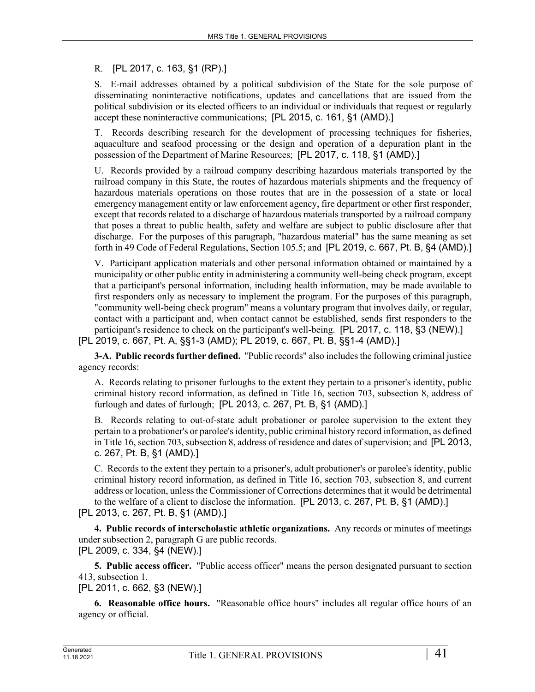R. [PL 2017, c. 163, §1 (RP).]

S. E-mail addresses obtained by a political subdivision of the State for the sole purpose of disseminating noninteractive notifications, updates and cancellations that are issued from the political subdivision or its elected officers to an individual or individuals that request or regularly accept these noninteractive communications; [PL 2015, c. 161, §1 (AMD).]

T. Records describing research for the development of processing techniques for fisheries, aquaculture and seafood processing or the design and operation of a depuration plant in the possession of the Department of Marine Resources; [PL 2017, c. 118, §1 (AMD).]

U. Records provided by a railroad company describing hazardous materials transported by the railroad company in this State, the routes of hazardous materials shipments and the frequency of hazardous materials operations on those routes that are in the possession of a state or local emergency management entity or law enforcement agency, fire department or other first responder, except that records related to a discharge of hazardous materials transported by a railroad company that poses a threat to public health, safety and welfare are subject to public disclosure after that discharge. For the purposes of this paragraph, "hazardous material" has the same meaning as set forth in 49 Code of Federal Regulations, Section 105.5; and [PL 2019, c. 667, Pt. B, §4 (AMD).]

V. Participant application materials and other personal information obtained or maintained by a municipality or other public entity in administering a community well-being check program, except that a participant's personal information, including health information, may be made available to first responders only as necessary to implement the program. For the purposes of this paragraph, "community well-being check program" means a voluntary program that involves daily, or regular, contact with a participant and, when contact cannot be established, sends first responders to the participant's residence to check on the participant's well-being. [PL 2017, c. 118, §3 (NEW).] [PL 2019, c. 667, Pt. A, §§1-3 (AMD); PL 2019, c. 667, Pt. B, §§1-4 (AMD).]

**3-A. Public records further defined.** "Public records" also includes the following criminal justice agency records:

A. Records relating to prisoner furloughs to the extent they pertain to a prisoner's identity, public criminal history record information, as defined in Title 16, section 703, subsection 8, address of furlough and dates of furlough; [PL 2013, c. 267, Pt. B, §1 (AMD).]

B. Records relating to out-of-state adult probationer or parolee supervision to the extent they pertain to a probationer's or parolee's identity, public criminal history record information, as defined in Title 16, section 703, subsection 8, address of residence and dates of supervision; and [PL 2013, c. 267, Pt. B, §1 (AMD).]

C. Records to the extent they pertain to a prisoner's, adult probationer's or parolee's identity, public criminal history record information, as defined in Title 16, section 703, subsection 8, and current address or location, unless the Commissioner of Corrections determines that it would be detrimental to the welfare of a client to disclose the information. [PL 2013, c. 267, Pt. B, §1 (AMD).]

[PL 2013, c. 267, Pt. B, §1 (AMD).]

**4. Public records of interscholastic athletic organizations.** Any records or minutes of meetings under subsection 2, paragraph G are public records. [PL 2009, c. 334, §4 (NEW).]

**5. Public access officer.** "Public access officer" means the person designated pursuant to section 413, subsection 1.

[PL 2011, c. 662, §3 (NEW).]

**6. Reasonable office hours.** "Reasonable office hours" includes all regular office hours of an agency or official.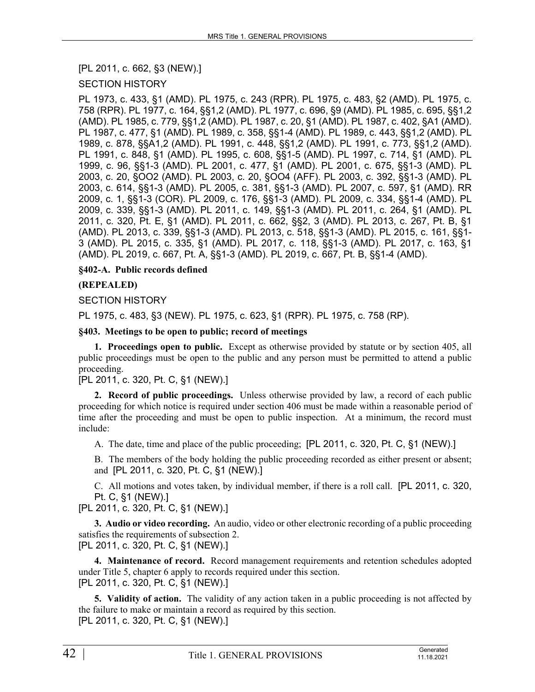[PL 2011, c. 662, §3 (NEW).]

## SECTION HISTORY

PL 1973, c. 433, §1 (AMD). PL 1975, c. 243 (RPR). PL 1975, c. 483, §2 (AMD). PL 1975, c. 758 (RPR). PL 1977, c. 164, §§1,2 (AMD). PL 1977, c. 696, §9 (AMD). PL 1985, c. 695, §§1,2 (AMD). PL 1985, c. 779, §§1,2 (AMD). PL 1987, c. 20, §1 (AMD). PL 1987, c. 402, §A1 (AMD). PL 1987, c. 477, §1 (AMD). PL 1989, c. 358, §§1-4 (AMD). PL 1989, c. 443, §§1,2 (AMD). PL 1989, c. 878, §§A1,2 (AMD). PL 1991, c. 448, §§1,2 (AMD). PL 1991, c. 773, §§1,2 (AMD). PL 1991, c. 848, §1 (AMD). PL 1995, c. 608, §§1-5 (AMD). PL 1997, c. 714, §1 (AMD). PL 1999, c. 96, §§1-3 (AMD). PL 2001, c. 477, §1 (AMD). PL 2001, c. 675, §§1-3 (AMD). PL 2003, c. 20, §OO2 (AMD). PL 2003, c. 20, §OO4 (AFF). PL 2003, c. 392, §§1-3 (AMD). PL 2003, c. 614, §§1-3 (AMD). PL 2005, c. 381, §§1-3 (AMD). PL 2007, c. 597, §1 (AMD). RR 2009, c. 1, §§1-3 (COR). PL 2009, c. 176, §§1-3 (AMD). PL 2009, c. 334, §§1-4 (AMD). PL 2009, c. 339, §§1-3 (AMD). PL 2011, c. 149, §§1-3 (AMD). PL 2011, c. 264, §1 (AMD). PL 2011, c. 320, Pt. E, §1 (AMD). PL 2011, c. 662, §§2, 3 (AMD). PL 2013, c. 267, Pt. B, §1 (AMD). PL 2013, c. 339, §§1-3 (AMD). PL 2013, c. 518, §§1-3 (AMD). PL 2015, c. 161, §§1- 3 (AMD). PL 2015, c. 335, §1 (AMD). PL 2017, c. 118, §§1-3 (AMD). PL 2017, c. 163, §1 (AMD). PL 2019, c. 667, Pt. A, §§1-3 (AMD). PL 2019, c. 667, Pt. B, §§1-4 (AMD).

## **§402-A. Public records defined**

## **(REPEALED)**

#### SECTION HISTORY

PL 1975, c. 483, §3 (NEW). PL 1975, c. 623, §1 (RPR). PL 1975, c. 758 (RP).

#### **§403. Meetings to be open to public; record of meetings**

**1. Proceedings open to public.** Except as otherwise provided by statute or by section 405, all public proceedings must be open to the public and any person must be permitted to attend a public proceeding.

#### [PL 2011, c. 320, Pt. C, §1 (NEW).]

**2. Record of public proceedings.** Unless otherwise provided by law, a record of each public proceeding for which notice is required under section 406 must be made within a reasonable period of time after the proceeding and must be open to public inspection. At a minimum, the record must include:

A. The date, time and place of the public proceeding; [PL 2011, c. 320, Pt. C, §1 (NEW).]

B. The members of the body holding the public proceeding recorded as either present or absent; and [PL 2011, c. 320, Pt. C, §1 (NEW).]

C. All motions and votes taken, by individual member, if there is a roll call. [PL 2011, c. 320, Pt. C, §1 (NEW).]

[PL 2011, c. 320, Pt. C, §1 (NEW).]

**3. Audio or video recording.** An audio, video or other electronic recording of a public proceeding satisfies the requirements of subsection 2.

[PL 2011, c. 320, Pt. C, §1 (NEW).]

**4. Maintenance of record.** Record management requirements and retention schedules adopted under Title 5, chapter 6 apply to records required under this section. [PL 2011, c. 320, Pt. C, §1 (NEW).]

**5. Validity of action.** The validity of any action taken in a public proceeding is not affected by the failure to make or maintain a record as required by this section. [PL 2011, c. 320, Pt. C, §1 (NEW).]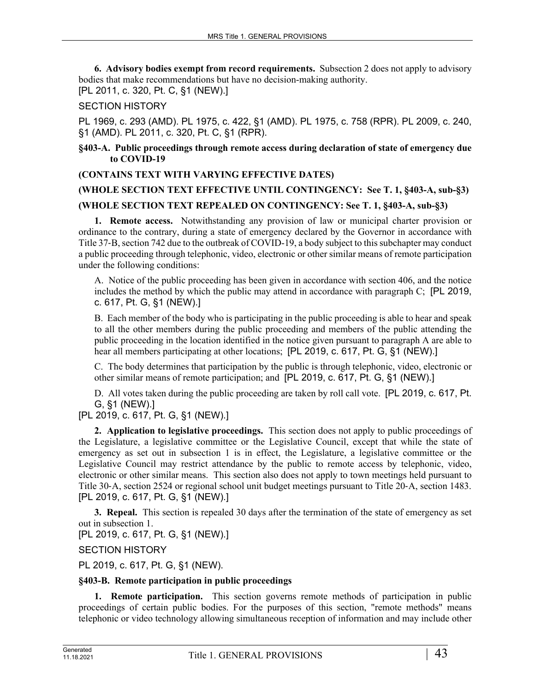**6. Advisory bodies exempt from record requirements.** Subsection 2 does not apply to advisory bodies that make recommendations but have no decision-making authority. [PL 2011, c. 320, Pt. C, §1 (NEW).]

# SECTION HISTORY

PL 1969, c. 293 (AMD). PL 1975, c. 422, §1 (AMD). PL 1975, c. 758 (RPR). PL 2009, c. 240, §1 (AMD). PL 2011, c. 320, Pt. C, §1 (RPR).

#### **§403-A. Public proceedings through remote access during declaration of state of emergency due to COVID-19**

## **(CONTAINS TEXT WITH VARYING EFFECTIVE DATES)**

# **(WHOLE SECTION TEXT EFFECTIVE UNTIL CONTINGENCY: See T. 1, §403-A, sub-§3) (WHOLE SECTION TEXT REPEALED ON CONTINGENCY: See T. 1, §403-A, sub-§3)**

**1. Remote access.** Notwithstanding any provision of law or municipal charter provision or ordinance to the contrary, during a state of emergency declared by the Governor in accordance with Title 37‑B, section 742 due to the outbreak of COVID-19, a body subject to this subchapter may conduct a public proceeding through telephonic, video, electronic or other similar means of remote participation under the following conditions:

A. Notice of the public proceeding has been given in accordance with section 406, and the notice includes the method by which the public may attend in accordance with paragraph C; [PL 2019, c. 617, Pt. G, §1 (NEW).]

B. Each member of the body who is participating in the public proceeding is able to hear and speak to all the other members during the public proceeding and members of the public attending the public proceeding in the location identified in the notice given pursuant to paragraph A are able to hear all members participating at other locations; [PL 2019, c. 617, Pt. G, §1 (NEW).]

C. The body determines that participation by the public is through telephonic, video, electronic or other similar means of remote participation; and [PL 2019, c. 617, Pt. G, §1 (NEW).]

D. All votes taken during the public proceeding are taken by roll call vote. [PL 2019, c. 617, Pt. G, §1 (NEW).]

## [PL 2019, c. 617, Pt. G, §1 (NEW).]

**2. Application to legislative proceedings.** This section does not apply to public proceedings of the Legislature, a legislative committee or the Legislative Council, except that while the state of emergency as set out in subsection 1 is in effect, the Legislature, a legislative committee or the Legislative Council may restrict attendance by the public to remote access by telephonic, video, electronic or other similar means. This section also does not apply to town meetings held pursuant to Title 30‑A, section 2524 or regional school unit budget meetings pursuant to Title 20‑A, section 1483. [PL 2019, c. 617, Pt. G, §1 (NEW).]

**3. Repeal.** This section is repealed 30 days after the termination of the state of emergency as set out in subsection 1.

[PL 2019, c. 617, Pt. G, §1 (NEW).]

SECTION HISTORY

PL 2019, c. 617, Pt. G, §1 (NEW).

## **§403-B. Remote participation in public proceedings**

**1. Remote participation.** This section governs remote methods of participation in public proceedings of certain public bodies. For the purposes of this section, "remote methods" means telephonic or video technology allowing simultaneous reception of information and may include other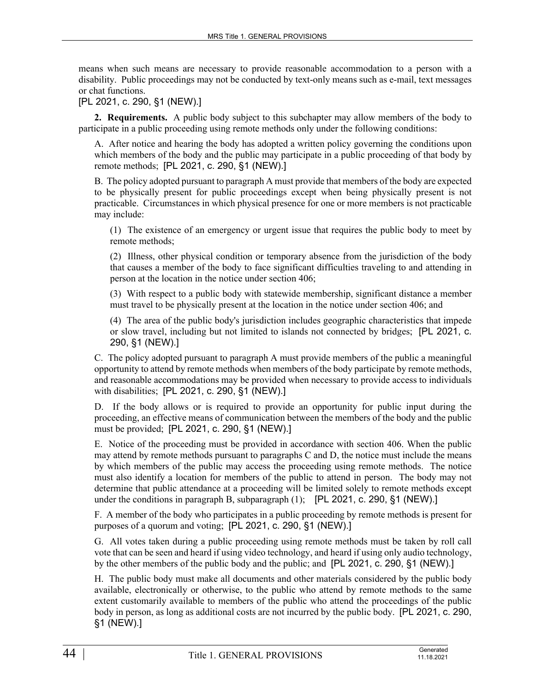means when such means are necessary to provide reasonable accommodation to a person with a disability. Public proceedings may not be conducted by text-only means such as e-mail, text messages or chat functions.

[PL 2021, c. 290, §1 (NEW).]

**2. Requirements.** A public body subject to this subchapter may allow members of the body to participate in a public proceeding using remote methods only under the following conditions:

A. After notice and hearing the body has adopted a written policy governing the conditions upon which members of the body and the public may participate in a public proceeding of that body by remote methods; [PL 2021, c. 290, §1 (NEW).]

B. The policy adopted pursuant to paragraph A must provide that members of the body are expected to be physically present for public proceedings except when being physically present is not practicable. Circumstances in which physical presence for one or more members is not practicable may include:

(1) The existence of an emergency or urgent issue that requires the public body to meet by remote methods;

(2) Illness, other physical condition or temporary absence from the jurisdiction of the body that causes a member of the body to face significant difficulties traveling to and attending in person at the location in the notice under section 406;

(3) With respect to a public body with statewide membership, significant distance a member must travel to be physically present at the location in the notice under section 406; and

(4) The area of the public body's jurisdiction includes geographic characteristics that impede or slow travel, including but not limited to islands not connected by bridges; [PL 2021, c. 290, §1 (NEW).]

C. The policy adopted pursuant to paragraph A must provide members of the public a meaningful opportunity to attend by remote methods when members of the body participate by remote methods, and reasonable accommodations may be provided when necessary to provide access to individuals with disabilities; [PL 2021, c. 290, §1 (NEW).]

D. If the body allows or is required to provide an opportunity for public input during the proceeding, an effective means of communication between the members of the body and the public must be provided; [PL 2021, c. 290, §1 (NEW).]

E. Notice of the proceeding must be provided in accordance with section 406. When the public may attend by remote methods pursuant to paragraphs C and D, the notice must include the means by which members of the public may access the proceeding using remote methods. The notice must also identify a location for members of the public to attend in person. The body may not determine that public attendance at a proceeding will be limited solely to remote methods except under the conditions in paragraph B, subparagraph (1); [PL 2021, c. 290, §1 (NEW).]

F. A member of the body who participates in a public proceeding by remote methods is present for purposes of a quorum and voting; [PL 2021, c. 290, §1 (NEW).]

G. All votes taken during a public proceeding using remote methods must be taken by roll call vote that can be seen and heard if using video technology, and heard if using only audio technology, by the other members of the public body and the public; and [PL 2021, c. 290, §1 (NEW).]

H. The public body must make all documents and other materials considered by the public body available, electronically or otherwise, to the public who attend by remote methods to the same extent customarily available to members of the public who attend the proceedings of the public body in person, as long as additional costs are not incurred by the public body. [PL 2021, c. 290, §1 (NEW).]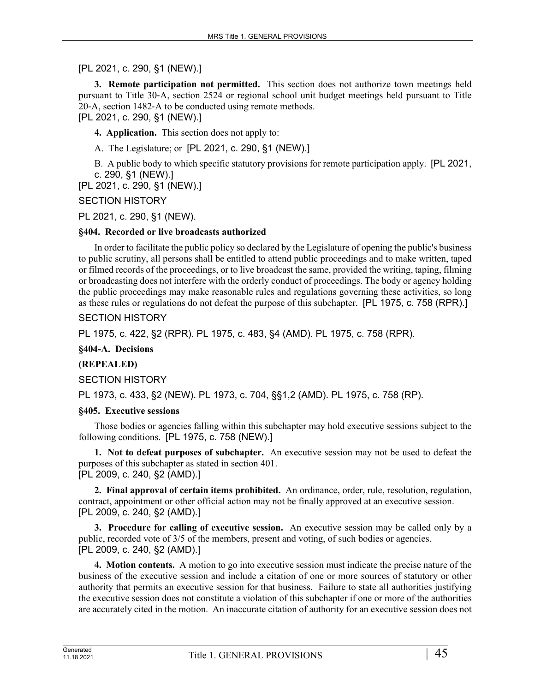## [PL 2021, c. 290, §1 (NEW).]

**3. Remote participation not permitted.** This section does not authorize town meetings held pursuant to Title 30‑A, section 2524 or regional school unit budget meetings held pursuant to Title 20‑A, section 1482‑A to be conducted using remote methods. [PL 2021, c. 290, §1 (NEW).]

**4. Application.** This section does not apply to:

A. The Legislature; or [PL 2021, c. 290, §1 (NEW).]

B. A public body to which specific statutory provisions for remote participation apply. [PL 2021, c. 290, §1 (NEW).]

[PL 2021, c. 290, §1 (NEW).]

SECTION HISTORY

PL 2021, c. 290, §1 (NEW).

#### **§404. Recorded or live broadcasts authorized**

In order to facilitate the public policy so declared by the Legislature of opening the public's business to public scrutiny, all persons shall be entitled to attend public proceedings and to make written, taped or filmed records of the proceedings, or to live broadcast the same, provided the writing, taping, filming or broadcasting does not interfere with the orderly conduct of proceedings. The body or agency holding the public proceedings may make reasonable rules and regulations governing these activities, so long as these rules or regulations do not defeat the purpose of this subchapter. [PL 1975, c. 758 (RPR).]

## SECTION HISTORY

PL 1975, c. 422, §2 (RPR). PL 1975, c. 483, §4 (AMD). PL 1975, c. 758 (RPR).

**§404-A. Decisions**

#### **(REPEALED)**

SECTION HISTORY

PL 1973, c. 433, §2 (NEW). PL 1973, c. 704, §§1,2 (AMD). PL 1975, c. 758 (RP).

#### **§405. Executive sessions**

Those bodies or agencies falling within this subchapter may hold executive sessions subject to the following conditions. [PL 1975, c. 758 (NEW).]

**1. Not to defeat purposes of subchapter.** An executive session may not be used to defeat the purposes of this subchapter as stated in section 401. [PL 2009, c. 240, §2 (AMD).]

**2. Final approval of certain items prohibited.** An ordinance, order, rule, resolution, regulation, contract, appointment or other official action may not be finally approved at an executive session. [PL 2009, c. 240, §2 (AMD).]

**3. Procedure for calling of executive session.** An executive session may be called only by a public, recorded vote of 3/5 of the members, present and voting, of such bodies or agencies. [PL 2009, c. 240, §2 (AMD).]

**4. Motion contents.** A motion to go into executive session must indicate the precise nature of the business of the executive session and include a citation of one or more sources of statutory or other authority that permits an executive session for that business. Failure to state all authorities justifying the executive session does not constitute a violation of this subchapter if one or more of the authorities are accurately cited in the motion. An inaccurate citation of authority for an executive session does not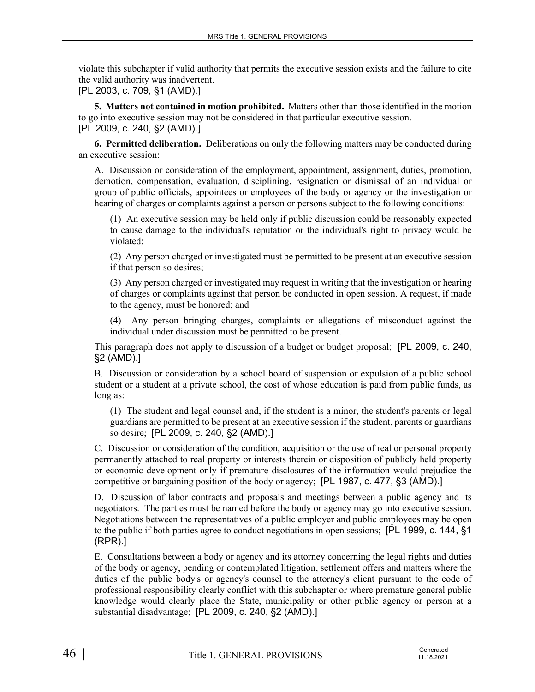violate this subchapter if valid authority that permits the executive session exists and the failure to cite the valid authority was inadvertent.

[PL 2003, c. 709, §1 (AMD).]

**5. Matters not contained in motion prohibited.** Matters other than those identified in the motion to go into executive session may not be considered in that particular executive session. [PL 2009, c. 240, §2 (AMD).]

**6. Permitted deliberation.** Deliberations on only the following matters may be conducted during an executive session:

A. Discussion or consideration of the employment, appointment, assignment, duties, promotion, demotion, compensation, evaluation, disciplining, resignation or dismissal of an individual or group of public officials, appointees or employees of the body or agency or the investigation or hearing of charges or complaints against a person or persons subject to the following conditions:

(1) An executive session may be held only if public discussion could be reasonably expected to cause damage to the individual's reputation or the individual's right to privacy would be violated;

(2) Any person charged or investigated must be permitted to be present at an executive session if that person so desires;

(3) Any person charged or investigated may request in writing that the investigation or hearing of charges or complaints against that person be conducted in open session. A request, if made to the agency, must be honored; and

(4) Any person bringing charges, complaints or allegations of misconduct against the individual under discussion must be permitted to be present.

This paragraph does not apply to discussion of a budget or budget proposal; [PL 2009, c. 240, §2 (AMD).]

B. Discussion or consideration by a school board of suspension or expulsion of a public school student or a student at a private school, the cost of whose education is paid from public funds, as long as:

(1) The student and legal counsel and, if the student is a minor, the student's parents or legal guardians are permitted to be present at an executive session if the student, parents or guardians so desire; [PL 2009, c. 240, §2 (AMD).]

C. Discussion or consideration of the condition, acquisition or the use of real or personal property permanently attached to real property or interests therein or disposition of publicly held property or economic development only if premature disclosures of the information would prejudice the competitive or bargaining position of the body or agency; [PL 1987, c. 477, §3 (AMD).]

D. Discussion of labor contracts and proposals and meetings between a public agency and its negotiators. The parties must be named before the body or agency may go into executive session. Negotiations between the representatives of a public employer and public employees may be open to the public if both parties agree to conduct negotiations in open sessions; [PL 1999, c. 144, §1 (RPR).]

E. Consultations between a body or agency and its attorney concerning the legal rights and duties of the body or agency, pending or contemplated litigation, settlement offers and matters where the duties of the public body's or agency's counsel to the attorney's client pursuant to the code of professional responsibility clearly conflict with this subchapter or where premature general public knowledge would clearly place the State, municipality or other public agency or person at a substantial disadvantage; [PL 2009, c. 240, §2 (AMD).]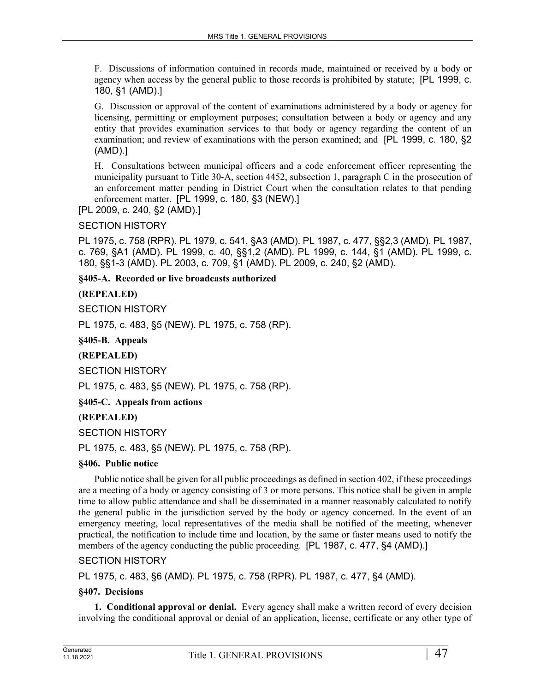F. Discussions of information contained in records made, maintained or received by a body or agency when access by the general public to those records is prohibited by statute; [PL 1999, c. 180, §1 (AMD).]

G. Discussion or approval of the content of examinations administered by a body or agency for licensing, permitting or employment purposes; consultation between a body or agency and any entity that provides examination services to that body or agency regarding the content of an examination; and review of examinations with the person examined; and [PL 1999, c. 180, §2 (AMD).]

H. Consultations between municipal officers and a code enforcement officer representing the municipality pursuant to Title 30‑A, section 4452, subsection 1, paragraph C in the prosecution of an enforcement matter pending in District Court when the consultation relates to that pending enforcement matter. [PL 1999, c. 180, §3 (NEW).]

[PL 2009, c. 240, §2 (AMD).]

SECTION HISTORY

PL 1975, c. 758 (RPR). PL 1979, c. 541, §A3 (AMD). PL 1987, c. 477, §§2,3 (AMD). PL 1987, c. 769, §A1 (AMD). PL 1999, c. 40, §§1,2 (AMD). PL 1999, c. 144, §1 (AMD). PL 1999, c. 180, §§1-3 (AMD). PL 2003, c. 709, §1 (AMD). PL 2009, c. 240, §2 (AMD).

**§405-A. Recorded or live broadcasts authorized**

#### **(REPEALED)**

SECTION HISTORY

PL 1975, c. 483, §5 (NEW). PL 1975, c. 758 (RP).

**§405-B. Appeals**

#### **(REPEALED)**

SECTION HISTORY

PL 1975, c. 483, §5 (NEW). PL 1975, c. 758 (RP).

**§405-C. Appeals from actions**

## **(REPEALED)**

SECTION HISTORY

PL 1975, c. 483, §5 (NEW). PL 1975, c. 758 (RP).

#### **§406. Public notice**

Public notice shall be given for all public proceedings as defined in section 402, if these proceedings are a meeting of a body or agency consisting of 3 or more persons. This notice shall be given in ample time to allow public attendance and shall be disseminated in a manner reasonably calculated to notify the general public in the jurisdiction served by the body or agency concerned. In the event of an emergency meeting, local representatives of the media shall be notified of the meeting, whenever practical, the notification to include time and location, by the same or faster means used to notify the members of the agency conducting the public proceeding. [PL 1987, c. 477, §4 (AMD).]

#### SECTION HISTORY

PL 1975, c. 483, §6 (AMD). PL 1975, c. 758 (RPR). PL 1987, c. 477, §4 (AMD).

#### **§407. Decisions**

**1. Conditional approval or denial.** Every agency shall make a written record of every decision involving the conditional approval or denial of an application, license, certificate or any other type of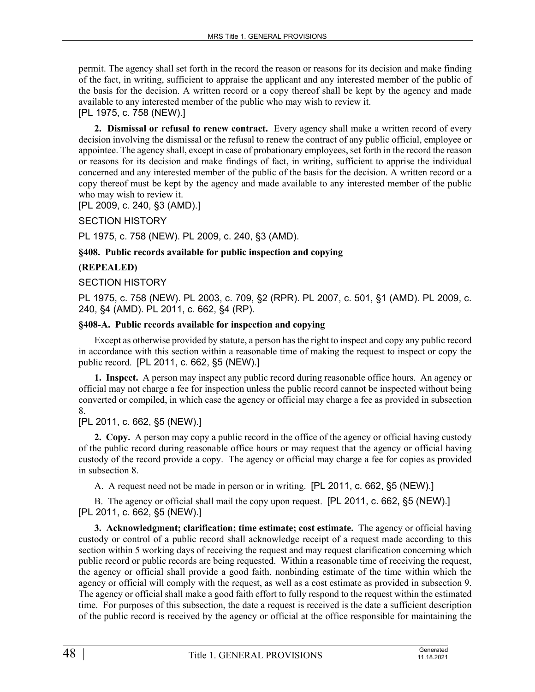permit. The agency shall set forth in the record the reason or reasons for its decision and make finding of the fact, in writing, sufficient to appraise the applicant and any interested member of the public of the basis for the decision. A written record or a copy thereof shall be kept by the agency and made available to any interested member of the public who may wish to review it.

# [PL 1975, c. 758 (NEW).]

**2. Dismissal or refusal to renew contract.** Every agency shall make a written record of every decision involving the dismissal or the refusal to renew the contract of any public official, employee or appointee. The agency shall, except in case of probationary employees, set forth in the record the reason or reasons for its decision and make findings of fact, in writing, sufficient to apprise the individual concerned and any interested member of the public of the basis for the decision. A written record or a copy thereof must be kept by the agency and made available to any interested member of the public who may wish to review it.

[PL 2009, c. 240, §3 (AMD).]

SECTION HISTORY

PL 1975, c. 758 (NEW). PL 2009, c. 240, §3 (AMD).

## **§408. Public records available for public inspection and copying**

## **(REPEALED)**

## SECTION HISTORY

PL 1975, c. 758 (NEW). PL 2003, c. 709, §2 (RPR). PL 2007, c. 501, §1 (AMD). PL 2009, c. 240, §4 (AMD). PL 2011, c. 662, §4 (RP).

## **§408-A. Public records available for inspection and copying**

Except as otherwise provided by statute, a person has the right to inspect and copy any public record in accordance with this section within a reasonable time of making the request to inspect or copy the public record. [PL 2011, c. 662, §5 (NEW).]

**1. Inspect.** A person may inspect any public record during reasonable office hours. An agency or official may not charge a fee for inspection unless the public record cannot be inspected without being converted or compiled, in which case the agency or official may charge a fee as provided in subsection 8.

## [PL 2011, c. 662, §5 (NEW).]

**2. Copy.** A person may copy a public record in the office of the agency or official having custody of the public record during reasonable office hours or may request that the agency or official having custody of the record provide a copy. The agency or official may charge a fee for copies as provided in subsection 8.

A. A request need not be made in person or in writing. [PL 2011, c. 662, §5 (NEW).]

B. The agency or official shall mail the copy upon request. [PL 2011, c. 662, §5 (NEW).] [PL 2011, c. 662, §5 (NEW).]

**3. Acknowledgment; clarification; time estimate; cost estimate.** The agency or official having custody or control of a public record shall acknowledge receipt of a request made according to this section within 5 working days of receiving the request and may request clarification concerning which public record or public records are being requested. Within a reasonable time of receiving the request, the agency or official shall provide a good faith, nonbinding estimate of the time within which the agency or official will comply with the request, as well as a cost estimate as provided in subsection 9. The agency or official shall make a good faith effort to fully respond to the request within the estimated time. For purposes of this subsection, the date a request is received is the date a sufficient description of the public record is received by the agency or official at the office responsible for maintaining the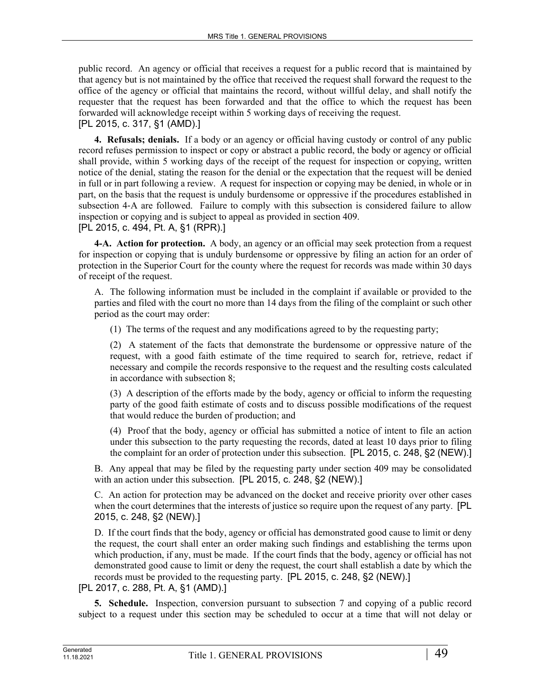public record. An agency or official that receives a request for a public record that is maintained by that agency but is not maintained by the office that received the request shall forward the request to the office of the agency or official that maintains the record, without willful delay, and shall notify the requester that the request has been forwarded and that the office to which the request has been forwarded will acknowledge receipt within 5 working days of receiving the request. [PL 2015, c. 317, §1 (AMD).]

**4. Refusals; denials.** If a body or an agency or official having custody or control of any public record refuses permission to inspect or copy or abstract a public record, the body or agency or official shall provide, within 5 working days of the receipt of the request for inspection or copying, written notice of the denial, stating the reason for the denial or the expectation that the request will be denied in full or in part following a review. A request for inspection or copying may be denied, in whole or in part, on the basis that the request is unduly burdensome or oppressive if the procedures established in subsection 4-A are followed. Failure to comply with this subsection is considered failure to allow inspection or copying and is subject to appeal as provided in section 409.

[PL 2015, c. 494, Pt. A, §1 (RPR).]

**4-A. Action for protection.** A body, an agency or an official may seek protection from a request for inspection or copying that is unduly burdensome or oppressive by filing an action for an order of protection in the Superior Court for the county where the request for records was made within 30 days of receipt of the request.

A. The following information must be included in the complaint if available or provided to the parties and filed with the court no more than 14 days from the filing of the complaint or such other period as the court may order:

(1) The terms of the request and any modifications agreed to by the requesting party;

(2) A statement of the facts that demonstrate the burdensome or oppressive nature of the request, with a good faith estimate of the time required to search for, retrieve, redact if necessary and compile the records responsive to the request and the resulting costs calculated in accordance with subsection 8;

(3) A description of the efforts made by the body, agency or official to inform the requesting party of the good faith estimate of costs and to discuss possible modifications of the request that would reduce the burden of production; and

(4) Proof that the body, agency or official has submitted a notice of intent to file an action under this subsection to the party requesting the records, dated at least 10 days prior to filing the complaint for an order of protection under this subsection. [PL 2015, c. 248, §2 (NEW).]

B. Any appeal that may be filed by the requesting party under section 409 may be consolidated with an action under this subsection. [PL 2015, c. 248, §2 (NEW).]

C. An action for protection may be advanced on the docket and receive priority over other cases when the court determines that the interests of justice so require upon the request of any party. [PL] 2015, c. 248, §2 (NEW).]

D. If the court finds that the body, agency or official has demonstrated good cause to limit or deny the request, the court shall enter an order making such findings and establishing the terms upon which production, if any, must be made. If the court finds that the body, agency or official has not demonstrated good cause to limit or deny the request, the court shall establish a date by which the records must be provided to the requesting party. [PL 2015, c. 248, §2 (NEW).]

[PL 2017, c. 288, Pt. A, §1 (AMD).]

**5. Schedule.** Inspection, conversion pursuant to subsection 7 and copying of a public record subject to a request under this section may be scheduled to occur at a time that will not delay or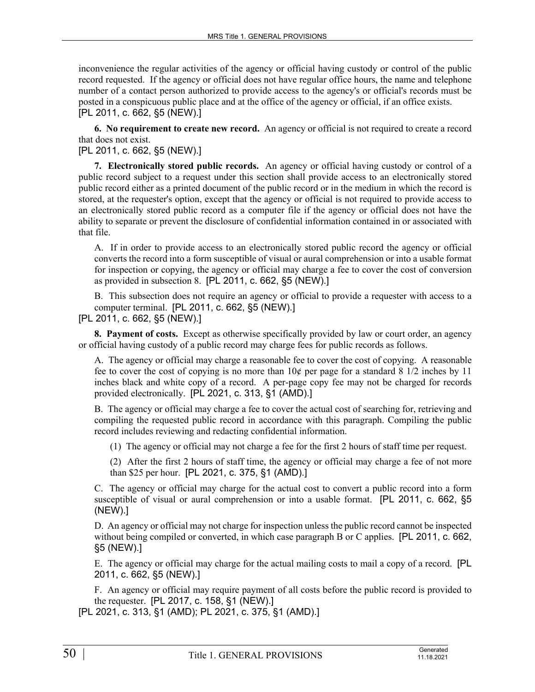inconvenience the regular activities of the agency or official having custody or control of the public record requested. If the agency or official does not have regular office hours, the name and telephone number of a contact person authorized to provide access to the agency's or official's records must be posted in a conspicuous public place and at the office of the agency or official, if an office exists. [PL 2011, c. 662, §5 (NEW).]

**6. No requirement to create new record.** An agency or official is not required to create a record that does not exist.

[PL 2011, c. 662, §5 (NEW).]

**7. Electronically stored public records.** An agency or official having custody or control of a public record subject to a request under this section shall provide access to an electronically stored public record either as a printed document of the public record or in the medium in which the record is stored, at the requester's option, except that the agency or official is not required to provide access to an electronically stored public record as a computer file if the agency or official does not have the ability to separate or prevent the disclosure of confidential information contained in or associated with that file.

A. If in order to provide access to an electronically stored public record the agency or official converts the record into a form susceptible of visual or aural comprehension or into a usable format for inspection or copying, the agency or official may charge a fee to cover the cost of conversion as provided in subsection 8. [PL 2011, c. 662, §5 (NEW).]

B. This subsection does not require an agency or official to provide a requester with access to a computer terminal. [PL 2011, c. 662, §5 (NEW).]

[PL 2011, c. 662, §5 (NEW).]

**8. Payment of costs.** Except as otherwise specifically provided by law or court order, an agency or official having custody of a public record may charge fees for public records as follows.

A. The agency or official may charge a reasonable fee to cover the cost of copying. A reasonable fee to cover the cost of copying is no more than  $10¢$  per page for a standard 8  $1/2$  inches by 11 inches black and white copy of a record. A per-page copy fee may not be charged for records provided electronically. [PL 2021, c. 313, §1 (AMD).]

B. The agency or official may charge a fee to cover the actual cost of searching for, retrieving and compiling the requested public record in accordance with this paragraph. Compiling the public record includes reviewing and redacting confidential information.

(1) The agency or official may not charge a fee for the first 2 hours of staff time per request.

(2) After the first 2 hours of staff time, the agency or official may charge a fee of not more than \$25 per hour. [PL 2021, c. 375, §1 (AMD).]

C. The agency or official may charge for the actual cost to convert a public record into a form susceptible of visual or aural comprehension or into a usable format. [PL 2011, c. 662, §5 (NEW).]

D. An agency or official may not charge for inspection unless the public record cannot be inspected without being compiled or converted, in which case paragraph B or C applies. [PL 2011, c. 662, §5 (NEW).]

E. The agency or official may charge for the actual mailing costs to mail a copy of a record. [PL 2011, c. 662, §5 (NEW).]

F. An agency or official may require payment of all costs before the public record is provided to the requester. [PL 2017, c. 158, §1 (NEW).]

[PL 2021, c. 313, §1 (AMD); PL 2021, c. 375, §1 (AMD).]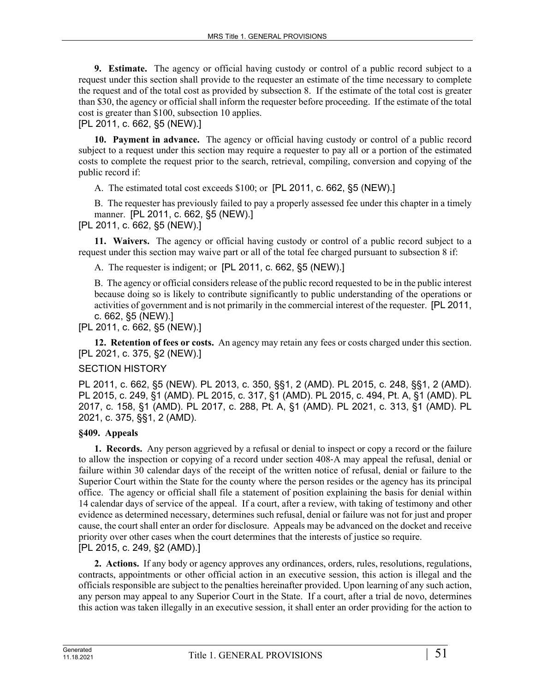**9. Estimate.** The agency or official having custody or control of a public record subject to a request under this section shall provide to the requester an estimate of the time necessary to complete the request and of the total cost as provided by subsection 8. If the estimate of the total cost is greater than \$30, the agency or official shall inform the requester before proceeding. If the estimate of the total cost is greater than \$100, subsection 10 applies.

[PL 2011, c. 662, §5 (NEW).]

**10. Payment in advance.** The agency or official having custody or control of a public record subject to a request under this section may require a requester to pay all or a portion of the estimated costs to complete the request prior to the search, retrieval, compiling, conversion and copying of the public record if:

A. The estimated total cost exceeds \$100; or [PL 2011, c. 662, §5 (NEW).]

B. The requester has previously failed to pay a properly assessed fee under this chapter in a timely manner. [PL 2011, c. 662, §5 (NEW).]

[PL 2011, c. 662, §5 (NEW).]

**11. Waivers.** The agency or official having custody or control of a public record subject to a request under this section may waive part or all of the total fee charged pursuant to subsection 8 if:

A. The requester is indigent; or [PL 2011, c. 662, §5 (NEW).]

B. The agency or official considers release of the public record requested to be in the public interest because doing so is likely to contribute significantly to public understanding of the operations or activities of government and is not primarily in the commercial interest of the requester. [PL 2011, c. 662, §5 (NEW).]

[PL 2011, c. 662, §5 (NEW).]

**12. Retention of fees or costs.** An agency may retain any fees or costs charged under this section. [PL 2021, c. 375, §2 (NEW).]

## SECTION HISTORY

PL 2011, c. 662, §5 (NEW). PL 2013, c. 350, §§1, 2 (AMD). PL 2015, c. 248, §§1, 2 (AMD). PL 2015, c. 249, §1 (AMD). PL 2015, c. 317, §1 (AMD). PL 2015, c. 494, Pt. A, §1 (AMD). PL 2017, c. 158, §1 (AMD). PL 2017, c. 288, Pt. A, §1 (AMD). PL 2021, c. 313, §1 (AMD). PL 2021, c. 375, §§1, 2 (AMD).

## **§409. Appeals**

**1. Records.** Any person aggrieved by a refusal or denial to inspect or copy a record or the failure to allow the inspection or copying of a record under section 408‑A may appeal the refusal, denial or failure within 30 calendar days of the receipt of the written notice of refusal, denial or failure to the Superior Court within the State for the county where the person resides or the agency has its principal office. The agency or official shall file a statement of position explaining the basis for denial within 14 calendar days of service of the appeal. If a court, after a review, with taking of testimony and other evidence as determined necessary, determines such refusal, denial or failure was not for just and proper cause, the court shall enter an order for disclosure. Appeals may be advanced on the docket and receive priority over other cases when the court determines that the interests of justice so require. [PL 2015, c. 249, §2 (AMD).]

**2. Actions.** If any body or agency approves any ordinances, orders, rules, resolutions, regulations, contracts, appointments or other official action in an executive session, this action is illegal and the officials responsible are subject to the penalties hereinafter provided. Upon learning of any such action, any person may appeal to any Superior Court in the State. If a court, after a trial de novo, determines this action was taken illegally in an executive session, it shall enter an order providing for the action to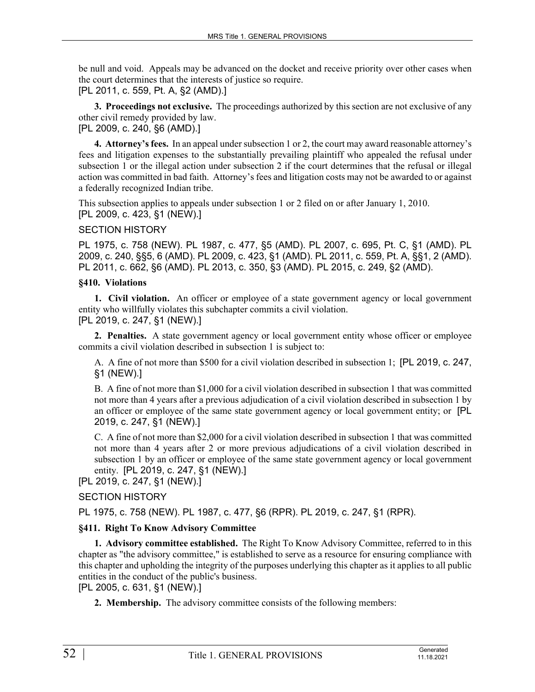be null and void. Appeals may be advanced on the docket and receive priority over other cases when the court determines that the interests of justice so require. [PL 2011, c. 559, Pt. A, §2 (AMD).]

**3. Proceedings not exclusive.** The proceedings authorized by this section are not exclusive of any other civil remedy provided by law.

[PL 2009, c. 240, §6 (AMD).]

**4. Attorney's fees.** In an appeal under subsection 1 or 2, the court may award reasonable attorney's fees and litigation expenses to the substantially prevailing plaintiff who appealed the refusal under subsection 1 or the illegal action under subsection 2 if the court determines that the refusal or illegal action was committed in bad faith. Attorney's fees and litigation costs may not be awarded to or against a federally recognized Indian tribe.

This subsection applies to appeals under subsection 1 or 2 filed on or after January 1, 2010. [PL 2009, c. 423, §1 (NEW).]

SECTION HISTORY

PL 1975, c. 758 (NEW). PL 1987, c. 477, §5 (AMD). PL 2007, c. 695, Pt. C, §1 (AMD). PL 2009, c. 240, §§5, 6 (AMD). PL 2009, c. 423, §1 (AMD). PL 2011, c. 559, Pt. A, §§1, 2 (AMD). PL 2011, c. 662, §6 (AMD). PL 2013, c. 350, §3 (AMD). PL 2015, c. 249, §2 (AMD).

## **§410. Violations**

**1. Civil violation.** An officer or employee of a state government agency or local government entity who willfully violates this subchapter commits a civil violation. [PL 2019, c. 247, §1 (NEW).]

**2. Penalties.** A state government agency or local government entity whose officer or employee commits a civil violation described in subsection 1 is subject to:

A. A fine of not more than \$500 for a civil violation described in subsection 1; [PL 2019, c. 247, §1 (NEW).]

B. A fine of not more than \$1,000 for a civil violation described in subsection 1 that was committed not more than 4 years after a previous adjudication of a civil violation described in subsection 1 by an officer or employee of the same state government agency or local government entity; or [PL 2019, c. 247, §1 (NEW).]

C. A fine of not more than \$2,000 for a civil violation described in subsection 1 that was committed not more than 4 years after 2 or more previous adjudications of a civil violation described in subsection 1 by an officer or employee of the same state government agency or local government entity. [PL 2019, c. 247, §1 (NEW).]

[PL 2019, c. 247, §1 (NEW).]

## SECTION HISTORY

PL 1975, c. 758 (NEW). PL 1987, c. 477, §6 (RPR). PL 2019, c. 247, §1 (RPR).

## **§411. Right To Know Advisory Committee**

**1. Advisory committee established.** The Right To Know Advisory Committee, referred to in this chapter as "the advisory committee," is established to serve as a resource for ensuring compliance with this chapter and upholding the integrity of the purposes underlying this chapter as it applies to all public entities in the conduct of the public's business.

[PL 2005, c. 631, §1 (NEW).]

**2. Membership.** The advisory committee consists of the following members: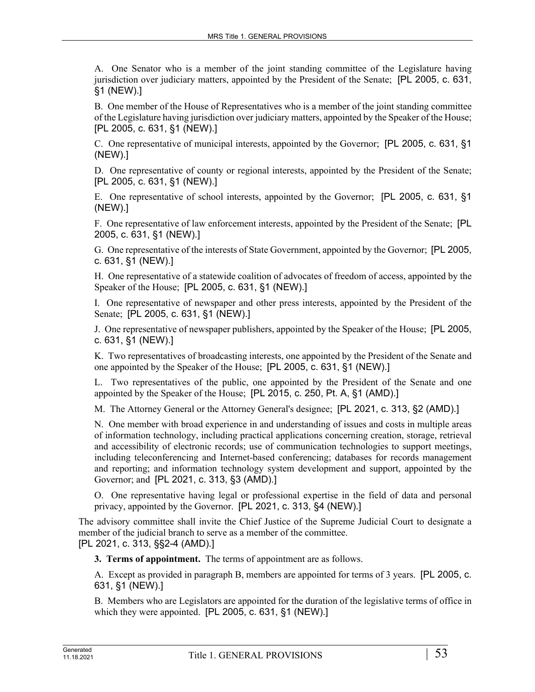A. One Senator who is a member of the joint standing committee of the Legislature having jurisdiction over judiciary matters, appointed by the President of the Senate; [PL 2005, c. 631, §1 (NEW).]

B. One member of the House of Representatives who is a member of the joint standing committee of the Legislature having jurisdiction over judiciary matters, appointed by the Speaker of the House; [PL 2005, c. 631, §1 (NEW).]

C. One representative of municipal interests, appointed by the Governor; [PL 2005, c. 631, §1 (NEW).]

D. One representative of county or regional interests, appointed by the President of the Senate; [PL 2005, c. 631, §1 (NEW).]

E. One representative of school interests, appointed by the Governor; [PL 2005, c. 631, §1 (NEW).]

F. One representative of law enforcement interests, appointed by the President of the Senate; [PL 2005, c. 631, §1 (NEW).]

G. One representative of the interests of State Government, appointed by the Governor; [PL 2005, c. 631, §1 (NEW).]

H. One representative of a statewide coalition of advocates of freedom of access, appointed by the Speaker of the House; [PL 2005, c. 631, §1 (NEW).]

I. One representative of newspaper and other press interests, appointed by the President of the Senate; [PL 2005, c. 631, §1 (NEW).]

J. One representative of newspaper publishers, appointed by the Speaker of the House; [PL 2005, c. 631, §1 (NEW).]

K. Two representatives of broadcasting interests, one appointed by the President of the Senate and one appointed by the Speaker of the House; [PL 2005, c. 631, §1 (NEW).]

L. Two representatives of the public, one appointed by the President of the Senate and one appointed by the Speaker of the House; [PL 2015, c. 250, Pt. A, §1 (AMD).]

M. The Attorney General or the Attorney General's designee; [PL 2021, c. 313, §2 (AMD).]

N. One member with broad experience in and understanding of issues and costs in multiple areas of information technology, including practical applications concerning creation, storage, retrieval and accessibility of electronic records; use of communication technologies to support meetings, including teleconferencing and Internet-based conferencing; databases for records management and reporting; and information technology system development and support, appointed by the Governor; and [PL 2021, c. 313, §3 (AMD).]

O. One representative having legal or professional expertise in the field of data and personal privacy, appointed by the Governor. [PL 2021, c. 313, §4 (NEW).]

The advisory committee shall invite the Chief Justice of the Supreme Judicial Court to designate a member of the judicial branch to serve as a member of the committee. [PL 2021, c. 313, §§2-4 (AMD).]

**3. Terms of appointment.** The terms of appointment are as follows.

A. Except as provided in paragraph B, members are appointed for terms of 3 years. [PL 2005, c. 631, §1 (NEW).]

B. Members who are Legislators are appointed for the duration of the legislative terms of office in which they were appointed. [PL 2005, c. 631, §1 (NEW).]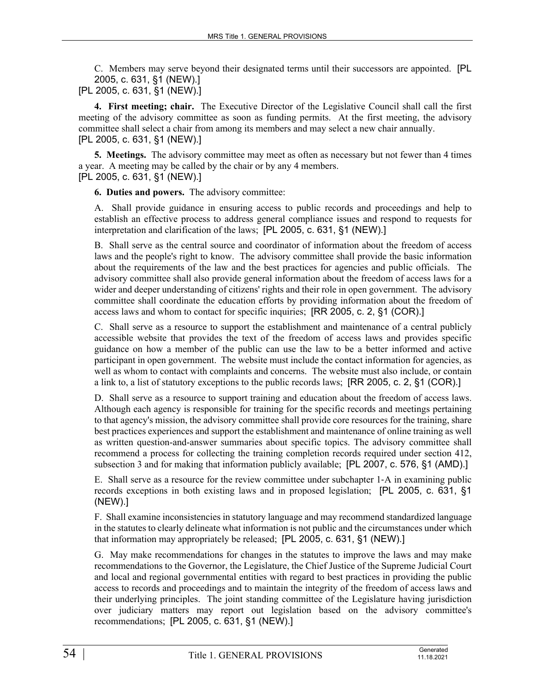C. Members may serve beyond their designated terms until their successors are appointed. [PL 2005, c. 631, §1 (NEW).] [PL 2005, c. 631, §1 (NEW).]

**4. First meeting; chair.** The Executive Director of the Legislative Council shall call the first meeting of the advisory committee as soon as funding permits. At the first meeting, the advisory committee shall select a chair from among its members and may select a new chair annually.

[PL 2005, c. 631, §1 (NEW).]

**5. Meetings.** The advisory committee may meet as often as necessary but not fewer than 4 times a year. A meeting may be called by the chair or by any 4 members. [PL 2005, c. 631, §1 (NEW).]

**6. Duties and powers.** The advisory committee:

A. Shall provide guidance in ensuring access to public records and proceedings and help to establish an effective process to address general compliance issues and respond to requests for interpretation and clarification of the laws; [PL 2005, c. 631, §1 (NEW).]

B. Shall serve as the central source and coordinator of information about the freedom of access laws and the people's right to know. The advisory committee shall provide the basic information about the requirements of the law and the best practices for agencies and public officials. The advisory committee shall also provide general information about the freedom of access laws for a wider and deeper understanding of citizens' rights and their role in open government. The advisory committee shall coordinate the education efforts by providing information about the freedom of access laws and whom to contact for specific inquiries; [RR 2005, c. 2, §1 (COR).]

C. Shall serve as a resource to support the establishment and maintenance of a central publicly accessible website that provides the text of the freedom of access laws and provides specific guidance on how a member of the public can use the law to be a better informed and active participant in open government. The website must include the contact information for agencies, as well as whom to contact with complaints and concerns. The website must also include, or contain a link to, a list of statutory exceptions to the public records laws; [RR 2005, c. 2, §1 (COR).]

D. Shall serve as a resource to support training and education about the freedom of access laws. Although each agency is responsible for training for the specific records and meetings pertaining to that agency's mission, the advisory committee shall provide core resources for the training, share best practices experiences and support the establishment and maintenance of online training as well as written question-and-answer summaries about specific topics. The advisory committee shall recommend a process for collecting the training completion records required under section 412, subsection 3 and for making that information publicly available; [PL 2007, c. 576, §1 (AMD).]

E. Shall serve as a resource for the review committee under subchapter 1‑A in examining public records exceptions in both existing laws and in proposed legislation; [PL 2005, c. 631, §1 (NEW).]

F. Shall examine inconsistencies in statutory language and may recommend standardized language in the statutes to clearly delineate what information is not public and the circumstances under which that information may appropriately be released; [PL 2005, c. 631, §1 (NEW).]

G. May make recommendations for changes in the statutes to improve the laws and may make recommendations to the Governor, the Legislature, the Chief Justice of the Supreme Judicial Court and local and regional governmental entities with regard to best practices in providing the public access to records and proceedings and to maintain the integrity of the freedom of access laws and their underlying principles. The joint standing committee of the Legislature having jurisdiction over judiciary matters may report out legislation based on the advisory committee's recommendations; [PL 2005, c. 631, §1 (NEW).]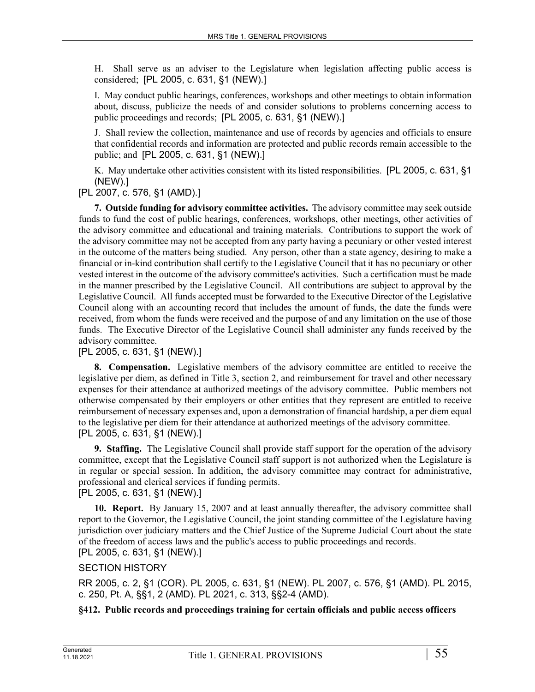H. Shall serve as an adviser to the Legislature when legislation affecting public access is considered; [PL 2005, c. 631, §1 (NEW).]

I. May conduct public hearings, conferences, workshops and other meetings to obtain information about, discuss, publicize the needs of and consider solutions to problems concerning access to public proceedings and records; [PL 2005, c. 631, §1 (NEW).]

J. Shall review the collection, maintenance and use of records by agencies and officials to ensure that confidential records and information are protected and public records remain accessible to the public; and [PL 2005, c. 631, §1 (NEW).]

K. May undertake other activities consistent with its listed responsibilities. [PL 2005, c. 631, §1 (NEW).]

[PL 2007, c. 576, §1 (AMD).]

**7. Outside funding for advisory committee activities.** The advisory committee may seek outside funds to fund the cost of public hearings, conferences, workshops, other meetings, other activities of the advisory committee and educational and training materials. Contributions to support the work of the advisory committee may not be accepted from any party having a pecuniary or other vested interest in the outcome of the matters being studied. Any person, other than a state agency, desiring to make a financial or in-kind contribution shall certify to the Legislative Council that it has no pecuniary or other vested interest in the outcome of the advisory committee's activities. Such a certification must be made in the manner prescribed by the Legislative Council. All contributions are subject to approval by the Legislative Council. All funds accepted must be forwarded to the Executive Director of the Legislative Council along with an accounting record that includes the amount of funds, the date the funds were received, from whom the funds were received and the purpose of and any limitation on the use of those funds. The Executive Director of the Legislative Council shall administer any funds received by the advisory committee.

## [PL 2005, c. 631, §1 (NEW).]

**8. Compensation.** Legislative members of the advisory committee are entitled to receive the legislative per diem, as defined in Title 3, section 2, and reimbursement for travel and other necessary expenses for their attendance at authorized meetings of the advisory committee. Public members not otherwise compensated by their employers or other entities that they represent are entitled to receive reimbursement of necessary expenses and, upon a demonstration of financial hardship, a per diem equal to the legislative per diem for their attendance at authorized meetings of the advisory committee. [PL 2005, c. 631, §1 (NEW).]

**9. Staffing.** The Legislative Council shall provide staff support for the operation of the advisory committee, except that the Legislative Council staff support is not authorized when the Legislature is in regular or special session. In addition, the advisory committee may contract for administrative, professional and clerical services if funding permits.

[PL 2005, c. 631, §1 (NEW).]

**10. Report.** By January 15, 2007 and at least annually thereafter, the advisory committee shall report to the Governor, the Legislative Council, the joint standing committee of the Legislature having jurisdiction over judiciary matters and the Chief Justice of the Supreme Judicial Court about the state of the freedom of access laws and the public's access to public proceedings and records. [PL 2005, c. 631, §1 (NEW).]

## SECTION HISTORY

RR 2005, c. 2, §1 (COR). PL 2005, c. 631, §1 (NEW). PL 2007, c. 576, §1 (AMD). PL 2015, c. 250, Pt. A, §§1, 2 (AMD). PL 2021, c. 313, §§2-4 (AMD).

**§412. Public records and proceedings training for certain officials and public access officers**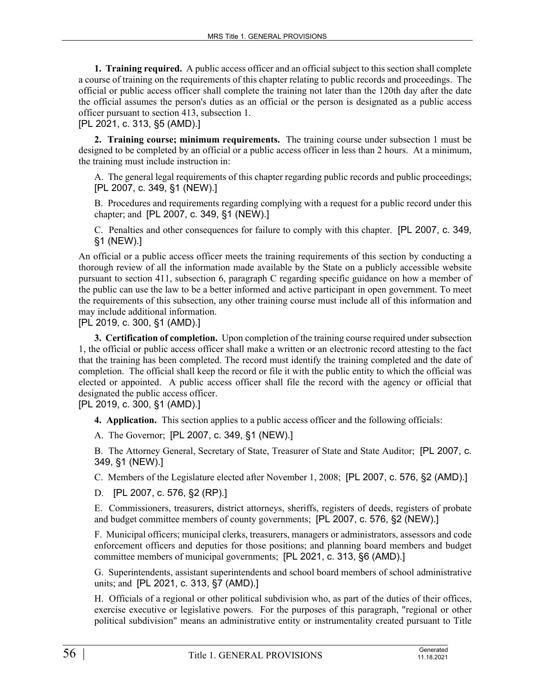**1. Training required.** A public access officer and an official subject to this section shall complete a course of training on the requirements of this chapter relating to public records and proceedings. The official or public access officer shall complete the training not later than the 120th day after the date the official assumes the person's duties as an official or the person is designated as a public access officer pursuant to section 413, subsection 1.

[PL 2021, c. 313, §5 (AMD).]

**2. Training course; minimum requirements.** The training course under subsection 1 must be designed to be completed by an official or a public access officer in less than 2 hours. At a minimum, the training must include instruction in:

A. The general legal requirements of this chapter regarding public records and public proceedings; [PL 2007, c. 349, §1 (NEW).]

B. Procedures and requirements regarding complying with a request for a public record under this chapter; and [PL 2007, c. 349, §1 (NEW).]

C. Penalties and other consequences for failure to comply with this chapter. [PL 2007, c. 349, §1 (NEW).]

An official or a public access officer meets the training requirements of this section by conducting a thorough review of all the information made available by the State on a publicly accessible website pursuant to section 411, subsection 6, paragraph C regarding specific guidance on how a member of the public can use the law to be a better informed and active participant in open government. To meet the requirements of this subsection, any other training course must include all of this information and may include additional information.

[PL 2019, c. 300, §1 (AMD).]

**3. Certification of completion.** Upon completion of the training course required under subsection 1, the official or public access officer shall make a written or an electronic record attesting to the fact that the training has been completed. The record must identify the training completed and the date of completion. The official shall keep the record or file it with the public entity to which the official was elected or appointed. A public access officer shall file the record with the agency or official that designated the public access officer.

[PL 2019, c. 300, §1 (AMD).]

**4. Application.** This section applies to a public access officer and the following officials:

A. The Governor; [PL 2007, c. 349, §1 (NEW).]

B. The Attorney General, Secretary of State, Treasurer of State and State Auditor; [PL 2007, c. 349, §1 (NEW).]

C. Members of the Legislature elected after November 1, 2008; [PL 2007, c. 576, §2 (AMD).]

D. [PL 2007, c. 576, §2 (RP).]

E. Commissioners, treasurers, district attorneys, sheriffs, registers of deeds, registers of probate and budget committee members of county governments; [PL 2007, c. 576, §2 (NEW).]

F. Municipal officers; municipal clerks, treasurers, managers or administrators, assessors and code enforcement officers and deputies for those positions; and planning board members and budget committee members of municipal governments; [PL 2021, c. 313, §6 (AMD).]

G. Superintendents, assistant superintendents and school board members of school administrative units; and [PL 2021, c. 313, §7 (AMD).]

H. Officials of a regional or other political subdivision who, as part of the duties of their offices, exercise executive or legislative powers. For the purposes of this paragraph, "regional or other political subdivision" means an administrative entity or instrumentality created pursuant to Title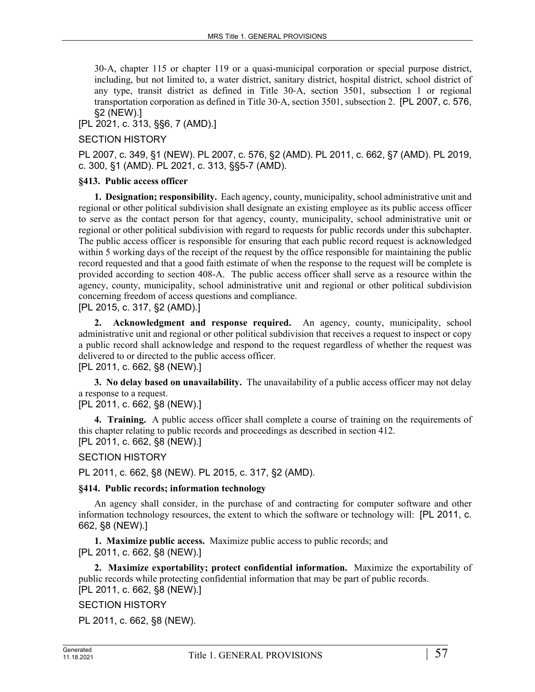30‑A, chapter 115 or chapter 119 or a quasi-municipal corporation or special purpose district, including, but not limited to, a water district, sanitary district, hospital district, school district of any type, transit district as defined in Title 30‑A, section 3501, subsection 1 or regional transportation corporation as defined in Title 30‑A, section 3501, subsection 2. [PL 2007, c. 576, §2 (NEW).]

[PL 2021, c. 313, §§6, 7 (AMD).]

## SECTION HISTORY

PL 2007, c. 349, §1 (NEW). PL 2007, c. 576, §2 (AMD). PL 2011, c. 662, §7 (AMD). PL 2019, c. 300, §1 (AMD). PL 2021, c. 313, §§5-7 (AMD).

## **§413. Public access officer**

**1. Designation; responsibility.** Each agency, county, municipality, school administrative unit and regional or other political subdivision shall designate an existing employee as its public access officer to serve as the contact person for that agency, county, municipality, school administrative unit or regional or other political subdivision with regard to requests for public records under this subchapter. The public access officer is responsible for ensuring that each public record request is acknowledged within 5 working days of the receipt of the request by the office responsible for maintaining the public record requested and that a good faith estimate of when the response to the request will be complete is provided according to section 408-A. The public access officer shall serve as a resource within the agency, county, municipality, school administrative unit and regional or other political subdivision concerning freedom of access questions and compliance.

[PL 2015, c. 317, §2 (AMD).]

**2. Acknowledgment and response required.** An agency, county, municipality, school administrative unit and regional or other political subdivision that receives a request to inspect or copy a public record shall acknowledge and respond to the request regardless of whether the request was delivered to or directed to the public access officer.

[PL 2011, c. 662, §8 (NEW).]

**3. No delay based on unavailability.** The unavailability of a public access officer may not delay a response to a request.

## [PL 2011, c. 662, §8 (NEW).]

**4. Training.** A public access officer shall complete a course of training on the requirements of this chapter relating to public records and proceedings as described in section 412. [PL 2011, c. 662, §8 (NEW).]

## SECTION HISTORY

PL 2011, c. 662, §8 (NEW). PL 2015, c. 317, §2 (AMD).

## **§414. Public records; information technology**

An agency shall consider, in the purchase of and contracting for computer software and other information technology resources, the extent to which the software or technology will: [PL 2011, c. 662, §8 (NEW).]

**1. Maximize public access.** Maximize public access to public records; and [PL 2011, c. 662, §8 (NEW).]

**2. Maximize exportability; protect confidential information.** Maximize the exportability of public records while protecting confidential information that may be part of public records. [PL 2011, c. 662, §8 (NEW).]

## SECTION HISTORY

PL 2011, c. 662, §8 (NEW).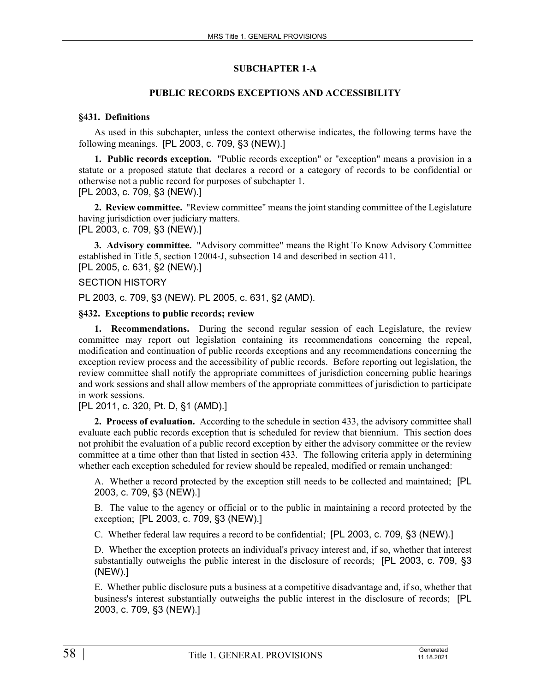## **SUBCHAPTER 1-A**

## **PUBLIC RECORDS EXCEPTIONS AND ACCESSIBILITY**

#### **§431. Definitions**

As used in this subchapter, unless the context otherwise indicates, the following terms have the following meanings. [PL 2003, c. 709, §3 (NEW).]

**1. Public records exception.** "Public records exception" or "exception" means a provision in a statute or a proposed statute that declares a record or a category of records to be confidential or otherwise not a public record for purposes of subchapter 1. [PL 2003, c. 709, §3 (NEW).]

**2. Review committee.** "Review committee" means the joint standing committee of the Legislature having jurisdiction over judiciary matters.

[PL 2003, c. 709, §3 (NEW).]

**3. Advisory committee.** "Advisory committee" means the Right To Know Advisory Committee established in Title 5, section 12004‑J, subsection 14 and described in section 411. [PL 2005, c. 631, §2 (NEW).]

## SECTION HISTORY

PL 2003, c. 709, §3 (NEW). PL 2005, c. 631, §2 (AMD).

## **§432. Exceptions to public records; review**

**1. Recommendations.** During the second regular session of each Legislature, the review committee may report out legislation containing its recommendations concerning the repeal, modification and continuation of public records exceptions and any recommendations concerning the exception review process and the accessibility of public records. Before reporting out legislation, the review committee shall notify the appropriate committees of jurisdiction concerning public hearings and work sessions and shall allow members of the appropriate committees of jurisdiction to participate in work sessions.

## [PL 2011, c. 320, Pt. D, §1 (AMD).]

**2. Process of evaluation.** According to the schedule in section 433, the advisory committee shall evaluate each public records exception that is scheduled for review that biennium. This section does not prohibit the evaluation of a public record exception by either the advisory committee or the review committee at a time other than that listed in section 433. The following criteria apply in determining whether each exception scheduled for review should be repealed, modified or remain unchanged:

A. Whether a record protected by the exception still needs to be collected and maintained; [PL 2003, c. 709, §3 (NEW).]

B. The value to the agency or official or to the public in maintaining a record protected by the exception; [PL 2003, c. 709, §3 (NEW).]

C. Whether federal law requires a record to be confidential; [PL 2003, c. 709, §3 (NEW).]

D. Whether the exception protects an individual's privacy interest and, if so, whether that interest substantially outweighs the public interest in the disclosure of records; [PL 2003, c. 709, §3 (NEW).]

E. Whether public disclosure puts a business at a competitive disadvantage and, if so, whether that business's interest substantially outweighs the public interest in the disclosure of records; [PL 2003, c. 709, §3 (NEW).]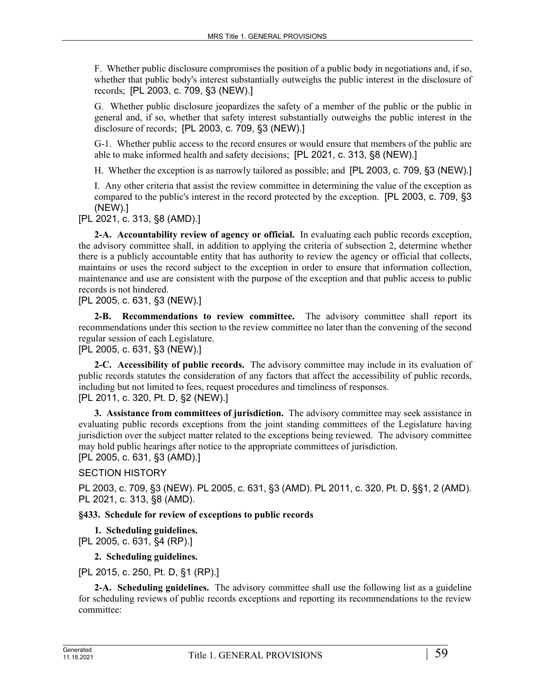F. Whether public disclosure compromises the position of a public body in negotiations and, if so, whether that public body's interest substantially outweighs the public interest in the disclosure of records; [PL 2003, c. 709, §3 (NEW).]

G. Whether public disclosure jeopardizes the safety of a member of the public or the public in general and, if so, whether that safety interest substantially outweighs the public interest in the disclosure of records; [PL 2003, c. 709, §3 (NEW).]

G-1. Whether public access to the record ensures or would ensure that members of the public are able to make informed health and safety decisions; [PL 2021, c. 313, §8 (NEW).]

H. Whether the exception is as narrowly tailored as possible; and [PL 2003, c. 709, §3 (NEW).]

I. Any other criteria that assist the review committee in determining the value of the exception as compared to the public's interest in the record protected by the exception. [PL 2003, c. 709, §3 (NEW).]

[PL 2021, c. 313, §8 (AMD).]

**2-A. Accountability review of agency or official.** In evaluating each public records exception, the advisory committee shall, in addition to applying the criteria of subsection 2, determine whether there is a publicly accountable entity that has authority to review the agency or official that collects, maintains or uses the record subject to the exception in order to ensure that information collection, maintenance and use are consistent with the purpose of the exception and that public access to public records is not hindered.

[PL 2005, c. 631, §3 (NEW).]

**2-B. Recommendations to review committee.** The advisory committee shall report its recommendations under this section to the review committee no later than the convening of the second regular session of each Legislature.

[PL 2005, c. 631, §3 (NEW).]

**2-C. Accessibility of public records.** The advisory committee may include in its evaluation of public records statutes the consideration of any factors that affect the accessibility of public records, including but not limited to fees, request procedures and timeliness of responses. [PL 2011, c. 320, Pt. D, §2 (NEW).]

**3. Assistance from committees of jurisdiction.** The advisory committee may seek assistance in evaluating public records exceptions from the joint standing committees of the Legislature having jurisdiction over the subject matter related to the exceptions being reviewed. The advisory committee may hold public hearings after notice to the appropriate committees of jurisdiction. [PL 2005, c. 631, §3 (AMD).]

SECTION HISTORY

PL 2003, c. 709, §3 (NEW). PL 2005, c. 631, §3 (AMD). PL 2011, c. 320, Pt. D, §§1, 2 (AMD). PL 2021, c. 313, §8 (AMD).

## **§433. Schedule for review of exceptions to public records**

**1. Scheduling guidelines.** 

[PL 2005, c. 631, §4 (RP).]

**2. Scheduling guidelines.** 

[PL 2015, c. 250, Pt. D, §1 (RP).]

**2-A. Scheduling guidelines.** The advisory committee shall use the following list as a guideline for scheduling reviews of public records exceptions and reporting its recommendations to the review committee: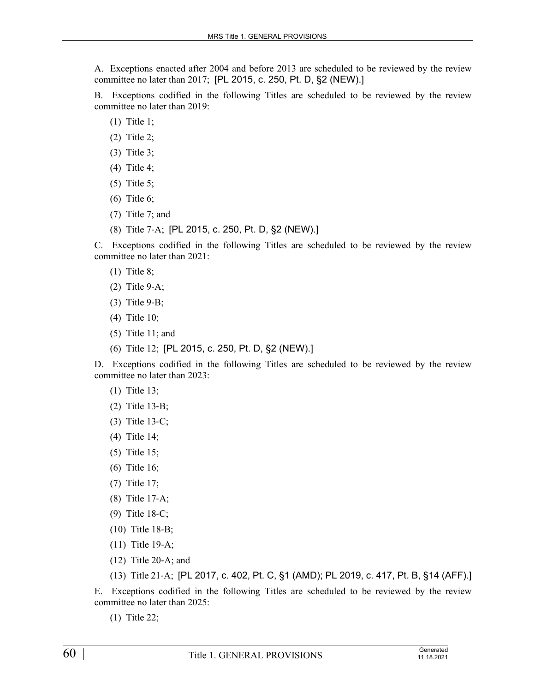A. Exceptions enacted after 2004 and before 2013 are scheduled to be reviewed by the review committee no later than 2017; [PL 2015, c. 250, Pt. D, §2 (NEW).]

B. Exceptions codified in the following Titles are scheduled to be reviewed by the review committee no later than 2019:

- (1) Title 1;
- (2) Title 2;
- (3) Title 3;
- (4) Title 4;
- (5) Title 5;
- (6) Title 6;
- (7) Title 7; and
- (8) Title 7‑A; [PL 2015, c. 250, Pt. D, §2 (NEW).]

C. Exceptions codified in the following Titles are scheduled to be reviewed by the review committee no later than 2021:

- (1) Title 8;
- (2) Title 9‑A;
- (3) Title 9‑B;
- (4) Title 10;
- (5) Title 11; and
- (6) Title 12; [PL 2015, c. 250, Pt. D, §2 (NEW).]

D. Exceptions codified in the following Titles are scheduled to be reviewed by the review committee no later than 2023:

- (1) Title 13;
- (2) Title 13‑B;
- (3) Title 13‑C;
- (4) Title 14;
- (5) Title 15;
- (6) Title 16;
- (7) Title 17;
- (8) Title 17‑A;
- (9) Title 18‑C;
- (10) Title 18‑B;
- (11) Title 19‑A;
- (12) Title 20‑A; and
- (13) Title 21‑A; [PL 2017, c. 402, Pt. C, §1 (AMD); PL 2019, c. 417, Pt. B, §14 (AFF).]

E. Exceptions codified in the following Titles are scheduled to be reviewed by the review committee no later than 2025:

(1) Title 22;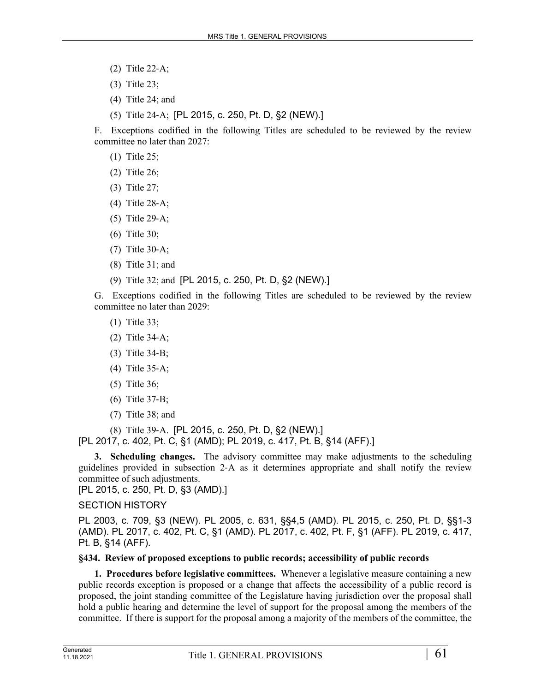- (2) Title 22‑A;
- (3) Title 23;
- (4) Title 24; and
- (5) Title 24‑A; [PL 2015, c. 250, Pt. D, §2 (NEW).]

F. Exceptions codified in the following Titles are scheduled to be reviewed by the review committee no later than 2027:

- (1) Title 25;
- (2) Title 26;
- (3) Title 27;
- (4) Title 28‑A;
- (5) Title 29‑A;
- (6) Title 30;
- (7) Title 30‑A;
- (8) Title 31; and
- (9) Title 32; and [PL 2015, c. 250, Pt. D, §2 (NEW).]

G. Exceptions codified in the following Titles are scheduled to be reviewed by the review committee no later than 2029:

- (1) Title 33;
- (2) Title 34‑A;
- (3) Title 34‑B;
- (4) Title 35‑A;
- (5) Title 36;
- (6) Title 37‑B;
- (7) Title 38; and

(8) Title 39‑A. [PL 2015, c. 250, Pt. D, §2 (NEW).]

[PL 2017, c. 402, Pt. C, §1 (AMD); PL 2019, c. 417, Pt. B, §14 (AFF).]

**3. Scheduling changes.** The advisory committee may make adjustments to the scheduling guidelines provided in subsection 2‑A as it determines appropriate and shall notify the review committee of such adjustments.

[PL 2015, c. 250, Pt. D, §3 (AMD).]

## SECTION HISTORY

PL 2003, c. 709, §3 (NEW). PL 2005, c. 631, §§4,5 (AMD). PL 2015, c. 250, Pt. D, §§1-3 (AMD). PL 2017, c. 402, Pt. C, §1 (AMD). PL 2017, c. 402, Pt. F, §1 (AFF). PL 2019, c. 417, Pt. B, §14 (AFF).

## **§434. Review of proposed exceptions to public records; accessibility of public records**

**1. Procedures before legislative committees.** Whenever a legislative measure containing a new public records exception is proposed or a change that affects the accessibility of a public record is proposed, the joint standing committee of the Legislature having jurisdiction over the proposal shall hold a public hearing and determine the level of support for the proposal among the members of the committee. If there is support for the proposal among a majority of the members of the committee, the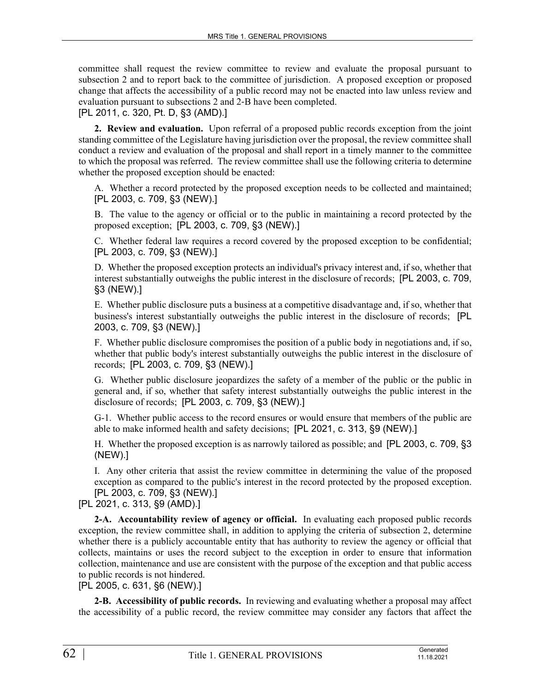committee shall request the review committee to review and evaluate the proposal pursuant to subsection 2 and to report back to the committee of jurisdiction. A proposed exception or proposed change that affects the accessibility of a public record may not be enacted into law unless review and evaluation pursuant to subsections 2 and 2‑B have been completed.

[PL 2011, c. 320, Pt. D, §3 (AMD).]

**2. Review and evaluation.** Upon referral of a proposed public records exception from the joint standing committee of the Legislature having jurisdiction over the proposal, the review committee shall conduct a review and evaluation of the proposal and shall report in a timely manner to the committee to which the proposal was referred. The review committee shall use the following criteria to determine whether the proposed exception should be enacted:

A. Whether a record protected by the proposed exception needs to be collected and maintained; [PL 2003, c. 709, §3 (NEW).]

B. The value to the agency or official or to the public in maintaining a record protected by the proposed exception; [PL 2003, c. 709, §3 (NEW).]

C. Whether federal law requires a record covered by the proposed exception to be confidential; [PL 2003, c. 709, §3 (NEW).]

D. Whether the proposed exception protects an individual's privacy interest and, if so, whether that interest substantially outweighs the public interest in the disclosure of records; [PL 2003, c. 709, §3 (NEW).]

E. Whether public disclosure puts a business at a competitive disadvantage and, if so, whether that business's interest substantially outweighs the public interest in the disclosure of records; [PL 2003, c. 709, §3 (NEW).]

F. Whether public disclosure compromises the position of a public body in negotiations and, if so, whether that public body's interest substantially outweighs the public interest in the disclosure of records; [PL 2003, c. 709, §3 (NEW).]

G. Whether public disclosure jeopardizes the safety of a member of the public or the public in general and, if so, whether that safety interest substantially outweighs the public interest in the disclosure of records; [PL 2003, c. 709, §3 (NEW).]

G-1. Whether public access to the record ensures or would ensure that members of the public are able to make informed health and safety decisions; [PL 2021, c. 313, §9 (NEW).]

H. Whether the proposed exception is as narrowly tailored as possible; and [PL 2003, c. 709, §3 (NEW).]

I. Any other criteria that assist the review committee in determining the value of the proposed exception as compared to the public's interest in the record protected by the proposed exception. [PL 2003, c. 709, §3 (NEW).]

[PL 2021, c. 313, §9 (AMD).]

**2-A. Accountability review of agency or official.** In evaluating each proposed public records exception, the review committee shall, in addition to applying the criteria of subsection 2, determine whether there is a publicly accountable entity that has authority to review the agency or official that collects, maintains or uses the record subject to the exception in order to ensure that information collection, maintenance and use are consistent with the purpose of the exception and that public access to public records is not hindered.

[PL 2005, c. 631, §6 (NEW).]

**2-B. Accessibility of public records.** In reviewing and evaluating whether a proposal may affect the accessibility of a public record, the review committee may consider any factors that affect the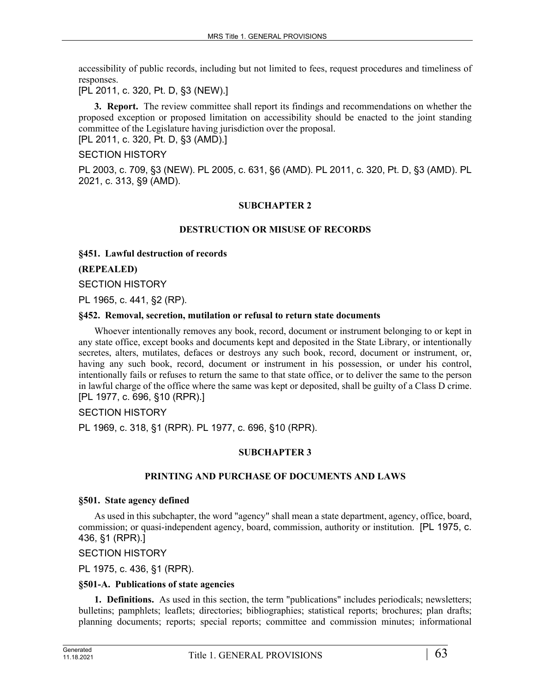accessibility of public records, including but not limited to fees, request procedures and timeliness of responses.

[PL 2011, c. 320, Pt. D, §3 (NEW).]

**3. Report.** The review committee shall report its findings and recommendations on whether the proposed exception or proposed limitation on accessibility should be enacted to the joint standing committee of the Legislature having jurisdiction over the proposal.

[PL 2011, c. 320, Pt. D, §3 (AMD).]

## SECTION HISTORY

PL 2003, c. 709, §3 (NEW). PL 2005, c. 631, §6 (AMD). PL 2011, c. 320, Pt. D, §3 (AMD). PL 2021, c. 313, §9 (AMD).

## **SUBCHAPTER 2**

## **DESTRUCTION OR MISUSE OF RECORDS**

**§451. Lawful destruction of records**

#### **(REPEALED)**

SECTION HISTORY

PL 1965, c. 441, §2 (RP).

#### **§452. Removal, secretion, mutilation or refusal to return state documents**

Whoever intentionally removes any book, record, document or instrument belonging to or kept in any state office, except books and documents kept and deposited in the State Library, or intentionally secretes, alters, mutilates, defaces or destroys any such book, record, document or instrument, or, having any such book, record, document or instrument in his possession, or under his control, intentionally fails or refuses to return the same to that state office, or to deliver the same to the person in lawful charge of the office where the same was kept or deposited, shall be guilty of a Class D crime. [PL 1977, c. 696, §10 (RPR).]

#### SECTION HISTORY

PL 1969, c. 318, §1 (RPR). PL 1977, c. 696, §10 (RPR).

## **SUBCHAPTER 3**

#### **PRINTING AND PURCHASE OF DOCUMENTS AND LAWS**

#### **§501. State agency defined**

As used in this subchapter, the word "agency" shall mean a state department, agency, office, board, commission; or quasi-independent agency, board, commission, authority or institution. [PL 1975, c. 436, §1 (RPR).]

#### SECTION HISTORY

PL 1975, c. 436, §1 (RPR).

#### **§501-A. Publications of state agencies**

**1. Definitions.** As used in this section, the term "publications" includes periodicals; newsletters; bulletins; pamphlets; leaflets; directories; bibliographies; statistical reports; brochures; plan drafts; planning documents; reports; special reports; committee and commission minutes; informational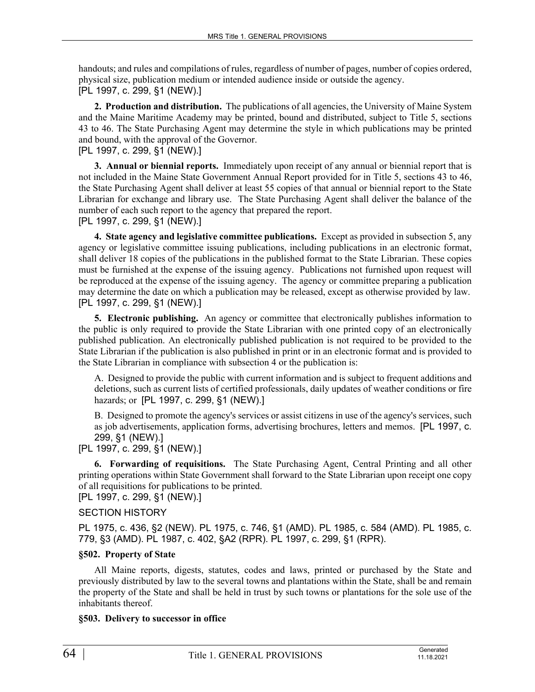handouts; and rules and compilations of rules, regardless of number of pages, number of copies ordered, physical size, publication medium or intended audience inside or outside the agency. [PL 1997, c. 299, §1 (NEW).]

**2. Production and distribution.** The publications of all agencies, the University of Maine System and the Maine Maritime Academy may be printed, bound and distributed, subject to Title 5, sections 43 to 46. The State Purchasing Agent may determine the style in which publications may be printed and bound, with the approval of the Governor.

[PL 1997, c. 299, §1 (NEW).]

**3. Annual or biennial reports.** Immediately upon receipt of any annual or biennial report that is not included in the Maine State Government Annual Report provided for in Title 5, sections 43 to 46, the State Purchasing Agent shall deliver at least 55 copies of that annual or biennial report to the State Librarian for exchange and library use. The State Purchasing Agent shall deliver the balance of the number of each such report to the agency that prepared the report.

[PL 1997, c. 299, §1 (NEW).]

**4. State agency and legislative committee publications.** Except as provided in subsection 5, any agency or legislative committee issuing publications, including publications in an electronic format, shall deliver 18 copies of the publications in the published format to the State Librarian. These copies must be furnished at the expense of the issuing agency. Publications not furnished upon request will be reproduced at the expense of the issuing agency. The agency or committee preparing a publication may determine the date on which a publication may be released, except as otherwise provided by law. [PL 1997, c. 299, §1 (NEW).]

**5. Electronic publishing.** An agency or committee that electronically publishes information to the public is only required to provide the State Librarian with one printed copy of an electronically published publication. An electronically published publication is not required to be provided to the State Librarian if the publication is also published in print or in an electronic format and is provided to the State Librarian in compliance with subsection 4 or the publication is:

A. Designed to provide the public with current information and is subject to frequent additions and deletions, such as current lists of certified professionals, daily updates of weather conditions or fire hazards; or [PL 1997, c. 299, §1 (NEW).]

B. Designed to promote the agency's services or assist citizens in use of the agency's services, such as job advertisements, application forms, advertising brochures, letters and memos. [PL 1997, c. 299, §1 (NEW).]

[PL 1997, c. 299, §1 (NEW).]

**6. Forwarding of requisitions.** The State Purchasing Agent, Central Printing and all other printing operations within State Government shall forward to the State Librarian upon receipt one copy of all requisitions for publications to be printed.

[PL 1997, c. 299, §1 (NEW).]

## SECTION HISTORY

PL 1975, c. 436, §2 (NEW). PL 1975, c. 746, §1 (AMD). PL 1985, c. 584 (AMD). PL 1985, c. 779, §3 (AMD). PL 1987, c. 402, §A2 (RPR). PL 1997, c. 299, §1 (RPR).

## **§502. Property of State**

All Maine reports, digests, statutes, codes and laws, printed or purchased by the State and previously distributed by law to the several towns and plantations within the State, shall be and remain the property of the State and shall be held in trust by such towns or plantations for the sole use of the inhabitants thereof.

## **§503. Delivery to successor in office**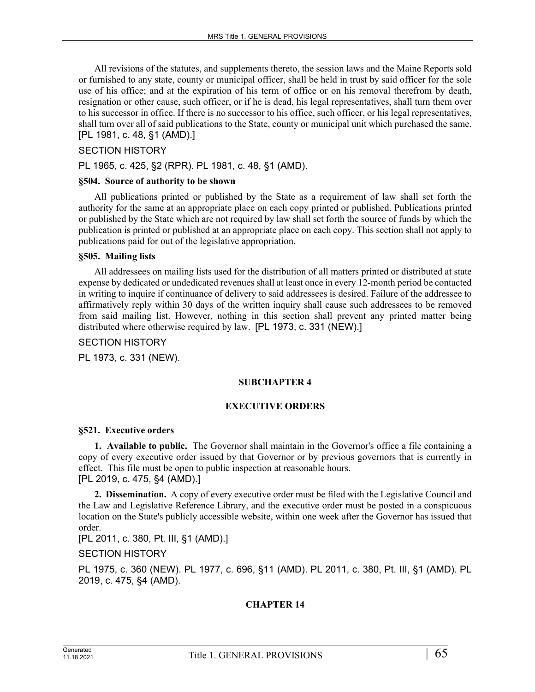All revisions of the statutes, and supplements thereto, the session laws and the Maine Reports sold or furnished to any state, county or municipal officer, shall be held in trust by said officer for the sole use of his office; and at the expiration of his term of office or on his removal therefrom by death, resignation or other cause, such officer, or if he is dead, his legal representatives, shall turn them over to his successor in office. If there is no successor to his office, such officer, or his legal representatives, shall turn over all of said publications to the State, county or municipal unit which purchased the same. [PL 1981, c. 48, §1 (AMD).]

#### SECTION HISTORY

PL 1965, c. 425, §2 (RPR). PL 1981, c. 48, §1 (AMD).

#### **§504. Source of authority to be shown**

All publications printed or published by the State as a requirement of law shall set forth the authority for the same at an appropriate place on each copy printed or published. Publications printed or published by the State which are not required by law shall set forth the source of funds by which the publication is printed or published at an appropriate place on each copy. This section shall not apply to publications paid for out of the legislative appropriation.

#### **§505. Mailing lists**

All addressees on mailing lists used for the distribution of all matters printed or distributed at state expense by dedicated or undedicated revenues shall at least once in every 12-month period be contacted in writing to inquire if continuance of delivery to said addressees is desired. Failure of the addressee to affirmatively reply within 30 days of the written inquiry shall cause such addressees to be removed from said mailing list. However, nothing in this section shall prevent any printed matter being distributed where otherwise required by law. [PL 1973, c. 331 (NEW).]

#### SECTION HISTORY

PL 1973, c. 331 (NEW).

#### **SUBCHAPTER 4**

#### **EXECUTIVE ORDERS**

#### **§521. Executive orders**

**1. Available to public.** The Governor shall maintain in the Governor's office a file containing a copy of every executive order issued by that Governor or by previous governors that is currently in effect. This file must be open to public inspection at reasonable hours. [PL 2019, c. 475, §4 (AMD).]

**2. Dissemination.** A copy of every executive order must be filed with the Legislative Council and the Law and Legislative Reference Library, and the executive order must be posted in a conspicuous location on the State's publicly accessible website, within one week after the Governor has issued that order.

[PL 2011, c. 380, Pt. III, §1 (AMD).]

SECTION HISTORY

PL 1975, c. 360 (NEW). PL 1977, c. 696, §11 (AMD). PL 2011, c. 380, Pt. III, §1 (AMD). PL 2019, c. 475, §4 (AMD).

## **CHAPTER 14**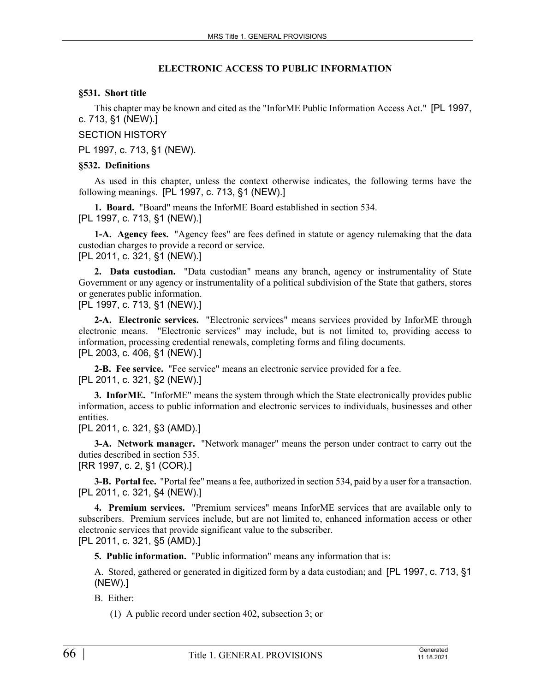#### **ELECTRONIC ACCESS TO PUBLIC INFORMATION**

## **§531. Short title**

This chapter may be known and cited as the "InforME Public Information Access Act." [PL 1997, c. 713, §1 (NEW).]

SECTION HISTORY

PL 1997, c. 713, §1 (NEW).

#### **§532. Definitions**

As used in this chapter, unless the context otherwise indicates, the following terms have the following meanings. [PL 1997, c. 713, §1 (NEW).]

**1. Board.** "Board" means the InforME Board established in section 534. [PL 1997, c. 713, §1 (NEW).]

**1-A. Agency fees.** "Agency fees" are fees defined in statute or agency rulemaking that the data custodian charges to provide a record or service.

[PL 2011, c. 321, §1 (NEW).]

**2. Data custodian.** "Data custodian" means any branch, agency or instrumentality of State Government or any agency or instrumentality of a political subdivision of the State that gathers, stores or generates public information.

[PL 1997, c. 713, §1 (NEW).]

**2-A. Electronic services.** "Electronic services" means services provided by InforME through electronic means. "Electronic services" may include, but is not limited to, providing access to information, processing credential renewals, completing forms and filing documents. [PL 2003, c. 406, §1 (NEW).]

**2-B. Fee service.** "Fee service" means an electronic service provided for a fee. [PL 2011, c. 321, §2 (NEW).]

**3. InforME.** "InforME" means the system through which the State electronically provides public information, access to public information and electronic services to individuals, businesses and other entities.

[PL 2011, c. 321, §3 (AMD).]

**3-A. Network manager.** "Network manager" means the person under contract to carry out the duties described in section 535.

[RR 1997, c. 2, §1 (COR).]

**3-B. Portal fee.** "Portal fee" means a fee, authorized in section 534, paid by a user for a transaction. [PL 2011, c. 321, §4 (NEW).]

**4. Premium services.** "Premium services" means InforME services that are available only to subscribers. Premium services include, but are not limited to, enhanced information access or other electronic services that provide significant value to the subscriber. [PL 2011, c. 321, §5 (AMD).]

**5. Public information.** "Public information" means any information that is:

A. Stored, gathered or generated in digitized form by a data custodian; and [PL 1997, c. 713, §1 (NEW).]

B. Either:

(1) A public record under section 402, subsection 3; or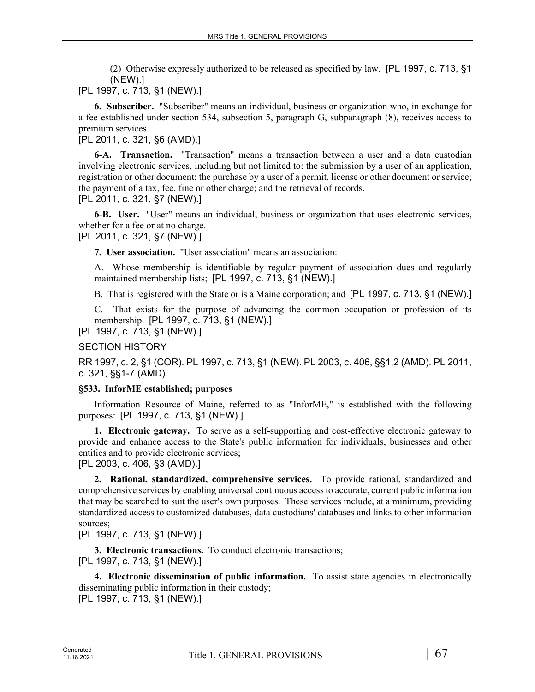(2) Otherwise expressly authorized to be released as specified by law. [PL 1997, c. 713, §1 (NEW).]

[PL 1997, c. 713, §1 (NEW).]

**6. Subscriber.** "Subscriber" means an individual, business or organization who, in exchange for a fee established under section 534, subsection 5, paragraph G, subparagraph (8), receives access to premium services.

[PL 2011, c. 321, §6 (AMD).]

**6-A. Transaction.** "Transaction" means a transaction between a user and a data custodian involving electronic services, including but not limited to: the submission by a user of an application, registration or other document; the purchase by a user of a permit, license or other document or service; the payment of a tax, fee, fine or other charge; and the retrieval of records.

[PL 2011, c. 321, §7 (NEW).]

**6-B. User.** "User" means an individual, business or organization that uses electronic services, whether for a fee or at no charge.

[PL 2011, c. 321, §7 (NEW).]

**7. User association.** "User association" means an association:

A. Whose membership is identifiable by regular payment of association dues and regularly maintained membership lists; [PL 1997, c. 713, §1 (NEW).]

B. That is registered with the State or is a Maine corporation; and [PL 1997, c. 713, §1 (NEW).]

C. That exists for the purpose of advancing the common occupation or profession of its membership. [PL 1997, c. 713, §1 (NEW).]

[PL 1997, c. 713, §1 (NEW).]

SECTION HISTORY

RR 1997, c. 2, §1 (COR). PL 1997, c. 713, §1 (NEW). PL 2003, c. 406, §§1,2 (AMD). PL 2011, c. 321, §§1-7 (AMD).

#### **§533. InforME established; purposes**

Information Resource of Maine, referred to as "InforME," is established with the following purposes: [PL 1997, c. 713, §1 (NEW).]

**1. Electronic gateway.** To serve as a self-supporting and cost-effective electronic gateway to provide and enhance access to the State's public information for individuals, businesses and other entities and to provide electronic services;

[PL 2003, c. 406, §3 (AMD).]

**2. Rational, standardized, comprehensive services.** To provide rational, standardized and comprehensive services by enabling universal continuous access to accurate, current public information that may be searched to suit the user's own purposes. These services include, at a minimum, providing standardized access to customized databases, data custodians' databases and links to other information sources;

[PL 1997, c. 713, §1 (NEW).]

**3. Electronic transactions.** To conduct electronic transactions; [PL 1997, c. 713, §1 (NEW).]

**4. Electronic dissemination of public information.** To assist state agencies in electronically disseminating public information in their custody; [PL 1997, c. 713, §1 (NEW).]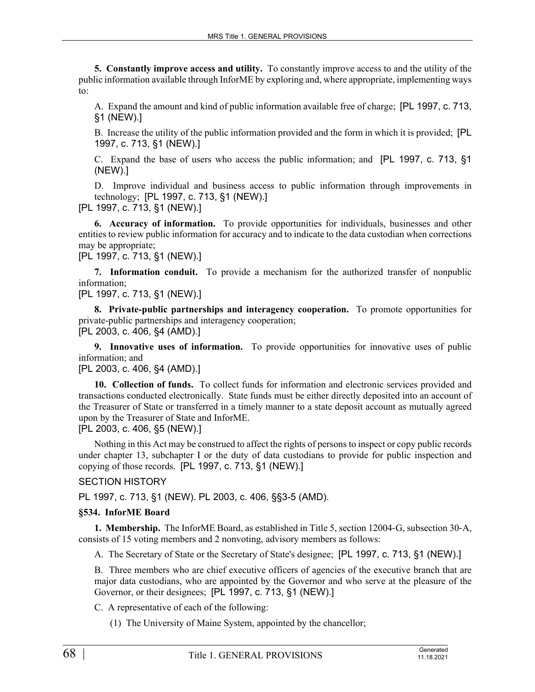**5. Constantly improve access and utility.** To constantly improve access to and the utility of the public information available through InforME by exploring and, where appropriate, implementing ways to:

A. Expand the amount and kind of public information available free of charge; [PL 1997, c. 713, §1 (NEW).]

B. Increase the utility of the public information provided and the form in which it is provided; [PL 1997, c. 713, §1 (NEW).]

C. Expand the base of users who access the public information; and [PL 1997, c. 713, §1 (NEW).]

D. Improve individual and business access to public information through improvements in technology; [PL 1997, c. 713, §1 (NEW).]

[PL 1997, c. 713, §1 (NEW).]

**6. Accuracy of information.** To provide opportunities for individuals, businesses and other entities to review public information for accuracy and to indicate to the data custodian when corrections may be appropriate;

[PL 1997, c. 713, §1 (NEW).]

**7. Information conduit.** To provide a mechanism for the authorized transfer of nonpublic information;

[PL 1997, c. 713, §1 (NEW).]

**8. Private-public partnerships and interagency cooperation.** To promote opportunities for private-public partnerships and interagency cooperation; [PL 2003, c. 406, §4 (AMD).]

**9. Innovative uses of information.** To provide opportunities for innovative uses of public information; and

[PL 2003, c. 406, §4 (AMD).]

**10. Collection of funds.** To collect funds for information and electronic services provided and transactions conducted electronically. State funds must be either directly deposited into an account of the Treasurer of State or transferred in a timely manner to a state deposit account as mutually agreed upon by the Treasurer of State and InforME.

[PL 2003, c. 406, §5 (NEW).]

Nothing in this Act may be construed to affect the rights of persons to inspect or copy public records under chapter 13, subchapter I or the duty of data custodians to provide for public inspection and copying of those records. [PL 1997, c. 713, §1 (NEW).]

#### SECTION HISTORY

PL 1997, c. 713, §1 (NEW). PL 2003, c. 406, §§3-5 (AMD).

#### **§534. InforME Board**

**1. Membership.** The InforME Board, as established in Title 5, section 12004‑G, subsection 30‑A, consists of 15 voting members and 2 nonvoting, advisory members as follows:

A. The Secretary of State or the Secretary of State's designee; [PL 1997, c. 713, §1 (NEW).]

B. Three members who are chief executive officers of agencies of the executive branch that are major data custodians, who are appointed by the Governor and who serve at the pleasure of the Governor, or their designees; [PL 1997, c. 713, §1 (NEW).]

C. A representative of each of the following:

(1) The University of Maine System, appointed by the chancellor;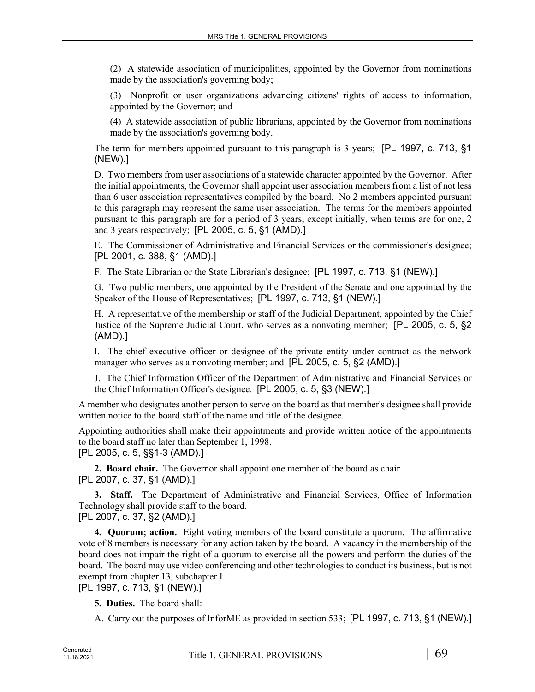(2) A statewide association of municipalities, appointed by the Governor from nominations made by the association's governing body;

(3) Nonprofit or user organizations advancing citizens' rights of access to information, appointed by the Governor; and

(4) A statewide association of public librarians, appointed by the Governor from nominations made by the association's governing body.

The term for members appointed pursuant to this paragraph is 3 years; [PL 1997, c. 713, §1 (NEW).]

D. Two members from user associations of a statewide character appointed by the Governor. After the initial appointments, the Governor shall appoint user association members from a list of not less than 6 user association representatives compiled by the board. No 2 members appointed pursuant to this paragraph may represent the same user association. The terms for the members appointed pursuant to this paragraph are for a period of 3 years, except initially, when terms are for one, 2 and 3 years respectively; [PL 2005, c. 5, §1 (AMD).]

E. The Commissioner of Administrative and Financial Services or the commissioner's designee; [PL 2001, c. 388, §1 (AMD).]

F. The State Librarian or the State Librarian's designee; [PL 1997, c. 713, §1 (NEW).]

G. Two public members, one appointed by the President of the Senate and one appointed by the Speaker of the House of Representatives; [PL 1997, c. 713, §1 (NEW).]

H. A representative of the membership or staff of the Judicial Department, appointed by the Chief Justice of the Supreme Judicial Court, who serves as a nonvoting member; [PL 2005, c. 5, §2 (AMD).]

I. The chief executive officer or designee of the private entity under contract as the network manager who serves as a nonvoting member; and [PL 2005, c. 5, §2 (AMD).]

J. The Chief Information Officer of the Department of Administrative and Financial Services or the Chief Information Officer's designee. [PL 2005, c. 5, §3 (NEW).]

A member who designates another person to serve on the board as that member's designee shall provide written notice to the board staff of the name and title of the designee.

Appointing authorities shall make their appointments and provide written notice of the appointments to the board staff no later than September 1, 1998.

[PL 2005, c. 5, §§1-3 (AMD).]

**2. Board chair.** The Governor shall appoint one member of the board as chair. [PL 2007, c. 37, §1 (AMD).]

**3. Staff.** The Department of Administrative and Financial Services, Office of Information Technology shall provide staff to the board.

[PL 2007, c. 37, §2 (AMD).]

**4. Quorum; action.** Eight voting members of the board constitute a quorum. The affirmative vote of 8 members is necessary for any action taken by the board. A vacancy in the membership of the board does not impair the right of a quorum to exercise all the powers and perform the duties of the board. The board may use video conferencing and other technologies to conduct its business, but is not exempt from chapter 13, subchapter I.

[PL 1997, c. 713, §1 (NEW).]

- **5. Duties.** The board shall:
- A. Carry out the purposes of InforME as provided in section 533; [PL 1997, c. 713, §1 (NEW).]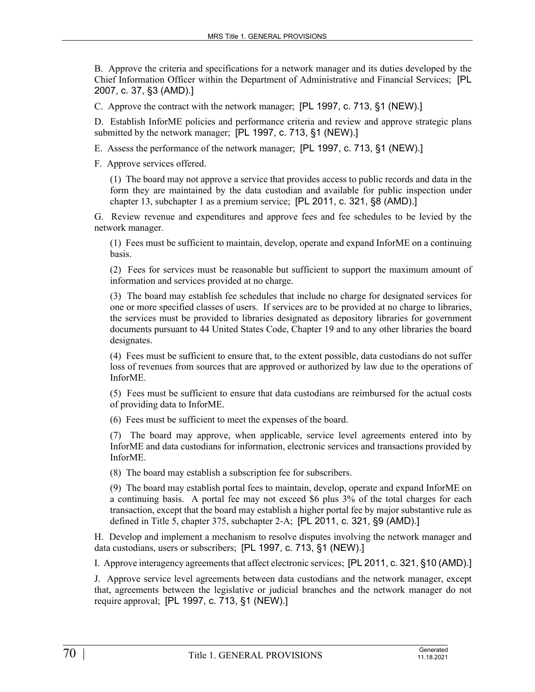B. Approve the criteria and specifications for a network manager and its duties developed by the Chief Information Officer within the Department of Administrative and Financial Services; [PL 2007, c. 37, §3 (AMD).]

C. Approve the contract with the network manager; [PL 1997, c. 713, §1 (NEW).]

D. Establish InforME policies and performance criteria and review and approve strategic plans submitted by the network manager; [PL 1997, c. 713, §1 (NEW).]

E. Assess the performance of the network manager; [PL 1997, c. 713, §1 (NEW).]

F. Approve services offered.

(1) The board may not approve a service that provides access to public records and data in the form they are maintained by the data custodian and available for public inspection under chapter 13, subchapter 1 as a premium service; [PL 2011, c. 321, §8 (AMD).]

G. Review revenue and expenditures and approve fees and fee schedules to be levied by the network manager.

(1) Fees must be sufficient to maintain, develop, operate and expand InforME on a continuing basis.

(2) Fees for services must be reasonable but sufficient to support the maximum amount of information and services provided at no charge.

(3) The board may establish fee schedules that include no charge for designated services for one or more specified classes of users. If services are to be provided at no charge to libraries, the services must be provided to libraries designated as depository libraries for government documents pursuant to 44 United States Code, Chapter 19 and to any other libraries the board designates.

(4) Fees must be sufficient to ensure that, to the extent possible, data custodians do not suffer loss of revenues from sources that are approved or authorized by law due to the operations of InforME.

(5) Fees must be sufficient to ensure that data custodians are reimbursed for the actual costs of providing data to InforME.

(6) Fees must be sufficient to meet the expenses of the board.

(7) The board may approve, when applicable, service level agreements entered into by InforME and data custodians for information, electronic services and transactions provided by InforME.

(8) The board may establish a subscription fee for subscribers.

(9) The board may establish portal fees to maintain, develop, operate and expand InforME on a continuing basis. A portal fee may not exceed \$6 plus 3% of the total charges for each transaction, except that the board may establish a higher portal fee by major substantive rule as defined in Title 5, chapter 375, subchapter 2‑A; [PL 2011, c. 321, §9 (AMD).]

H. Develop and implement a mechanism to resolve disputes involving the network manager and data custodians, users or subscribers; [PL 1997, c. 713, §1 (NEW).]

I. Approve interagency agreements that affect electronic services; [PL 2011, c. 321, §10 (AMD).]

J. Approve service level agreements between data custodians and the network manager, except that, agreements between the legislative or judicial branches and the network manager do not require approval; [PL 1997, c. 713, §1 (NEW).]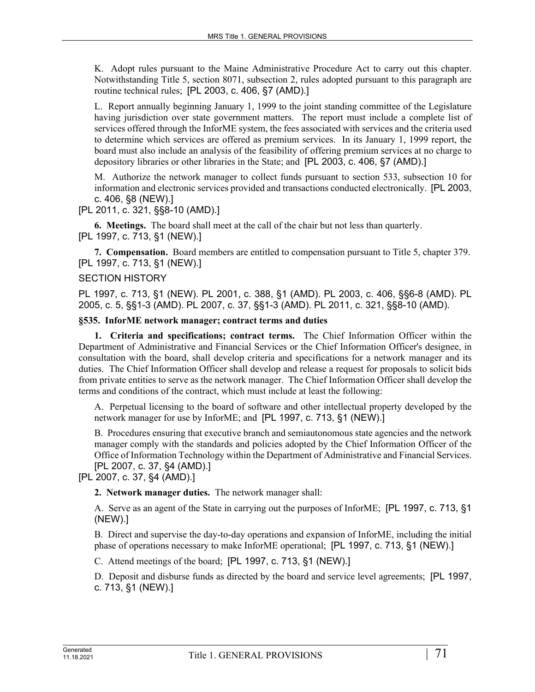K. Adopt rules pursuant to the Maine Administrative Procedure Act to carry out this chapter. Notwithstanding Title 5, section 8071, subsection 2, rules adopted pursuant to this paragraph are routine technical rules; [PL 2003, c. 406, §7 (AMD).]

L. Report annually beginning January 1, 1999 to the joint standing committee of the Legislature having jurisdiction over state government matters. The report must include a complete list of services offered through the InforME system, the fees associated with services and the criteria used to determine which services are offered as premium services. In its January 1, 1999 report, the board must also include an analysis of the feasibility of offering premium services at no charge to depository libraries or other libraries in the State; and [PL 2003, c. 406, §7 (AMD).]

M. Authorize the network manager to collect funds pursuant to section 533, subsection 10 for information and electronic services provided and transactions conducted electronically. [PL 2003, c. 406, §8 (NEW).]

[PL 2011, c. 321, §§8-10 (AMD).]

**6. Meetings.** The board shall meet at the call of the chair but not less than quarterly. [PL 1997, c. 713, §1 (NEW).]

**7. Compensation.** Board members are entitled to compensation pursuant to Title 5, chapter 379. [PL 1997, c. 713, §1 (NEW).]

## SECTION HISTORY

PL 1997, c. 713, §1 (NEW). PL 2001, c. 388, §1 (AMD). PL 2003, c. 406, §§6-8 (AMD). PL 2005, c. 5, §§1-3 (AMD). PL 2007, c. 37, §§1-3 (AMD). PL 2011, c. 321, §§8-10 (AMD).

#### **§535. InforME network manager; contract terms and duties**

**1. Criteria and specifications; contract terms.** The Chief Information Officer within the Department of Administrative and Financial Services or the Chief Information Officer's designee, in consultation with the board, shall develop criteria and specifications for a network manager and its duties. The Chief Information Officer shall develop and release a request for proposals to solicit bids from private entities to serve as the network manager. The Chief Information Officer shall develop the terms and conditions of the contract, which must include at least the following:

A. Perpetual licensing to the board of software and other intellectual property developed by the network manager for use by InforME; and [PL 1997, c. 713, §1 (NEW).]

B. Procedures ensuring that executive branch and semiautonomous state agencies and the network manager comply with the standards and policies adopted by the Chief Information Officer of the Office of Information Technology within the Department of Administrative and Financial Services. [PL 2007, c. 37, §4 (AMD).]

[PL 2007, c. 37, §4 (AMD).]

**2. Network manager duties.** The network manager shall:

A. Serve as an agent of the State in carrying out the purposes of InforME; [PL 1997, c. 713, §1 (NEW).]

B. Direct and supervise the day-to-day operations and expansion of InforME, including the initial phase of operations necessary to make InforME operational; [PL 1997, c. 713, §1 (NEW).]

C. Attend meetings of the board; [PL 1997, c. 713, §1 (NEW).]

D. Deposit and disburse funds as directed by the board and service level agreements; [PL 1997, c. 713, §1 (NEW).]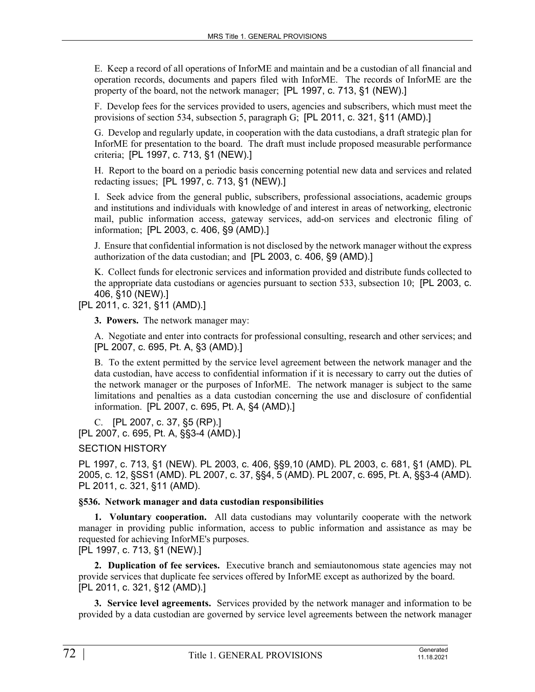E. Keep a record of all operations of InforME and maintain and be a custodian of all financial and operation records, documents and papers filed with InforME. The records of InforME are the property of the board, not the network manager; [PL 1997, c. 713, §1 (NEW).]

F. Develop fees for the services provided to users, agencies and subscribers, which must meet the provisions of section 534, subsection 5, paragraph G; [PL 2011, c. 321, §11 (AMD).]

G. Develop and regularly update, in cooperation with the data custodians, a draft strategic plan for InforME for presentation to the board. The draft must include proposed measurable performance criteria; [PL 1997, c. 713, §1 (NEW).]

H. Report to the board on a periodic basis concerning potential new data and services and related redacting issues; [PL 1997, c. 713, §1 (NEW).]

I. Seek advice from the general public, subscribers, professional associations, academic groups and institutions and individuals with knowledge of and interest in areas of networking, electronic mail, public information access, gateway services, add-on services and electronic filing of information; [PL 2003, c. 406, §9 (AMD).]

J. Ensure that confidential information is not disclosed by the network manager without the express authorization of the data custodian; and [PL 2003, c. 406, §9 (AMD).]

K. Collect funds for electronic services and information provided and distribute funds collected to the appropriate data custodians or agencies pursuant to section 533, subsection 10; [PL 2003, c. 406, §10 (NEW).]

[PL 2011, c. 321, §11 (AMD).]

**3. Powers.** The network manager may:

A. Negotiate and enter into contracts for professional consulting, research and other services; and [PL 2007, c. 695, Pt. A, §3 (AMD).]

B. To the extent permitted by the service level agreement between the network manager and the data custodian, have access to confidential information if it is necessary to carry out the duties of the network manager or the purposes of InforME. The network manager is subject to the same limitations and penalties as a data custodian concerning the use and disclosure of confidential information. [PL 2007, c. 695, Pt. A, §4 (AMD).]

C. [PL 2007, c. 37, §5 (RP).]

[PL 2007, c. 695, Pt. A, §§3-4 (AMD).]

SECTION HISTORY

PL 1997, c. 713, §1 (NEW). PL 2003, c. 406, §§9,10 (AMD). PL 2003, c. 681, §1 (AMD). PL 2005, c. 12, §SS1 (AMD). PL 2007, c. 37, §§4, 5 (AMD). PL 2007, c. 695, Pt. A, §§3-4 (AMD). PL 2011, c. 321, §11 (AMD).

#### **§536. Network manager and data custodian responsibilities**

**1. Voluntary cooperation.** All data custodians may voluntarily cooperate with the network manager in providing public information, access to public information and assistance as may be requested for achieving InforME's purposes.

[PL 1997, c. 713, §1 (NEW).]

**2. Duplication of fee services.** Executive branch and semiautonomous state agencies may not provide services that duplicate fee services offered by InforME except as authorized by the board. [PL 2011, c. 321, §12 (AMD).]

**3. Service level agreements.** Services provided by the network manager and information to be provided by a data custodian are governed by service level agreements between the network manager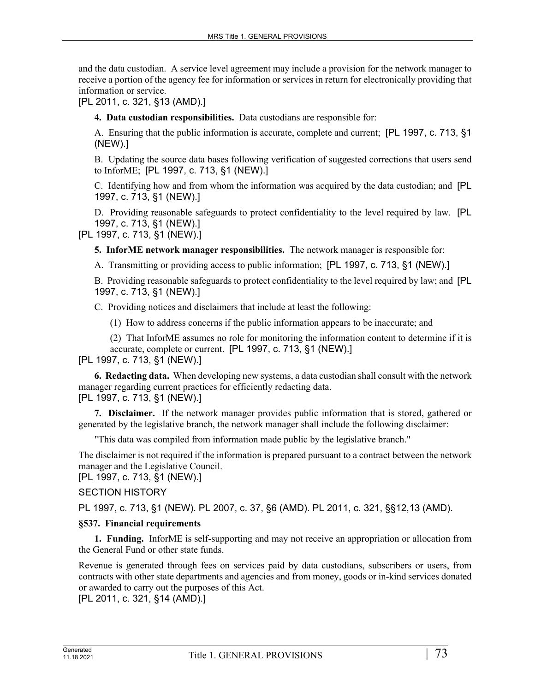and the data custodian. A service level agreement may include a provision for the network manager to receive a portion of the agency fee for information or services in return for electronically providing that information or service.

[PL 2011, c. 321, §13 (AMD).]

**4. Data custodian responsibilities.** Data custodians are responsible for:

A. Ensuring that the public information is accurate, complete and current; [PL 1997, c. 713, §1 (NEW).]

B. Updating the source data bases following verification of suggested corrections that users send to InforME; [PL 1997, c. 713, §1 (NEW).]

C. Identifying how and from whom the information was acquired by the data custodian; and [PL 1997, c. 713, §1 (NEW).]

D. Providing reasonable safeguards to protect confidentiality to the level required by law. [PL 1997, c. 713, §1 (NEW).]

[PL 1997, c. 713, §1 (NEW).]

**5. InforME network manager responsibilities.** The network manager is responsible for:

A. Transmitting or providing access to public information; [PL 1997, c. 713, §1 (NEW).]

B. Providing reasonable safeguards to protect confidentiality to the level required by law; and [PL 1997, c. 713, §1 (NEW).]

C. Providing notices and disclaimers that include at least the following:

(1) How to address concerns if the public information appears to be inaccurate; and

(2) That InforME assumes no role for monitoring the information content to determine if it is accurate, complete or current. [PL 1997, c. 713, §1 (NEW).]

[PL 1997, c. 713, §1 (NEW).]

**6. Redacting data.** When developing new systems, a data custodian shall consult with the network manager regarding current practices for efficiently redacting data. [PL 1997, c. 713, §1 (NEW).]

**7. Disclaimer.** If the network manager provides public information that is stored, gathered or generated by the legislative branch, the network manager shall include the following disclaimer:

"This data was compiled from information made public by the legislative branch."

The disclaimer is not required if the information is prepared pursuant to a contract between the network manager and the Legislative Council.

[PL 1997, c. 713, §1 (NEW).]

## SECTION HISTORY

PL 1997, c. 713, §1 (NEW). PL 2007, c. 37, §6 (AMD). PL 2011, c. 321, §§12,13 (AMD).

## **§537. Financial requirements**

**1. Funding.** InforME is self-supporting and may not receive an appropriation or allocation from the General Fund or other state funds.

Revenue is generated through fees on services paid by data custodians, subscribers or users, from contracts with other state departments and agencies and from money, goods or in-kind services donated or awarded to carry out the purposes of this Act.

[PL 2011, c. 321, §14 (AMD).]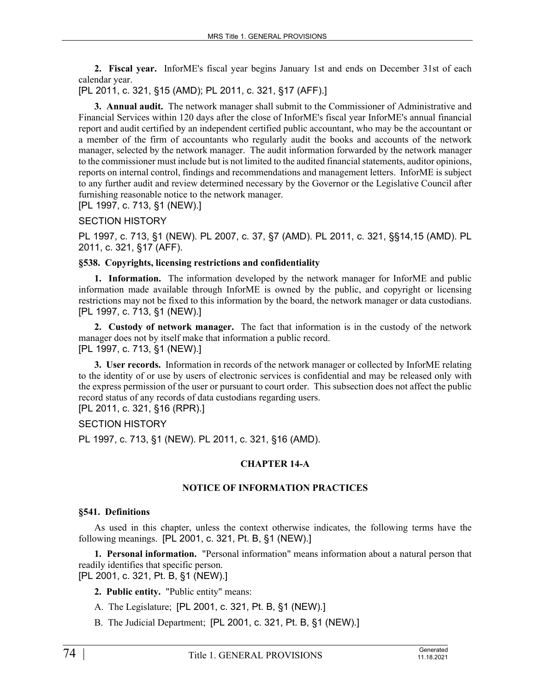**2. Fiscal year.** InforME's fiscal year begins January 1st and ends on December 31st of each calendar year.

[PL 2011, c. 321, §15 (AMD); PL 2011, c. 321, §17 (AFF).]

**3. Annual audit.** The network manager shall submit to the Commissioner of Administrative and Financial Services within 120 days after the close of InforME's fiscal year InforME's annual financial report and audit certified by an independent certified public accountant, who may be the accountant or a member of the firm of accountants who regularly audit the books and accounts of the network manager, selected by the network manager. The audit information forwarded by the network manager to the commissioner must include but is not limited to the audited financial statements, auditor opinions, reports on internal control, findings and recommendations and management letters. InforME is subject to any further audit and review determined necessary by the Governor or the Legislative Council after furnishing reasonable notice to the network manager.

[PL 1997, c. 713, §1 (NEW).]

### SECTION HISTORY

PL 1997, c. 713, §1 (NEW). PL 2007, c. 37, §7 (AMD). PL 2011, c. 321, §§14,15 (AMD). PL 2011, c. 321, §17 (AFF).

### **§538. Copyrights, licensing restrictions and confidentiality**

**1. Information.** The information developed by the network manager for InforME and public information made available through InforME is owned by the public, and copyright or licensing restrictions may not be fixed to this information by the board, the network manager or data custodians. [PL 1997, c. 713, §1 (NEW).]

**2. Custody of network manager.** The fact that information is in the custody of the network manager does not by itself make that information a public record. [PL 1997, c. 713, §1 (NEW).]

**3. User records.** Information in records of the network manager or collected by InforME relating to the identity of or use by users of electronic services is confidential and may be released only with the express permission of the user or pursuant to court order. This subsection does not affect the public record status of any records of data custodians regarding users.

[PL 2011, c. 321, §16 (RPR).]

## SECTION HISTORY

PL 1997, c. 713, §1 (NEW). PL 2011, c. 321, §16 (AMD).

## **CHAPTER 14-A**

## **NOTICE OF INFORMATION PRACTICES**

#### **§541. Definitions**

As used in this chapter, unless the context otherwise indicates, the following terms have the following meanings. [PL 2001, c. 321, Pt. B, §1 (NEW).]

**1. Personal information.** "Personal information" means information about a natural person that readily identifies that specific person. [PL 2001, c. 321, Pt. B, §1 (NEW).]

**2. Public entity.** "Public entity" means:

- A. The Legislature; [PL 2001, c. 321, Pt. B, §1 (NEW).]
- B. The Judicial Department; [PL 2001, c. 321, Pt. B, §1 (NEW).]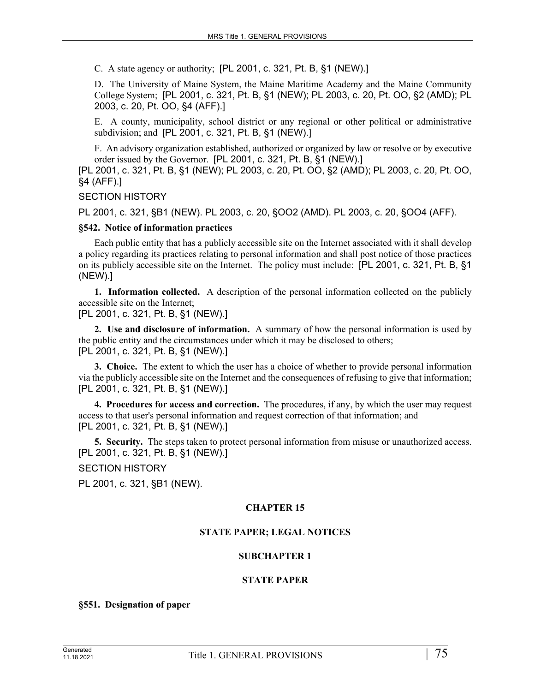C. A state agency or authority; [PL 2001, c. 321, Pt. B, §1 (NEW).]

D. The University of Maine System, the Maine Maritime Academy and the Maine Community College System; [PL 2001, c. 321, Pt. B, §1 (NEW); PL 2003, c. 20, Pt. OO, §2 (AMD); PL 2003, c. 20, Pt. OO, §4 (AFF).]

E. A county, municipality, school district or any regional or other political or administrative subdivision; and [PL 2001, c. 321, Pt. B, §1 (NEW).]

F. An advisory organization established, authorized or organized by law or resolve or by executive order issued by the Governor. [PL 2001, c. 321, Pt. B, §1 (NEW).]

[PL 2001, c. 321, Pt. B, §1 (NEW); PL 2003, c. 20, Pt. OO, §2 (AMD); PL 2003, c. 20, Pt. OO, §4 (AFF).]

#### SECTION HISTORY

PL 2001, c. 321, §B1 (NEW). PL 2003, c. 20, §OO2 (AMD). PL 2003, c. 20, §OO4 (AFF).

#### **§542. Notice of information practices**

Each public entity that has a publicly accessible site on the Internet associated with it shall develop a policy regarding its practices relating to personal information and shall post notice of those practices on its publicly accessible site on the Internet. The policy must include: [PL 2001, c. 321, Pt. B, §1 (NEW).]

**1. Information collected.** A description of the personal information collected on the publicly accessible site on the Internet;

[PL 2001, c. 321, Pt. B, §1 (NEW).]

**2. Use and disclosure of information.** A summary of how the personal information is used by the public entity and the circumstances under which it may be disclosed to others; [PL 2001, c. 321, Pt. B, §1 (NEW).]

**3. Choice.** The extent to which the user has a choice of whether to provide personal information via the publicly accessible site on the Internet and the consequences of refusing to give that information; [PL 2001, c. 321, Pt. B, §1 (NEW).]

**4. Procedures for access and correction.** The procedures, if any, by which the user may request access to that user's personal information and request correction of that information; and [PL 2001, c. 321, Pt. B, §1 (NEW).]

**5. Security.** The steps taken to protect personal information from misuse or unauthorized access. [PL 2001, c. 321, Pt. B, §1 (NEW).]

SECTION HISTORY

PL 2001, c. 321, §B1 (NEW).

## **CHAPTER 15**

## **STATE PAPER; LEGAL NOTICES**

## **SUBCHAPTER 1**

## **STATE PAPER**

#### **§551. Designation of paper**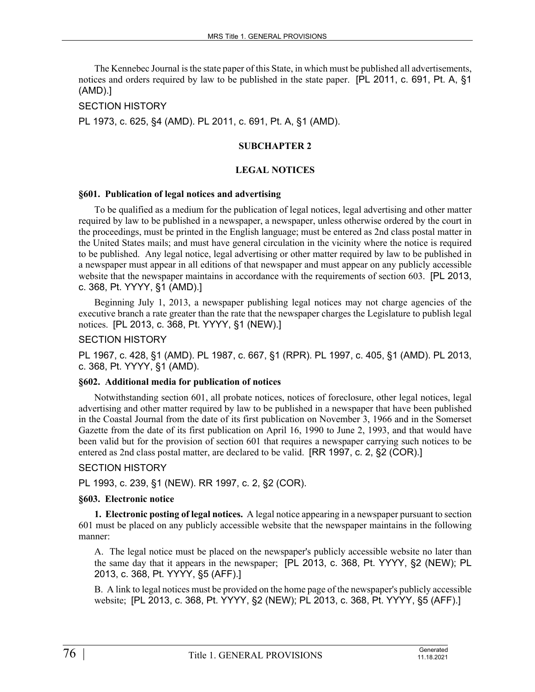The Kennebec Journal is the state paper of this State, in which must be published all advertisements, notices and orders required by law to be published in the state paper. [PL 2011, c. 691, Pt. A, §1 (AMD).]

### SECTION HISTORY

PL 1973, c. 625, §4 (AMD). PL 2011, c. 691, Pt. A, §1 (AMD).

### **SUBCHAPTER 2**

### **LEGAL NOTICES**

#### **§601. Publication of legal notices and advertising**

To be qualified as a medium for the publication of legal notices, legal advertising and other matter required by law to be published in a newspaper, a newspaper, unless otherwise ordered by the court in the proceedings, must be printed in the English language; must be entered as 2nd class postal matter in the United States mails; and must have general circulation in the vicinity where the notice is required to be published. Any legal notice, legal advertising or other matter required by law to be published in a newspaper must appear in all editions of that newspaper and must appear on any publicly accessible website that the newspaper maintains in accordance with the requirements of section 603. [PL 2013, c. 368, Pt. YYYY, §1 (AMD).]

Beginning July 1, 2013, a newspaper publishing legal notices may not charge agencies of the executive branch a rate greater than the rate that the newspaper charges the Legislature to publish legal notices. [PL 2013, c. 368, Pt. YYYY, §1 (NEW).]

#### SECTION HISTORY

PL 1967, c. 428, §1 (AMD). PL 1987, c. 667, §1 (RPR). PL 1997, c. 405, §1 (AMD). PL 2013, c. 368, Pt. YYYY, §1 (AMD).

#### **§602. Additional media for publication of notices**

Notwithstanding section 601, all probate notices, notices of foreclosure, other legal notices, legal advertising and other matter required by law to be published in a newspaper that have been published in the Coastal Journal from the date of its first publication on November 3, 1966 and in the Somerset Gazette from the date of its first publication on April 16, 1990 to June 2, 1993, and that would have been valid but for the provision of section 601 that requires a newspaper carrying such notices to be entered as 2nd class postal matter, are declared to be valid. [RR 1997, c. 2, §2 (COR).]

#### SECTION HISTORY

PL 1993, c. 239, §1 (NEW). RR 1997, c. 2, §2 (COR).

#### **§603. Electronic notice**

**1. Electronic posting of legal notices.** A legal notice appearing in a newspaper pursuant to section 601 must be placed on any publicly accessible website that the newspaper maintains in the following manner:

A. The legal notice must be placed on the newspaper's publicly accessible website no later than the same day that it appears in the newspaper; [PL 2013, c. 368, Pt. YYYY, §2 (NEW); PL 2013, c. 368, Pt. YYYY, §5 (AFF).]

B. A link to legal notices must be provided on the home page of the newspaper's publicly accessible website; [PL 2013, c. 368, Pt. YYYY, §2 (NEW); PL 2013, c. 368, Pt. YYYY, §5 (AFF).]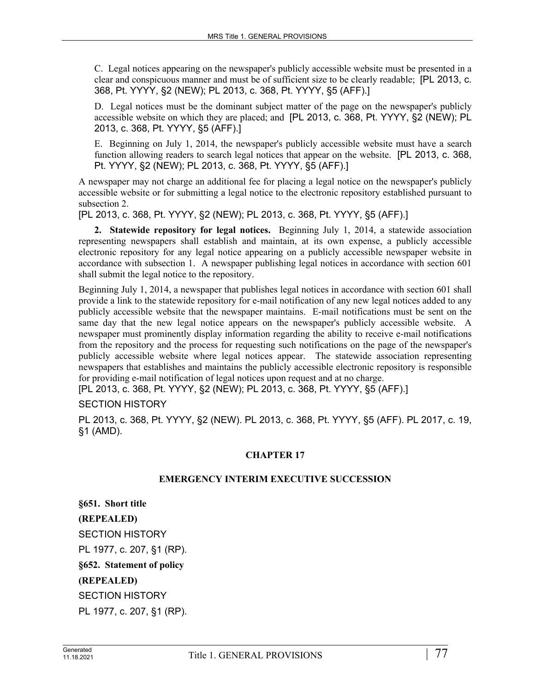C. Legal notices appearing on the newspaper's publicly accessible website must be presented in a clear and conspicuous manner and must be of sufficient size to be clearly readable; [PL 2013, c. 368, Pt. YYYY, §2 (NEW); PL 2013, c. 368, Pt. YYYY, §5 (AFF).]

D. Legal notices must be the dominant subject matter of the page on the newspaper's publicly accessible website on which they are placed; and [PL 2013, c. 368, Pt. YYYY, §2 (NEW); PL 2013, c. 368, Pt. YYYY, §5 (AFF).]

E. Beginning on July 1, 2014, the newspaper's publicly accessible website must have a search function allowing readers to search legal notices that appear on the website. [PL 2013, c. 368, Pt. YYYY, §2 (NEW); PL 2013, c. 368, Pt. YYYY, §5 (AFF).]

A newspaper may not charge an additional fee for placing a legal notice on the newspaper's publicly accessible website or for submitting a legal notice to the electronic repository established pursuant to subsection 2.

[PL 2013, c. 368, Pt. YYYY, §2 (NEW); PL 2013, c. 368, Pt. YYYY, §5 (AFF).]

**2. Statewide repository for legal notices.** Beginning July 1, 2014, a statewide association representing newspapers shall establish and maintain, at its own expense, a publicly accessible electronic repository for any legal notice appearing on a publicly accessible newspaper website in accordance with subsection 1. A newspaper publishing legal notices in accordance with section 601 shall submit the legal notice to the repository.

Beginning July 1, 2014, a newspaper that publishes legal notices in accordance with section 601 shall provide a link to the statewide repository for e-mail notification of any new legal notices added to any publicly accessible website that the newspaper maintains. E-mail notifications must be sent on the same day that the new legal notice appears on the newspaper's publicly accessible website. A newspaper must prominently display information regarding the ability to receive e-mail notifications from the repository and the process for requesting such notifications on the page of the newspaper's publicly accessible website where legal notices appear. The statewide association representing newspapers that establishes and maintains the publicly accessible electronic repository is responsible for providing e-mail notification of legal notices upon request and at no charge.

[PL 2013, c. 368, Pt. YYYY, §2 (NEW); PL 2013, c. 368, Pt. YYYY, §5 (AFF).]

SECTION HISTORY

PL 2013, c. 368, Pt. YYYY, §2 (NEW). PL 2013, c. 368, Pt. YYYY, §5 (AFF). PL 2017, c. 19, §1 (AMD).

## **CHAPTER 17**

## **EMERGENCY INTERIM EXECUTIVE SUCCESSION**

**§651. Short title (REPEALED)** SECTION HISTORY PL 1977, c. 207, §1 (RP). **§652. Statement of policy (REPEALED)** SECTION HISTORY PL 1977, c. 207, §1 (RP).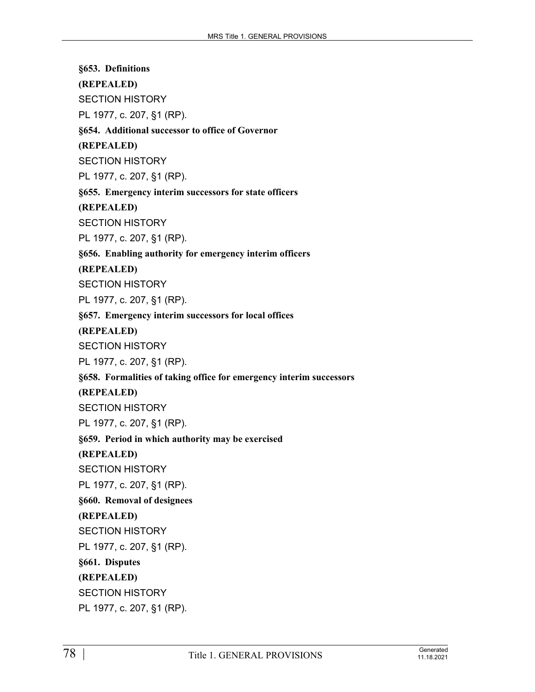**§653. Definitions (REPEALED)** SECTION HISTORY PL 1977, c. 207, §1 (RP). **§654. Additional successor to office of Governor (REPEALED)** SECTION HISTORY PL 1977, c. 207, §1 (RP). **§655. Emergency interim successors for state officers (REPEALED)** SECTION HISTORY PL 1977, c. 207, §1 (RP). **§656. Enabling authority for emergency interim officers (REPEALED)** SECTION HISTORY PL 1977, c. 207, §1 (RP). **§657. Emergency interim successors for local offices (REPEALED)** SECTION HISTORY PL 1977, c. 207, §1 (RP). **§658. Formalities of taking office for emergency interim successors (REPEALED)** SECTION HISTORY PL 1977, c. 207, §1 (RP). **§659. Period in which authority may be exercised (REPEALED)** SECTION HISTORY PL 1977, c. 207, §1 (RP). **§660. Removal of designees (REPEALED)** SECTION HISTORY PL 1977, c. 207, §1 (RP). **§661. Disputes (REPEALED)** SECTION HISTORY PL 1977, c. 207, §1 (RP).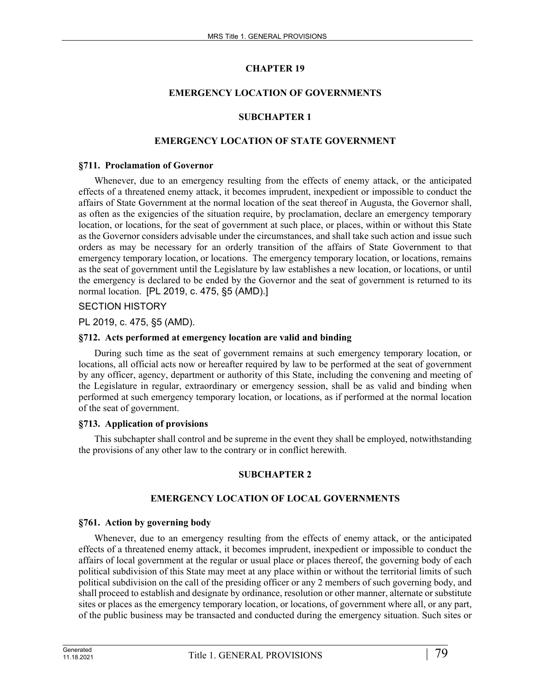## **CHAPTER 19**

## **EMERGENCY LOCATION OF GOVERNMENTS**

### **SUBCHAPTER 1**

### **EMERGENCY LOCATION OF STATE GOVERNMENT**

#### **§711. Proclamation of Governor**

Whenever, due to an emergency resulting from the effects of enemy attack, or the anticipated effects of a threatened enemy attack, it becomes imprudent, inexpedient or impossible to conduct the affairs of State Government at the normal location of the seat thereof in Augusta, the Governor shall, as often as the exigencies of the situation require, by proclamation, declare an emergency temporary location, or locations, for the seat of government at such place, or places, within or without this State as the Governor considers advisable under the circumstances, and shall take such action and issue such orders as may be necessary for an orderly transition of the affairs of State Government to that emergency temporary location, or locations. The emergency temporary location, or locations, remains as the seat of government until the Legislature by law establishes a new location, or locations, or until the emergency is declared to be ended by the Governor and the seat of government is returned to its normal location. [PL 2019, c. 475, §5 (AMD).]

### SECTION HISTORY

PL 2019, c. 475, §5 (AMD).

#### **§712. Acts performed at emergency location are valid and binding**

During such time as the seat of government remains at such emergency temporary location, or locations, all official acts now or hereafter required by law to be performed at the seat of government by any officer, agency, department or authority of this State, including the convening and meeting of the Legislature in regular, extraordinary or emergency session, shall be as valid and binding when performed at such emergency temporary location, or locations, as if performed at the normal location of the seat of government.

#### **§713. Application of provisions**

This subchapter shall control and be supreme in the event they shall be employed, notwithstanding the provisions of any other law to the contrary or in conflict herewith.

#### **SUBCHAPTER 2**

#### **EMERGENCY LOCATION OF LOCAL GOVERNMENTS**

#### **§761. Action by governing body**

Whenever, due to an emergency resulting from the effects of enemy attack, or the anticipated effects of a threatened enemy attack, it becomes imprudent, inexpedient or impossible to conduct the affairs of local government at the regular or usual place or places thereof, the governing body of each political subdivision of this State may meet at any place within or without the territorial limits of such political subdivision on the call of the presiding officer or any 2 members of such governing body, and shall proceed to establish and designate by ordinance, resolution or other manner, alternate or substitute sites or places as the emergency temporary location, or locations, of government where all, or any part, of the public business may be transacted and conducted during the emergency situation. Such sites or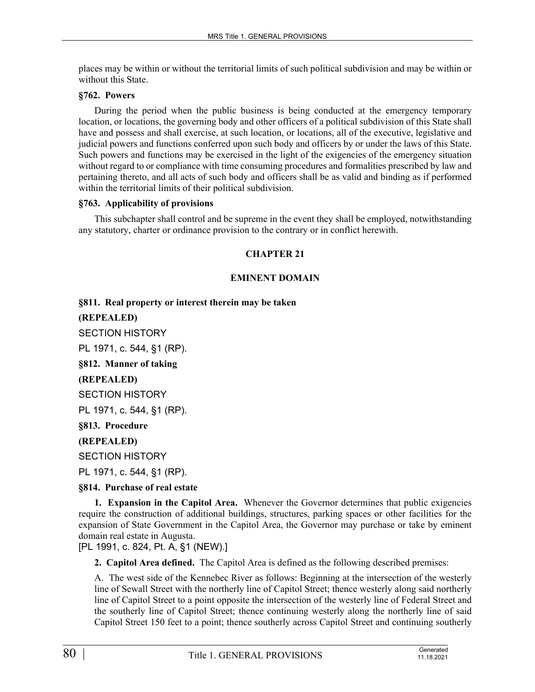places may be within or without the territorial limits of such political subdivision and may be within or without this State.

### **§762. Powers**

During the period when the public business is being conducted at the emergency temporary location, or locations, the governing body and other officers of a political subdivision of this State shall have and possess and shall exercise, at such location, or locations, all of the executive, legislative and judicial powers and functions conferred upon such body and officers by or under the laws of this State. Such powers and functions may be exercised in the light of the exigencies of the emergency situation without regard to or compliance with time consuming procedures and formalities prescribed by law and pertaining thereto, and all acts of such body and officers shall be as valid and binding as if performed within the territorial limits of their political subdivision.

### **§763. Applicability of provisions**

This subchapter shall control and be supreme in the event they shall be employed, notwithstanding any statutory, charter or ordinance provision to the contrary or in conflict herewith.

### **CHAPTER 21**

## **EMINENT DOMAIN**

**§811. Real property or interest therein may be taken**

**(REPEALED)**

SECTION HISTORY

PL 1971, c. 544, §1 (RP).

**§812. Manner of taking**

**(REPEALED)**

SECTION HISTORY

PL 1971, c. 544, §1 (RP).

**§813. Procedure**

## **(REPEALED)**

SECTION HISTORY

PL 1971, c. 544, §1 (RP).

## **§814. Purchase of real estate**

**1. Expansion in the Capitol Area.** Whenever the Governor determines that public exigencies require the construction of additional buildings, structures, parking spaces or other facilities for the expansion of State Government in the Capitol Area, the Governor may purchase or take by eminent domain real estate in Augusta.

[PL 1991, c. 824, Pt. A, §1 (NEW).]

**2. Capitol Area defined.** The Capitol Area is defined as the following described premises:

A. The west side of the Kennebec River as follows: Beginning at the intersection of the westerly line of Sewall Street with the northerly line of Capitol Street; thence westerly along said northerly line of Capitol Street to a point opposite the intersection of the westerly line of Federal Street and the southerly line of Capitol Street; thence continuing westerly along the northerly line of said Capitol Street 150 feet to a point; thence southerly across Capitol Street and continuing southerly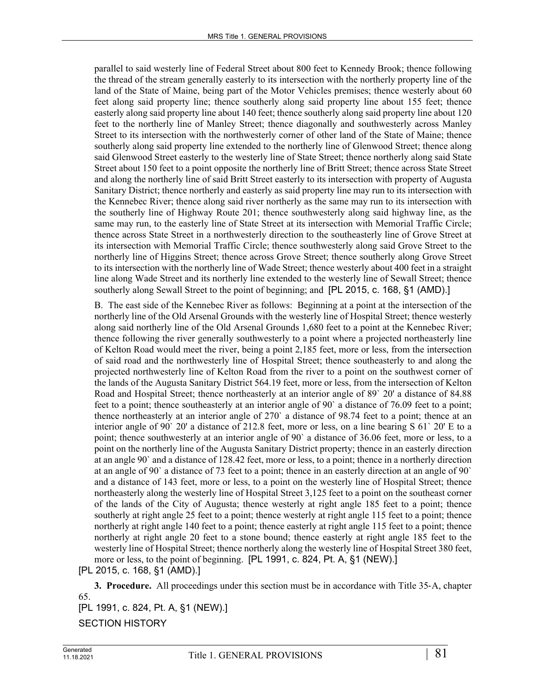parallel to said westerly line of Federal Street about 800 feet to Kennedy Brook; thence following the thread of the stream generally easterly to its intersection with the northerly property line of the land of the State of Maine, being part of the Motor Vehicles premises; thence westerly about 60 feet along said property line; thence southerly along said property line about 155 feet; thence easterly along said property line about 140 feet; thence southerly along said property line about 120 feet to the northerly line of Manley Street; thence diagonally and southwesterly across Manley Street to its intersection with the northwesterly corner of other land of the State of Maine; thence southerly along said property line extended to the northerly line of Glenwood Street; thence along said Glenwood Street easterly to the westerly line of State Street; thence northerly along said State Street about 150 feet to a point opposite the northerly line of Britt Street; thence across State Street and along the northerly line of said Britt Street easterly to its intersection with property of Augusta Sanitary District; thence northerly and easterly as said property line may run to its intersection with the Kennebec River; thence along said river northerly as the same may run to its intersection with the southerly line of Highway Route 201; thence southwesterly along said highway line, as the same may run, to the easterly line of State Street at its intersection with Memorial Traffic Circle; thence across State Street in a northwesterly direction to the southeasterly line of Grove Street at its intersection with Memorial Traffic Circle; thence southwesterly along said Grove Street to the northerly line of Higgins Street; thence across Grove Street; thence southerly along Grove Street to its intersection with the northerly line of Wade Street; thence westerly about 400 feet in a straight line along Wade Street and its northerly line extended to the westerly line of Sewall Street; thence southerly along Sewall Street to the point of beginning; and [PL 2015, c. 168, §1 (AMD).]

B. The east side of the Kennebec River as follows: Beginning at a point at the intersection of the northerly line of the Old Arsenal Grounds with the westerly line of Hospital Street; thence westerly along said northerly line of the Old Arsenal Grounds 1,680 feet to a point at the Kennebec River; thence following the river generally southwesterly to a point where a projected northeasterly line of Kelton Road would meet the river, being a point 2,185 feet, more or less, from the intersection of said road and the northwesterly line of Hospital Street; thence southeasterly to and along the projected northwesterly line of Kelton Road from the river to a point on the southwest corner of the lands of the Augusta Sanitary District 564.19 feet, more or less, from the intersection of Kelton Road and Hospital Street; thence northeasterly at an interior angle of 89` 20' a distance of 84.88 feet to a point; thence southeasterly at an interior angle of 90` a distance of 76.09 feet to a point; thence northeasterly at an interior angle of 270` a distance of 98.74 feet to a point; thence at an interior angle of 90` 20' a distance of 212.8 feet, more or less, on a line bearing S 61` 20' E to a point; thence southwesterly at an interior angle of 90` a distance of 36.06 feet, more or less, to a point on the northerly line of the Augusta Sanitary District property; thence in an easterly direction at an angle 90` and a distance of 128.42 feet, more or less, to a point; thence in a northerly direction at an angle of 90` a distance of 73 feet to a point; thence in an easterly direction at an angle of 90` and a distance of 143 feet, more or less, to a point on the westerly line of Hospital Street; thence northeasterly along the westerly line of Hospital Street 3,125 feet to a point on the southeast corner of the lands of the City of Augusta; thence westerly at right angle 185 feet to a point; thence southerly at right angle 25 feet to a point; thence westerly at right angle 115 feet to a point; thence northerly at right angle 140 feet to a point; thence easterly at right angle 115 feet to a point; thence northerly at right angle 20 feet to a stone bound; thence easterly at right angle 185 feet to the westerly line of Hospital Street; thence northerly along the westerly line of Hospital Street 380 feet, more or less, to the point of beginning. [PL 1991, c. 824, Pt. A, §1 (NEW).]

[PL 2015, c. 168, §1 (AMD).]

**3. Procedure.** All proceedings under this section must be in accordance with Title 35‑A, chapter 65. [PL 1991, c. 824, Pt. A, §1 (NEW).]

SECTION HISTORY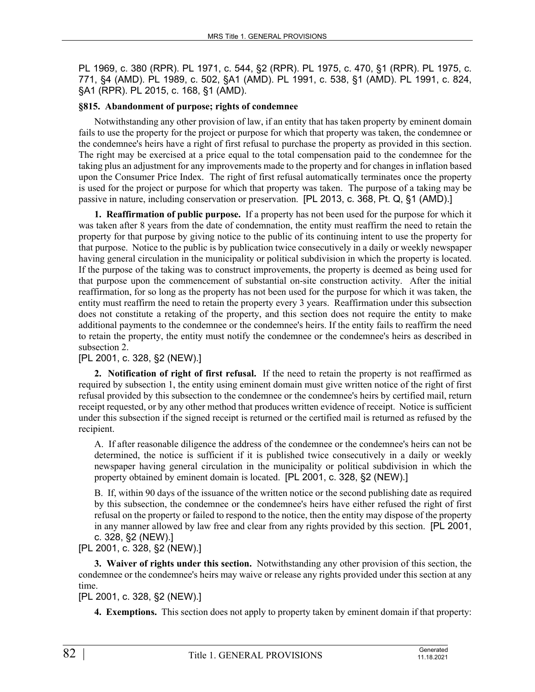PL 1969, c. 380 (RPR). PL 1971, c. 544, §2 (RPR). PL 1975, c. 470, §1 (RPR). PL 1975, c. 771, §4 (AMD). PL 1989, c. 502, §A1 (AMD). PL 1991, c. 538, §1 (AMD). PL 1991, c. 824, §A1 (RPR). PL 2015, c. 168, §1 (AMD).

## **§815. Abandonment of purpose; rights of condemnee**

Notwithstanding any other provision of law, if an entity that has taken property by eminent domain fails to use the property for the project or purpose for which that property was taken, the condemnee or the condemnee's heirs have a right of first refusal to purchase the property as provided in this section. The right may be exercised at a price equal to the total compensation paid to the condemnee for the taking plus an adjustment for any improvements made to the property and for changes in inflation based upon the Consumer Price Index. The right of first refusal automatically terminates once the property is used for the project or purpose for which that property was taken. The purpose of a taking may be passive in nature, including conservation or preservation. [PL 2013, c. 368, Pt. Q, §1 (AMD).]

**1. Reaffirmation of public purpose.** If a property has not been used for the purpose for which it was taken after 8 years from the date of condemnation, the entity must reaffirm the need to retain the property for that purpose by giving notice to the public of its continuing intent to use the property for that purpose. Notice to the public is by publication twice consecutively in a daily or weekly newspaper having general circulation in the municipality or political subdivision in which the property is located. If the purpose of the taking was to construct improvements, the property is deemed as being used for that purpose upon the commencement of substantial on-site construction activity. After the initial reaffirmation, for so long as the property has not been used for the purpose for which it was taken, the entity must reaffirm the need to retain the property every 3 years. Reaffirmation under this subsection does not constitute a retaking of the property, and this section does not require the entity to make additional payments to the condemnee or the condemnee's heirs. If the entity fails to reaffirm the need to retain the property, the entity must notify the condemnee or the condemnee's heirs as described in subsection 2.

## [PL 2001, c. 328, §2 (NEW).]

**2. Notification of right of first refusal.** If the need to retain the property is not reaffirmed as required by subsection 1, the entity using eminent domain must give written notice of the right of first refusal provided by this subsection to the condemnee or the condemnee's heirs by certified mail, return receipt requested, or by any other method that produces written evidence of receipt. Notice is sufficient under this subsection if the signed receipt is returned or the certified mail is returned as refused by the recipient.

A. If after reasonable diligence the address of the condemnee or the condemnee's heirs can not be determined, the notice is sufficient if it is published twice consecutively in a daily or weekly newspaper having general circulation in the municipality or political subdivision in which the property obtained by eminent domain is located. [PL 2001, c. 328, §2 (NEW).]

B. If, within 90 days of the issuance of the written notice or the second publishing date as required by this subsection, the condemnee or the condemnee's heirs have either refused the right of first refusal on the property or failed to respond to the notice, then the entity may dispose of the property in any manner allowed by law free and clear from any rights provided by this section. [PL 2001, c. 328, §2 (NEW).]

[PL 2001, c. 328, §2 (NEW).]

**3. Waiver of rights under this section.** Notwithstanding any other provision of this section, the condemnee or the condemnee's heirs may waive or release any rights provided under this section at any time.

## [PL 2001, c. 328, §2 (NEW).]

**4. Exemptions.** This section does not apply to property taken by eminent domain if that property: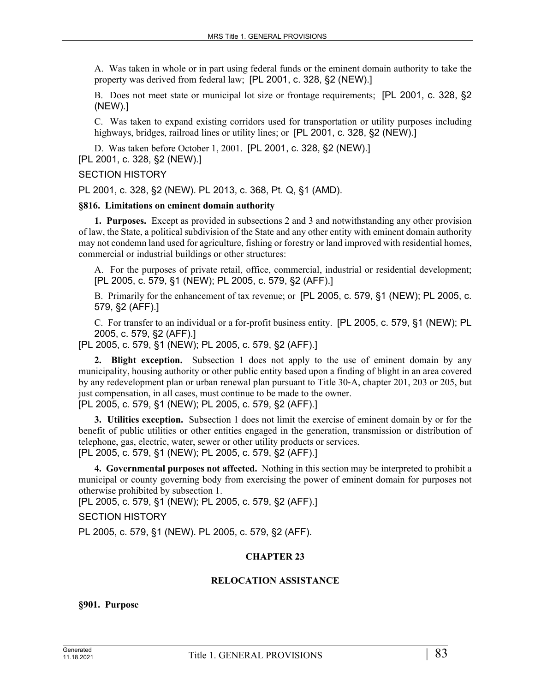A. Was taken in whole or in part using federal funds or the eminent domain authority to take the property was derived from federal law; [PL 2001, c. 328, §2 (NEW).]

B. Does not meet state or municipal lot size or frontage requirements; [PL 2001, c. 328, §2 (NEW).]

C. Was taken to expand existing corridors used for transportation or utility purposes including highways, bridges, railroad lines or utility lines; or [PL 2001, c. 328, §2 (NEW).]

D. Was taken before October 1, 2001. [PL 2001, c. 328, §2 (NEW).] [PL 2001, c. 328, §2 (NEW).]

### SECTION HISTORY

PL 2001, c. 328, §2 (NEW). PL 2013, c. 368, Pt. Q, §1 (AMD).

#### **§816. Limitations on eminent domain authority**

**1. Purposes.** Except as provided in subsections 2 and 3 and notwithstanding any other provision of law, the State, a political subdivision of the State and any other entity with eminent domain authority may not condemn land used for agriculture, fishing or forestry or land improved with residential homes, commercial or industrial buildings or other structures:

A. For the purposes of private retail, office, commercial, industrial or residential development; [PL 2005, c. 579, §1 (NEW); PL 2005, c. 579, §2 (AFF).]

B. Primarily for the enhancement of tax revenue; or [PL 2005, c. 579, §1 (NEW); PL 2005, c. 579, §2 (AFF).]

C. For transfer to an individual or a for-profit business entity. [PL 2005, c. 579, §1 (NEW); PL 2005, c. 579, §2 (AFF).]

[PL 2005, c. 579, §1 (NEW); PL 2005, c. 579, §2 (AFF).]

**2. Blight exception.** Subsection 1 does not apply to the use of eminent domain by any municipality, housing authority or other public entity based upon a finding of blight in an area covered by any redevelopment plan or urban renewal plan pursuant to Title 30‑A, chapter 201, 203 or 205, but just compensation, in all cases, must continue to be made to the owner.

[PL 2005, c. 579, §1 (NEW); PL 2005, c. 579, §2 (AFF).]

**3. Utilities exception.** Subsection 1 does not limit the exercise of eminent domain by or for the benefit of public utilities or other entities engaged in the generation, transmission or distribution of telephone, gas, electric, water, sewer or other utility products or services. [PL 2005, c. 579, §1 (NEW); PL 2005, c. 579, §2 (AFF).]

**4. Governmental purposes not affected.** Nothing in this section may be interpreted to prohibit a municipal or county governing body from exercising the power of eminent domain for purposes not otherwise prohibited by subsection 1.

[PL 2005, c. 579, §1 (NEW); PL 2005, c. 579, §2 (AFF).]

SECTION HISTORY

PL 2005, c. 579, §1 (NEW). PL 2005, c. 579, §2 (AFF).

#### **CHAPTER 23**

#### **RELOCATION ASSISTANCE**

**§901. Purpose**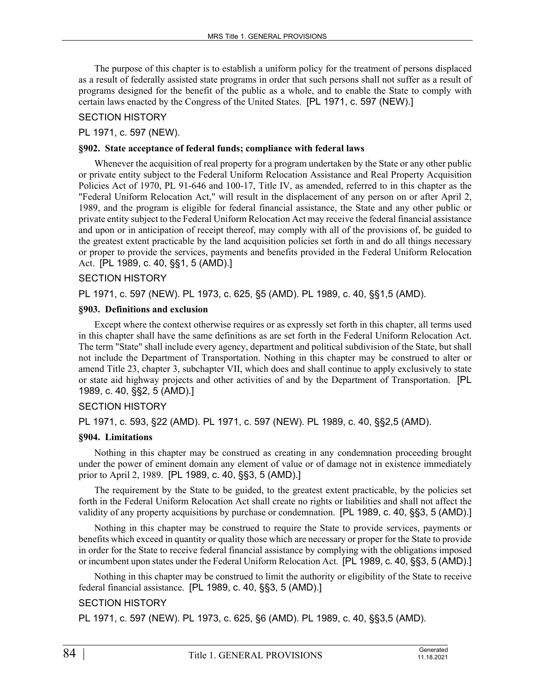The purpose of this chapter is to establish a uniform policy for the treatment of persons displaced as a result of federally assisted state programs in order that such persons shall not suffer as a result of programs designed for the benefit of the public as a whole, and to enable the State to comply with certain laws enacted by the Congress of the United States. [PL 1971, c. 597 (NEW).]

## SECTION HISTORY

### PL 1971, c. 597 (NEW).

### **§902. State acceptance of federal funds; compliance with federal laws**

Whenever the acquisition of real property for a program undertaken by the State or any other public or private entity subject to the Federal Uniform Relocation Assistance and Real Property Acquisition Policies Act of 1970, PL 91-646 and 100-17, Title IV, as amended, referred to in this chapter as the "Federal Uniform Relocation Act," will result in the displacement of any person on or after April 2, 1989, and the program is eligible for federal financial assistance, the State and any other public or private entity subject to the Federal Uniform Relocation Act may receive the federal financial assistance and upon or in anticipation of receipt thereof, may comply with all of the provisions of, be guided to the greatest extent practicable by the land acquisition policies set forth in and do all things necessary or proper to provide the services, payments and benefits provided in the Federal Uniform Relocation Act. [PL 1989, c. 40, §§1, 5 (AMD).]

### SECTION HISTORY

PL 1971, c. 597 (NEW). PL 1973, c. 625, §5 (AMD). PL 1989, c. 40, §§1,5 (AMD).

#### **§903. Definitions and exclusion**

Except where the context otherwise requires or as expressly set forth in this chapter, all terms used in this chapter shall have the same definitions as are set forth in the Federal Uniform Relocation Act. The term "State" shall include every agency, department and political subdivision of the State, but shall not include the Department of Transportation. Nothing in this chapter may be construed to alter or amend Title 23, chapter 3, subchapter VII, which does and shall continue to apply exclusively to state or state aid highway projects and other activities of and by the Department of Transportation. [PL 1989, c. 40, §§2, 5 (AMD).]

#### SECTION HISTORY

PL 1971, c. 593, §22 (AMD). PL 1971, c. 597 (NEW). PL 1989, c. 40, §§2,5 (AMD).

#### **§904. Limitations**

Nothing in this chapter may be construed as creating in any condemnation proceeding brought under the power of eminent domain any element of value or of damage not in existence immediately prior to April 2, 1989. [PL 1989, c. 40, §§3, 5 (AMD).]

The requirement by the State to be guided, to the greatest extent practicable, by the policies set forth in the Federal Uniform Relocation Act shall create no rights or liabilities and shall not affect the validity of any property acquisitions by purchase or condemnation. [PL 1989, c. 40, §§3, 5 (AMD).]

Nothing in this chapter may be construed to require the State to provide services, payments or benefits which exceed in quantity or quality those which are necessary or proper for the State to provide in order for the State to receive federal financial assistance by complying with the obligations imposed or incumbent upon states under the Federal Uniform Relocation Act. [PL 1989, c. 40, §§3, 5 (AMD).]

Nothing in this chapter may be construed to limit the authority or eligibility of the State to receive federal financial assistance. [PL 1989, c. 40, §§3, 5 (AMD).]

## SECTION HISTORY

PL 1971, c. 597 (NEW). PL 1973, c. 625, §6 (AMD). PL 1989, c. 40, §§3,5 (AMD).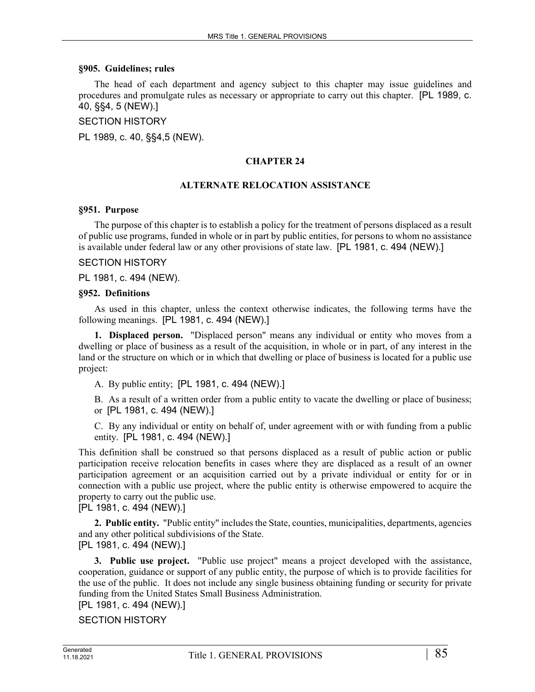#### **§905. Guidelines; rules**

The head of each department and agency subject to this chapter may issue guidelines and procedures and promulgate rules as necessary or appropriate to carry out this chapter. [PL 1989, c. 40, §§4, 5 (NEW).]

SECTION HISTORY

PL 1989, c. 40, §§4,5 (NEW).

## **CHAPTER 24**

#### **ALTERNATE RELOCATION ASSISTANCE**

#### **§951. Purpose**

The purpose of this chapter is to establish a policy for the treatment of persons displaced as a result of public use programs, funded in whole or in part by public entities, for persons to whom no assistance is available under federal law or any other provisions of state law. [PL 1981, c. 494 (NEW).]

#### SECTION HISTORY

PL 1981, c. 494 (NEW).

#### **§952. Definitions**

As used in this chapter, unless the context otherwise indicates, the following terms have the following meanings. [PL 1981, c. 494 (NEW).]

**1. Displaced person.** "Displaced person" means any individual or entity who moves from a dwelling or place of business as a result of the acquisition, in whole or in part, of any interest in the land or the structure on which or in which that dwelling or place of business is located for a public use project:

A. By public entity; [PL 1981, c. 494 (NEW).]

B. As a result of a written order from a public entity to vacate the dwelling or place of business; or [PL 1981, c. 494 (NEW).]

C. By any individual or entity on behalf of, under agreement with or with funding from a public entity. [PL 1981, c. 494 (NEW).]

This definition shall be construed so that persons displaced as a result of public action or public participation receive relocation benefits in cases where they are displaced as a result of an owner participation agreement or an acquisition carried out by a private individual or entity for or in connection with a public use project, where the public entity is otherwise empowered to acquire the property to carry out the public use.

[PL 1981, c. 494 (NEW).]

**2. Public entity.** "Public entity" includes the State, counties, municipalities, departments, agencies and any other political subdivisions of the State.

[PL 1981, c. 494 (NEW).]

**3. Public use project.** "Public use project" means a project developed with the assistance, cooperation, guidance or support of any public entity, the purpose of which is to provide facilities for the use of the public. It does not include any single business obtaining funding or security for private funding from the United States Small Business Administration.

## [PL 1981, c. 494 (NEW).]

SECTION HISTORY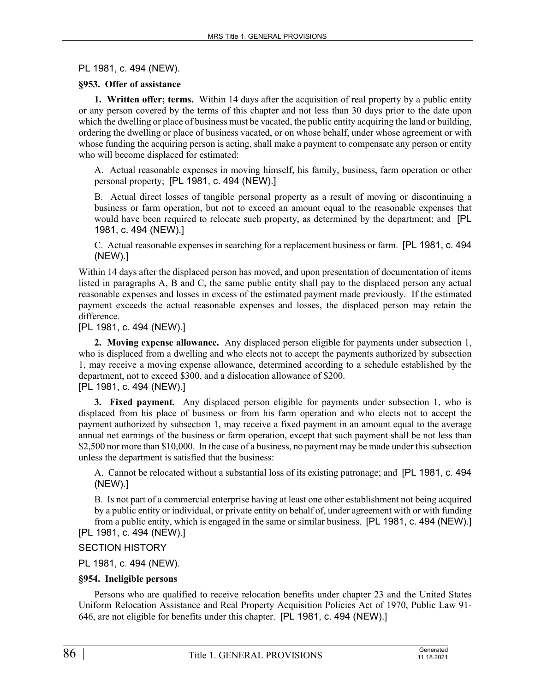PL 1981, c. 494 (NEW).

## **§953. Offer of assistance**

**1. Written offer; terms.** Within 14 days after the acquisition of real property by a public entity or any person covered by the terms of this chapter and not less than 30 days prior to the date upon which the dwelling or place of business must be vacated, the public entity acquiring the land or building, ordering the dwelling or place of business vacated, or on whose behalf, under whose agreement or with whose funding the acquiring person is acting, shall make a payment to compensate any person or entity who will become displaced for estimated:

A. Actual reasonable expenses in moving himself, his family, business, farm operation or other personal property; [PL 1981, c. 494 (NEW).]

B. Actual direct losses of tangible personal property as a result of moving or discontinuing a business or farm operation, but not to exceed an amount equal to the reasonable expenses that would have been required to relocate such property, as determined by the department; and [PL 1981, c. 494 (NEW).]

C. Actual reasonable expenses in searching for a replacement business or farm. [PL 1981, c. 494 (NEW).]

Within 14 days after the displaced person has moved, and upon presentation of documentation of items listed in paragraphs A, B and C, the same public entity shall pay to the displaced person any actual reasonable expenses and losses in excess of the estimated payment made previously. If the estimated payment exceeds the actual reasonable expenses and losses, the displaced person may retain the difference.

[PL 1981, c. 494 (NEW).]

**2. Moving expense allowance.** Any displaced person eligible for payments under subsection 1, who is displaced from a dwelling and who elects not to accept the payments authorized by subsection 1, may receive a moving expense allowance, determined according to a schedule established by the department, not to exceed \$300, and a dislocation allowance of \$200. [PL 1981, c. 494 (NEW).]

**3. Fixed payment.** Any displaced person eligible for payments under subsection 1, who is displaced from his place of business or from his farm operation and who elects not to accept the payment authorized by subsection 1, may receive a fixed payment in an amount equal to the average annual net earnings of the business or farm operation, except that such payment shall be not less than \$2,500 nor more than \$10,000. In the case of a business, no payment may be made under this subsection unless the department is satisfied that the business:

A. Cannot be relocated without a substantial loss of its existing patronage; and [PL 1981, c. 494 (NEW).]

B. Is not part of a commercial enterprise having at least one other establishment not being acquired by a public entity or individual, or private entity on behalf of, under agreement with or with funding from a public entity, which is engaged in the same or similar business. [PL 1981, c. 494 (NEW).] [PL 1981, c. 494 (NEW).]

SECTION HISTORY

PL 1981, c. 494 (NEW).

#### **§954. Ineligible persons**

Persons who are qualified to receive relocation benefits under chapter 23 and the United States Uniform Relocation Assistance and Real Property Acquisition Policies Act of 1970, Public Law 91- 646, are not eligible for benefits under this chapter. [PL 1981, c. 494 (NEW).]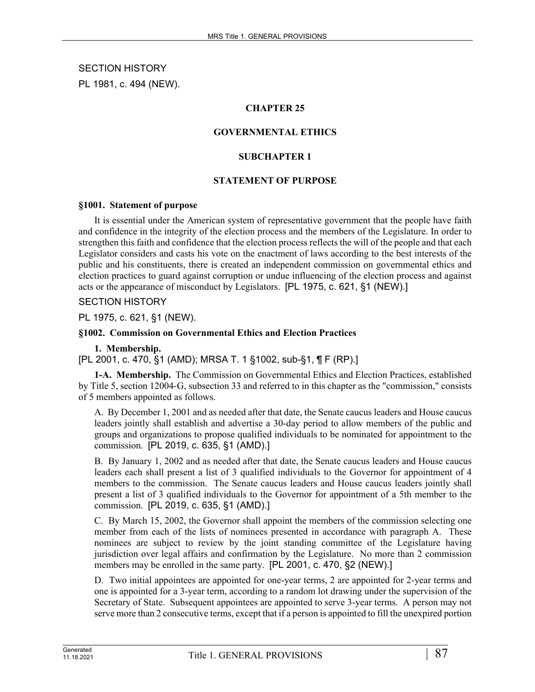SECTION HISTORY PL 1981, c. 494 (NEW).

## **CHAPTER 25**

## **GOVERNMENTAL ETHICS**

### **SUBCHAPTER 1**

### **STATEMENT OF PURPOSE**

#### **§1001. Statement of purpose**

It is essential under the American system of representative government that the people have faith and confidence in the integrity of the election process and the members of the Legislature. In order to strengthen this faith and confidence that the election process reflects the will of the people and that each Legislator considers and casts his vote on the enactment of laws according to the best interests of the public and his constituents, there is created an independent commission on governmental ethics and election practices to guard against corruption or undue influencing of the election process and against acts or the appearance of misconduct by Legislators. [PL 1975, c. 621, §1 (NEW).]

### SECTION HISTORY

PL 1975, c. 621, §1 (NEW).

#### **§1002. Commission on Governmental Ethics and Election Practices**

#### **1. Membership.**

[PL 2001, c. 470, §1 (AMD); MRSA T. 1 §1002, sub-§1, ¶ F (RP).]

**1-A. Membership.** The Commission on Governmental Ethics and Election Practices, established by Title 5, section 12004‑G, subsection 33 and referred to in this chapter as the "commission," consists of 5 members appointed as follows.

A. By December 1, 2001 and as needed after that date, the Senate caucus leaders and House caucus leaders jointly shall establish and advertise a 30-day period to allow members of the public and groups and organizations to propose qualified individuals to be nominated for appointment to the commission. [PL 2019, c. 635, §1 (AMD).]

B. By January 1, 2002 and as needed after that date, the Senate caucus leaders and House caucus leaders each shall present a list of 3 qualified individuals to the Governor for appointment of 4 members to the commission. The Senate caucus leaders and House caucus leaders jointly shall present a list of 3 qualified individuals to the Governor for appointment of a 5th member to the commission. [PL 2019, c. 635, §1 (AMD).]

C. By March 15, 2002, the Governor shall appoint the members of the commission selecting one member from each of the lists of nominees presented in accordance with paragraph A. These nominees are subject to review by the joint standing committee of the Legislature having jurisdiction over legal affairs and confirmation by the Legislature. No more than 2 commission members may be enrolled in the same party. [PL 2001, c. 470, §2 (NEW).]

D. Two initial appointees are appointed for one-year terms, 2 are appointed for 2-year terms and one is appointed for a 3-year term, according to a random lot drawing under the supervision of the Secretary of State. Subsequent appointees are appointed to serve 3-year terms. A person may not serve more than 2 consecutive terms, except that if a person is appointed to fill the unexpired portion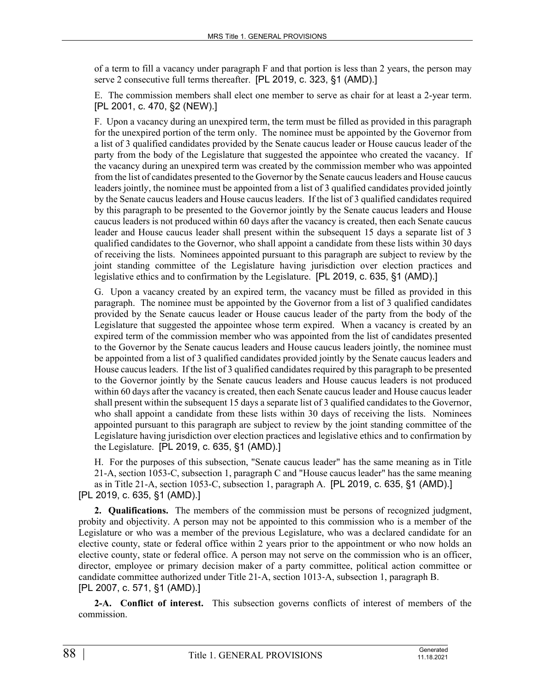of a term to fill a vacancy under paragraph F and that portion is less than 2 years, the person may serve 2 consecutive full terms thereafter. [PL 2019, c. 323, §1 (AMD).]

E. The commission members shall elect one member to serve as chair for at least a 2-year term. [PL 2001, c. 470, §2 (NEW).]

F. Upon a vacancy during an unexpired term, the term must be filled as provided in this paragraph for the unexpired portion of the term only. The nominee must be appointed by the Governor from a list of 3 qualified candidates provided by the Senate caucus leader or House caucus leader of the party from the body of the Legislature that suggested the appointee who created the vacancy. If the vacancy during an unexpired term was created by the commission member who was appointed from the list of candidates presented to the Governor by the Senate caucus leaders and House caucus leaders jointly, the nominee must be appointed from a list of 3 qualified candidates provided jointly by the Senate caucus leaders and House caucus leaders. If the list of 3 qualified candidates required by this paragraph to be presented to the Governor jointly by the Senate caucus leaders and House caucus leaders is not produced within 60 days after the vacancy is created, then each Senate caucus leader and House caucus leader shall present within the subsequent 15 days a separate list of 3 qualified candidates to the Governor, who shall appoint a candidate from these lists within 30 days of receiving the lists. Nominees appointed pursuant to this paragraph are subject to review by the joint standing committee of the Legislature having jurisdiction over election practices and legislative ethics and to confirmation by the Legislature. [PL 2019, c. 635, §1 (AMD).]

G. Upon a vacancy created by an expired term, the vacancy must be filled as provided in this paragraph. The nominee must be appointed by the Governor from a list of 3 qualified candidates provided by the Senate caucus leader or House caucus leader of the party from the body of the Legislature that suggested the appointee whose term expired. When a vacancy is created by an expired term of the commission member who was appointed from the list of candidates presented to the Governor by the Senate caucus leaders and House caucus leaders jointly, the nominee must be appointed from a list of 3 qualified candidates provided jointly by the Senate caucus leaders and House caucus leaders. If the list of 3 qualified candidates required by this paragraph to be presented to the Governor jointly by the Senate caucus leaders and House caucus leaders is not produced within 60 days after the vacancy is created, then each Senate caucus leader and House caucus leader shall present within the subsequent 15 days a separate list of 3 qualified candidates to the Governor, who shall appoint a candidate from these lists within 30 days of receiving the lists. Nominees appointed pursuant to this paragraph are subject to review by the joint standing committee of the Legislature having jurisdiction over election practices and legislative ethics and to confirmation by the Legislature. [PL 2019, c. 635, §1 (AMD).]

H. For the purposes of this subsection, "Senate caucus leader" has the same meaning as in Title 21-A, section 1053-C, subsection 1, paragraph C and "House caucus leader" has the same meaning as in Title 21-A, section 1053-C, subsection 1, paragraph A. [PL 2019, c. 635, §1 (AMD).] [PL 2019, c. 635, §1 (AMD).]

**2. Qualifications.** The members of the commission must be persons of recognized judgment, probity and objectivity. A person may not be appointed to this commission who is a member of the Legislature or who was a member of the previous Legislature, who was a declared candidate for an elective county, state or federal office within 2 years prior to the appointment or who now holds an elective county, state or federal office. A person may not serve on the commission who is an officer, director, employee or primary decision maker of a party committee, political action committee or candidate committee authorized under Title 21‑A, section 1013‑A, subsection 1, paragraph B. [PL 2007, c. 571, §1 (AMD).]

**2-A. Conflict of interest.** This subsection governs conflicts of interest of members of the commission.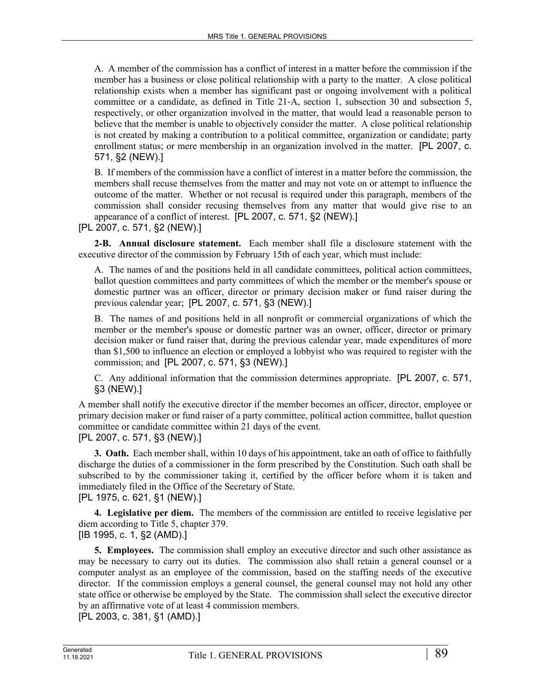A. A member of the commission has a conflict of interest in a matter before the commission if the member has a business or close political relationship with a party to the matter. A close political relationship exists when a member has significant past or ongoing involvement with a political committee or a candidate, as defined in Title 21‑A, section 1, subsection 30 and subsection 5, respectively, or other organization involved in the matter, that would lead a reasonable person to believe that the member is unable to objectively consider the matter. A close political relationship is not created by making a contribution to a political committee, organization or candidate; party enrollment status; or mere membership in an organization involved in the matter. [PL 2007, c. 571, §2 (NEW).]

B. If members of the commission have a conflict of interest in a matter before the commission, the members shall recuse themselves from the matter and may not vote on or attempt to influence the outcome of the matter. Whether or not recusal is required under this paragraph, members of the commission shall consider recusing themselves from any matter that would give rise to an appearance of a conflict of interest. [PL 2007, c. 571, §2 (NEW).]

### [PL 2007, c. 571, §2 (NEW).]

**2-B. Annual disclosure statement.** Each member shall file a disclosure statement with the executive director of the commission by February 15th of each year, which must include:

A. The names of and the positions held in all candidate committees, political action committees, ballot question committees and party committees of which the member or the member's spouse or domestic partner was an officer, director or primary decision maker or fund raiser during the previous calendar year; [PL 2007, c. 571, §3 (NEW).]

B. The names of and positions held in all nonprofit or commercial organizations of which the member or the member's spouse or domestic partner was an owner, officer, director or primary decision maker or fund raiser that, during the previous calendar year, made expenditures of more than \$1,500 to influence an election or employed a lobbyist who was required to register with the commission; and [PL 2007, c. 571, §3 (NEW).]

C. Any additional information that the commission determines appropriate. [PL 2007, c. 571, §3 (NEW).]

A member shall notify the executive director if the member becomes an officer, director, employee or primary decision maker or fund raiser of a party committee, political action committee, ballot question committee or candidate committee within 21 days of the event. [PL 2007, c. 571, §3 (NEW).]

**3. Oath.** Each member shall, within 10 days of his appointment, take an oath of office to faithfully discharge the duties of a commissioner in the form prescribed by the Constitution. Such oath shall be subscribed to by the commissioner taking it, certified by the officer before whom it is taken and immediately filed in the Office of the Secretary of State. [PL 1975, c. 621, §1 (NEW).]

**4. Legislative per diem.** The members of the commission are entitled to receive legislative per diem according to Title 5, chapter 379.

[IB 1995, c. 1, §2 (AMD).]

**5. Employees.** The commission shall employ an executive director and such other assistance as may be necessary to carry out its duties. The commission also shall retain a general counsel or a computer analyst as an employee of the commission, based on the staffing needs of the executive director. If the commission employs a general counsel, the general counsel may not hold any other state office or otherwise be employed by the State. The commission shall select the executive director by an affirmative vote of at least 4 commission members.

[PL 2003, c. 381, §1 (AMD).]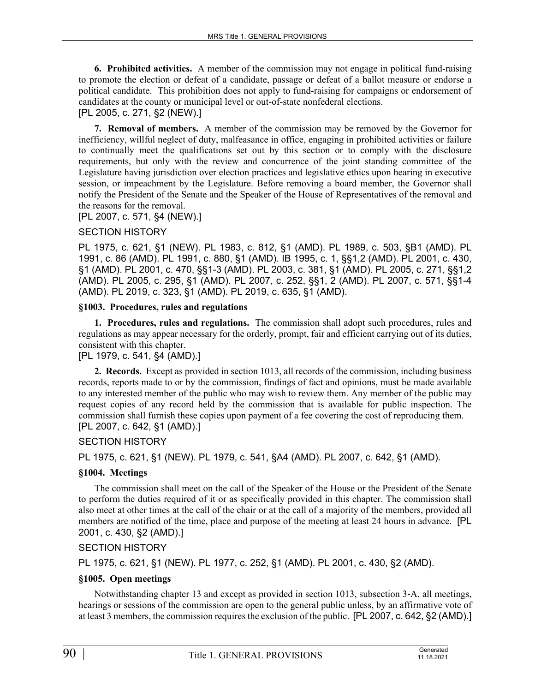**6. Prohibited activities.** A member of the commission may not engage in political fund-raising to promote the election or defeat of a candidate, passage or defeat of a ballot measure or endorse a political candidate. This prohibition does not apply to fund-raising for campaigns or endorsement of candidates at the county or municipal level or out-of-state nonfederal elections.

# [PL 2005, c. 271, §2 (NEW).]

**7. Removal of members.** A member of the commission may be removed by the Governor for inefficiency, willful neglect of duty, malfeasance in office, engaging in prohibited activities or failure to continually meet the qualifications set out by this section or to comply with the disclosure requirements, but only with the review and concurrence of the joint standing committee of the Legislature having jurisdiction over election practices and legislative ethics upon hearing in executive session, or impeachment by the Legislature. Before removing a board member, the Governor shall notify the President of the Senate and the Speaker of the House of Representatives of the removal and the reasons for the removal.

[PL 2007, c. 571, §4 (NEW).]

### SECTION HISTORY

PL 1975, c. 621, §1 (NEW). PL 1983, c. 812, §1 (AMD). PL 1989, c. 503, §B1 (AMD). PL 1991, c. 86 (AMD). PL 1991, c. 880, §1 (AMD). IB 1995, c. 1, §§1,2 (AMD). PL 2001, c. 430, §1 (AMD). PL 2001, c. 470, §§1-3 (AMD). PL 2003, c. 381, §1 (AMD). PL 2005, c. 271, §§1,2 (AMD). PL 2005, c. 295, §1 (AMD). PL 2007, c. 252, §§1, 2 (AMD). PL 2007, c. 571, §§1-4 (AMD). PL 2019, c. 323, §1 (AMD). PL 2019, c. 635, §1 (AMD).

## **§1003. Procedures, rules and regulations**

**1. Procedures, rules and regulations.** The commission shall adopt such procedures, rules and regulations as may appear necessary for the orderly, prompt, fair and efficient carrying out of its duties, consistent with this chapter.

## [PL 1979, c. 541, §4 (AMD).]

**2. Records.** Except as provided in section 1013, all records of the commission, including business records, reports made to or by the commission, findings of fact and opinions, must be made available to any interested member of the public who may wish to review them. Any member of the public may request copies of any record held by the commission that is available for public inspection. The commission shall furnish these copies upon payment of a fee covering the cost of reproducing them. [PL 2007, c. 642, §1 (AMD).]

#### SECTION HISTORY

PL 1975, c. 621, §1 (NEW). PL 1979, c. 541, §A4 (AMD). PL 2007, c. 642, §1 (AMD).

## **§1004. Meetings**

The commission shall meet on the call of the Speaker of the House or the President of the Senate to perform the duties required of it or as specifically provided in this chapter. The commission shall also meet at other times at the call of the chair or at the call of a majority of the members, provided all members are notified of the time, place and purpose of the meeting at least 24 hours in advance. [PL 2001, c. 430, §2 (AMD).]

## SECTION HISTORY

PL 1975, c. 621, §1 (NEW). PL 1977, c. 252, §1 (AMD). PL 2001, c. 430, §2 (AMD).

#### **§1005. Open meetings**

Notwithstanding chapter 13 and except as provided in section 1013, subsection 3‑A, all meetings, hearings or sessions of the commission are open to the general public unless, by an affirmative vote of at least 3 members, the commission requires the exclusion of the public. [PL 2007, c. 642, §2 (AMD).]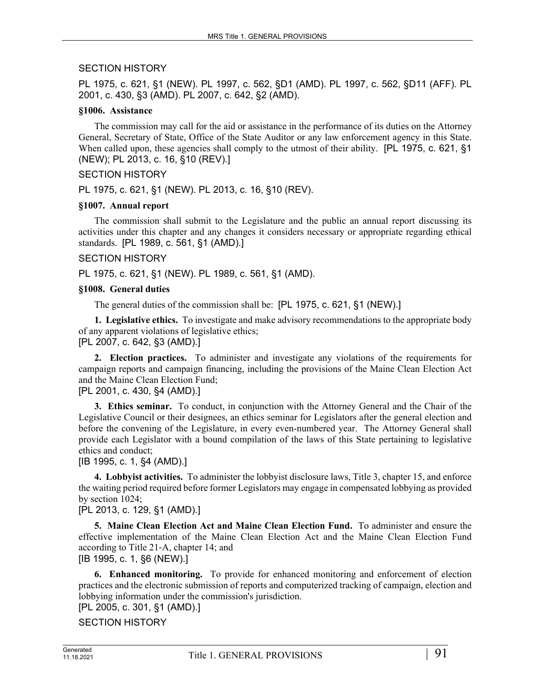## SECTION HISTORY

PL 1975, c. 621, §1 (NEW). PL 1997, c. 562, §D1 (AMD). PL 1997, c. 562, §D11 (AFF). PL 2001, c. 430, §3 (AMD). PL 2007, c. 642, §2 (AMD).

### **§1006. Assistance**

The commission may call for the aid or assistance in the performance of its duties on the Attorney General, Secretary of State, Office of the State Auditor or any law enforcement agency in this State. When called upon, these agencies shall comply to the utmost of their ability. [PL 1975, c. 621, §1] (NEW); PL 2013, c. 16, §10 (REV).]

### SECTION HISTORY

PL 1975, c. 621, §1 (NEW). PL 2013, c. 16, §10 (REV).

### **§1007. Annual report**

The commission shall submit to the Legislature and the public an annual report discussing its activities under this chapter and any changes it considers necessary or appropriate regarding ethical standards. [PL 1989, c. 561, §1 (AMD).]

#### SECTION HISTORY

PL 1975, c. 621, §1 (NEW). PL 1989, c. 561, §1 (AMD).

### **§1008. General duties**

The general duties of the commission shall be: [PL 1975, c. 621, §1 (NEW).]

**1. Legislative ethics.** To investigate and make advisory recommendations to the appropriate body of any apparent violations of legislative ethics; [PL 2007, c. 642, §3 (AMD).]

**2. Election practices.** To administer and investigate any violations of the requirements for campaign reports and campaign financing, including the provisions of the Maine Clean Election Act and the Maine Clean Election Fund;

### [PL 2001, c. 430, §4 (AMD).]

**3. Ethics seminar.** To conduct, in conjunction with the Attorney General and the Chair of the Legislative Council or their designees, an ethics seminar for Legislators after the general election and before the convening of the Legislature, in every even-numbered year. The Attorney General shall provide each Legislator with a bound compilation of the laws of this State pertaining to legislative ethics and conduct;

[IB 1995, c. 1, §4 (AMD).]

**4. Lobbyist activities.** To administer the lobbyist disclosure laws, Title 3, chapter 15, and enforce the waiting period required before former Legislators may engage in compensated lobbying as provided by section 1024;

## [PL 2013, c. 129, §1 (AMD).]

**5. Maine Clean Election Act and Maine Clean Election Fund.** To administer and ensure the effective implementation of the Maine Clean Election Act and the Maine Clean Election Fund according to Title 21‑A, chapter 14; and

[IB 1995, c. 1, §6 (NEW).]

**6. Enhanced monitoring.** To provide for enhanced monitoring and enforcement of election practices and the electronic submission of reports and computerized tracking of campaign, election and lobbying information under the commission's jurisdiction.

[PL 2005, c. 301, §1 (AMD).]

SECTION HISTORY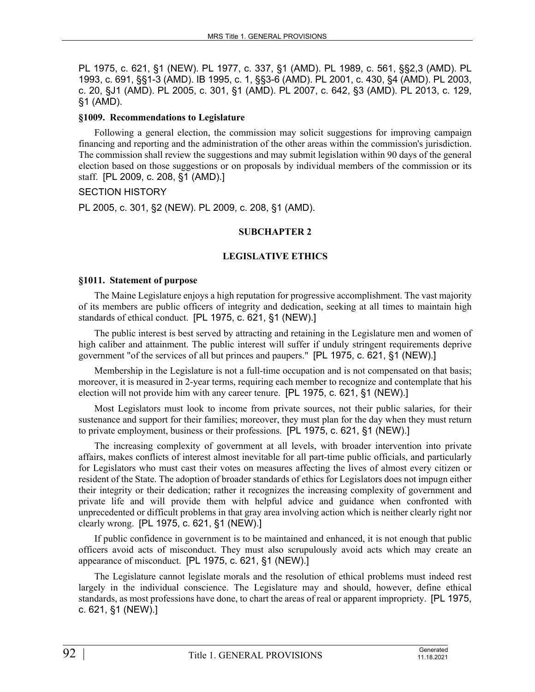PL 1975, c. 621, §1 (NEW). PL 1977, c. 337, §1 (AMD). PL 1989, c. 561, §§2,3 (AMD). PL 1993, c. 691, §§1-3 (AMD). IB 1995, c. 1, §§3-6 (AMD). PL 2001, c. 430, §4 (AMD). PL 2003, c. 20, §J1 (AMD). PL 2005, c. 301, §1 (AMD). PL 2007, c. 642, §3 (AMD). PL 2013, c. 129, §1 (AMD).

### **§1009. Recommendations to Legislature**

Following a general election, the commission may solicit suggestions for improving campaign financing and reporting and the administration of the other areas within the commission's jurisdiction. The commission shall review the suggestions and may submit legislation within 90 days of the general election based on those suggestions or on proposals by individual members of the commission or its staff. [PL 2009, c. 208, §1 (AMD).]

## SECTION HISTORY

PL 2005, c. 301, §2 (NEW). PL 2009, c. 208, §1 (AMD).

## **SUBCHAPTER 2**

## **LEGISLATIVE ETHICS**

### **§1011. Statement of purpose**

The Maine Legislature enjoys a high reputation for progressive accomplishment. The vast majority of its members are public officers of integrity and dedication, seeking at all times to maintain high standards of ethical conduct. [PL 1975, c. 621, §1 (NEW).]

The public interest is best served by attracting and retaining in the Legislature men and women of high caliber and attainment. The public interest will suffer if unduly stringent requirements deprive government "of the services of all but princes and paupers." [PL 1975, c. 621, §1 (NEW).]

Membership in the Legislature is not a full-time occupation and is not compensated on that basis; moreover, it is measured in 2-year terms, requiring each member to recognize and contemplate that his election will not provide him with any career tenure. [PL 1975, c. 621, §1 (NEW).]

Most Legislators must look to income from private sources, not their public salaries, for their sustenance and support for their families; moreover, they must plan for the day when they must return to private employment, business or their professions. [PL 1975, c. 621, §1 (NEW).]

The increasing complexity of government at all levels, with broader intervention into private affairs, makes conflicts of interest almost inevitable for all part-time public officials, and particularly for Legislators who must cast their votes on measures affecting the lives of almost every citizen or resident of the State. The adoption of broader standards of ethics for Legislators does not impugn either their integrity or their dedication; rather it recognizes the increasing complexity of government and private life and will provide them with helpful advice and guidance when confronted with unprecedented or difficult problems in that gray area involving action which is neither clearly right nor clearly wrong. [PL 1975, c. 621, §1 (NEW).]

If public confidence in government is to be maintained and enhanced, it is not enough that public officers avoid acts of misconduct. They must also scrupulously avoid acts which may create an appearance of misconduct. [PL 1975, c. 621, §1 (NEW).]

The Legislature cannot legislate morals and the resolution of ethical problems must indeed rest largely in the individual conscience. The Legislature may and should, however, define ethical standards, as most professions have done, to chart the areas of real or apparent impropriety. [PL 1975, c. 621, §1 (NEW).]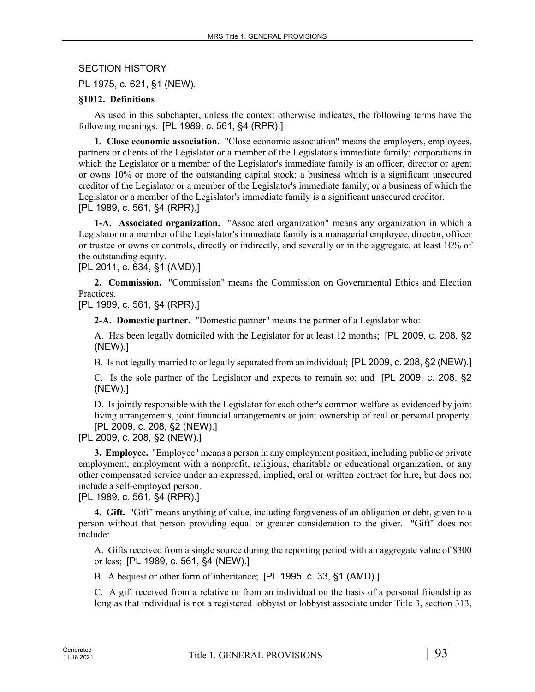SECTION HISTORY

PL 1975, c. 621, §1 (NEW).

### **§1012. Definitions**

As used in this subchapter, unless the context otherwise indicates, the following terms have the following meanings. [PL 1989, c. 561, §4 (RPR).]

**1. Close economic association.** "Close economic association" means the employers, employees, partners or clients of the Legislator or a member of the Legislator's immediate family; corporations in which the Legislator or a member of the Legislator's immediate family is an officer, director or agent or owns 10% or more of the outstanding capital stock; a business which is a significant unsecured creditor of the Legislator or a member of the Legislator's immediate family; or a business of which the Legislator or a member of the Legislator's immediate family is a significant unsecured creditor. [PL 1989, c. 561, §4 (RPR).]

**1-A. Associated organization.** "Associated organization" means any organization in which a Legislator or a member of the Legislator's immediate family is a managerial employee, director, officer or trustee or owns or controls, directly or indirectly, and severally or in the aggregate, at least 10% of the outstanding equity.

[PL 2011, c. 634, §1 (AMD).]

**2. Commission.** "Commission" means the Commission on Governmental Ethics and Election Practices.

[PL 1989, c. 561, §4 (RPR).]

**2-A. Domestic partner.** "Domestic partner" means the partner of a Legislator who:

A. Has been legally domiciled with the Legislator for at least 12 months; [PL 2009, c. 208, §2 (NEW).]

B. Is not legally married to or legally separated from an individual; [PL 2009, c. 208, §2 (NEW).]

C. Is the sole partner of the Legislator and expects to remain so; and [PL 2009, c. 208, §2 (NEW).]

D. Is jointly responsible with the Legislator for each other's common welfare as evidenced by joint living arrangements, joint financial arrangements or joint ownership of real or personal property. [PL 2009, c. 208, §2 (NEW).]

[PL 2009, c. 208, §2 (NEW).]

**3. Employee.** "Employee" means a person in any employment position, including public or private employment, employment with a nonprofit, religious, charitable or educational organization, or any other compensated service under an expressed, implied, oral or written contract for hire, but does not include a self-employed person.

[PL 1989, c. 561, §4 (RPR).]

**4. Gift.** "Gift" means anything of value, including forgiveness of an obligation or debt, given to a person without that person providing equal or greater consideration to the giver. "Gift" does not include:

A. Gifts received from a single source during the reporting period with an aggregate value of \$300 or less; [PL 1989, c. 561, §4 (NEW).]

B. A bequest or other form of inheritance; [PL 1995, c. 33, §1 (AMD).]

C. A gift received from a relative or from an individual on the basis of a personal friendship as long as that individual is not a registered lobbyist or lobbyist associate under Title 3, section 313,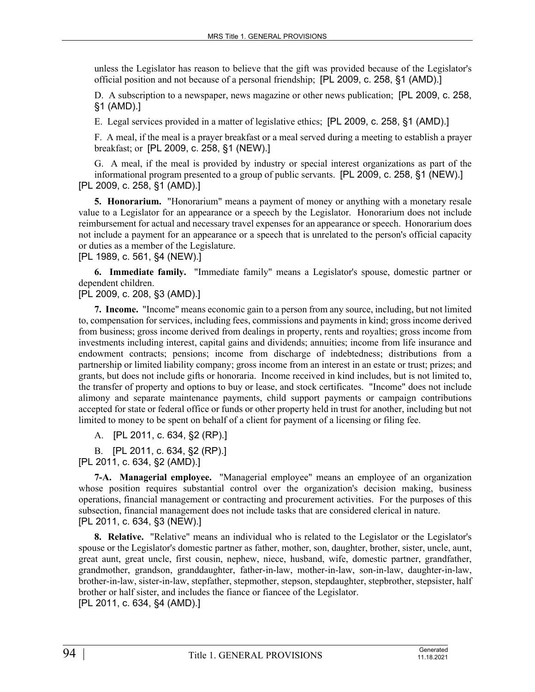unless the Legislator has reason to believe that the gift was provided because of the Legislator's official position and not because of a personal friendship; [PL 2009, c. 258, §1 (AMD).]

D. A subscription to a newspaper, news magazine or other news publication; [PL 2009, c. 258, §1 (AMD).]

E. Legal services provided in a matter of legislative ethics; [PL 2009, c. 258, §1 (AMD).]

F. A meal, if the meal is a prayer breakfast or a meal served during a meeting to establish a prayer breakfast; or [PL 2009, c. 258, §1 (NEW).]

G. A meal, if the meal is provided by industry or special interest organizations as part of the informational program presented to a group of public servants. [PL 2009, c. 258, §1 (NEW).] [PL 2009, c. 258, §1 (AMD).]

**5. Honorarium.** "Honorarium" means a payment of money or anything with a monetary resale value to a Legislator for an appearance or a speech by the Legislator. Honorarium does not include reimbursement for actual and necessary travel expenses for an appearance or speech. Honorarium does not include a payment for an appearance or a speech that is unrelated to the person's official capacity or duties as a member of the Legislature.

[PL 1989, c. 561, §4 (NEW).]

**6. Immediate family.** "Immediate family" means a Legislator's spouse, domestic partner or dependent children.

[PL 2009, c. 208, §3 (AMD).]

**7. Income.** "Income" means economic gain to a person from any source, including, but not limited to, compensation for services, including fees, commissions and payments in kind; gross income derived from business; gross income derived from dealings in property, rents and royalties; gross income from investments including interest, capital gains and dividends; annuities; income from life insurance and endowment contracts; pensions; income from discharge of indebtedness; distributions from a partnership or limited liability company; gross income from an interest in an estate or trust; prizes; and grants, but does not include gifts or honoraria. Income received in kind includes, but is not limited to, the transfer of property and options to buy or lease, and stock certificates. "Income" does not include alimony and separate maintenance payments, child support payments or campaign contributions accepted for state or federal office or funds or other property held in trust for another, including but not limited to money to be spent on behalf of a client for payment of a licensing or filing fee.

A. [PL 2011, c. 634, §2 (RP).]

B. [PL 2011, c. 634, §2 (RP).]

[PL 2011, c. 634, §2 (AMD).]

**7-A. Managerial employee.** "Managerial employee" means an employee of an organization whose position requires substantial control over the organization's decision making, business operations, financial management or contracting and procurement activities. For the purposes of this subsection, financial management does not include tasks that are considered clerical in nature. [PL 2011, c. 634, §3 (NEW).]

**8. Relative.** "Relative" means an individual who is related to the Legislator or the Legislator's spouse or the Legislator's domestic partner as father, mother, son, daughter, brother, sister, uncle, aunt, great aunt, great uncle, first cousin, nephew, niece, husband, wife, domestic partner, grandfather, grandmother, grandson, granddaughter, father-in-law, mother-in-law, son-in-law, daughter-in-law, brother-in-law, sister-in-law, stepfather, stepmother, stepson, stepdaughter, stepbrother, stepsister, half brother or half sister, and includes the fiance or fiancee of the Legislator. [PL 2011, c. 634, §4 (AMD).]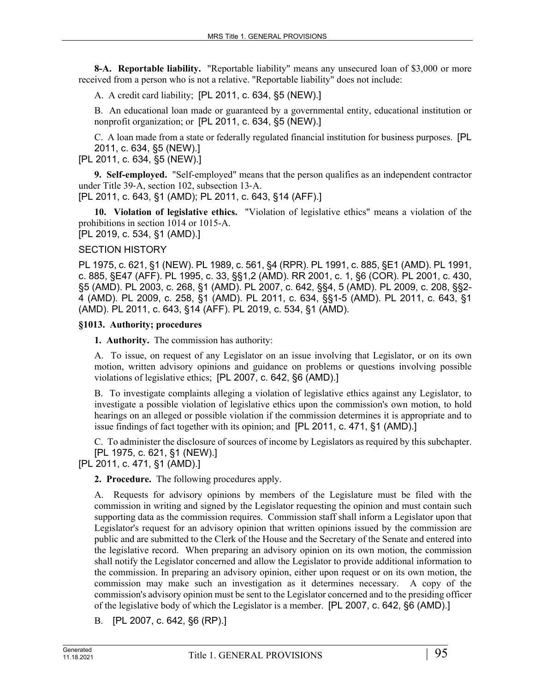**8-A. Reportable liability.** "Reportable liability" means any unsecured loan of \$3,000 or more received from a person who is not a relative. "Reportable liability" does not include:

A. A credit card liability; [PL 2011, c. 634, §5 (NEW).]

B. An educational loan made or guaranteed by a governmental entity, educational institution or nonprofit organization; or [PL 2011, c. 634, §5 (NEW).]

C. A loan made from a state or federally regulated financial institution for business purposes. [PL 2011, c. 634, §5 (NEW).]

[PL 2011, c. 634, §5 (NEW).]

**9. Self-employed.** "Self-employed" means that the person qualifies as an independent contractor under Title 39‑A, section 102, subsection 13‑A.

[PL 2011, c. 643, §1 (AMD); PL 2011, c. 643, §14 (AFF).]

**10. Violation of legislative ethics.** "Violation of legislative ethics" means a violation of the prohibitions in section 1014 or 1015-A. [PL 2019, c. 534, §1 (AMD).]

## SECTION HISTORY

PL 1975, c. 621, §1 (NEW). PL 1989, c. 561, §4 (RPR). PL 1991, c. 885, §E1 (AMD). PL 1991, c. 885, §E47 (AFF). PL 1995, c. 33, §§1,2 (AMD). RR 2001, c. 1, §6 (COR). PL 2001, c. 430, §5 (AMD). PL 2003, c. 268, §1 (AMD). PL 2007, c. 642, §§4, 5 (AMD). PL 2009, c. 208, §§2- 4 (AMD). PL 2009, c. 258, §1 (AMD). PL 2011, c. 634, §§1-5 (AMD). PL 2011, c. 643, §1 (AMD). PL 2011, c. 643, §14 (AFF). PL 2019, c. 534, §1 (AMD).

### **§1013. Authority; procedures**

**1. Authority.** The commission has authority:

A. To issue, on request of any Legislator on an issue involving that Legislator, or on its own motion, written advisory opinions and guidance on problems or questions involving possible violations of legislative ethics; [PL 2007, c. 642, §6 (AMD).]

B. To investigate complaints alleging a violation of legislative ethics against any Legislator, to investigate a possible violation of legislative ethics upon the commission's own motion, to hold hearings on an alleged or possible violation if the commission determines it is appropriate and to issue findings of fact together with its opinion; and [PL 2011, c. 471, §1 (AMD).]

C. To administer the disclosure of sources of income by Legislators as required by this subchapter. [PL 1975, c. 621, §1 (NEW).]

[PL 2011, c. 471, §1 (AMD).]

**2. Procedure.** The following procedures apply.

A. Requests for advisory opinions by members of the Legislature must be filed with the commission in writing and signed by the Legislator requesting the opinion and must contain such supporting data as the commission requires. Commission staff shall inform a Legislator upon that Legislator's request for an advisory opinion that written opinions issued by the commission are public and are submitted to the Clerk of the House and the Secretary of the Senate and entered into the legislative record. When preparing an advisory opinion on its own motion, the commission shall notify the Legislator concerned and allow the Legislator to provide additional information to the commission. In preparing an advisory opinion, either upon request or on its own motion, the commission may make such an investigation as it determines necessary. A copy of the commission's advisory opinion must be sent to the Legislator concerned and to the presiding officer of the legislative body of which the Legislator is a member. [PL 2007, c. 642, §6 (AMD).]

B. [PL 2007, c. 642, §6 (RP).]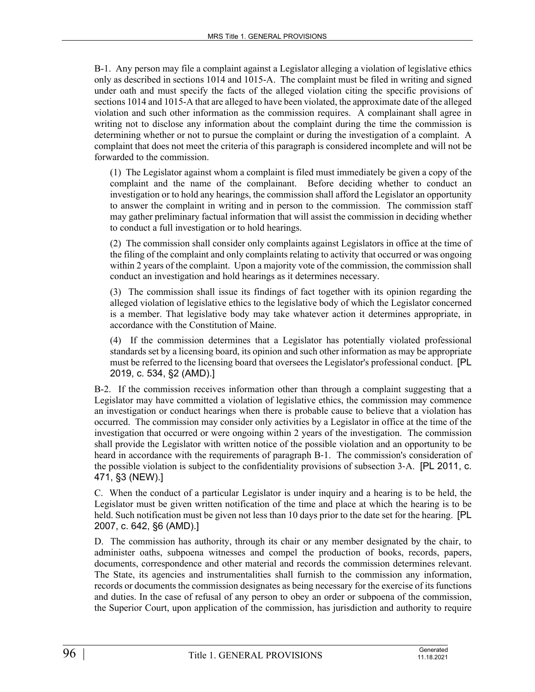B-1. Any person may file a complaint against a Legislator alleging a violation of legislative ethics only as described in sections 1014 and 1015-A. The complaint must be filed in writing and signed under oath and must specify the facts of the alleged violation citing the specific provisions of sections 1014 and 1015-A that are alleged to have been violated, the approximate date of the alleged violation and such other information as the commission requires. A complainant shall agree in writing not to disclose any information about the complaint during the time the commission is determining whether or not to pursue the complaint or during the investigation of a complaint. A complaint that does not meet the criteria of this paragraph is considered incomplete and will not be forwarded to the commission.

(1) The Legislator against whom a complaint is filed must immediately be given a copy of the complaint and the name of the complainant. Before deciding whether to conduct an investigation or to hold any hearings, the commission shall afford the Legislator an opportunity to answer the complaint in writing and in person to the commission. The commission staff may gather preliminary factual information that will assist the commission in deciding whether to conduct a full investigation or to hold hearings.

(2) The commission shall consider only complaints against Legislators in office at the time of the filing of the complaint and only complaints relating to activity that occurred or was ongoing within 2 years of the complaint. Upon a majority vote of the commission, the commission shall conduct an investigation and hold hearings as it determines necessary.

(3) The commission shall issue its findings of fact together with its opinion regarding the alleged violation of legislative ethics to the legislative body of which the Legislator concerned is a member. That legislative body may take whatever action it determines appropriate, in accordance with the Constitution of Maine.

(4) If the commission determines that a Legislator has potentially violated professional standards set by a licensing board, its opinion and such other information as may be appropriate must be referred to the licensing board that oversees the Legislator's professional conduct. [PL 2019, c. 534, §2 (AMD).]

B-2. If the commission receives information other than through a complaint suggesting that a Legislator may have committed a violation of legislative ethics, the commission may commence an investigation or conduct hearings when there is probable cause to believe that a violation has occurred. The commission may consider only activities by a Legislator in office at the time of the investigation that occurred or were ongoing within 2 years of the investigation. The commission shall provide the Legislator with written notice of the possible violation and an opportunity to be heard in accordance with the requirements of paragraph B–1. The commission's consideration of the possible violation is subject to the confidentiality provisions of subsection 3‑A. [PL 2011, c. 471, §3 (NEW).]

C. When the conduct of a particular Legislator is under inquiry and a hearing is to be held, the Legislator must be given written notification of the time and place at which the hearing is to be held. Such notification must be given not less than 10 days prior to the date set for the hearing. **[PL** 2007, c. 642, §6 (AMD).]

D. The commission has authority, through its chair or any member designated by the chair, to administer oaths, subpoena witnesses and compel the production of books, records, papers, documents, correspondence and other material and records the commission determines relevant. The State, its agencies and instrumentalities shall furnish to the commission any information, records or documents the commission designates as being necessary for the exercise of its functions and duties. In the case of refusal of any person to obey an order or subpoena of the commission, the Superior Court, upon application of the commission, has jurisdiction and authority to require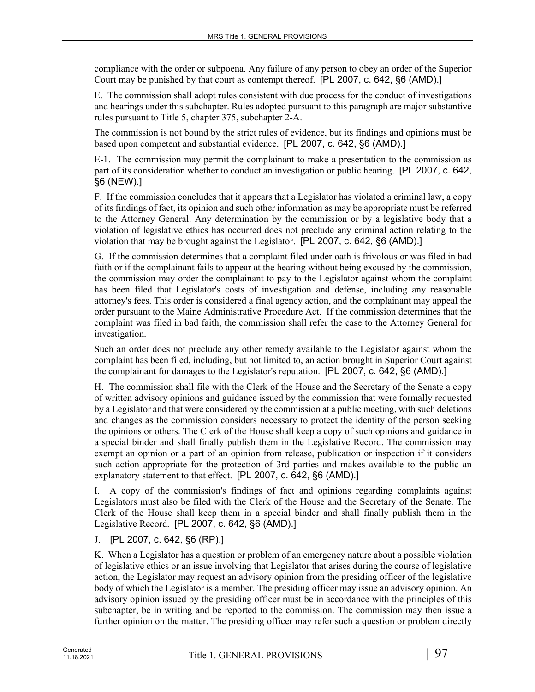compliance with the order or subpoena. Any failure of any person to obey an order of the Superior Court may be punished by that court as contempt thereof. [PL 2007, c. 642, §6 (AMD).]

E. The commission shall adopt rules consistent with due process for the conduct of investigations and hearings under this subchapter. Rules adopted pursuant to this paragraph are major substantive rules pursuant to Title 5, chapter 375, subchapter 2-A.

The commission is not bound by the strict rules of evidence, but its findings and opinions must be based upon competent and substantial evidence. [PL 2007, c. 642, §6 (AMD).]

E-1. The commission may permit the complainant to make a presentation to the commission as part of its consideration whether to conduct an investigation or public hearing. [PL 2007, c. 642, §6 (NEW).]

F. If the commission concludes that it appears that a Legislator has violated a criminal law, a copy of its findings of fact, its opinion and such other information as may be appropriate must be referred to the Attorney General. Any determination by the commission or by a legislative body that a violation of legislative ethics has occurred does not preclude any criminal action relating to the violation that may be brought against the Legislator. [PL 2007, c. 642, §6 (AMD).]

G. If the commission determines that a complaint filed under oath is frivolous or was filed in bad faith or if the complainant fails to appear at the hearing without being excused by the commission, the commission may order the complainant to pay to the Legislator against whom the complaint has been filed that Legislator's costs of investigation and defense, including any reasonable attorney's fees. This order is considered a final agency action, and the complainant may appeal the order pursuant to the Maine Administrative Procedure Act. If the commission determines that the complaint was filed in bad faith, the commission shall refer the case to the Attorney General for investigation.

Such an order does not preclude any other remedy available to the Legislator against whom the complaint has been filed, including, but not limited to, an action brought in Superior Court against the complainant for damages to the Legislator's reputation. [PL 2007, c. 642, §6 (AMD).]

H. The commission shall file with the Clerk of the House and the Secretary of the Senate a copy of written advisory opinions and guidance issued by the commission that were formally requested by a Legislator and that were considered by the commission at a public meeting, with such deletions and changes as the commission considers necessary to protect the identity of the person seeking the opinions or others. The Clerk of the House shall keep a copy of such opinions and guidance in a special binder and shall finally publish them in the Legislative Record. The commission may exempt an opinion or a part of an opinion from release, publication or inspection if it considers such action appropriate for the protection of 3rd parties and makes available to the public an explanatory statement to that effect. [PL 2007, c. 642, §6 (AMD).]

I. A copy of the commission's findings of fact and opinions regarding complaints against Legislators must also be filed with the Clerk of the House and the Secretary of the Senate. The Clerk of the House shall keep them in a special binder and shall finally publish them in the Legislative Record. [PL 2007, c. 642, §6 (AMD).]

## J. [PL 2007, c. 642, §6 (RP).]

K. When a Legislator has a question or problem of an emergency nature about a possible violation of legislative ethics or an issue involving that Legislator that arises during the course of legislative action, the Legislator may request an advisory opinion from the presiding officer of the legislative body of which the Legislator is a member. The presiding officer may issue an advisory opinion. An advisory opinion issued by the presiding officer must be in accordance with the principles of this subchapter, be in writing and be reported to the commission. The commission may then issue a further opinion on the matter. The presiding officer may refer such a question or problem directly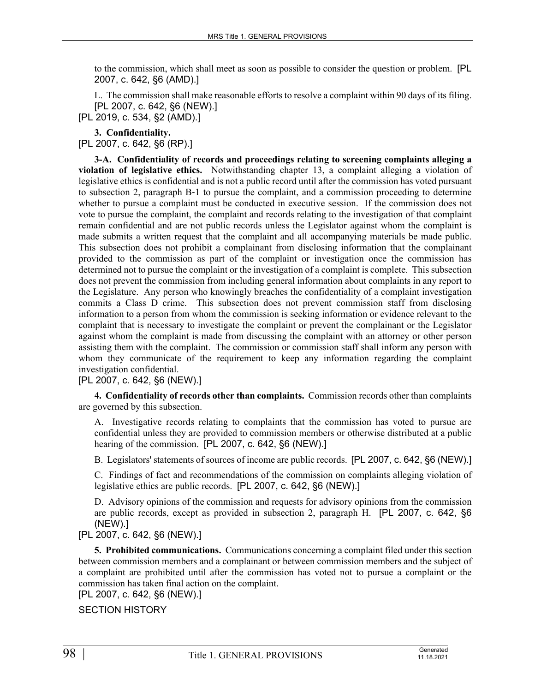to the commission, which shall meet as soon as possible to consider the question or problem. [PL 2007, c. 642, §6 (AMD).]

L. The commission shall make reasonable efforts to resolve a complaint within 90 days of its filing. [PL 2007, c. 642, §6 (NEW).]

[PL 2019, c. 534, §2 (AMD).]

**3. Confidentiality.** 

[PL 2007, c. 642, §6 (RP).]

**3-A. Confidentiality of records and proceedings relating to screening complaints alleging a violation of legislative ethics.** Notwithstanding chapter 13, a complaint alleging a violation of legislative ethics is confidential and is not a public record until after the commission has voted pursuant to subsection 2, paragraph B‑1 to pursue the complaint, and a commission proceeding to determine whether to pursue a complaint must be conducted in executive session. If the commission does not vote to pursue the complaint, the complaint and records relating to the investigation of that complaint remain confidential and are not public records unless the Legislator against whom the complaint is made submits a written request that the complaint and all accompanying materials be made public. This subsection does not prohibit a complainant from disclosing information that the complainant provided to the commission as part of the complaint or investigation once the commission has determined not to pursue the complaint or the investigation of a complaint is complete. This subsection does not prevent the commission from including general information about complaints in any report to the Legislature. Any person who knowingly breaches the confidentiality of a complaint investigation commits a Class D crime. This subsection does not prevent commission staff from disclosing information to a person from whom the commission is seeking information or evidence relevant to the complaint that is necessary to investigate the complaint or prevent the complainant or the Legislator against whom the complaint is made from discussing the complaint with an attorney or other person assisting them with the complaint. The commission or commission staff shall inform any person with whom they communicate of the requirement to keep any information regarding the complaint investigation confidential.

[PL 2007, c. 642, §6 (NEW).]

**4. Confidentiality of records other than complaints.** Commission records other than complaints are governed by this subsection.

A. Investigative records relating to complaints that the commission has voted to pursue are confidential unless they are provided to commission members or otherwise distributed at a public hearing of the commission. [PL 2007, c. 642, §6 (NEW).]

B. Legislators' statements of sources of income are public records. [PL 2007, c. 642, §6 (NEW).]

C. Findings of fact and recommendations of the commission on complaints alleging violation of legislative ethics are public records. [PL 2007, c. 642, §6 (NEW).]

D. Advisory opinions of the commission and requests for advisory opinions from the commission are public records, except as provided in subsection 2, paragraph H. [PL 2007, c. 642, §6 (NEW).]

[PL 2007, c. 642, §6 (NEW).]

**5. Prohibited communications.** Communications concerning a complaint filed under this section between commission members and a complainant or between commission members and the subject of a complaint are prohibited until after the commission has voted not to pursue a complaint or the commission has taken final action on the complaint.

[PL 2007, c. 642, §6 (NEW).]

SECTION HISTORY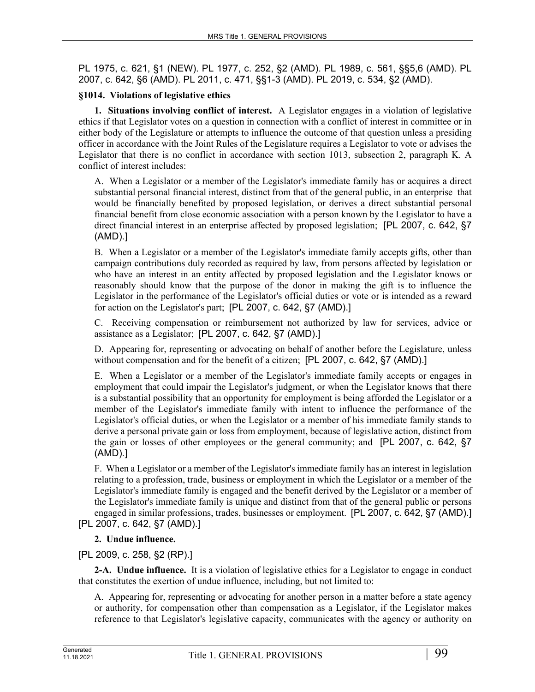PL 1975, c. 621, §1 (NEW). PL 1977, c. 252, §2 (AMD). PL 1989, c. 561, §§5,6 (AMD). PL 2007, c. 642, §6 (AMD). PL 2011, c. 471, §§1-3 (AMD). PL 2019, c. 534, §2 (AMD).

## **§1014. Violations of legislative ethics**

**1. Situations involving conflict of interest.** A Legislator engages in a violation of legislative ethics if that Legislator votes on a question in connection with a conflict of interest in committee or in either body of the Legislature or attempts to influence the outcome of that question unless a presiding officer in accordance with the Joint Rules of the Legislature requires a Legislator to vote or advises the Legislator that there is no conflict in accordance with section 1013, subsection 2, paragraph K. A conflict of interest includes:

A. When a Legislator or a member of the Legislator's immediate family has or acquires a direct substantial personal financial interest, distinct from that of the general public, in an enterprise that would be financially benefited by proposed legislation, or derives a direct substantial personal financial benefit from close economic association with a person known by the Legislator to have a direct financial interest in an enterprise affected by proposed legislation; [PL 2007, c. 642, §7 (AMD).]

B. When a Legislator or a member of the Legislator's immediate family accepts gifts, other than campaign contributions duly recorded as required by law, from persons affected by legislation or who have an interest in an entity affected by proposed legislation and the Legislator knows or reasonably should know that the purpose of the donor in making the gift is to influence the Legislator in the performance of the Legislator's official duties or vote or is intended as a reward for action on the Legislator's part; [PL 2007, c. 642, §7 (AMD).]

C. Receiving compensation or reimbursement not authorized by law for services, advice or assistance as a Legislator; [PL 2007, c. 642, §7 (AMD).]

D. Appearing for, representing or advocating on behalf of another before the Legislature, unless without compensation and for the benefit of a citizen; [PL 2007, c. 642, §7 (AMD).]

E. When a Legislator or a member of the Legislator's immediate family accepts or engages in employment that could impair the Legislator's judgment, or when the Legislator knows that there is a substantial possibility that an opportunity for employment is being afforded the Legislator or a member of the Legislator's immediate family with intent to influence the performance of the Legislator's official duties, or when the Legislator or a member of his immediate family stands to derive a personal private gain or loss from employment, because of legislative action, distinct from the gain or losses of other employees or the general community; and [PL 2007, c. 642, §7 (AMD).]

F. When a Legislator or a member of the Legislator's immediate family has an interest in legislation relating to a profession, trade, business or employment in which the Legislator or a member of the Legislator's immediate family is engaged and the benefit derived by the Legislator or a member of the Legislator's immediate family is unique and distinct from that of the general public or persons engaged in similar professions, trades, businesses or employment. [PL 2007, c. 642, §7 (AMD).] [PL 2007, c. 642, §7 (AMD).]

#### **2. Undue influence.**

## [PL 2009, c. 258, §2 (RP).]

**2-A. Undue influence.** It is a violation of legislative ethics for a Legislator to engage in conduct that constitutes the exertion of undue influence, including, but not limited to:

A. Appearing for, representing or advocating for another person in a matter before a state agency or authority, for compensation other than compensation as a Legislator, if the Legislator makes reference to that Legislator's legislative capacity, communicates with the agency or authority on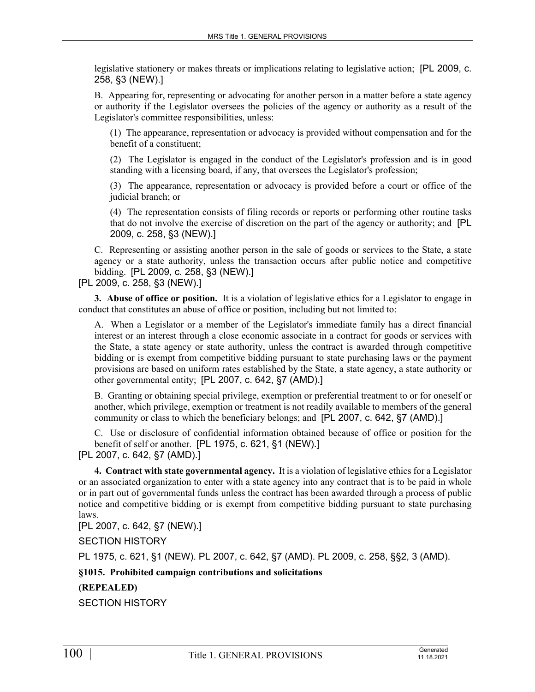legislative stationery or makes threats or implications relating to legislative action; [PL 2009, c. 258, §3 (NEW).]

B. Appearing for, representing or advocating for another person in a matter before a state agency or authority if the Legislator oversees the policies of the agency or authority as a result of the Legislator's committee responsibilities, unless:

(1) The appearance, representation or advocacy is provided without compensation and for the benefit of a constituent;

(2) The Legislator is engaged in the conduct of the Legislator's profession and is in good standing with a licensing board, if any, that oversees the Legislator's profession;

(3) The appearance, representation or advocacy is provided before a court or office of the judicial branch; or

(4) The representation consists of filing records or reports or performing other routine tasks that do not involve the exercise of discretion on the part of the agency or authority; and [PL 2009, c. 258, §3 (NEW).]

C. Representing or assisting another person in the sale of goods or services to the State, a state agency or a state authority, unless the transaction occurs after public notice and competitive bidding. [PL 2009, c. 258, §3 (NEW).]

[PL 2009, c. 258, §3 (NEW).]

**3. Abuse of office or position.** It is a violation of legislative ethics for a Legislator to engage in conduct that constitutes an abuse of office or position, including but not limited to:

A. When a Legislator or a member of the Legislator's immediate family has a direct financial interest or an interest through a close economic associate in a contract for goods or services with the State, a state agency or state authority, unless the contract is awarded through competitive bidding or is exempt from competitive bidding pursuant to state purchasing laws or the payment provisions are based on uniform rates established by the State, a state agency, a state authority or other governmental entity; [PL 2007, c. 642, §7 (AMD).]

B. Granting or obtaining special privilege, exemption or preferential treatment to or for oneself or another, which privilege, exemption or treatment is not readily available to members of the general community or class to which the beneficiary belongs; and [PL 2007, c. 642, §7 (AMD).]

C. Use or disclosure of confidential information obtained because of office or position for the benefit of self or another. [PL 1975, c. 621, §1 (NEW).]

[PL 2007, c. 642, §7 (AMD).]

**4. Contract with state governmental agency.** It is a violation of legislative ethics for a Legislator or an associated organization to enter with a state agency into any contract that is to be paid in whole or in part out of governmental funds unless the contract has been awarded through a process of public notice and competitive bidding or is exempt from competitive bidding pursuant to state purchasing laws.

[PL 2007, c. 642, §7 (NEW).]

SECTION HISTORY

PL 1975, c. 621, §1 (NEW). PL 2007, c. 642, §7 (AMD). PL 2009, c. 258, §§2, 3 (AMD).

**§1015. Prohibited campaign contributions and solicitations**

**(REPEALED)**

SECTION HISTORY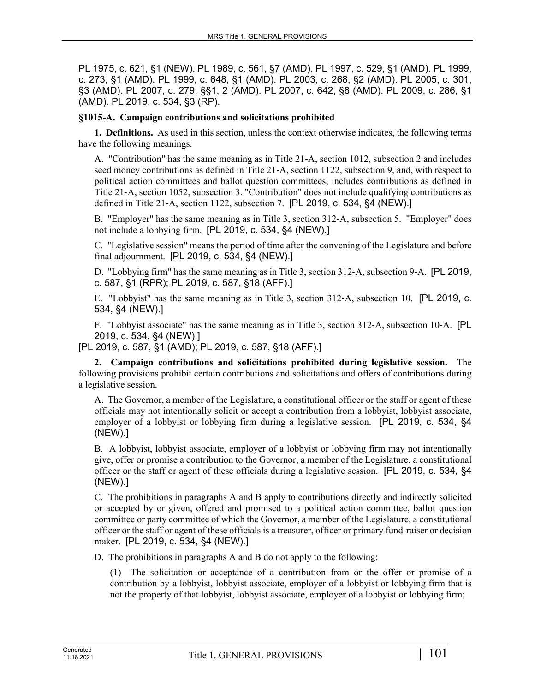PL 1975, c. 621, §1 (NEW). PL 1989, c. 561, §7 (AMD). PL 1997, c. 529, §1 (AMD). PL 1999, c. 273, §1 (AMD). PL 1999, c. 648, §1 (AMD). PL 2003, c. 268, §2 (AMD). PL 2005, c. 301, §3 (AMD). PL 2007, c. 279, §§1, 2 (AMD). PL 2007, c. 642, §8 (AMD). PL 2009, c. 286, §1 (AMD). PL 2019, c. 534, §3 (RP).

### **§1015-A. Campaign contributions and solicitations prohibited**

**1. Definitions.** As used in this section, unless the context otherwise indicates, the following terms have the following meanings.

A. "Contribution" has the same meaning as in Title 21‑A, section 1012, subsection 2 and includes seed money contributions as defined in Title 21-A, section 1122, subsection 9, and, with respect to political action committees and ballot question committees, includes contributions as defined in Title 21‑A, section 1052, subsection 3. "Contribution" does not include qualifying contributions as defined in Title 21‑A, section 1122, subsection 7. [PL 2019, c. 534, §4 (NEW).]

B. "Employer" has the same meaning as in Title 3, section 312‑A, subsection 5. "Employer" does not include a lobbying firm. [PL 2019, c. 534, §4 (NEW).]

C. "Legislative session" means the period of time after the convening of the Legislature and before final adjournment. [PL 2019, c. 534, §4 (NEW).]

D. "Lobbying firm" has the same meaning as in Title 3, section 312–A, subsection 9–A. [PL 2019, c. 587, §1 (RPR); PL 2019, c. 587, §18 (AFF).]

E. "Lobbyist" has the same meaning as in Title 3, section 312‑A, subsection 10. [PL 2019, c. 534, §4 (NEW).]

F. "Lobbyist associate" has the same meaning as in Title 3, section 312‑A, subsection 10‑A. [PL 2019, c. 534, §4 (NEW).]

[PL 2019, c. 587, §1 (AMD); PL 2019, c. 587, §18 (AFF).]

**2. Campaign contributions and solicitations prohibited during legislative session.** The following provisions prohibit certain contributions and solicitations and offers of contributions during a legislative session.

A. The Governor, a member of the Legislature, a constitutional officer or the staff or agent of these officials may not intentionally solicit or accept a contribution from a lobbyist, lobbyist associate, employer of a lobbyist or lobbying firm during a legislative session. [PL 2019, c. 534, §4 (NEW).]

B. A lobbyist, lobbyist associate, employer of a lobbyist or lobbying firm may not intentionally give, offer or promise a contribution to the Governor, a member of the Legislature, a constitutional officer or the staff or agent of these officials during a legislative session. [PL 2019, c. 534, §4 (NEW).]

C. The prohibitions in paragraphs A and B apply to contributions directly and indirectly solicited or accepted by or given, offered and promised to a political action committee, ballot question committee or party committee of which the Governor, a member of the Legislature, a constitutional officer or the staff or agent of these officials is a treasurer, officer or primary fund-raiser or decision maker. [PL 2019, c. 534, §4 (NEW).]

D. The prohibitions in paragraphs A and B do not apply to the following:

(1) The solicitation or acceptance of a contribution from or the offer or promise of a contribution by a lobbyist, lobbyist associate, employer of a lobbyist or lobbying firm that is not the property of that lobbyist, lobbyist associate, employer of a lobbyist or lobbying firm;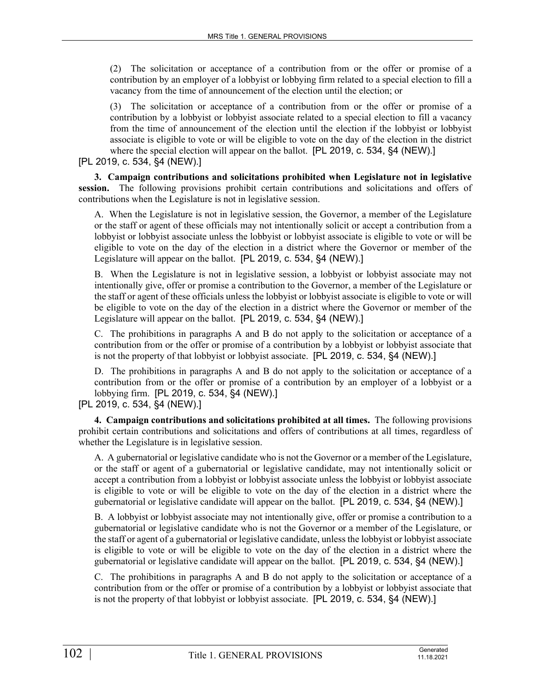(2) The solicitation or acceptance of a contribution from or the offer or promise of a contribution by an employer of a lobbyist or lobbying firm related to a special election to fill a vacancy from the time of announcement of the election until the election; or

(3) The solicitation or acceptance of a contribution from or the offer or promise of a contribution by a lobbyist or lobbyist associate related to a special election to fill a vacancy from the time of announcement of the election until the election if the lobbyist or lobbyist associate is eligible to vote or will be eligible to vote on the day of the election in the district where the special election will appear on the ballot. [PL 2019, c. 534, §4 (NEW).]

[PL 2019, c. 534, §4 (NEW).]

**3. Campaign contributions and solicitations prohibited when Legislature not in legislative session.** The following provisions prohibit certain contributions and solicitations and offers of contributions when the Legislature is not in legislative session.

A. When the Legislature is not in legislative session, the Governor, a member of the Legislature or the staff or agent of these officials may not intentionally solicit or accept a contribution from a lobbyist or lobbyist associate unless the lobbyist or lobbyist associate is eligible to vote or will be eligible to vote on the day of the election in a district where the Governor or member of the Legislature will appear on the ballot. [PL 2019, c. 534, §4 (NEW).]

B. When the Legislature is not in legislative session, a lobbyist or lobbyist associate may not intentionally give, offer or promise a contribution to the Governor, a member of the Legislature or the staff or agent of these officials unless the lobbyist or lobbyist associate is eligible to vote or will be eligible to vote on the day of the election in a district where the Governor or member of the Legislature will appear on the ballot. [PL 2019, c. 534, §4 (NEW).]

C. The prohibitions in paragraphs A and B do not apply to the solicitation or acceptance of a contribution from or the offer or promise of a contribution by a lobbyist or lobbyist associate that is not the property of that lobbyist or lobbyist associate. [PL 2019, c. 534, §4 (NEW).]

D. The prohibitions in paragraphs A and B do not apply to the solicitation or acceptance of a contribution from or the offer or promise of a contribution by an employer of a lobbyist or a lobbying firm. [PL 2019, c. 534, §4 (NEW).]

[PL 2019, c. 534, §4 (NEW).]

**4. Campaign contributions and solicitations prohibited at all times.** The following provisions prohibit certain contributions and solicitations and offers of contributions at all times, regardless of whether the Legislature is in legislative session.

A. A gubernatorial or legislative candidate who is not the Governor or a member of the Legislature, or the staff or agent of a gubernatorial or legislative candidate, may not intentionally solicit or accept a contribution from a lobbyist or lobbyist associate unless the lobbyist or lobbyist associate is eligible to vote or will be eligible to vote on the day of the election in a district where the gubernatorial or legislative candidate will appear on the ballot. [PL 2019, c. 534, §4 (NEW).]

B. A lobbyist or lobbyist associate may not intentionally give, offer or promise a contribution to a gubernatorial or legislative candidate who is not the Governor or a member of the Legislature, or the staff or agent of a gubernatorial or legislative candidate, unless the lobbyist or lobbyist associate is eligible to vote or will be eligible to vote on the day of the election in a district where the gubernatorial or legislative candidate will appear on the ballot. [PL 2019, c. 534, §4 (NEW).]

C. The prohibitions in paragraphs A and B do not apply to the solicitation or acceptance of a contribution from or the offer or promise of a contribution by a lobbyist or lobbyist associate that is not the property of that lobbyist or lobbyist associate. [PL 2019, c. 534, §4 (NEW).]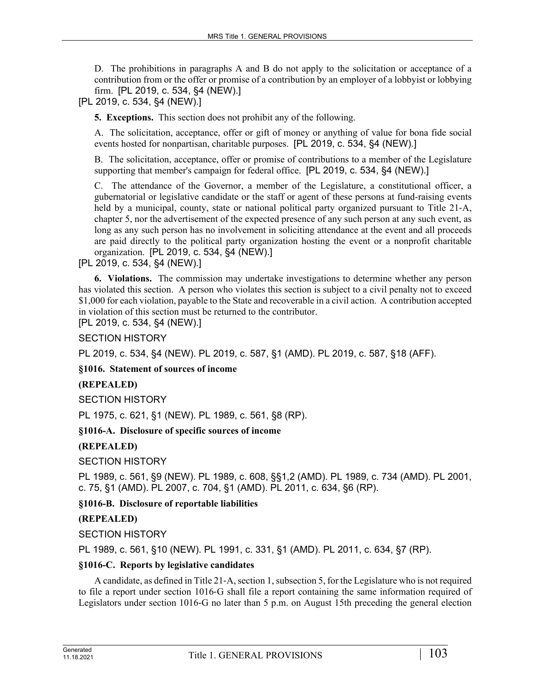D. The prohibitions in paragraphs A and B do not apply to the solicitation or acceptance of a contribution from or the offer or promise of a contribution by an employer of a lobbyist or lobbying firm. [PL 2019, c. 534, §4 (NEW).]

[PL 2019, c. 534, §4 (NEW).]

**5. Exceptions.** This section does not prohibit any of the following.

A. The solicitation, acceptance, offer or gift of money or anything of value for bona fide social events hosted for nonpartisan, charitable purposes. [PL 2019, c. 534, §4 (NEW).]

B. The solicitation, acceptance, offer or promise of contributions to a member of the Legislature supporting that member's campaign for federal office. [PL 2019, c. 534, §4 (NEW).]

C. The attendance of the Governor, a member of the Legislature, a constitutional officer, a gubernatorial or legislative candidate or the staff or agent of these persons at fund-raising events held by a municipal, county, state or national political party organized pursuant to Title 21-A, chapter 5, nor the advertisement of the expected presence of any such person at any such event, as long as any such person has no involvement in soliciting attendance at the event and all proceeds are paid directly to the political party organization hosting the event or a nonprofit charitable organization. [PL 2019, c. 534, §4 (NEW).]

[PL 2019, c. 534, §4 (NEW).]

**6. Violations.** The commission may undertake investigations to determine whether any person has violated this section. A person who violates this section is subject to a civil penalty not to exceed \$1,000 for each violation, payable to the State and recoverable in a civil action. A contribution accepted in violation of this section must be returned to the contributor.

[PL 2019, c. 534, §4 (NEW).]

SECTION HISTORY

PL 2019, c. 534, §4 (NEW). PL 2019, c. 587, §1 (AMD). PL 2019, c. 587, §18 (AFF).

#### **§1016. Statement of sources of income**

## **(REPEALED)**

SECTION HISTORY

PL 1975, c. 621, §1 (NEW). PL 1989, c. 561, §8 (RP).

**§1016-A. Disclosure of specific sources of income**

#### **(REPEALED)**

SECTION HISTORY

PL 1989, c. 561, §9 (NEW). PL 1989, c. 608, §§1,2 (AMD). PL 1989, c. 734 (AMD). PL 2001, c. 75, §1 (AMD). PL 2007, c. 704, §1 (AMD). PL 2011, c. 634, §6 (RP).

**§1016-B. Disclosure of reportable liabilities**

#### **(REPEALED)**

SECTION HISTORY

PL 1989, c. 561, §10 (NEW). PL 1991, c. 331, §1 (AMD). PL 2011, c. 634, §7 (RP).

#### **§1016-C. Reports by legislative candidates**

A candidate, as defined in Title 21‑A, section 1, subsection 5, for the Legislature who is not required to file a report under section 1016‑G shall file a report containing the same information required of Legislators under section 1016‑G no later than 5 p.m. on August 15th preceding the general election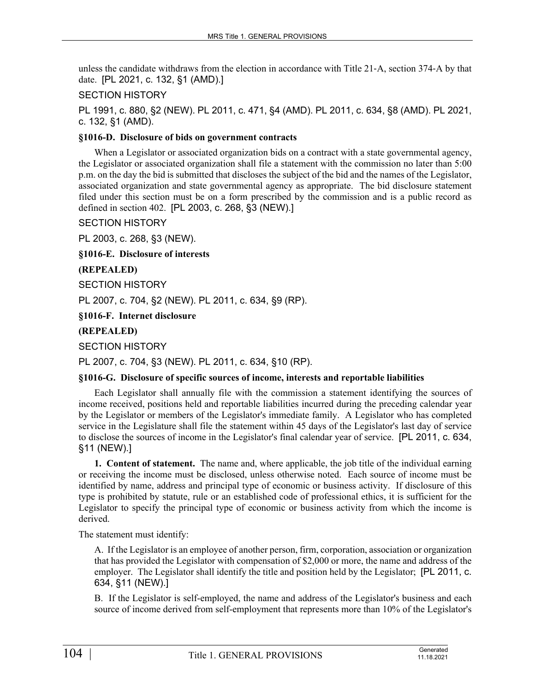unless the candidate withdraws from the election in accordance with Title 21‑A, section 374‑A by that date. [PL 2021, c. 132, §1 (AMD).]

## SECTION HISTORY

PL 1991, c. 880, §2 (NEW). PL 2011, c. 471, §4 (AMD). PL 2011, c. 634, §8 (AMD). PL 2021, c. 132, §1 (AMD).

### **§1016-D. Disclosure of bids on government contracts**

When a Legislator or associated organization bids on a contract with a state governmental agency, the Legislator or associated organization shall file a statement with the commission no later than 5:00 p.m. on the day the bid is submitted that discloses the subject of the bid and the names of the Legislator, associated organization and state governmental agency as appropriate. The bid disclosure statement filed under this section must be on a form prescribed by the commission and is a public record as defined in section 402. [PL 2003, c. 268, §3 (NEW).]

### SECTION HISTORY

PL 2003, c. 268, §3 (NEW).

**§1016-E. Disclosure of interests**

### **(REPEALED)**

SECTION HISTORY

PL 2007, c. 704, §2 (NEW). PL 2011, c. 634, §9 (RP).

**§1016-F. Internet disclosure**

### **(REPEALED)**

SECTION HISTORY

PL 2007, c. 704, §3 (NEW). PL 2011, c. 634, §10 (RP).

## **§1016-G. Disclosure of specific sources of income, interests and reportable liabilities**

Each Legislator shall annually file with the commission a statement identifying the sources of income received, positions held and reportable liabilities incurred during the preceding calendar year by the Legislator or members of the Legislator's immediate family. A Legislator who has completed service in the Legislature shall file the statement within 45 days of the Legislator's last day of service to disclose the sources of income in the Legislator's final calendar year of service. [PL 2011, c. 634, §11 (NEW).]

**1. Content of statement.** The name and, where applicable, the job title of the individual earning or receiving the income must be disclosed, unless otherwise noted. Each source of income must be identified by name, address and principal type of economic or business activity. If disclosure of this type is prohibited by statute, rule or an established code of professional ethics, it is sufficient for the Legislator to specify the principal type of economic or business activity from which the income is derived.

The statement must identify:

A. If the Legislator is an employee of another person, firm, corporation, association or organization that has provided the Legislator with compensation of \$2,000 or more, the name and address of the employer. The Legislator shall identify the title and position held by the Legislator; [PL 2011, c. 634, §11 (NEW).]

B. If the Legislator is self-employed, the name and address of the Legislator's business and each source of income derived from self-employment that represents more than 10% of the Legislator's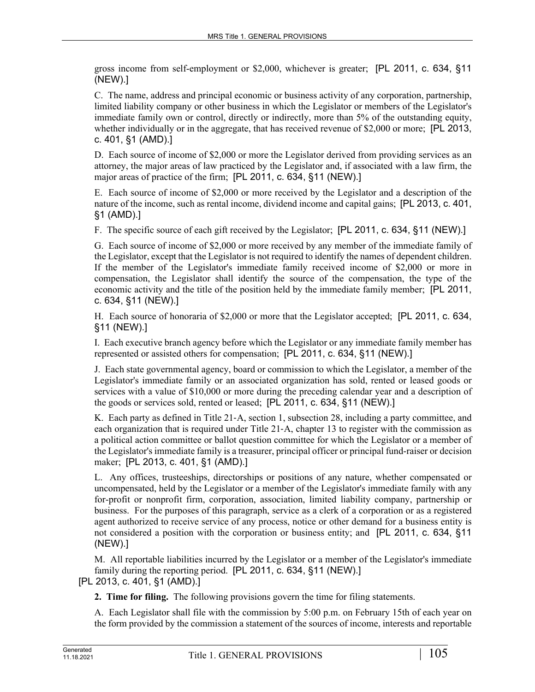gross income from self-employment or \$2,000, whichever is greater; [PL 2011, c. 634, §11 (NEW).]

C. The name, address and principal economic or business activity of any corporation, partnership, limited liability company or other business in which the Legislator or members of the Legislator's immediate family own or control, directly or indirectly, more than 5% of the outstanding equity, whether individually or in the aggregate, that has received revenue of \$2,000 or more; [PL 2013, c. 401, §1 (AMD).]

D. Each source of income of \$2,000 or more the Legislator derived from providing services as an attorney, the major areas of law practiced by the Legislator and, if associated with a law firm, the major areas of practice of the firm; [PL 2011, c. 634, §11 (NEW).]

E. Each source of income of \$2,000 or more received by the Legislator and a description of the nature of the income, such as rental income, dividend income and capital gains; [PL 2013, c. 401, §1 (AMD).]

F. The specific source of each gift received by the Legislator; [PL 2011, c. 634, §11 (NEW).]

G. Each source of income of \$2,000 or more received by any member of the immediate family of the Legislator, except that the Legislator is not required to identify the names of dependent children. If the member of the Legislator's immediate family received income of \$2,000 or more in compensation, the Legislator shall identify the source of the compensation, the type of the economic activity and the title of the position held by the immediate family member; [PL 2011, c. 634, §11 (NEW).]

H. Each source of honoraria of \$2,000 or more that the Legislator accepted; [PL 2011, c. 634, §11 (NEW).]

I. Each executive branch agency before which the Legislator or any immediate family member has represented or assisted others for compensation; [PL 2011, c. 634, §11 (NEW).]

J. Each state governmental agency, board or commission to which the Legislator, a member of the Legislator's immediate family or an associated organization has sold, rented or leased goods or services with a value of \$10,000 or more during the preceding calendar year and a description of the goods or services sold, rented or leased; [PL 2011, c. 634, §11 (NEW).]

K. Each party as defined in Title 21‑A, section 1, subsection 28, including a party committee, and each organization that is required under Title 21‑A, chapter 13 to register with the commission as a political action committee or ballot question committee for which the Legislator or a member of the Legislator's immediate family is a treasurer, principal officer or principal fund-raiser or decision maker; [PL 2013, c. 401, §1 (AMD).]

L. Any offices, trusteeships, directorships or positions of any nature, whether compensated or uncompensated, held by the Legislator or a member of the Legislator's immediate family with any for-profit or nonprofit firm, corporation, association, limited liability company, partnership or business. For the purposes of this paragraph, service as a clerk of a corporation or as a registered agent authorized to receive service of any process, notice or other demand for a business entity is not considered a position with the corporation or business entity; and [PL 2011, c. 634, §11 (NEW).]

M. All reportable liabilities incurred by the Legislator or a member of the Legislator's immediate family during the reporting period. [PL 2011, c. 634, §11 (NEW).] [PL 2013, c. 401, §1 (AMD).]

**2. Time for filing.** The following provisions govern the time for filing statements.

A. Each Legislator shall file with the commission by 5:00 p.m. on February 15th of each year on the form provided by the commission a statement of the sources of income, interests and reportable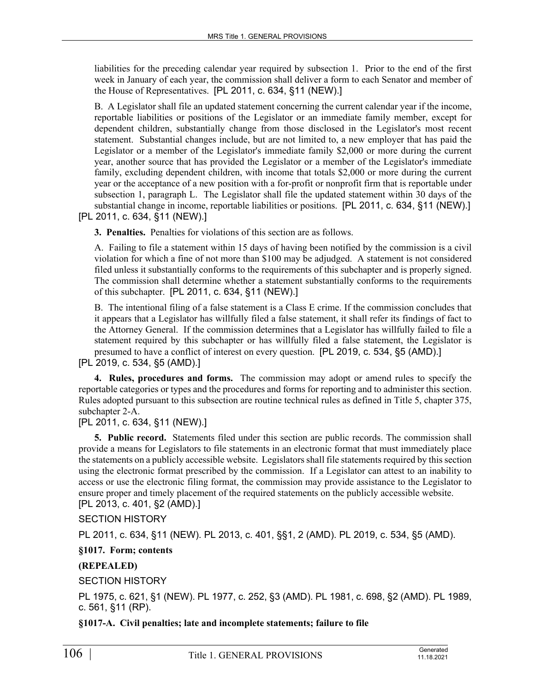liabilities for the preceding calendar year required by subsection 1. Prior to the end of the first week in January of each year, the commission shall deliver a form to each Senator and member of the House of Representatives. [PL 2011, c. 634, §11 (NEW).]

B. A Legislator shall file an updated statement concerning the current calendar year if the income, reportable liabilities or positions of the Legislator or an immediate family member, except for dependent children, substantially change from those disclosed in the Legislator's most recent statement. Substantial changes include, but are not limited to, a new employer that has paid the Legislator or a member of the Legislator's immediate family \$2,000 or more during the current year, another source that has provided the Legislator or a member of the Legislator's immediate family, excluding dependent children, with income that totals \$2,000 or more during the current year or the acceptance of a new position with a for-profit or nonprofit firm that is reportable under subsection 1, paragraph L. The Legislator shall file the updated statement within 30 days of the substantial change in income, reportable liabilities or positions. [PL 2011, c. 634, §11 (NEW).]

[PL 2011, c. 634, §11 (NEW).]

**3. Penalties.** Penalties for violations of this section are as follows.

A. Failing to file a statement within 15 days of having been notified by the commission is a civil violation for which a fine of not more than \$100 may be adjudged. A statement is not considered filed unless it substantially conforms to the requirements of this subchapter and is properly signed. The commission shall determine whether a statement substantially conforms to the requirements of this subchapter. [PL 2011, c. 634, §11 (NEW).]

B. The intentional filing of a false statement is a Class E crime. If the commission concludes that it appears that a Legislator has willfully filed a false statement, it shall refer its findings of fact to the Attorney General. If the commission determines that a Legislator has willfully failed to file a statement required by this subchapter or has willfully filed a false statement, the Legislator is presumed to have a conflict of interest on every question. [PL 2019, c. 534, §5 (AMD).]

[PL 2019, c. 534, §5 (AMD).]

**4. Rules, procedures and forms.** The commission may adopt or amend rules to specify the reportable categories or types and the procedures and forms for reporting and to administer this section. Rules adopted pursuant to this subsection are routine technical rules as defined in Title 5, chapter 375, subchapter 2-A.

[PL 2011, c. 634, §11 (NEW).]

**5. Public record.** Statements filed under this section are public records. The commission shall provide a means for Legislators to file statements in an electronic format that must immediately place the statements on a publicly accessible website. Legislators shall file statements required by this section using the electronic format prescribed by the commission. If a Legislator can attest to an inability to access or use the electronic filing format, the commission may provide assistance to the Legislator to ensure proper and timely placement of the required statements on the publicly accessible website. [PL 2013, c. 401, §2 (AMD).]

SECTION HISTORY

PL 2011, c. 634, §11 (NEW). PL 2013, c. 401, §§1, 2 (AMD). PL 2019, c. 534, §5 (AMD).

**§1017. Form; contents**

**(REPEALED)**

SECTION HISTORY

PL 1975, c. 621, §1 (NEW). PL 1977, c. 252, §3 (AMD). PL 1981, c. 698, §2 (AMD). PL 1989, c. 561, §11 (RP).

**§1017-A. Civil penalties; late and incomplete statements; failure to file**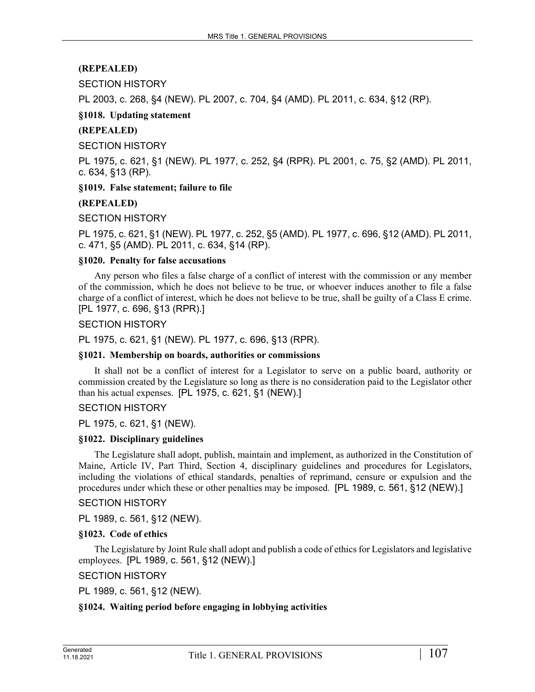## **(REPEALED)**

## SECTION HISTORY

PL 2003, c. 268, §4 (NEW). PL 2007, c. 704, §4 (AMD). PL 2011, c. 634, §12 (RP).

### **§1018. Updating statement**

### **(REPEALED)**

SECTION HISTORY

PL 1975, c. 621, §1 (NEW). PL 1977, c. 252, §4 (RPR). PL 2001, c. 75, §2 (AMD). PL 2011, c. 634, §13 (RP).

**§1019. False statement; failure to file**

#### **(REPEALED)**

#### SECTION HISTORY

PL 1975, c. 621, §1 (NEW). PL 1977, c. 252, §5 (AMD). PL 1977, c. 696, §12 (AMD). PL 2011, c. 471, §5 (AMD). PL 2011, c. 634, §14 (RP).

#### **§1020. Penalty for false accusations**

Any person who files a false charge of a conflict of interest with the commission or any member of the commission, which he does not believe to be true, or whoever induces another to file a false charge of a conflict of interest, which he does not believe to be true, shall be guilty of a Class E crime. [PL 1977, c. 696, §13 (RPR).]

#### SECTION HISTORY

PL 1975, c. 621, §1 (NEW). PL 1977, c. 696, §13 (RPR).

#### **§1021. Membership on boards, authorities or commissions**

It shall not be a conflict of interest for a Legislator to serve on a public board, authority or commission created by the Legislature so long as there is no consideration paid to the Legislator other than his actual expenses. [PL 1975, c. 621, §1 (NEW).]

### SECTION HISTORY

PL 1975, c. 621, §1 (NEW).

#### **§1022. Disciplinary guidelines**

The Legislature shall adopt, publish, maintain and implement, as authorized in the Constitution of Maine, Article IV, Part Third, Section 4, disciplinary guidelines and procedures for Legislators, including the violations of ethical standards, penalties of reprimand, censure or expulsion and the procedures under which these or other penalties may be imposed. [PL 1989, c. 561, §12 (NEW).]

#### SECTION HISTORY

PL 1989, c. 561, §12 (NEW).

#### **§1023. Code of ethics**

The Legislature by Joint Rule shall adopt and publish a code of ethics for Legislators and legislative employees. [PL 1989, c. 561, §12 (NEW).]

## SECTION HISTORY

PL 1989, c. 561, §12 (NEW).

#### **§1024. Waiting period before engaging in lobbying activities**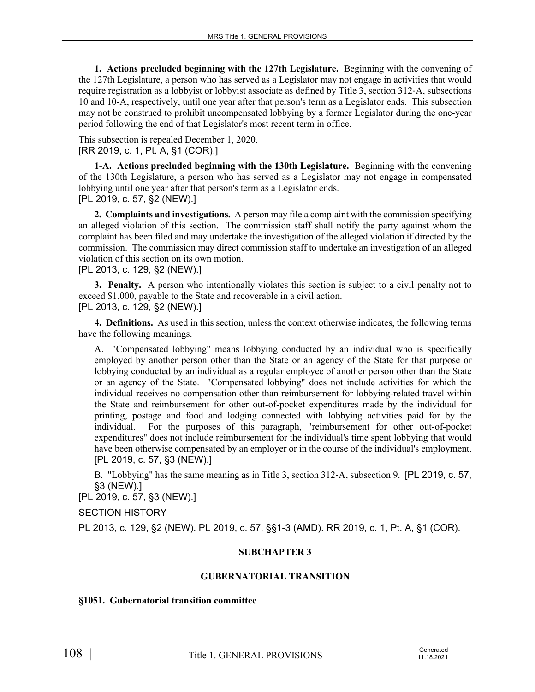**1. Actions precluded beginning with the 127th Legislature.** Beginning with the convening of the 127th Legislature, a person who has served as a Legislator may not engage in activities that would require registration as a lobbyist or lobbyist associate as defined by Title 3, section 312‑A, subsections 10 and 10-A, respectively, until one year after that person's term as a Legislator ends. This subsection may not be construed to prohibit uncompensated lobbying by a former Legislator during the one-year period following the end of that Legislator's most recent term in office.

This subsection is repealed December 1, 2020. [RR 2019, c. 1, Pt. A, §1 (COR).]

**1-A. Actions precluded beginning with the 130th Legislature.** Beginning with the convening of the 130th Legislature, a person who has served as a Legislator may not engage in compensated lobbying until one year after that person's term as a Legislator ends. [PL 2019, c. 57, §2 (NEW).]

**2. Complaints and investigations.** A person may file a complaint with the commission specifying an alleged violation of this section. The commission staff shall notify the party against whom the complaint has been filed and may undertake the investigation of the alleged violation if directed by the commission. The commission may direct commission staff to undertake an investigation of an alleged violation of this section on its own motion.

## [PL 2013, c. 129, §2 (NEW).]

**3. Penalty.** A person who intentionally violates this section is subject to a civil penalty not to exceed \$1,000, payable to the State and recoverable in a civil action. [PL 2013, c. 129, §2 (NEW).]

**4. Definitions.** As used in this section, unless the context otherwise indicates, the following terms have the following meanings.

A. "Compensated lobbying" means lobbying conducted by an individual who is specifically employed by another person other than the State or an agency of the State for that purpose or lobbying conducted by an individual as a regular employee of another person other than the State or an agency of the State. "Compensated lobbying" does not include activities for which the individual receives no compensation other than reimbursement for lobbying-related travel within the State and reimbursement for other out-of-pocket expenditures made by the individual for printing, postage and food and lodging connected with lobbying activities paid for by the individual. For the purposes of this paragraph, "reimbursement for other out-of-pocket expenditures" does not include reimbursement for the individual's time spent lobbying that would have been otherwise compensated by an employer or in the course of the individual's employment. [PL 2019, c. 57, §3 (NEW).]

B. "Lobbying" has the same meaning as in Title 3, section 312‑A, subsection 9. [PL 2019, c. 57, §3 (NEW).]

[PL 2019, c. 57, §3 (NEW).]

SECTION HISTORY

PL 2013, c. 129, §2 (NEW). PL 2019, c. 57, §§1-3 (AMD). RR 2019, c. 1, Pt. A, §1 (COR).

## **SUBCHAPTER 3**

#### **GUBERNATORIAL TRANSITION**

#### **§1051. Gubernatorial transition committee**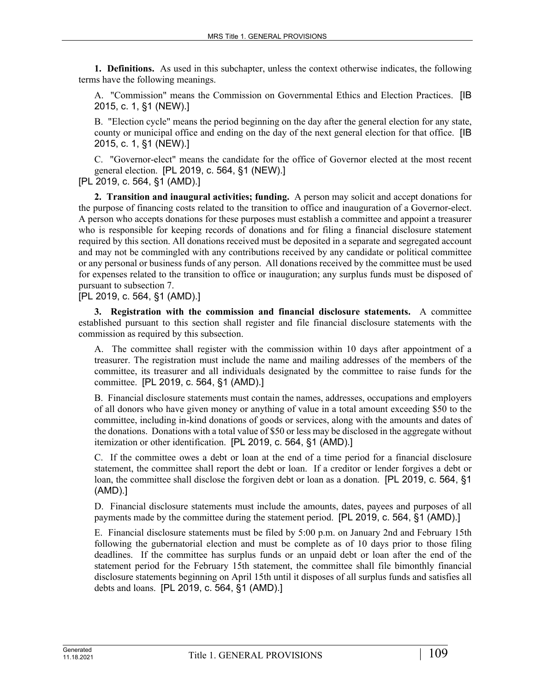**1. Definitions.** As used in this subchapter, unless the context otherwise indicates, the following terms have the following meanings.

A. "Commission" means the Commission on Governmental Ethics and Election Practices. [IB 2015, c. 1, §1 (NEW).]

B. "Election cycle" means the period beginning on the day after the general election for any state, county or municipal office and ending on the day of the next general election for that office. [IB 2015, c. 1, §1 (NEW).]

C. "Governor-elect" means the candidate for the office of Governor elected at the most recent general election. [PL 2019, c. 564, §1 (NEW).]

[PL 2019, c. 564, §1 (AMD).]

**2. Transition and inaugural activities; funding.** A person may solicit and accept donations for the purpose of financing costs related to the transition to office and inauguration of a Governor-elect. A person who accepts donations for these purposes must establish a committee and appoint a treasurer who is responsible for keeping records of donations and for filing a financial disclosure statement required by this section. All donations received must be deposited in a separate and segregated account and may not be commingled with any contributions received by any candidate or political committee or any personal or business funds of any person. All donations received by the committee must be used for expenses related to the transition to office or inauguration; any surplus funds must be disposed of pursuant to subsection 7.

[PL 2019, c. 564, §1 (AMD).]

**3. Registration with the commission and financial disclosure statements.** A committee established pursuant to this section shall register and file financial disclosure statements with the commission as required by this subsection.

A. The committee shall register with the commission within 10 days after appointment of a treasurer. The registration must include the name and mailing addresses of the members of the committee, its treasurer and all individuals designated by the committee to raise funds for the committee. [PL 2019, c. 564, §1 (AMD).]

B. Financial disclosure statements must contain the names, addresses, occupations and employers of all donors who have given money or anything of value in a total amount exceeding \$50 to the committee, including in-kind donations of goods or services, along with the amounts and dates of the donations. Donations with a total value of \$50 or less may be disclosed in the aggregate without itemization or other identification. [PL 2019, c. 564, §1 (AMD).]

C. If the committee owes a debt or loan at the end of a time period for a financial disclosure statement, the committee shall report the debt or loan. If a creditor or lender forgives a debt or loan, the committee shall disclose the forgiven debt or loan as a donation. [PL 2019, c. 564, §1 (AMD).]

D. Financial disclosure statements must include the amounts, dates, payees and purposes of all payments made by the committee during the statement period. [PL 2019, c. 564, §1 (AMD).]

E. Financial disclosure statements must be filed by 5:00 p.m. on January 2nd and February 15th following the gubernatorial election and must be complete as of 10 days prior to those filing deadlines. If the committee has surplus funds or an unpaid debt or loan after the end of the statement period for the February 15th statement, the committee shall file bimonthly financial disclosure statements beginning on April 15th until it disposes of all surplus funds and satisfies all debts and loans. [PL 2019, c. 564, §1 (AMD).]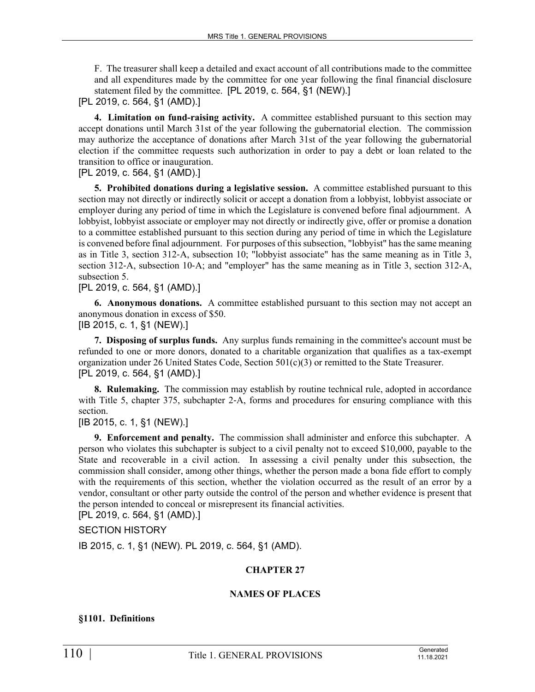F. The treasurer shall keep a detailed and exact account of all contributions made to the committee and all expenditures made by the committee for one year following the final financial disclosure statement filed by the committee. [PL 2019, c. 564, §1 (NEW).]

[PL 2019, c. 564, §1 (AMD).]

**4. Limitation on fund-raising activity.** A committee established pursuant to this section may accept donations until March 31st of the year following the gubernatorial election. The commission may authorize the acceptance of donations after March 31st of the year following the gubernatorial election if the committee requests such authorization in order to pay a debt or loan related to the transition to office or inauguration.

# [PL 2019, c. 564, §1 (AMD).]

**5. Prohibited donations during a legislative session.** A committee established pursuant to this section may not directly or indirectly solicit or accept a donation from a lobbyist, lobbyist associate or employer during any period of time in which the Legislature is convened before final adjournment. A lobbyist, lobbyist associate or employer may not directly or indirectly give, offer or promise a donation to a committee established pursuant to this section during any period of time in which the Legislature is convened before final adjournment. For purposes of this subsection, "lobbyist" has the same meaning as in Title 3, section 312‑A, subsection 10; "lobbyist associate" has the same meaning as in Title 3, section 312–A, subsection 10–A; and "employer" has the same meaning as in Title 3, section 312–A, subsection 5.

# [PL 2019, c. 564, §1 (AMD).]

**6. Anonymous donations.** A committee established pursuant to this section may not accept an anonymous donation in excess of \$50.

[IB 2015, c. 1, §1 (NEW).]

**7. Disposing of surplus funds.** Any surplus funds remaining in the committee's account must be refunded to one or more donors, donated to a charitable organization that qualifies as a tax-exempt organization under 26 United States Code, Section  $501(c)(3)$  or remitted to the State Treasurer. [PL 2019, c. 564, §1 (AMD).]

**8. Rulemaking.** The commission may establish by routine technical rule, adopted in accordance with Title 5, chapter 375, subchapter 2–A, forms and procedures for ensuring compliance with this section.

[IB 2015, c. 1, §1 (NEW).]

**9. Enforcement and penalty.** The commission shall administer and enforce this subchapter. A person who violates this subchapter is subject to a civil penalty not to exceed \$10,000, payable to the State and recoverable in a civil action. In assessing a civil penalty under this subsection, the commission shall consider, among other things, whether the person made a bona fide effort to comply with the requirements of this section, whether the violation occurred as the result of an error by a vendor, consultant or other party outside the control of the person and whether evidence is present that the person intended to conceal or misrepresent its financial activities.

[PL 2019, c. 564, §1 (AMD).]

SECTION HISTORY

IB 2015, c. 1, §1 (NEW). PL 2019, c. 564, §1 (AMD).

# **CHAPTER 27**

# **NAMES OF PLACES**

# **§1101. Definitions**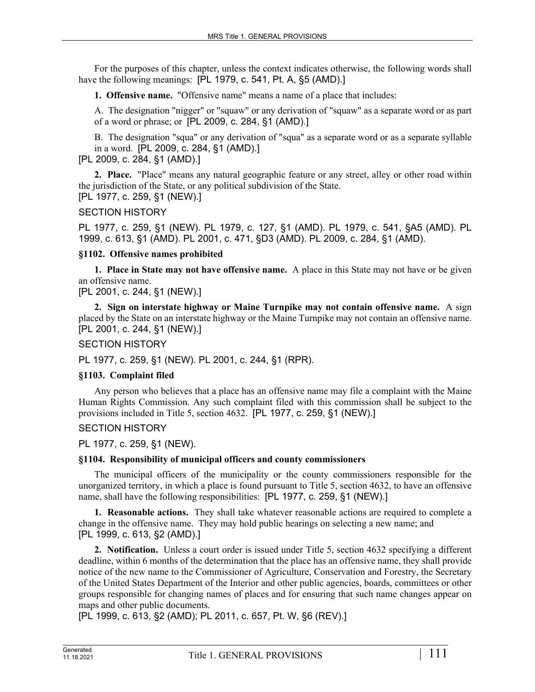For the purposes of this chapter, unless the context indicates otherwise, the following words shall have the following meanings: [PL 1979, c. 541, Pt. A, §5 (AMD).]

**1. Offensive name.** "Offensive name" means a name of a place that includes:

A. The designation "nigger" or "squaw" or any derivation of "squaw" as a separate word or as part of a word or phrase; or [PL 2009, c. 284, §1 (AMD).]

B. The designation "squa" or any derivation of "squa" as a separate word or as a separate syllable in a word. [PL 2009, c. 284, §1 (AMD).]

[PL 2009, c. 284, §1 (AMD).]

**2. Place.** "Place" means any natural geographic feature or any street, alley or other road within the jurisdiction of the State, or any political subdivision of the State. [PL 1977, c. 259, §1 (NEW).]

# SECTION HISTORY

PL 1977, c. 259, §1 (NEW). PL 1979, c. 127, §1 (AMD). PL 1979, c. 541, §A5 (AMD). PL 1999, c. 613, §1 (AMD). PL 2001, c. 471, §D3 (AMD). PL 2009, c. 284, §1 (AMD).

# **§1102. Offensive names prohibited**

**1. Place in State may not have offensive name.** A place in this State may not have or be given an offensive name.

[PL 2001, c. 244, §1 (NEW).]

**2. Sign on interstate highway or Maine Turnpike may not contain offensive name.** A sign placed by the State on an interstate highway or the Maine Turnpike may not contain an offensive name. [PL 2001, c. 244, §1 (NEW).]

SECTION HISTORY

PL 1977, c. 259, §1 (NEW). PL 2001, c. 244, §1 (RPR).

# **§1103. Complaint filed**

Any person who believes that a place has an offensive name may file a complaint with the Maine Human Rights Commission. Any such complaint filed with this commission shall be subject to the provisions included in Title 5, section 4632. [PL 1977, c. 259, §1 (NEW).]

# SECTION HISTORY

PL 1977, c. 259, §1 (NEW).

# **§1104. Responsibility of municipal officers and county commissioners**

The municipal officers of the municipality or the county commissioners responsible for the unorganized territory, in which a place is found pursuant to Title 5, section 4632, to have an offensive name, shall have the following responsibilities: [PL 1977, c. 259, §1 (NEW).]

**1. Reasonable actions.** They shall take whatever reasonable actions are required to complete a change in the offensive name. They may hold public hearings on selecting a new name; and [PL 1999, c. 613, §2 (AMD).]

**2. Notification.** Unless a court order is issued under Title 5, section 4632 specifying a different deadline, within 6 months of the determination that the place has an offensive name, they shall provide notice of the new name to the Commissioner of Agriculture, Conservation and Forestry, the Secretary of the United States Department of the Interior and other public agencies, boards, committees or other groups responsible for changing names of places and for ensuring that such name changes appear on maps and other public documents.

[PL 1999, c. 613, §2 (AMD); PL 2011, c. 657, Pt. W, §6 (REV).]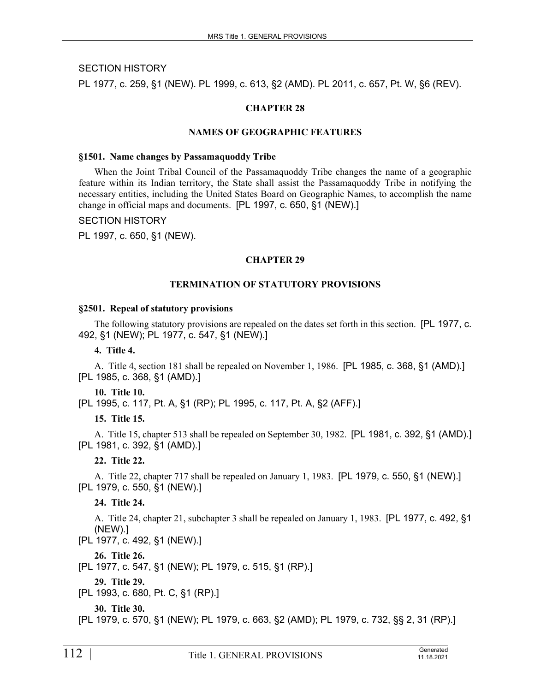# SECTION HISTORY

PL 1977, c. 259, §1 (NEW). PL 1999, c. 613, §2 (AMD). PL 2011, c. 657, Pt. W, §6 (REV).

# **CHAPTER 28**

#### **NAMES OF GEOGRAPHIC FEATURES**

#### **§1501. Name changes by Passamaquoddy Tribe**

When the Joint Tribal Council of the Passamaquoddy Tribe changes the name of a geographic feature within its Indian territory, the State shall assist the Passamaquoddy Tribe in notifying the necessary entities, including the United States Board on Geographic Names, to accomplish the name change in official maps and documents. [PL 1997, c. 650, §1 (NEW).]

#### SECTION HISTORY

PL 1997, c. 650, §1 (NEW).

#### **CHAPTER 29**

#### **TERMINATION OF STATUTORY PROVISIONS**

#### **§2501. Repeal of statutory provisions**

The following statutory provisions are repealed on the dates set forth in this section. [PL 1977, c. 492, §1 (NEW); PL 1977, c. 547, §1 (NEW).]

**4. Title 4.** 

A. Title 4, section 181 shall be repealed on November 1, 1986. [PL 1985, c. 368, §1 (AMD).] [PL 1985, c. 368, §1 (AMD).]

#### **10. Title 10.**

[PL 1995, c. 117, Pt. A, §1 (RP); PL 1995, c. 117, Pt. A, §2 (AFF).]

# **15. Title 15.**

A. Title 15, chapter 513 shall be repealed on September 30, 1982. [PL 1981, c. 392, §1 (AMD).] [PL 1981, c. 392, §1 (AMD).]

**22. Title 22.** 

A. Title 22, chapter 717 shall be repealed on January 1, 1983. [PL 1979, c. 550, §1 (NEW).] [PL 1979, c. 550, §1 (NEW).]

# **24. Title 24.**

A. Title 24, chapter 21, subchapter 3 shall be repealed on January 1, 1983. [PL 1977, c. 492, §1 (NEW).]

[PL 1977, c. 492, §1 (NEW).]

**26. Title 26.** 

[PL 1977, c. 547, §1 (NEW); PL 1979, c. 515, §1 (RP).]

**29. Title 29.** 

[PL 1993, c. 680, Pt. C, §1 (RP).]

**30. Title 30.** 

[PL 1979, c. 570, §1 (NEW); PL 1979, c. 663, §2 (AMD); PL 1979, c. 732, §§ 2, 31 (RP).]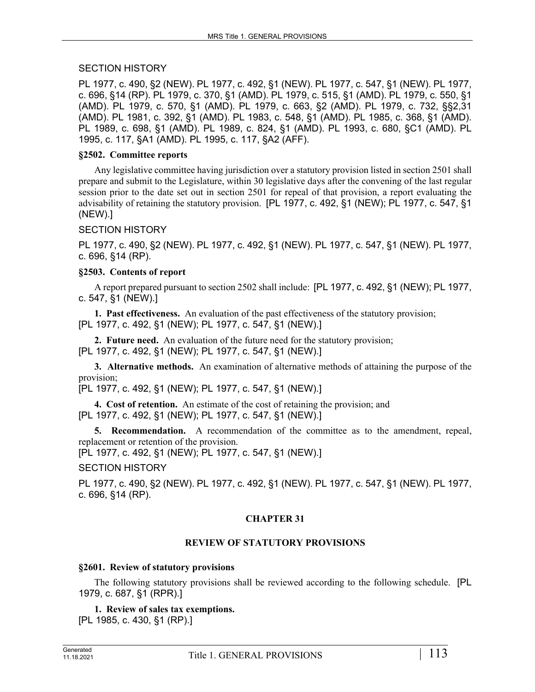# SECTION HISTORY

PL 1977, c. 490, §2 (NEW). PL 1977, c. 492, §1 (NEW). PL 1977, c. 547, §1 (NEW). PL 1977, c. 696, §14 (RP). PL 1979, c. 370, §1 (AMD). PL 1979, c. 515, §1 (AMD). PL 1979, c. 550, §1 (AMD). PL 1979, c. 570, §1 (AMD). PL 1979, c. 663, §2 (AMD). PL 1979, c. 732, §§2,31 (AMD). PL 1981, c. 392, §1 (AMD). PL 1983, c. 548, §1 (AMD). PL 1985, c. 368, §1 (AMD). PL 1989, c. 698, §1 (AMD). PL 1989, c. 824, §1 (AMD). PL 1993, c. 680, §C1 (AMD). PL 1995, c. 117, §A1 (AMD). PL 1995, c. 117, §A2 (AFF).

#### **§2502. Committee reports**

Any legislative committee having jurisdiction over a statutory provision listed in section 2501 shall prepare and submit to the Legislature, within 30 legislative days after the convening of the last regular session prior to the date set out in section 2501 for repeal of that provision, a report evaluating the advisability of retaining the statutory provision. [PL 1977, c. 492, §1 (NEW); PL 1977, c. 547, §1 (NEW).]

# SECTION HISTORY

PL 1977, c. 490, §2 (NEW). PL 1977, c. 492, §1 (NEW). PL 1977, c. 547, §1 (NEW). PL 1977, c. 696, §14 (RP).

#### **§2503. Contents of report**

A report prepared pursuant to section 2502 shall include: [PL 1977, c. 492, §1 (NEW); PL 1977, c. 547, §1 (NEW).]

**1. Past effectiveness.** An evaluation of the past effectiveness of the statutory provision; [PL 1977, c. 492, §1 (NEW); PL 1977, c. 547, §1 (NEW).]

**2. Future need.** An evaluation of the future need for the statutory provision; [PL 1977, c. 492, §1 (NEW); PL 1977, c. 547, §1 (NEW).]

**3. Alternative methods.** An examination of alternative methods of attaining the purpose of the provision;

[PL 1977, c. 492, §1 (NEW); PL 1977, c. 547, §1 (NEW).]

**4. Cost of retention.** An estimate of the cost of retaining the provision; and [PL 1977, c. 492, §1 (NEW); PL 1977, c. 547, §1 (NEW).]

**5. Recommendation.** A recommendation of the committee as to the amendment, repeal, replacement or retention of the provision.

[PL 1977, c. 492, §1 (NEW); PL 1977, c. 547, §1 (NEW).]

#### SECTION HISTORY

PL 1977, c. 490, §2 (NEW). PL 1977, c. 492, §1 (NEW). PL 1977, c. 547, §1 (NEW). PL 1977, c. 696, §14 (RP).

# **CHAPTER 31**

#### **REVIEW OF STATUTORY PROVISIONS**

#### **§2601. Review of statutory provisions**

The following statutory provisions shall be reviewed according to the following schedule. [PL 1979, c. 687, §1 (RPR).]

**1. Review of sales tax exemptions.** 

[PL 1985, c. 430, §1 (RP).]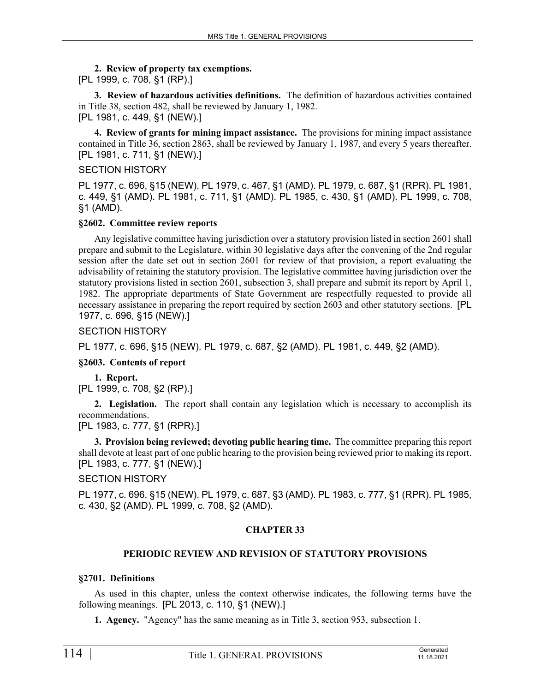#### **2. Review of property tax exemptions.**

[PL 1999, c. 708, §1 (RP).]

**3. Review of hazardous activities definitions.** The definition of hazardous activities contained in Title 38, section 482, shall be reviewed by January 1, 1982. [PL 1981, c. 449, §1 (NEW).]

**4. Review of grants for mining impact assistance.** The provisions for mining impact assistance contained in Title 36, section 2863, shall be reviewed by January 1, 1987, and every 5 years thereafter. [PL 1981, c. 711, §1 (NEW).]

#### SECTION HISTORY

PL 1977, c. 696, §15 (NEW). PL 1979, c. 467, §1 (AMD). PL 1979, c. 687, §1 (RPR). PL 1981, c. 449, §1 (AMD). PL 1981, c. 711, §1 (AMD). PL 1985, c. 430, §1 (AMD). PL 1999, c. 708, §1 (AMD).

#### **§2602. Committee review reports**

Any legislative committee having jurisdiction over a statutory provision listed in section 2601 shall prepare and submit to the Legislature, within 30 legislative days after the convening of the 2nd regular session after the date set out in section 2601 for review of that provision, a report evaluating the advisability of retaining the statutory provision. The legislative committee having jurisdiction over the statutory provisions listed in section 2601, subsection 3, shall prepare and submit its report by April 1, 1982. The appropriate departments of State Government are respectfully requested to provide all necessary assistance in preparing the report required by section 2603 and other statutory sections. [PL 1977, c. 696, §15 (NEW).]

#### SECTION HISTORY

PL 1977, c. 696, §15 (NEW). PL 1979, c. 687, §2 (AMD). PL 1981, c. 449, §2 (AMD).

# **§2603. Contents of report**

**1. Report.**  [PL 1999, c. 708, §2 (RP).]

**2. Legislation.** The report shall contain any legislation which is necessary to accomplish its recommendations.

[PL 1983, c. 777, §1 (RPR).]

**3. Provision being reviewed; devoting public hearing time.** The committee preparing this report shall devote at least part of one public hearing to the provision being reviewed prior to making its report. [PL 1983, c. 777, §1 (NEW).]

# SECTION HISTORY

PL 1977, c. 696, §15 (NEW). PL 1979, c. 687, §3 (AMD). PL 1983, c. 777, §1 (RPR). PL 1985, c. 430, §2 (AMD). PL 1999, c. 708, §2 (AMD).

# **CHAPTER 33**

# **PERIODIC REVIEW AND REVISION OF STATUTORY PROVISIONS**

# **§2701. Definitions**

As used in this chapter, unless the context otherwise indicates, the following terms have the following meanings. [PL 2013, c. 110, §1 (NEW).]

**1. Agency.** "Agency" has the same meaning as in Title 3, section 953, subsection 1.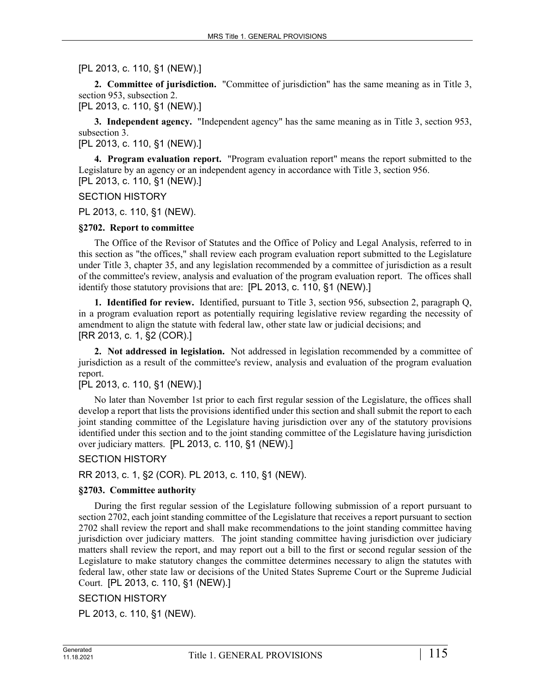[PL 2013, c. 110, §1 (NEW).]

**2. Committee of jurisdiction.** "Committee of jurisdiction" has the same meaning as in Title 3, section 953, subsection 2.

[PL 2013, c. 110, §1 (NEW).]

**3. Independent agency.** "Independent agency" has the same meaning as in Title 3, section 953, subsection 3.

[PL 2013, c. 110, §1 (NEW).]

**4. Program evaluation report.** "Program evaluation report" means the report submitted to the Legislature by an agency or an independent agency in accordance with Title 3, section 956. [PL 2013, c. 110, §1 (NEW).]

#### SECTION HISTORY

PL 2013, c. 110, §1 (NEW).

#### **§2702. Report to committee**

The Office of the Revisor of Statutes and the Office of Policy and Legal Analysis, referred to in this section as "the offices," shall review each program evaluation report submitted to the Legislature under Title 3, chapter 35, and any legislation recommended by a committee of jurisdiction as a result of the committee's review, analysis and evaluation of the program evaluation report. The offices shall identify those statutory provisions that are: [PL 2013, c. 110, §1 (NEW).]

**1. Identified for review.** Identified, pursuant to Title 3, section 956, subsection 2, paragraph Q, in a program evaluation report as potentially requiring legislative review regarding the necessity of amendment to align the statute with federal law, other state law or judicial decisions; and [RR 2013, c. 1, §2 (COR).]

**2. Not addressed in legislation.** Not addressed in legislation recommended by a committee of jurisdiction as a result of the committee's review, analysis and evaluation of the program evaluation report.

# [PL 2013, c. 110, §1 (NEW).]

No later than November 1st prior to each first regular session of the Legislature, the offices shall develop a report that lists the provisions identified under this section and shall submit the report to each joint standing committee of the Legislature having jurisdiction over any of the statutory provisions identified under this section and to the joint standing committee of the Legislature having jurisdiction over judiciary matters. [PL 2013, c. 110, §1 (NEW).]

SECTION HISTORY

RR 2013, c. 1, §2 (COR). PL 2013, c. 110, §1 (NEW).

# **§2703. Committee authority**

During the first regular session of the Legislature following submission of a report pursuant to section 2702, each joint standing committee of the Legislature that receives a report pursuant to section 2702 shall review the report and shall make recommendations to the joint standing committee having jurisdiction over judiciary matters. The joint standing committee having jurisdiction over judiciary matters shall review the report, and may report out a bill to the first or second regular session of the Legislature to make statutory changes the committee determines necessary to align the statutes with federal law, other state law or decisions of the United States Supreme Court or the Supreme Judicial Court. [PL 2013, c. 110, §1 (NEW).]

# SECTION HISTORY

PL 2013, c. 110, §1 (NEW).